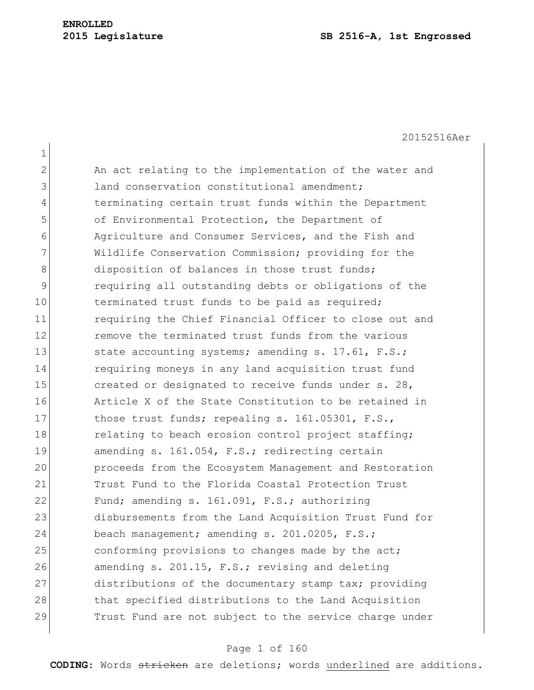20152516Aer

1 2 An act relating to the implementation of the water and 3 land conservation constitutional amendment; 4 terminating certain trust funds within the Department 5 of Environmental Protection, the Department of 6 Agriculture and Consumer Services, and the Fish and 7 Wildlife Conservation Commission; providing for the 8 disposition of balances in those trust funds; 9 requiring all outstanding debts or obligations of the 10 terminated trust funds to be paid as required; 11 requiring the Chief Financial Officer to close out and 12 **12** remove the terminated trust funds from the various 13 State accounting systems; amending s. 17.61, F.S.; 14 requiring moneys in any land acquisition trust fund 15 created or designated to receive funds under s. 28, 16 Article X of the State Constitution to be retained in 17 those trust funds; repealing s. 161.05301, F.S., 18 relating to beach erosion control project staffing; 19 amending s. 161.054, F.S.; redirecting certain 20 proceeds from the Ecosystem Management and Restoration 21 Trust Fund to the Florida Coastal Protection Trust 22 Fund; amending s. 161.091, F.S.; authorizing 23 disbursements from the Land Acquisition Trust Fund for 24 beach management; amending s. 201.0205, F.S.; 25 conforming provisions to changes made by the act; 26 amending s. 201.15, F.S.; revising and deleting 27 distributions of the documentary stamp tax; providing 28 that specified distributions to the Land Acquisition 29 Trust Fund are not subject to the service charge under

## Page 1 of 160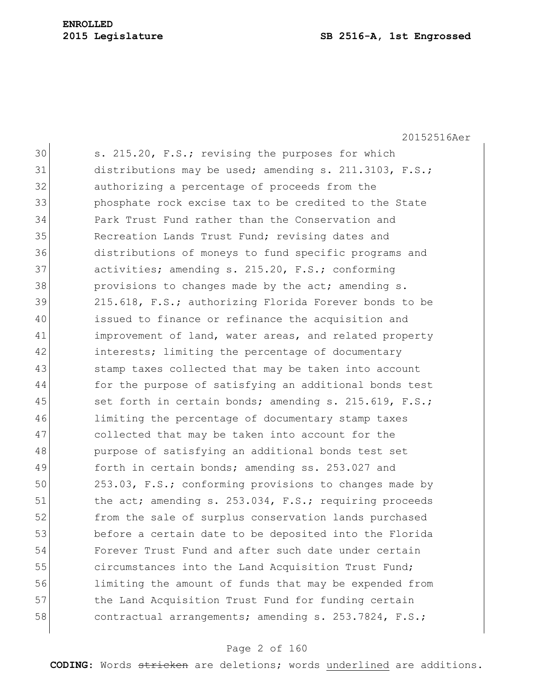20152516Aer

30 s. 215.20, F.S.; revising the purposes for which 31 distributions may be used; amending s. 211.3103, F.S.; 32 authorizing a percentage of proceeds from the 33 phosphate rock excise tax to be credited to the State 34 Park Trust Fund rather than the Conservation and 35 Recreation Lands Trust Fund; revising dates and 36 distributions of moneys to fund specific programs and 37 activities; amending s. 215.20, F.S.; conforming 38 **provisions to changes made by the act; amending s.** 39 215.618, F.S.; authorizing Florida Forever bonds to be 40 issued to finance or refinance the acquisition and 41 improvement of land, water areas, and related property 42 interests; limiting the percentage of documentary 43 Stamp taxes collected that may be taken into account 44 for the purpose of satisfying an additional bonds test 45 set forth in certain bonds; amending s. 215.619, F.S.; 46 limiting the percentage of documentary stamp taxes 47 collected that may be taken into account for the 48 purpose of satisfying an additional bonds test set 49 forth in certain bonds; amending ss. 253.027 and 50 253.03, F.S.; conforming provisions to changes made by 51 the act; amending s. 253.034, F.S.; requiring proceeds 52 from the sale of surplus conservation lands purchased 53 before a certain date to be deposited into the Florida 54 Forever Trust Fund and after such date under certain 55 circumstances into the Land Acquisition Trust Fund; 56 limiting the amount of funds that may be expended from 57 the Land Acquisition Trust Fund for funding certain 58 contractual arrangements; amending s. 253.7824, F.S.;

## Page 2 of 160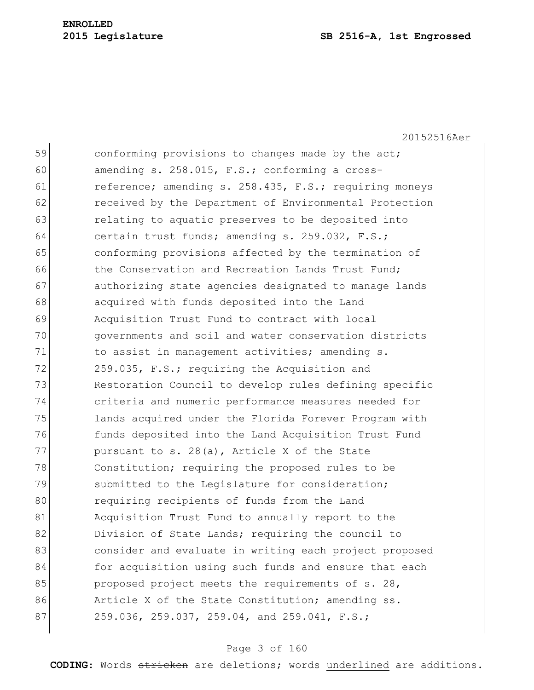20152516Aer

59 conforming provisions to changes made by the act; 60 amending s.  $258.015$ , F.S.; conforming a cross-61 reference; amending s. 258.435, F.S.; requiring moneys 62 **received by the Department of Environmental Protection** 63 **relating to aquatic preserves to be deposited into** 64 certain trust funds; amending s. 259.032, F.S.; 65 conforming provisions affected by the termination of 66 the Conservation and Recreation Lands Trust Fund; 67 authorizing state agencies designated to manage lands 68 acquired with funds deposited into the Land 69 Acquisition Trust Fund to contract with local 70 governments and soil and water conservation districts 71 to assist in management activities; amending s. 72 259.035, F.S.; requiring the Acquisition and 73 Restoration Council to develop rules defining specific 74 criteria and numeric performance measures needed for 75 lands acquired under the Florida Forever Program with 76 funds deposited into the Land Acquisition Trust Fund 77 pursuant to s. 28(a), Article X of the State 78 Constitution; requiring the proposed rules to be 79 Submitted to the Legislature for consideration; 80 requiring recipients of funds from the Land 81 Acquisition Trust Fund to annually report to the 82 Division of State Lands; requiring the council to 83 **b** consider and evaluate in writing each project proposed 84 for acquisition using such funds and ensure that each 85 proposed project meets the requirements of s. 28, 86 Article X of the State Constitution; amending ss. 87 259.036, 259.037, 259.04, and 259.041, F.S.;

## Page 3 of 160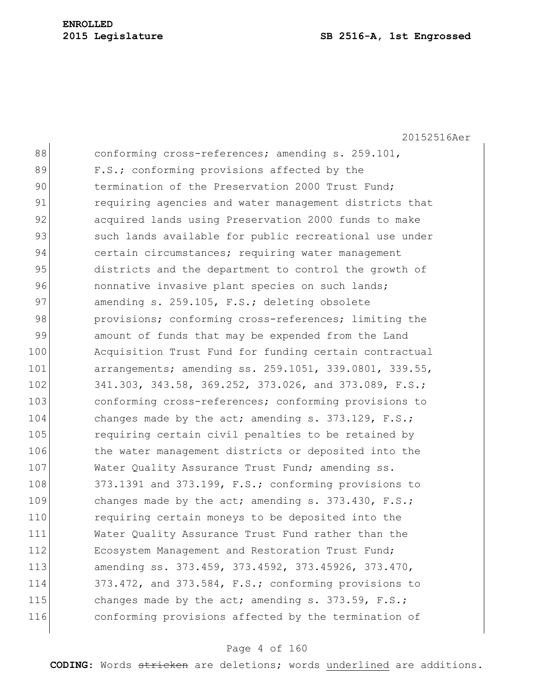20152516Aer 88 conforming cross-references; amending s. 259.101, 89 F.S.; conforming provisions affected by the 90 termination of the Preservation 2000 Trust Fund: 91 requiring agencies and water management districts that 92 acquired lands using Preservation 2000 funds to make 93 such lands available for public recreational use under 94 certain circumstances; requiring water management 95 districts and the department to control the growth of 96 **nonnative invasive plant species on such lands;** 97 amending s. 259.105, F.S.; deleting obsolete 98 provisions; conforming cross-references; limiting the 99 amount of funds that may be expended from the Land 100 Acquisition Trust Fund for funding certain contractual 101 arrangements; amending ss. 259.1051, 339.0801, 339.55, 102 341.303, 343.58, 369.252, 373.026, and 373.089, F.S.; 103 conforming cross-references; conforming provisions to 104 changes made by the act; amending s. 373.129, F.S.; 105 requiring certain civil penalties to be retained by 106 the water management districts or deposited into the 107 Water Quality Assurance Trust Fund; amending ss. 108 373.1391 and 373.199, F.S.; conforming provisions to 109 changes made by the act; amending s. 373.430, F.S.; 110 requiring certain moneys to be deposited into the 111 Water Quality Assurance Trust Fund rather than the 112 Ecosystem Management and Restoration Trust Fund; 113 amending ss. 373.459, 373.4592, 373.45926, 373.470, 114 373.472, and 373.584, F.S.; conforming provisions to 115 changes made by the act; amending s. 373.59, F.S.; 116 conforming provisions affected by the termination of

#### Page 4 of 160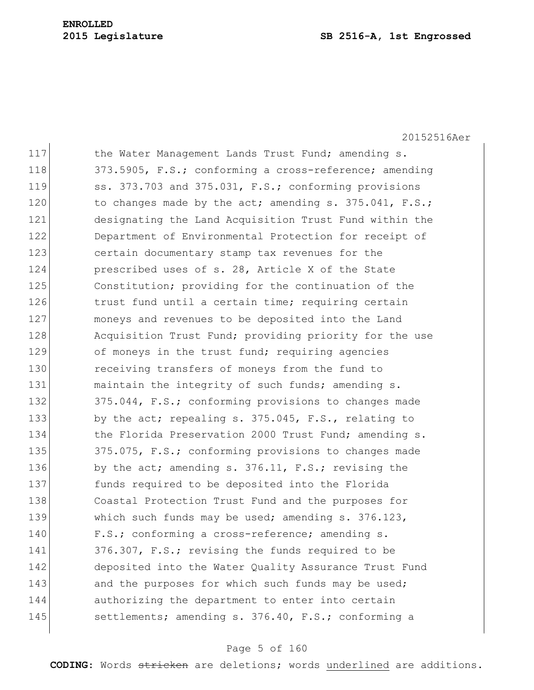20152516Aer

| 117 | the Water Management Lands Trust Fund; amending s.     |
|-----|--------------------------------------------------------|
| 118 | 373.5905, F.S.; conforming a cross-reference; amending |
| 119 | ss. 373.703 and 375.031, F.S.; conforming provisions   |
| 120 | to changes made by the act; amending s. 375.041, F.S.; |
| 121 | designating the Land Acquisition Trust Fund within the |
| 122 | Department of Environmental Protection for receipt of  |
| 123 | certain documentary stamp tax revenues for the         |
| 124 | prescribed uses of s. 28, Article X of the State       |
| 125 | Constitution; providing for the continuation of the    |
| 126 | trust fund until a certain time; requiring certain     |
| 127 | moneys and revenues to be deposited into the Land      |
| 128 | Acquisition Trust Fund; providing priority for the use |
| 129 | of moneys in the trust fund; requiring agencies        |
| 130 | receiving transfers of moneys from the fund to         |
| 131 | maintain the integrity of such funds; amending s.      |
| 132 | 375.044, F.S.; conforming provisions to changes made   |
| 133 | by the act; repealing s. 375.045, F.S., relating to    |
| 134 | the Florida Preservation 2000 Trust Fund; amending s.  |
| 135 | 375.075, F.S.; conforming provisions to changes made   |
| 136 | by the act; amending s. 376.11, F.S.; revising the     |
| 137 | funds required to be deposited into the Florida        |
| 138 | Coastal Protection Trust Fund and the purposes for     |
| 139 | which such funds may be used; amending s. 376.123,     |
| 140 | F.S.; conforming a cross-reference; amending s.        |
| 141 | 376.307, F.S.; revising the funds required to be       |
| 142 | deposited into the Water Quality Assurance Trust Fund  |
| 143 | and the purposes for which such funds may be used;     |
| 144 | authorizing the department to enter into certain       |
| 145 | settlements; amending s. 376.40, F.S.; conforming a    |
|     |                                                        |

# Page 5 of 160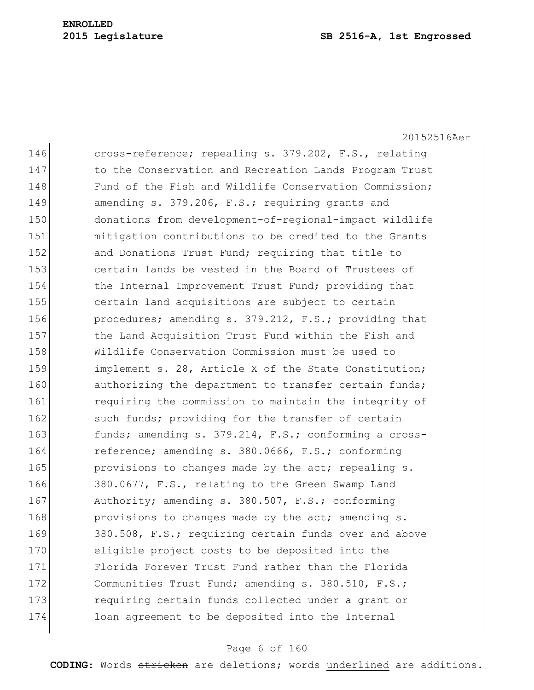20152516Aer

146 cross-reference; repealing s. 379.202, F.S., relating 147 to the Conservation and Recreation Lands Program Trust 148 Fund of the Fish and Wildlife Conservation Commission: 149 amending s. 379.206, F.S.; requiring grants and 150 donations from development-of-regional-impact wildlife 151 mitigation contributions to be credited to the Grants 152 and Donations Trust Fund; requiring that title to 153 certain lands be vested in the Board of Trustees of 154 the Internal Improvement Trust Fund; providing that 155 certain land acquisitions are subject to certain 156 procedures; amending s. 379.212, F.S.; providing that 157 the Land Acquisition Trust Fund within the Fish and 158 Wildlife Conservation Commission must be used to 159 implement s. 28, Article X of the State Constitution; 160 authorizing the department to transfer certain funds; 161 **requiring the commission to maintain the integrity of** 162 such funds; providing for the transfer of certain 163 funds; amending s. 379.214, F.S.; conforming a cross-164 reference; amending s. 380.0666, F.S.; conforming 165 **provisions to changes made by the act; repealing s.** 166 380.0677, F.S., relating to the Green Swamp Land 167 Authority; amending s. 380.507, F.S.; conforming 168 **provisions to changes made by the act; amending s.** 169 380.508, F.S.; requiring certain funds over and above 170 eligible project costs to be deposited into the 171 Florida Forever Trust Fund rather than the Florida 172 Communities Trust Fund; amending s. 380.510, F.S.; 173 requiring certain funds collected under a grant or 174 loan agreement to be deposited into the Internal

# Page 6 of 160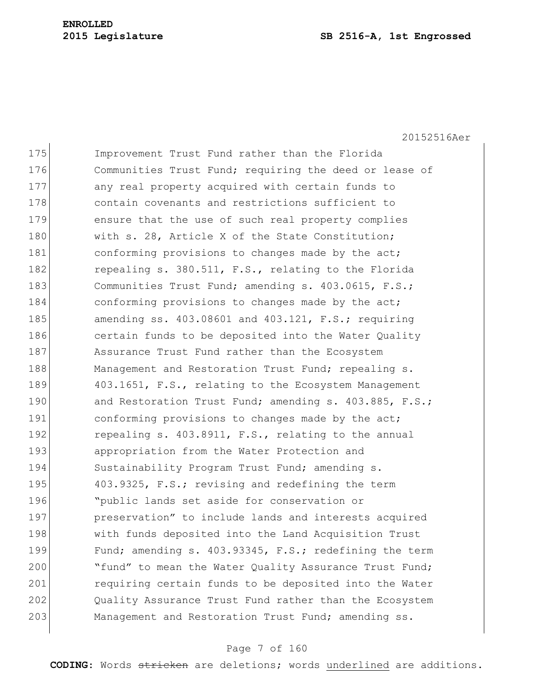20152516Aer

| 175 | Improvement Trust Fund rather than the Florida           |
|-----|----------------------------------------------------------|
| 176 | Communities Trust Fund; requiring the deed or lease of   |
| 177 | any real property acquired with certain funds to         |
| 178 | contain covenants and restrictions sufficient to         |
| 179 | ensure that the use of such real property complies       |
| 180 | with s. 28, Article X of the State Constitution;         |
| 181 | conforming provisions to changes made by the act;        |
| 182 | repealing s. 380.511, F.S., relating to the Florida      |
| 183 | Communities Trust Fund; amending s. 403.0615, F.S.;      |
| 184 | conforming provisions to changes made by the act;        |
| 185 | amending ss. $403.08601$ and $403.121$ , F.S.; requiring |
| 186 | certain funds to be deposited into the Water Quality     |
| 187 | Assurance Trust Fund rather than the Ecosystem           |
| 188 | Management and Restoration Trust Fund; repealing s.      |
| 189 | 403.1651, F.S., relating to the Ecosystem Management     |
| 190 | and Restoration Trust Fund; amending s. 403.885, F.S.;   |
| 191 | conforming provisions to changes made by the act;        |
| 192 | repealing s. 403.8911, F.S., relating to the annual      |
| 193 | appropriation from the Water Protection and              |
| 194 | Sustainability Program Trust Fund; amending s.           |
| 195 | 403.9325, F.S.; revising and redefining the term         |
| 196 | "public lands set aside for conservation or              |
| 197 | preservation" to include lands and interests acquired    |
| 198 | with funds deposited into the Land Acquisition Trust     |
| 199 | Fund; amending s. 403.93345, F.S.; redefining the term   |
| 200 | "fund" to mean the Water Quality Assurance Trust Fund;   |
| 201 | requiring certain funds to be deposited into the Water   |
| 202 | Quality Assurance Trust Fund rather than the Ecosystem   |
| 203 | Management and Restoration Trust Fund; amending ss.      |

# Page 7 of 160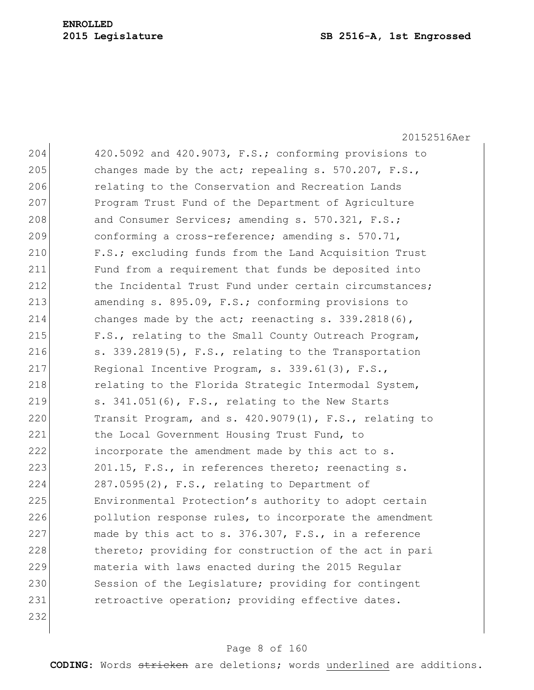20152516Aer 204 420.5092 and 420.9073, F.S.; conforming provisions to 205 changes made by the act; repealing  $s. 570.207$ ,  $F.S.,$ 206 relating to the Conservation and Recreation Lands 207 Program Trust Fund of the Department of Agriculture 208 and Consumer Services; amending s. 570.321, F.S.; 209 conforming a cross-reference; amending s. 570.71, 210 F.S.; excluding funds from the Land Acquisition Trust 211 Fund from a requirement that funds be deposited into 212 the Incidental Trust Fund under certain circumstances; 213 amending s. 895.09, F.S.; conforming provisions to 214 changes made by the act; reenacting s. 339.2818(6), 215 F.S., relating to the Small County Outreach Program, 216  $\vert$  s. 339.2819(5), F.S., relating to the Transportation 217 Regional Incentive Program, s. 339.61(3), F.S., 218 relating to the Florida Strategic Intermodal System, 219  $\vert$  s. 341.051(6), F.S., relating to the New Starts 220 Transit Program, and s.  $420.9079(1)$ , F.S., relating to 221 the Local Government Housing Trust Fund, to 222 incorporate the amendment made by this act to s. 223 201.15, F.S., in references thereto; reenacting s.  $224$  287.0595(2), F.S., relating to Department of 225 Environmental Protection's authority to adopt certain 226 pollution response rules, to incorporate the amendment 227 made by this act to s. 376.307, F.S., in a reference 228 thereto; providing for construction of the act in pari 229 materia with laws enacted during the 2015 Regular 230 Session of the Legislature; providing for contingent 231 retroactive operation; providing effective dates. 232

#### Page 8 of 160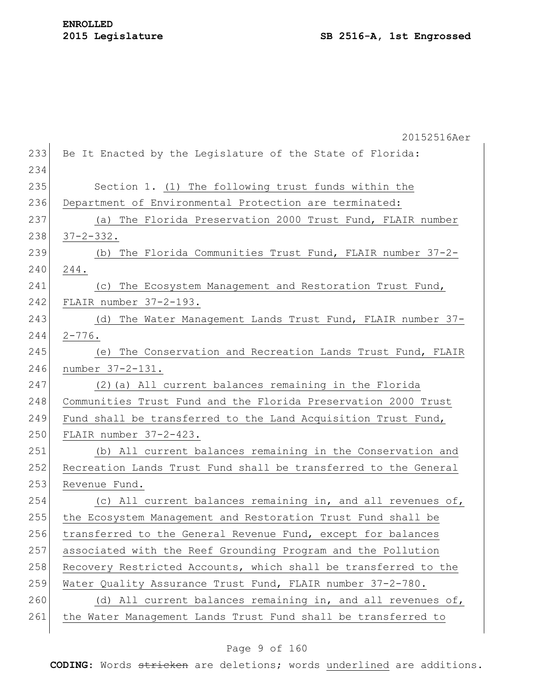|     | 20152516Aer                                                     |
|-----|-----------------------------------------------------------------|
| 233 | Be It Enacted by the Legislature of the State of Florida:       |
| 234 |                                                                 |
| 235 | Section 1. (1) The following trust funds within the             |
| 236 | Department of Environmental Protection are terminated:          |
| 237 | (a) The Florida Preservation 2000 Trust Fund, FLAIR number      |
| 238 | $37 - 2 - 332$ .                                                |
| 239 | The Florida Communities Trust Fund, FLAIR number 37-2-<br>(b)   |
| 240 | 244.                                                            |
| 241 | (c) The Ecosystem Management and Restoration Trust Fund,        |
| 242 | FLAIR number 37-2-193.                                          |
| 243 | (d) The Water Management Lands Trust Fund, FLAIR number 37-     |
| 244 | $2 - 776$ .                                                     |
| 245 | (e) The Conservation and Recreation Lands Trust Fund, FLAIR     |
| 246 | number 37-2-131.                                                |
| 247 | (2) (a) All current balances remaining in the Florida           |
| 248 | Communities Trust Fund and the Florida Preservation 2000 Trust  |
| 249 | Fund shall be transferred to the Land Acquisition Trust Fund,   |
| 250 | FLAIR number 37-2-423.                                          |
| 251 | (b) All current balances remaining in the Conservation and      |
| 252 | Recreation Lands Trust Fund shall be transferred to the General |
| 253 | Revenue Fund.                                                   |
| 254 | (c) All current balances remaining in, and all revenues of,     |
| 255 | the Ecosystem Management and Restoration Trust Fund shall be    |
| 256 | transferred to the General Revenue Fund, except for balances    |
| 257 | associated with the Reef Grounding Program and the Pollution    |
| 258 | Recovery Restricted Accounts, which shall be transferred to the |
| 259 | Water Quality Assurance Trust Fund, FLAIR number 37-2-780.      |
| 260 | (d) All current balances remaining in, and all revenues of,     |
| 261 | the Water Management Lands Trust Fund shall be transferred to   |
|     |                                                                 |

# Page 9 of 160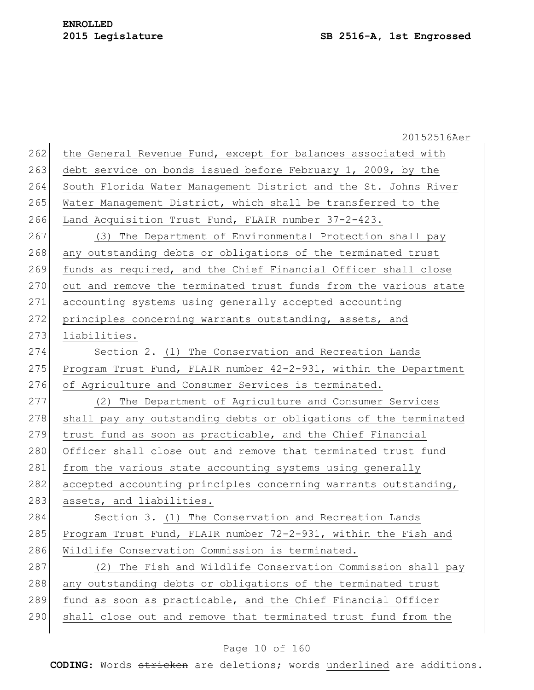|     | 20152516Aer                                                      |
|-----|------------------------------------------------------------------|
| 262 | the General Revenue Fund, except for balances associated with    |
| 263 | debt service on bonds issued before February 1, 2009, by the     |
| 264 | South Florida Water Management District and the St. Johns River  |
| 265 | Water Management District, which shall be transferred to the     |
| 266 | Land Acquisition Trust Fund, FLAIR number 37-2-423.              |
| 267 | (3) The Department of Environmental Protection shall pay         |
| 268 | any outstanding debts or obligations of the terminated trust     |
| 269 | funds as required, and the Chief Financial Officer shall close   |
| 270 | out and remove the terminated trust funds from the various state |
| 271 | accounting systems using generally accepted accounting           |
| 272 | principles concerning warrants outstanding, assets, and          |
| 273 | liabilities.                                                     |
| 274 | Section 2. (1) The Conservation and Recreation Lands             |
| 275 | Program Trust Fund, FLAIR number 42-2-931, within the Department |
| 276 | of Agriculture and Consumer Services is terminated.              |
| 277 | (2) The Department of Agriculture and Consumer Services          |
| 278 | shall pay any outstanding debts or obligations of the terminated |
| 279 | trust fund as soon as practicable, and the Chief Financial       |
| 280 | Officer shall close out and remove that terminated trust fund    |
| 281 | from the various state accounting systems using generally        |
| 282 | accepted accounting principles concerning warrants outstanding,  |
| 283 | assets, and liabilities.                                         |
| 284 | Section 3. (1) The Conservation and Recreation Lands             |
| 285 | Program Trust Fund, FLAIR number 72-2-931, within the Fish and   |
| 286 | Wildlife Conservation Commission is terminated.                  |
| 287 | (2) The Fish and Wildlife Conservation Commission shall pay      |
| 288 | any outstanding debts or obligations of the terminated trust     |
| 289 | fund as soon as practicable, and the Chief Financial Officer     |
| 290 | shall close out and remove that terminated trust fund from the   |
|     |                                                                  |

# Page 10 of 160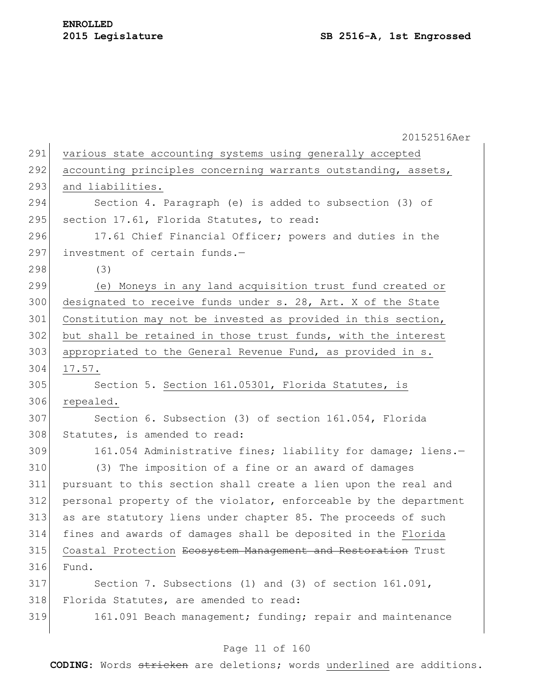20152516Aer 291 various state accounting systems using generally accepted 292 accounting principles concerning warrants outstanding, assets, 293 and liabilities. 294 Section 4. Paragraph (e) is added to subsection (3) of 295 section 17.61, Florida Statutes, to read: 296 17.61 Chief Financial Officer; powers and duties in the 297 investment of certain funds. $-$ 298 (3) 299 (e) Moneys in any land acquisition trust fund created or 300 designated to receive funds under s. 28, Art. X of the State 301 Constitution may not be invested as provided in this section, 302 but shall be retained in those trust funds, with the interest 303 appropriated to the General Revenue Fund, as provided in s. 304 17.57. 305 Section 5. Section 161.05301, Florida Statutes, is 306 repealed. 307 Section 6. Subsection (3) of section 161.054, Florida 308 Statutes, is amended to read: 309 161.054 Administrative fines; liability for damage; liens.-310 (3) The imposition of a fine or an award of damages 311 pursuant to this section shall create a lien upon the real and 312 personal property of the violator, enforceable by the department 313 as are statutory liens under chapter 85. The proceeds of such 314 fines and awards of damages shall be deposited in the Florida 315 Coastal Protection Ecosystem Management and Restoration Trust 316 Fund. 317 Section 7. Subsections (1) and (3) of section 161.091, 318 Florida Statutes, are amended to read: 319 161.091 Beach management; funding; repair and maintenance

# Page 11 of 160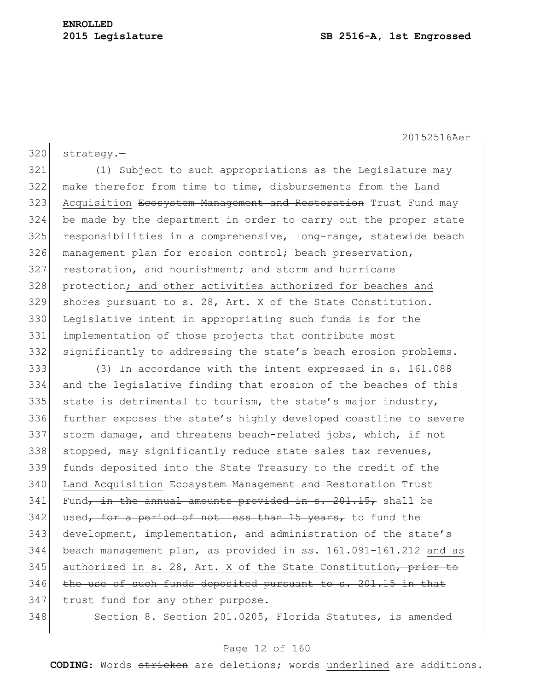320 strategy.-

321 (1) Subject to such appropriations as the Legislature may 322 make therefor from time to time, disbursements from the Land 323 Acquisition Ecosystem Management and Restoration Trust Fund may 324 be made by the department in order to carry out the proper state 325 responsibilities in a comprehensive, long-range, statewide beach 326 management plan for erosion control; beach preservation, 327 restoration, and nourishment; and storm and hurricane 328 protection; and other activities authorized for beaches and 329 shores pursuant to s. 28, Art. X of the State Constitution. 330 Legislative intent in appropriating such funds is for the 331 implementation of those projects that contribute most 332 significantly to addressing the state's beach erosion problems.

333 (3) In accordance with the intent expressed in s. 161.088 334 and the legislative finding that erosion of the beaches of this 335 state is detrimental to tourism, the state's major industry, 336 further exposes the state's highly developed coastline to severe 337 storm damage, and threatens beach-related jobs, which, if not 338 stopped, may significantly reduce state sales tax revenues, 339 funds deposited into the State Treasury to the credit of the 340 Land Acquisition Ecosystem Management and Restoration Trust  $341$  Fund, in the annual amounts provided in s. 201.15, shall be 342 used, for a period of not less than 15 years, to fund the 343 development, implementation, and administration of the state's 344 beach management plan, as provided in ss. 161.091-161.212 and as 345 authorized in s. 28, Art. X of the State Constitution, prior to 346 the use of such funds deposited pursuant to s. 201.15 in that 347 trust fund for any other purpose.

348 Section 8. Section 201.0205, Florida Statutes, is amended

# Page 12 of 160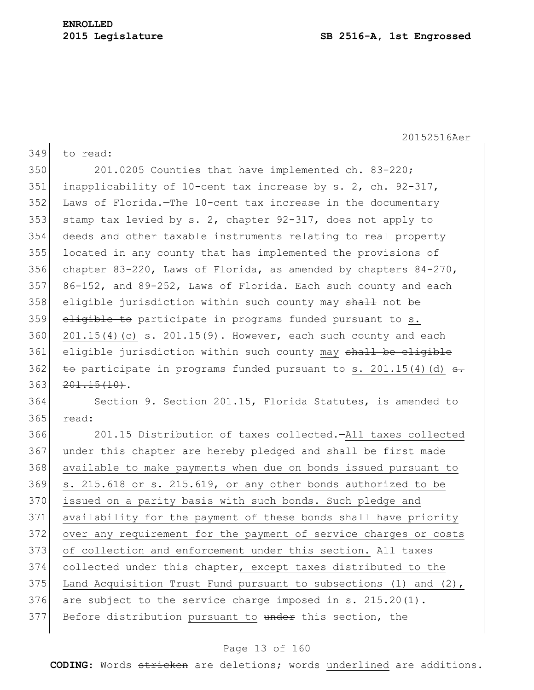| 349 | to read:                                                                                 |
|-----|------------------------------------------------------------------------------------------|
| 350 | 201.0205 Counties that have implemented ch. 83-220;                                      |
| 351 | inapplicability of 10-cent tax increase by s. 2, ch. 92-317,                             |
| 352 | Laws of Florida.-The 10-cent tax increase in the documentary                             |
| 353 | stamp tax levied by s. 2, chapter 92-317, does not apply to                              |
| 354 | deeds and other taxable instruments relating to real property                            |
| 355 | located in any county that has implemented the provisions of                             |
| 356 | chapter 83-220, Laws of Florida, as amended by chapters $84-270$ ,                       |
| 357 | 86-152, and 89-252, Laws of Florida. Each such county and each                           |
| 358 | eligible jurisdiction within such county may shall not be                                |
| 359 | eligible to participate in programs funded pursuant to s.                                |
| 360 | $201.15(4)$ (c) $\overline{\phantom{0}3.201.15(9)}$ . However, each such county and each |
| 361 | eligible jurisdiction within such county may shall be eligible                           |
| 362 | to participate in programs funded pursuant to s. 201.15(4)(d) s.                         |
| 363 | $201.15(10)$ .                                                                           |
| 364 | Section 9. Section 201.15, Florida Statutes, is amended to                               |
|     |                                                                                          |
| 365 | read:                                                                                    |
| 366 | 201.15 Distribution of taxes collected. - All taxes collected                            |
| 367 | under this chapter are hereby pledged and shall be first made                            |
| 368 | available to make payments when due on bonds issued pursuant to                          |
| 369 | s. 215.618 or s. 215.619, or any other bonds authorized to be                            |
| 370 | issued on a parity basis with such bonds. Such pledge and                                |
| 371 | availability for the payment of these bonds shall have priority                          |
| 372 | over any requirement for the payment of service charges or costs                         |
| 373 | of collection and enforcement under this section. All taxes                              |
| 374 | collected under this chapter, except taxes distributed to the                            |
| 375 | Land Acquisition Trust Fund pursuant to subsections (1) and $(2)$ ,                      |
| 376 | are subject to the service charge imposed in s. 215.20(1).                               |
| 377 | Before distribution pursuant to under this section, the                                  |

# Page 13 of 160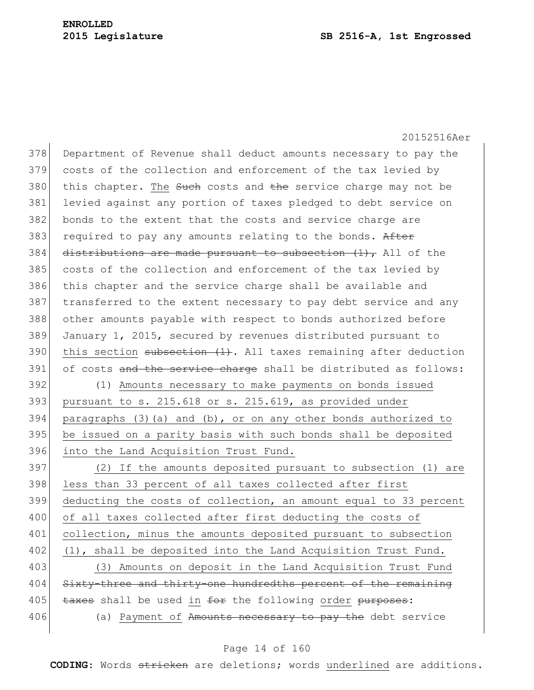20152516Aer 378 Department of Revenue shall deduct amounts necessary to pay the 379 costs of the collection and enforcement of the tax levied by  $380$  this chapter. The Such costs and the service charge may not be 381 levied against any portion of taxes pledged to debt service on 382 bonds to the extent that the costs and service charge are 383 required to pay any amounts relating to the bonds. After 384 distributions are made pursuant to subsection  $(1)$ , All of the 385 costs of the collection and enforcement of the tax levied by 386 this chapter and the service charge shall be available and 387 transferred to the extent necessary to pay debt service and any 388 other amounts payable with respect to bonds authorized before 389 January 1, 2015, secured by revenues distributed pursuant to 390 this section subsection  $(1)$ . All taxes remaining after deduction 391 of costs and the service charge shall be distributed as follows: 392 (1) Amounts necessary to make payments on bonds issued  $393$  pursuant to s. 215.618 or s. 215.619, as provided under 394 paragraphs (3)(a) and (b), or on any other bonds authorized to 395 be issued on a parity basis with such bonds shall be deposited 396 into the Land Acquisition Trust Fund. 397 (2) If the amounts deposited pursuant to subsection (1) are 398 less than 33 percent of all taxes collected after first 399 deducting the costs of collection, an amount equal to 33 percent 400 of all taxes collected after first deducting the costs of 401 collection, minus the amounts deposited pursuant to subsection 402 (1), shall be deposited into the Land Acquisition Trust Fund. 403 (3) Amounts on deposit in the Land Acquisition Trust Fund 404 Sixty-three and thirty-one hundredths percent of the remaining 405 taxes shall be used in for the following order purposes: 406 (a) Payment of Amounts necessary to pay the debt service

# Page 14 of 160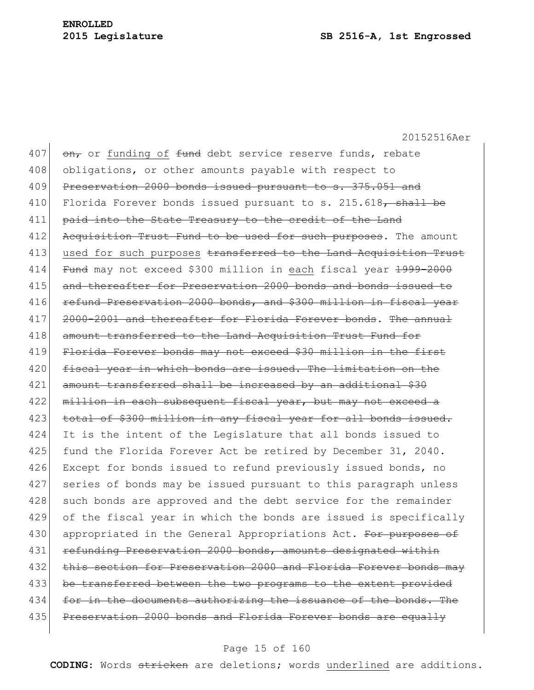407  $\sigma$ <sub>r</sub> or funding of <del>fund</del> debt service reserve funds, rebate 408 obligations, or other amounts payable with respect to 409 Preservation 2000 bonds issued pursuant to s. 375.051 and 410 Florida Forever bonds issued pursuant to s.  $215.618$ , shall be 411 paid into the State Treasury to the credit of the Land 412 Acquisition Trust Fund to be used for such purposes. The amount 413 used for such purposes transferred to the Land Acquisition Trust 414 Fund may not exceed \$300 million in each fiscal year 1999-2000 415 and thereafter for Preservation 2000 bonds and bonds issued to 416 refund Preservation 2000 bonds, and \$300 million in fiscal year 417 2000-2001 and thereafter for Florida Forever bonds. The annual 418 amount transferred to the Land Acquisition Trust Fund for 419 Florida Forever bonds may not exceed \$30 million in the first 420 fiscal year in which bonds are issued. The limitation on the 421 amount transferred shall be increased by an additional \$30 422 million in each subsequent fiscal year, but may not exceed a 423 total of \$300 million in any fiscal year for all bonds issued. 424 It is the intent of the Legislature that all bonds issued to 425 fund the Florida Forever Act be retired by December 31, 2040. 426 Except for bonds issued to refund previously issued bonds, no 427 series of bonds may be issued pursuant to this paragraph unless 428 such bonds are approved and the debt service for the remainder 429 of the fiscal year in which the bonds are issued is specifically 430 appropriated in the General Appropriations Act. For purposes of 431 refunding Preservation 2000 bonds, amounts designated within 432 this section for Preservation 2000 and Florida Forever bonds may 433 be transferred between the two programs to the extent provided 434 for in the documents authorizing the issuance of the bonds. The 435 Preservation 2000 bonds and Florida Forever bonds are equally

# Page 15 of 160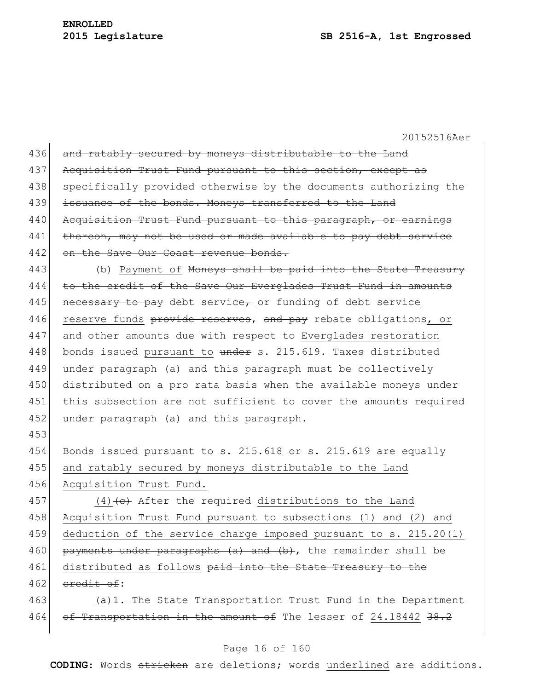| 436 | and ratably secured by moneys distributable to the Land            |
|-----|--------------------------------------------------------------------|
| 437 | Acquisition Trust Fund pursuant to this section, except as         |
| 438 | specifically provided otherwise by the documents authorizing the   |
| 439 | issuance of the bonds. Moneys transferred to the Land              |
| 440 | Acquisition Trust Fund pursuant to this paragraph, or earnings     |
| 441 | thereon, may not be used or made available to pay debt service     |
| 442 | on the Save Our Coast revenue bonds.                               |
| 443 | (b) Payment of Moneys shall be paid into the State Treasury        |
| 444 | to the credit of the Save Our Everglades Trust Fund in amounts     |
| 445 | necessary to pay debt service, or funding of debt service          |
| 446 | reserve funds provide reserves, and pay rebate obligations, or     |
| 447 | and other amounts due with respect to Everglades restoration       |
| 448 | bonds issued pursuant to under s. 215.619. Taxes distributed       |
| 449 | under paragraph (a) and this paragraph must be collectively        |
| 450 | distributed on a pro rata basis when the available moneys under    |
| 451 | this subsection are not sufficient to cover the amounts required   |
| 452 | under paragraph (a) and this paragraph.                            |
|     |                                                                    |
| 453 |                                                                    |
| 454 | Bonds issued pursuant to s. 215.618 or s. 215.619 are equally      |
| 455 | and ratably secured by moneys distributable to the Land            |
| 456 | Acquisition Trust Fund.                                            |
| 457 | $(4)$ (4) (e) After the required distributions to the Land         |
| 458 | Acquisition Trust Fund pursuant to subsections (1) and (2) and     |
| 459 | deduction of the service charge imposed pursuant to s. $215.20(1)$ |
| 460 | payments under paragraphs (a) and (b), the remainder shall be      |
| 461 | distributed as follows paid into the State Treasury to the         |
| 462 | eredit of:                                                         |
| 463 | $(a)$ 1. The State Transportation Trust Fund in the Department     |
| 464 | of Transportation in the amount of The lesser of 24.18442 38.2     |

# Page 16 of 160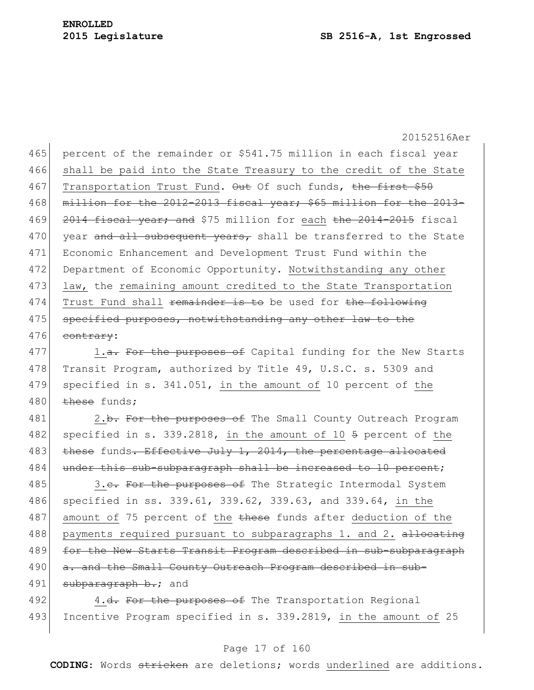465 percent of the remainder or \$541.75 million in each fiscal year 466 shall be paid into the State Treasury to the credit of the State 467 Transportation Trust Fund. Out Of such funds, the first \$50 468 million for the 2012-2013 fiscal year; \$65 million for the 2013-469 2014 fiscal year; and \$75 million for each the 2014-2015 fiscal 470 year and all subsequent years, shall be transferred to the State 471 Economic Enhancement and Development Trust Fund within the 472 Department of Economic Opportunity. Notwithstanding any other 473 law, the remaining amount credited to the State Transportation 474 Trust Fund shall remainder is to be used for the following 475 specified purposes, notwithstanding any other law to the 476 contrary:

477 1.<del>a. For the purposes of</del> Capital funding for the New Starts 478 Transit Program, authorized by Title 49, U.S.C. s. 5309 and 479 specified in s. 341.051, in the amount of 10 percent of the 480  $t$  these funds:

481 2.b. For the purposes of The Small County Outreach Program 482 specified in s. 339.2818, in the amount of 10  $\frac{1}{2}$  percent of the 483 these funds. Effective July 1, 2014, the percentage allocated 484 under this sub-subparagraph shall be increased to 10 percent;

485 3.c. For the purposes of The Strategic Intermodal System 486 specified in ss. 339.61, 339.62, 339.63, and 339.64, in the 487 amount of 75 percent of the these funds after deduction of the 488 payments required pursuant to subparagraphs 1. and 2. allocating 489 for the New Starts Transit Program described in sub-subparagraph 490 a. and the Small County Outreach Program described in sub-491 subparagraph b.; and

492 4.<del>d. For the purposes of</del> The Transportation Regional 493 Incentive Program specified in s. 339.2819, in the amount of 25

## Page 17 of 160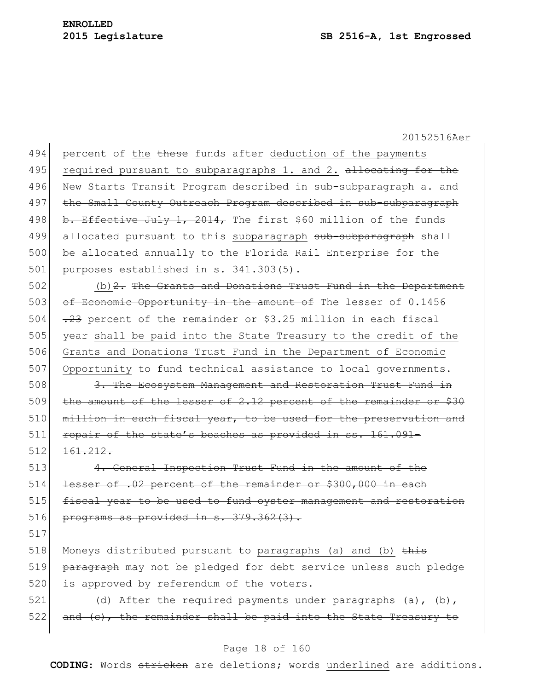494 percent of the these funds after deduction of the payments 495 required pursuant to subparagraphs 1. and 2. allocating for the 496 New Starts Transit Program described in sub-subparagraph a. and 497 the Small County Outreach Program described in sub-subparagraph 498 b. Effective July 1, 2014, The first \$60 million of the funds 499 allocated pursuant to this subparagraph sub-subparagraph shall 500 be allocated annually to the Florida Rail Enterprise for the  $501$  purposes established in s. 341.303(5).

502 (b)  $2$ . The Grants and Donations Trust Fund in the Department 503 of Economic Opportunity in the amount of The lesser of 0.1456 504  $\left| \frac{.23}{.23} \right|$  percent of the remainder or \$3.25 million in each fiscal 505 year shall be paid into the State Treasury to the credit of the 506 Grants and Donations Trust Fund in the Department of Economic 507 Opportunity to fund technical assistance to local governments.

508 3. The Ecosystem Management and Restoration Trust Fund in 509 the amount of the lesser of 2.12 percent of the remainder or \$30 510 million in each fiscal year, to be used for the preservation and 511 repair of the state's beaches as provided in ss. 161.091- $512$   $161.212$ .

513 4. General Inspection Trust Fund in the amount of the 514 lesser of .02 percent of the remainder or \$300,000 in each 515 fiscal year to be used to fund oyster management and restoration 516 programs as provided in  $s. 379.362(3)$ .

517

518 Moneys distributed pursuant to paragraphs (a) and (b) this 519 paragraph may not be pledged for debt service unless such pledge 520 is approved by referendum of the voters.

521  $(d)$  After the required payments under paragraphs  $(a)$ ,  $(b)$ , 522 and (c), the remainder shall be paid into the State Treasury to

## Page 18 of 160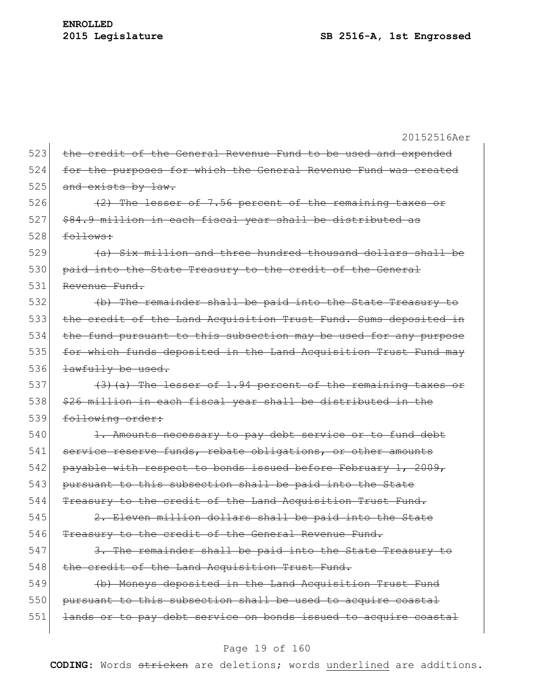20152516Aer 523 the credit of the General Revenue Fund to be used and expended 524 for the purposes for which the General Revenue Fund was created  $525$  and exists by law. 526  $(2)$  The lesser of 7.56 percent of the remaining taxes or 527 \$84.9 million in each fiscal year shall be distributed as  $528$  follows:  $529$  (a) Six million and three hundred thousand dollars shall be 530 paid into the State Treasury to the credit of the General 531 Revenue Fund. 532 (b) The remainder shall be paid into the State Treasury to 533 the credit of the Land Acquisition Trust Fund. Sums deposited in 534 the fund pursuant to this subsection may be used for any purpose 535 for which funds deposited in the Land Acquisition Trust Fund may 536 <del>lawfully be used.</del> 537  $(3)$  (a) The lesser of 1.94 percent of the remaining taxes or 538 \$26 million in each fiscal year shall be distributed in the 539 following order: 540 1. Amounts necessary to pay debt service or to fund debt 541 service reserve funds, rebate obligations, or other amounts 542 payable with respect to bonds issued before February 1, 2009, 543 pursuant to this subsection shall be paid into the State 544 Treasury to the credit of the Land Acquisition Trust Fund. 545  $\vert$  2. Eleven million dollars shall be paid into the State 546 Treasury to the credit of the General Revenue Fund.  $547$  3. The remainder shall be paid into the State Treasury to 548 the credit of the Land Acquisition Trust Fund. 549 (b) Moneys deposited in the Land Acquisition Trust Fund 550 pursuant to this subsection shall be used to acquire coastal 551 lands or to pay debt service on bonds issued to acquire coastal

#### Page 19 of 160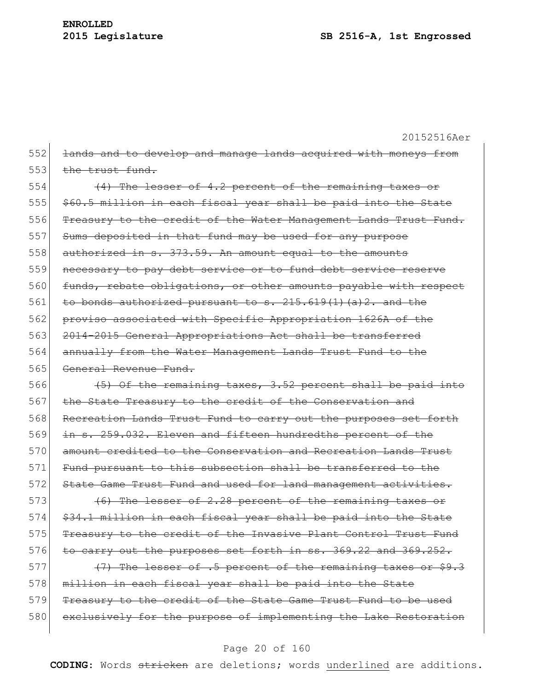20152516Aer 552 <del>lands and to develop and manage lands acquired with moneys from</del> 553 the trust fund. 554 (4) The lesser of 4.2 percent of the remaining taxes or 555 \$60.5 million in each fiscal year shall be paid into the State 556 Treasury to the credit of the Water Management Lands Trust Fund. 557 Sums deposited in that fund may be used for any purpose 558 authorized in s. 373.59. An amount equal to the amounts 559 necessary to pay debt service or to fund debt service reserve 560 funds, rebate obligations, or other amounts payable with respect 561 to bonds authorized pursuant to  $s$ .  $215.619(1)(a)2$ . and the 562 proviso associated with Specific Appropriation 1626A of the 563 2014-2015 General Appropriations Act shall be transferred 564 annually from the Water Management Lands Trust Fund to the 565 General Revenue Fund. 566  $(5)$  Of the remaining taxes, 3.52 percent shall be paid into 567 the State Treasury to the credit of the Conservation and 568 Recreation Lands Trust Fund to carry out the purposes set forth 569 in s. 259.032. Eleven and fifteen hundredths percent of the 570 amount credited to the Conservation and Recreation Lands Trust 571 Fund pursuant to this subsection shall be transferred to the 572 State Game Trust Fund and used for land management activities. 573 (6) The lesser of 2.28 percent of the remaining taxes or  $574$   $$34.1$  million in each fiscal year shall be paid into the State 575 Treasury to the credit of the Invasive Plant Control Trust Fund  $576$  to carry out the purposes set forth in ss. 369.22 and 369.252. 577  $(7)$  The lesser of .5 percent of the remaining taxes or \$9.3

578 million in each fiscal year shall be paid into the State 579 Treasury to the credit of the State Game Trust Fund to be used 580 exclusively for the purpose of implementing the Lake Restoration

## Page 20 of 160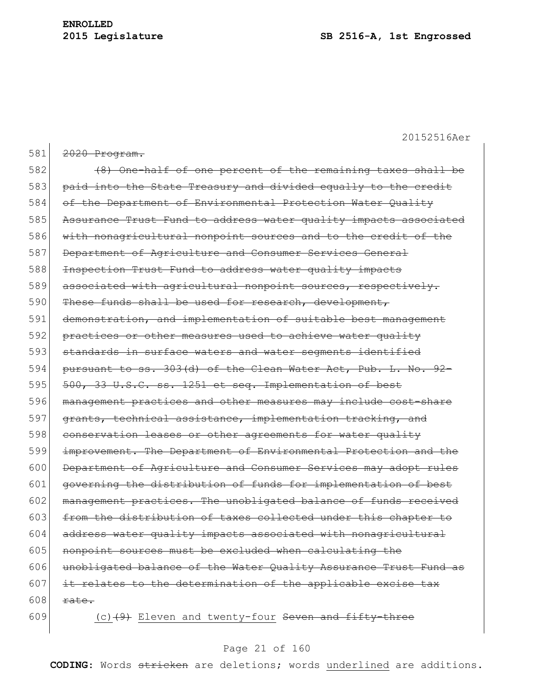| 581 | 2020 Program.                                                     |
|-----|-------------------------------------------------------------------|
| 582 | (8) One-half of one percent of the remaining taxes shall be       |
| 583 | paid into the State Treasury and divided equally to the credit    |
| 584 | of the Department of Environmental Protection Water Quality       |
| 585 | Assurance Trust Fund to address water quality impacts associated  |
| 586 | with nonagricultural nonpoint sources and to the credit of the    |
| 587 | Department of Agriculture and Consumer Services General           |
| 588 | Inspection Trust Fund to address water quality impacts            |
| 589 | associated with agricultural nonpoint sources, respectively.      |
| 590 | These funds shall be used for research, development,              |
| 591 | demonstration, and implementation of suitable best management     |
| 592 | practices or other measures used to achieve water quality         |
| 593 | standards in surface waters and water segments identified         |
| 594 | pursuant to ss. 303(d) of the Clean Water Act, Pub. L. No. 92-    |
| 595 | 500, 33 U.S.C. ss. 1251 et seq. Implementation of best            |
| 596 | management practices and other measures may include cost-share    |
| 597 | grants, technical assistance, implementation tracking, and        |
| 598 | conservation leases or other agreements for water quality         |
| 599 | improvement. The Department of Environmental Protection and the   |
| 600 | Department of Agriculture and Consumer Services may adopt rules   |
| 601 | governing the distribution of funds for implementation of best    |
| 602 | management practices. The unobligated balance of funds received   |
| 603 | from the distribution of taxes collected under this<br>chapter to |
| 604 | address water quality impacts associated with nonagricultural     |
| 605 | nonpoint sources must be excluded when calculating the            |
| 606 | unobligated balance of the Water Quality Assurance Trust Fund as  |
| 607 | it relates to the determination of the applicable excise tax      |
| 608 | rate.                                                             |
| 609 | $(c)$ $(9)$ Eleven and twenty-four Seven and fifty-three          |

# Page 21 of 160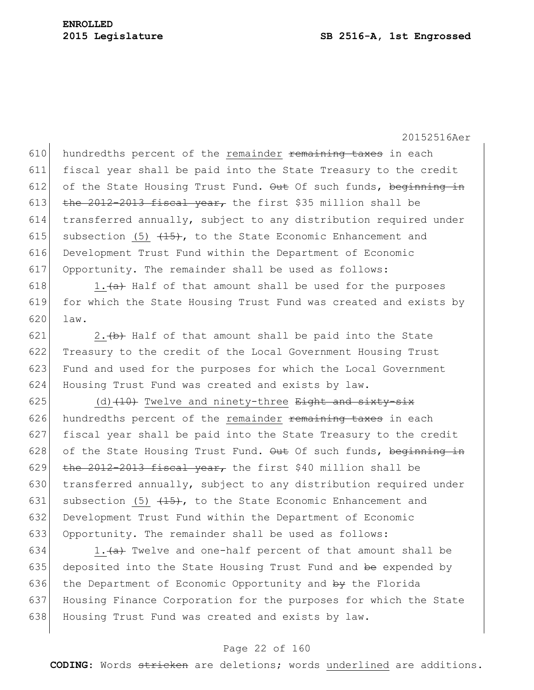hundredths percent of the remainder remaining taxes in each fiscal year shall be paid into the State Treasury to the credit 612 of the State Housing Trust Fund.  $\Theta$ ut Of such funds, beginning in 613 the 2012-2013 fiscal year, the first \$35 million shall be transferred annually, subject to any distribution required under 615 subsection (5)  $\left( \frac{4+5}{2} \right)$ , to the State Economic Enhancement and Development Trust Fund within the Department of Economic Opportunity. The remainder shall be used as follows:

618 1. $\leftarrow$  1.  $\leftarrow$  Half of that amount shall be used for the purposes 619 for which the State Housing Trust Fund was created and exists by 620 law.

 2.  $\leftrightarrow$  Half of that amount shall be paid into the State Treasury to the credit of the Local Government Housing Trust 623 Fund and used for the purposes for which the Local Government Housing Trust Fund was created and exists by law.

625 (d)  $(10)$  Twelve and ninety-three Eight and sixty-six 626 hundredths percent of the remainder remaining taxes in each 627 fiscal year shall be paid into the State Treasury to the credit 628 of the State Housing Trust Fund.  $\Theta$ ut Of such funds, beginning in 629 the 2012-2013 fiscal year, the first \$40 million shall be 630 transferred annually, subject to any distribution required under 631 subsection (5)  $\{15\}$ , to the State Economic Enhancement and 632 Development Trust Fund within the Department of Economic 633 Opportunity. The remainder shall be used as follows:

634 1. $\frac{a}{a}$  Twelve and one-half percent of that amount shall be 635 deposited into the State Housing Trust Fund and be expended by 636 the Department of Economic Opportunity and by the Florida 637 Housing Finance Corporation for the purposes for which the State 638 Housing Trust Fund was created and exists by law.

# Page 22 of 160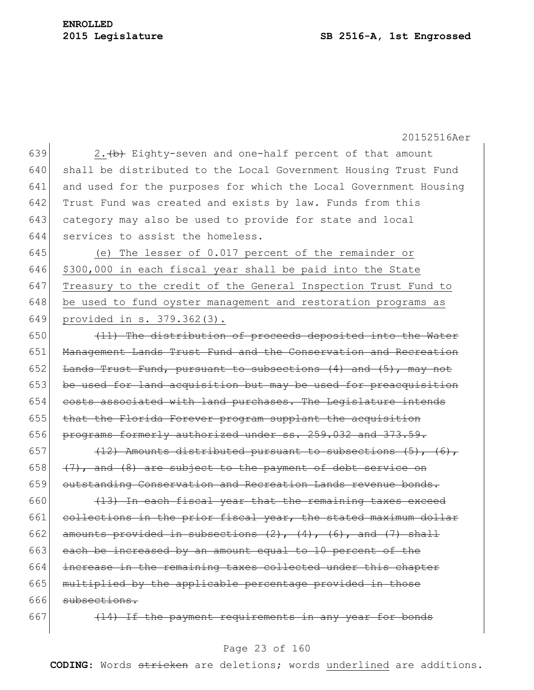# **ENROLLED**

#### **2015 Legislature SB 2516-A, 1st Engrossed**

20152516Aer

639 2.  $\left\{\rightarrow{b}$  Eighty-seven and one-half percent of that amount shall be distributed to the Local Government Housing Trust Fund and used for the purposes for which the Local Government Housing 642 Trust Fund was created and exists by law. Funds from this category may also be used to provide for state and local services to assist the homeless.

 (e) The lesser of 0.017 percent of the remainder or \$300,000 in each fiscal year shall be paid into the State Treasury to the credit of the General Inspection Trust Fund to be used to fund oyster management and restoration programs as provided in s. 379.362(3).

650  $(11)$  The distribution of proceeds deposited into the Water 651 Management Lands Trust Fund and the Conservation and Recreation 652 Lands Trust Fund, pursuant to subsections  $(4)$  and  $(5)$ , may not 653 be used for land acquisition but may be used for preacquisition 654 costs associated with land purchases. The Legislature intends 655 that the Florida Forever program supplant the acquisition 656 programs formerly authorized under ss. 259.032 and 373.59.

657  $(12)$  Amounts distributed pursuant to subsections  $(5)$ ,  $(6)$ , 658  $(7)$ , and (8) are subject to the payment of debt service on 659 outstanding Conservation and Recreation Lands revenue bonds.

 $660$  (13) In each fiscal year that the remaining taxes exceed 661 collections in the prior fiscal year, the stated maximum dollar 662 amounts provided in subsections  $(2)$ ,  $(4)$ ,  $(6)$ , and  $(7)$  shall 663 each be increased by an amount equal to 10 percent of the 664 increase in the remaining taxes collected under this chapter 665 multiplied by the applicable percentage provided in those 666 subsections.

667  $(14)$  If the payment requirements in any year for bonds

# Page 23 of 160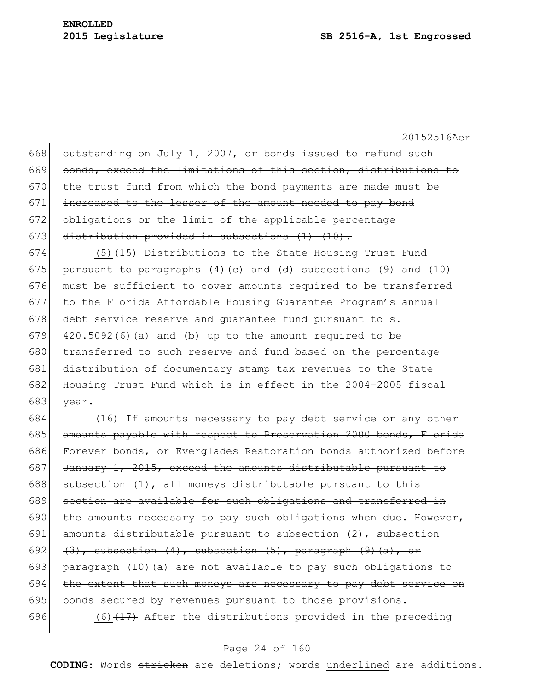$\mathbf{I}$ 

20152516Aer

| 668 | outstanding on July 1, 2007, or bonds issued to refund such           |
|-----|-----------------------------------------------------------------------|
| 669 | bonds, exceed the limitations of this section, distributions to       |
| 670 | the trust fund from which the bond payments are made must be          |
| 671 | increased to the lesser of the amount needed to pay bond              |
| 672 | obligations or the limit of the applicable percentage                 |
| 673 | distribution provided in subsections $(1) - (10)$ .                   |
| 674 | $(5)$ $(15)$ Distributions to the State Housing Trust Fund            |
| 675 | pursuant to paragraphs $(4)$ (c) and (d) subsections $(9)$ and $(10)$ |
| 676 | must be sufficient to cover amounts required to be transferred        |
| 677 | to the Florida Affordable Housing Guarantee Program's annual          |
| 678 | debt service reserve and quarantee fund pursuant to s.                |
| 679 | $420.5092(6)$ (a) and (b) up to the amount required to be             |
| 680 | transferred to such reserve and fund based on the percentage          |
| 681 | distribution of documentary stamp tax revenues to the State           |
| 682 | Housing Trust Fund which is in effect in the 2004-2005 fiscal         |
| 683 | vear.                                                                 |

 $684$  (16) If amounts necessary to pay debt service or any other 685 amounts payable with respect to Preservation 2000 bonds, Florida 686 Forever bonds, or Everglades Restoration bonds authorized before 687 January 1, 2015, exceed the amounts distributable pursuant to 688 subsection  $(1)$ , all moneys distributable pursuant to this 689 section are available for such obligations and transferred in 690 the amounts necessary to pay such obligations when due. However, 691 amounts distributable pursuant to subsection  $(2)$ , subsection 692  $(3)$ , subsection  $(4)$ , subsection  $(5)$ , paragraph  $(9)$   $(a)$ , or 693 paragraph  $(10)$  (a) are not available to pay such obligations to  $694$  the extent that such moneys are necessary to pay debt service on 695 bonds secured by revenues pursuant to those provisions. 696  $(6)$  (6)  $(17)$  After the distributions provided in the preceding

# Page 24 of 160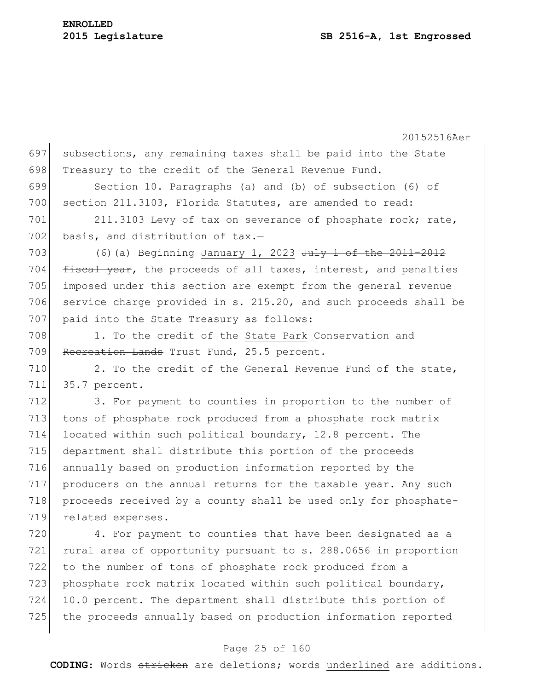20152516Aer 697 subsections, any remaining taxes shall be paid into the State 698 Treasury to the credit of the General Revenue Fund. 699 Section 10. Paragraphs (a) and (b) of subsection (6) of 700 section 211.3103, Florida Statutes, are amended to read: 701 211.3103 Levy of tax on severance of phosphate rock; rate, 702 basis, and distribution of  $\text{tax.}$ -703 (6)(a) Beginning January 1, 2023  $J^{\text{uly}}$  1 of the 2011-2012 704  $f$  fiscal year, the proceeds of all taxes, interest, and penalties 705 imposed under this section are exempt from the general revenue 706 service charge provided in s. 215.20, and such proceeds shall be 707 paid into the State Treasury as follows: 708 1. To the credit of the State Park Conservation and 709 Recreation Lands Trust Fund, 25.5 percent. 710 2. To the credit of the General Revenue Fund of the state, 711 35.7 percent. 712 3. For payment to counties in proportion to the number of 713 tons of phosphate rock produced from a phosphate rock matrix 714 located within such political boundary, 12.8 percent. The 715 department shall distribute this portion of the proceeds 716 annually based on production information reported by the 717 producers on the annual returns for the taxable year. Any such 718 proceeds received by a county shall be used only for phosphate-719 related expenses. 720 4. For payment to counties that have been designated as a 721 rural area of opportunity pursuant to s. 288.0656 in proportion 722 to the number of tons of phosphate rock produced from a 723 phosphate rock matrix located within such political boundary, 724 10.0 percent. The department shall distribute this portion of 725 the proceeds annually based on production information reported

# Page 25 of 160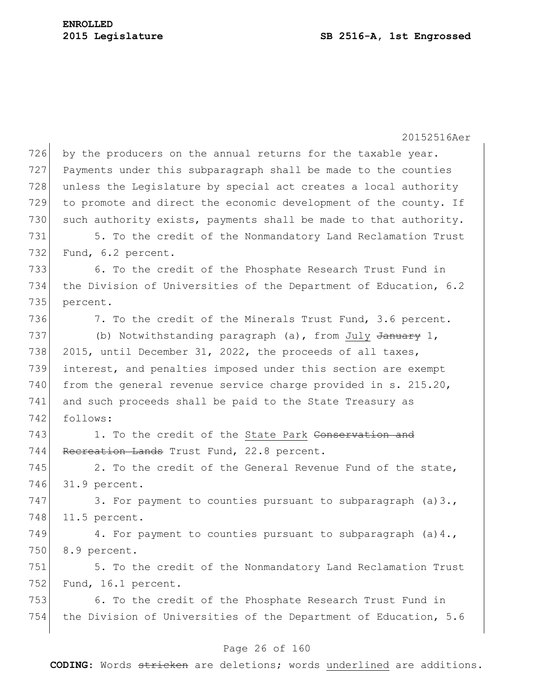20152516Aer 726 by the producers on the annual returns for the taxable year. 727 Payments under this subparagraph shall be made to the counties 728 unless the Legislature by special act creates a local authority 729 to promote and direct the economic development of the county. If 730 such authority exists, payments shall be made to that authority. 731 5. To the credit of the Nonmandatory Land Reclamation Trust 732 Fund, 6.2 percent. 733 6. To the credit of the Phosphate Research Trust Fund in 734 the Division of Universities of the Department of Education, 6.2 735 percent. 736 7. To the credit of the Minerals Trust Fund, 3.6 percent. 737 (b) Notwithstanding paragraph (a), from July January 1, 738 2015, until December 31, 2022, the proceeds of all taxes, 739 interest, and penalties imposed under this section are exempt 740 from the general revenue service charge provided in s.  $215.20$ , 741 and such proceeds shall be paid to the State Treasury as 742 follows: 743 1. To the credit of the State Park Conservation and 744 Recreation Lands Trust Fund, 22.8 percent.  $745$  2. To the credit of the General Revenue Fund of the state, 746 31.9 percent. 747 3. For payment to counties pursuant to subparagraph (a)3., 748 11.5 percent. 749 4. For payment to counties pursuant to subparagraph (a)4., 750 8.9 percent. 751 5. To the credit of the Nonmandatory Land Reclamation Trust 752 Fund, 16.1 percent. 753 6. To the credit of the Phosphate Research Trust Fund in 754 the Division of Universities of the Department of Education, 5.6

# Page 26 of 160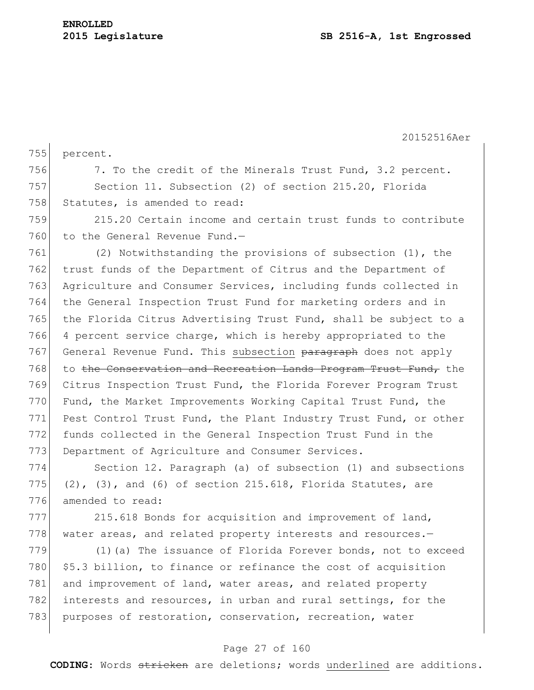20152516Aer 755 percent. 756 7. To the credit of the Minerals Trust Fund, 3.2 percent. 757 Section 11. Subsection (2) of section 215.20, Florida 758 Statutes, is amended to read: 759 215.20 Certain income and certain trust funds to contribute 760 to the General Revenue Fund. $-$ 761 (2) Notwithstanding the provisions of subsection (1), the 762 trust funds of the Department of Citrus and the Department of 763 Agriculture and Consumer Services, including funds collected in 764 the General Inspection Trust Fund for marketing orders and in 765 the Florida Citrus Advertising Trust Fund, shall be subject to a 766 4 percent service charge, which is hereby appropriated to the 767 General Revenue Fund. This subsection paragraph does not apply 768 to the Conservation and Recreation Lands Program Trust Fund, the 769 Citrus Inspection Trust Fund, the Florida Forever Program Trust 770 Fund, the Market Improvements Working Capital Trust Fund, the 771 Pest Control Trust Fund, the Plant Industry Trust Fund, or other 772 funds collected in the General Inspection Trust Fund in the 773 Department of Agriculture and Consumer Services. 774 Section 12. Paragraph (a) of subsection (1) and subsections 775  $(2)$ ,  $(3)$ , and  $(6)$  of section 215.618, Florida Statutes, are 776 amended to read: 777 215.618 Bonds for acquisition and improvement of land,

779 (1)(a) The issuance of Florida Forever bonds, not to exceed 780 | \$5.3 billion, to finance or refinance the cost of acquisition 781 and improvement of land, water areas, and related property 782 interests and resources, in urban and rural settings, for the 783 purposes of restoration, conservation, recreation, water

778 water areas, and related property interests and resources.-

# Page 27 of 160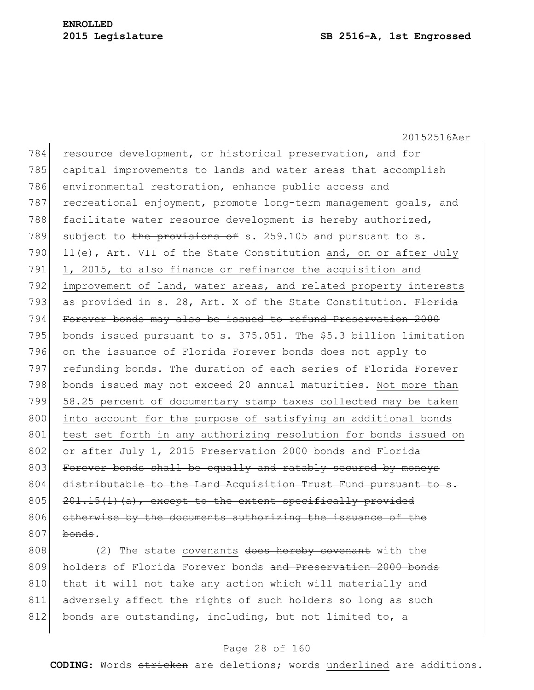20152516Aer 784 resource development, or historical preservation, and for 785 capital improvements to lands and water areas that accomplish 786 environmental restoration, enhance public access and 787 recreational enjoyment, promote long-term management goals, and 788 facilitate water resource development is hereby authorized, 789 subject to the provisions of s. 259.105 and pursuant to s. 790  $|11(e)$ , Art. VII of the State Constitution and, on or after July 791 1, 2015, to also finance or refinance the acquisition and 792 improvement of land, water areas, and related property interests 793 as provided in s. 28, Art. X of the State Constitution.  $F$ lorida 794 Forever bonds may also be issued to refund Preservation 2000 795 bonds issued pursuant to s. 375.051. The \$5.3 billion limitation 796 on the issuance of Florida Forever bonds does not apply to 797 refunding bonds. The duration of each series of Florida Forever 798 bonds issued may not exceed 20 annual maturities. Not more than 799 58.25 percent of documentary stamp taxes collected may be taken 800 into account for the purpose of satisfying an additional bonds 801 test set forth in any authorizing resolution for bonds issued on 802 or after July 1, 2015 Preservation 2000 bonds and Florida 803 Forever bonds shall be equally and ratably secured by moneys 804 distributable to the Land Acquisition Trust Fund pursuant to s. 805  $201.15(1)(a)$ , except to the extent specifically provided 806 otherwise by the documents authorizing the issuance of the  $807$  bonds.

808 (2) The state covenants  $\frac{d}{d}$  does hereby covenant with the 809 holders of Florida Forever bonds and Preservation 2000 bonds 810 that it will not take any action which will materially and 811 adversely affect the rights of such holders so long as such 812 bonds are outstanding, including, but not limited to, a

# Page 28 of 160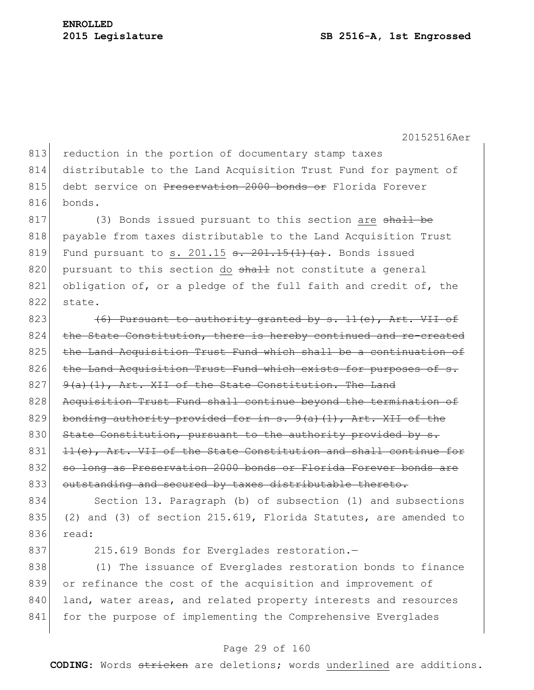813 reduction in the portion of documentary stamp taxes 814 distributable to the Land Acquisition Trust Fund for payment of 815 debt service on Preservation 2000 bonds or Florida Forever 816 bonds.

 $817$  (3) Bonds issued pursuant to this section are shall be 818 payable from taxes distributable to the Land Acquisition Trust 819 Fund pursuant to s. 201.15  $\frac{1}{15}(1)(a)$ . Bonds issued 820 pursuant to this section do shall not constitute a general 821 obligation of, or a pledge of the full faith and credit of, the 822 state.

823  $(6)$  Pursuant to authority granted by s. 11(e), Art. VII of 824 the State Constitution, there is hereby continued and re-created 825 the Land Acquisition Trust Fund which shall be a continuation of 826 the Land Acquisition Trust Fund which exists for purposes of s.  $827$  9(a)(1), Art. XII of the State Constitution. The Land 828 Acquisition Trust Fund shall continue beyond the termination of 829 bonding authority provided for in  $s. 9(a)(1)$ , Art. XII of the 830 State Constitution, pursuant to the authority provided by s.  $831$   $11(e)$ , Art. VII of the State Constitution and shall continue for 832 so long as Preservation 2000 bonds or Florida Forever bonds are 833 outstanding and secured by taxes distributable thereto.

834 Section 13. Paragraph (b) of subsection (1) and subsections 835 (2) and (3) of section 215.619, Florida Statutes, are amended to 836 read:

837 215.619 Bonds for Everglades restoration.-

838 (1) The issuance of Everglades restoration bonds to finance 839 or refinance the cost of the acquisition and improvement of 840 land, water areas, and related property interests and resources 841 for the purpose of implementing the Comprehensive Everglades

# Page 29 of 160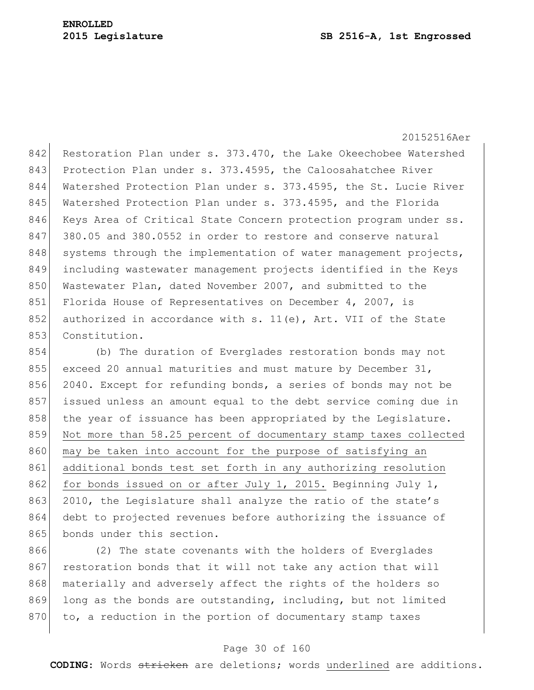842 Restoration Plan under s. 373.470, the Lake Okeechobee Watershed 843 Protection Plan under s. 373.4595, the Caloosahatchee River 844 Watershed Protection Plan under s. 373.4595, the St. Lucie River 845 Watershed Protection Plan under s. 373.4595, and the Florida 846 Keys Area of Critical State Concern protection program under ss. 847 380.05 and 380.0552 in order to restore and conserve natural 848 systems through the implementation of water management projects, 849 including wastewater management projects identified in the Keys 850 Wastewater Plan, dated November 2007, and submitted to the 851 Florida House of Representatives on December 4, 2007, is 852 authorized in accordance with s. 11(e), Art. VII of the State 853 Constitution.

854 (b) The duration of Everglades restoration bonds may not 855 exceed 20 annual maturities and must mature by December 31, 856 2040. Except for refunding bonds, a series of bonds may not be 857 issued unless an amount equal to the debt service coming due in 858 the year of issuance has been appropriated by the Legislature. 859 Not more than 58.25 percent of documentary stamp taxes collected 860 may be taken into account for the purpose of satisfying an 861 additional bonds test set forth in any authorizing resolution 862 for bonds issued on or after July 1, 2015. Beginning July 1, 863 2010, the Legislature shall analyze the ratio of the state's 864 debt to projected revenues before authorizing the issuance of 865 bonds under this section.

866 (2) The state covenants with the holders of Everglades 867 restoration bonds that it will not take any action that will 868 materially and adversely affect the rights of the holders so 869 long as the bonds are outstanding, including, but not limited 870 to, a reduction in the portion of documentary stamp taxes

# Page 30 of 160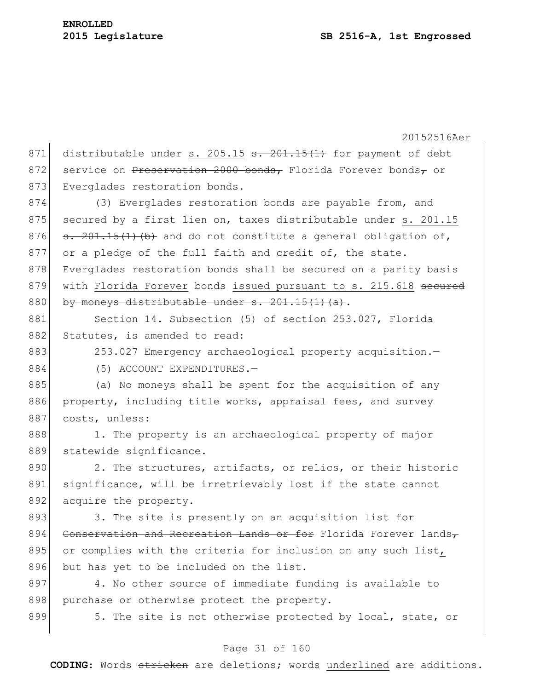20152516Aer 871 distributable under s. 205.15  $\frac{1}{5}$   $\frac{201.15(1)}{100}$  for payment of debt 872 service on Preservation 2000 bonds, Florida Forever bonds, or 873 Everglades restoration bonds. 874 (3) Everglades restoration bonds are payable from, and 875 secured by a first lien on, taxes distributable under  $s. 201.15$ 876  $s. 201.15(1)$  (b) and do not constitute a general obligation of, 877 or a pledge of the full faith and credit of, the state. 878 Everglades restoration bonds shall be secured on a parity basis 879 with Florida Forever bonds issued pursuant to s. 215.618 secured 880 by moneys distributable under  $s. 201.15(1)(a)$ . 881 Section 14. Subsection (5) of section 253.027, Florida 882 Statutes, is amended to read: 883 253.027 Emergency archaeological property acquisition. 884 (5) ACCOUNT EXPENDITURES. 885 (a) No moneys shall be spent for the acquisition of any 886 property, including title works, appraisal fees, and survey 887 costs, unless: 888 1. The property is an archaeological property of major 889 statewide significance.  $890$  2. The structures, artifacts, or relics, or their historic 891 significance, will be irretrievably lost if the state cannot 892 acquire the property. 893 3. The site is presently on an acquisition list for 894 Conservation and Recreation Lands or for Florida Forever lands-895 or complies with the criteria for inclusion on any such list, 896 but has yet to be included on the list. 897 4. No other source of immediate funding is available to 898 purchase or otherwise protect the property. 899 5. The site is not otherwise protected by local, state, or

# Page 31 of 160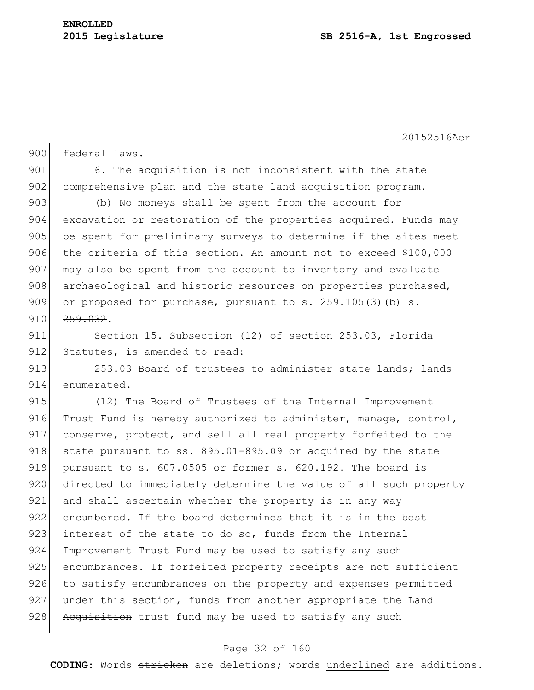900 federal laws.

20152516Aer

901 6. The acquisition is not inconsistent with the state 902 comprehensive plan and the state land acquisition program. 903 (b) No moneys shall be spent from the account for 904 excavation or restoration of the properties acquired. Funds may 905 be spent for preliminary surveys to determine if the sites meet 906 the criteria of this section. An amount not to exceed \$100,000 907 may also be spent from the account to inventory and evaluate 908 archaeological and historic resources on properties purchased, 909 or proposed for purchase, pursuant to s. 259.105(3)(b)  $\frac{1}{100}$  $910$   $259.032$ . 911 Section 15. Subsection (12) of section 253.03, Florida 912 Statutes, is amended to read: 913 253.03 Board of trustees to administer state lands; lands 914 enumerated.-915 (12) The Board of Trustees of the Internal Improvement 916 Trust Fund is hereby authorized to administer, manage, control, 917 conserve, protect, and sell all real property forfeited to the 918 state pursuant to ss.  $895.01-895.09$  or acquired by the state 919 pursuant to s. 607.0505 or former s. 620.192. The board is 920 directed to immediately determine the value of all such property 921 and shall ascertain whether the property is in any way 922 encumbered. If the board determines that it is in the best 923 interest of the state to do so, funds from the Internal 924 Improvement Trust Fund may be used to satisfy any such 925 encumbrances. If forfeited property receipts are not sufficient 926 to satisfy encumbrances on the property and expenses permitted  $927$  under this section, funds from another appropriate the Land 928 Acquisition trust fund may be used to satisfy any such

# Page 32 of 160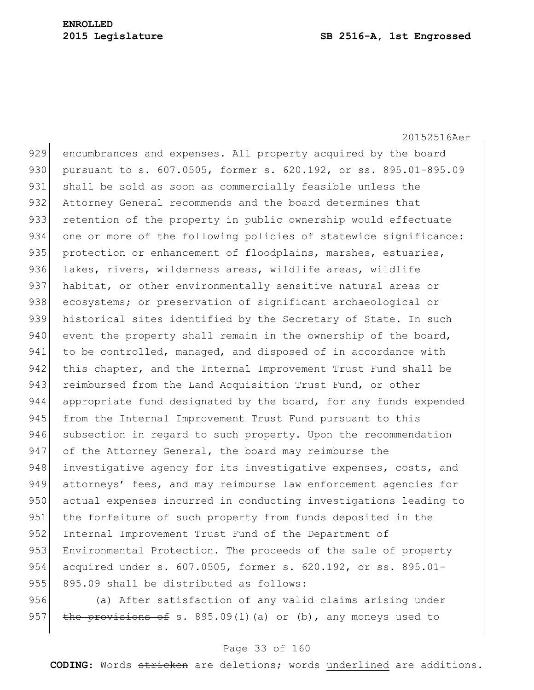20152516Aer 929 encumbrances and expenses. All property acquired by the board 930 pursuant to s. 607.0505, former s. 620.192, or ss. 895.01-895.09 931 shall be sold as soon as commercially feasible unless the 932 Attorney General recommends and the board determines that 933 retention of the property in public ownership would effectuate 934 one or more of the following policies of statewide significance: 935 protection or enhancement of floodplains, marshes, estuaries, 936 lakes, rivers, wilderness areas, wildlife areas, wildlife 937 habitat, or other environmentally sensitive natural areas or 938 ecosystems; or preservation of significant archaeological or 939 historical sites identified by the Secretary of State. In such 940 event the property shall remain in the ownership of the board, 941 to be controlled, managed, and disposed of in accordance with 942 this chapter, and the Internal Improvement Trust Fund shall be 943 reimbursed from the Land Acquisition Trust Fund, or other 944 appropriate fund designated by the board, for any funds expended 945 from the Internal Improvement Trust Fund pursuant to this 946 subsection in regard to such property. Upon the recommendation 947 of the Attorney General, the board may reimburse the 948 investigative agency for its investigative expenses, costs, and 949 attorneys' fees, and may reimburse law enforcement agencies for 950 actual expenses incurred in conducting investigations leading to 951 the forfeiture of such property from funds deposited in the 952 Internal Improvement Trust Fund of the Department of 953 Environmental Protection. The proceeds of the sale of property 954 acquired under s. 607.0505, former s. 620.192, or ss. 895.01-955 895.09 shall be distributed as follows:

956 (a) After satisfaction of any valid claims arising under 957 the provisions of s. 895.09(1)(a) or (b), any moneys used to

# Page 33 of 160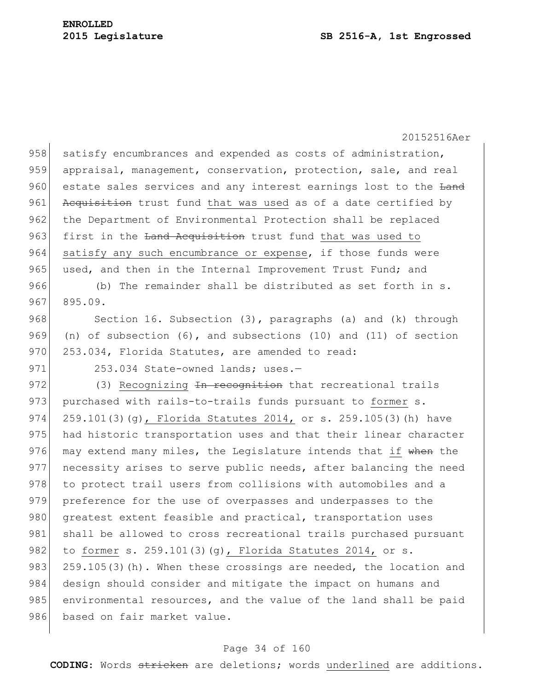958 satisfy encumbrances and expended as costs of administration, 959 appraisal, management, conservation, protection, sale, and real 960 estate sales services and any interest earnings lost to the Land 961 Acquisition trust fund that was used as of a date certified by 962 the Department of Environmental Protection shall be replaced 963 first in the Land Acquisition trust fund that was used to 964 satisfy any such encumbrance or expense, if those funds were 965 used, and then in the Internal Improvement Trust Fund; and 966 (b) The remainder shall be distributed as set forth in s.  $967$  895.09. 968 Section 16. Subsection (3), paragraphs (a) and (k) through 969 (n) of subsection (6), and subsections (10) and (11) of section 970 253.034, Florida Statutes, are amended to read: 971 253.034 State-owned lands; uses.-972 (3) Recognizing In recognition that recreational trails 973 purchased with rails-to-trails funds pursuant to former s. 974 259.101(3)(g), Florida Statutes 2014, or s. 259.105(3)(h) have 975 had historic transportation uses and that their linear character 976 may extend many miles, the Legislature intends that if when the 977 necessity arises to serve public needs, after balancing the need 978 to protect trail users from collisions with automobiles and a 979 preference for the use of overpasses and underpasses to the 980 greatest extent feasible and practical, transportation uses 981 shall be allowed to cross recreational trails purchased pursuant 982 to former s. 259.101(3)(g), Florida Statutes 2014, or s. 983 259.105(3)(h). When these crossings are needed, the location and 984 design should consider and mitigate the impact on humans and 985 environmental resources, and the value of the land shall be paid 986 based on fair market value.

# Page 34 of 160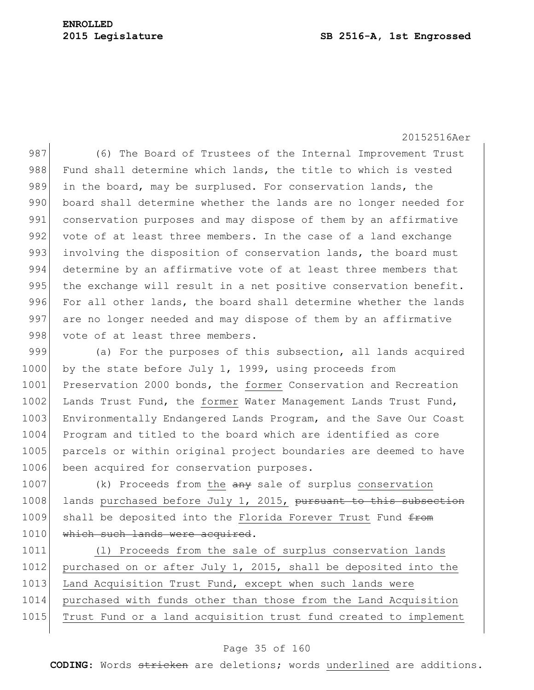987 (6) The Board of Trustees of the Internal Improvement Trust 988 Fund shall determine which lands, the title to which is vested 989 in the board, may be surplused. For conservation lands, the 990 board shall determine whether the lands are no longer needed for 991 conservation purposes and may dispose of them by an affirmative 992 vote of at least three members. In the case of a land exchange 993 involving the disposition of conservation lands, the board must 994 determine by an affirmative vote of at least three members that 995 the exchange will result in a net positive conservation benefit. 996 For all other lands, the board shall determine whether the lands 997 are no longer needed and may dispose of them by an affirmative 998 vote of at least three members.

999 (a) For the purposes of this subsection, all lands acquired 1000 by the state before July 1, 1999, using proceeds from 1001 Preservation 2000 bonds, the former Conservation and Recreation 1002 Lands Trust Fund, the former Water Management Lands Trust Fund, 1003 Environmentally Endangered Lands Program, and the Save Our Coast 1004 Program and titled to the board which are identified as core 1005 parcels or within original project boundaries are deemed to have 1006 been acquired for conservation purposes.

1007 (k) Proceeds from the any sale of surplus conservation 1008 lands purchased before July 1, 2015, pursuant to this subsection 1009 shall be deposited into the Florida Forever Trust Fund from 1010 which such lands were acquired.

1011 (l) Proceeds from the sale of surplus conservation lands 1012 purchased on or after July 1, 2015, shall be deposited into the 1013 Land Acquisition Trust Fund, except when such lands were 1014 purchased with funds other than those from the Land Acquisition 1015 Trust Fund or a land acquisition trust fund created to implement

# Page 35 of 160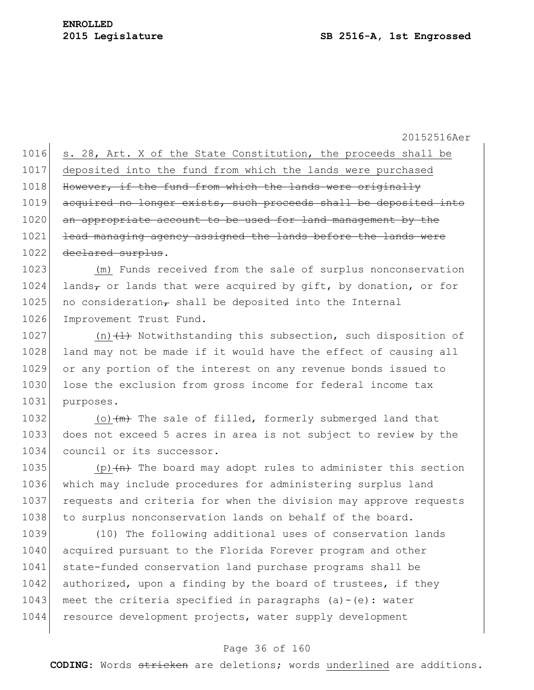1016 s. 28, Art. X of the State Constitution, the proceeds shall be 1017 deposited into the fund from which the lands were purchased 1018 However, if the fund from which the lands were originally 1019 acquired no longer exists, such proceeds shall be deposited into 1020 an appropriate account to be used for land management by the 1021 lead managing agency assigned the lands before the lands were 1022 <del>declared surplus</del>.

1023 (m) Funds received from the sale of surplus nonconservation 1024 lands, or lands that were acquired by gift, by donation, or for 1025 no consideration, shall be deposited into the Internal 1026 Improvement Trust Fund.

1027 (n) $\{l\}$  Notwithstanding this subsection, such disposition of 1028 land may not be made if it would have the effect of causing all 1029 or any portion of the interest on any revenue bonds issued to 1030 lose the exclusion from gross income for federal income tax 1031 purposes.

1032 (o) $\left(\frac{m}{m}\right)$  The sale of filled, formerly submerged land that 1033 does not exceed 5 acres in area is not subject to review by the 1034 council or its successor.

1035 (p) $\left\{\text{m}\right\}$  The board may adopt rules to administer this section 1036 which may include procedures for administering surplus land 1037 requests and criteria for when the division may approve requests 1038 to surplus nonconservation lands on behalf of the board.

1039 (10) The following additional uses of conservation lands 1040 acquired pursuant to the Florida Forever program and other 1041 state-funded conservation land purchase programs shall be 1042 authorized, upon a finding by the board of trustees, if they 1043 meet the criteria specified in paragraphs (a)-(e): water 1044 resource development projects, water supply development

# Page 36 of 160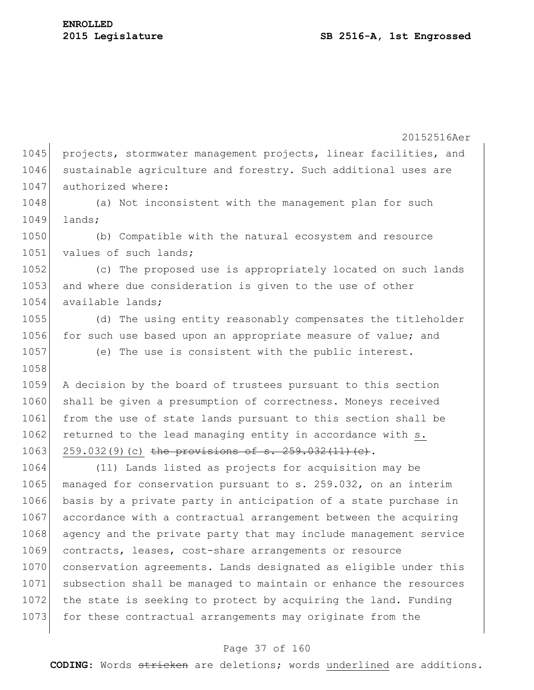20152516Aer 1045 projects, stormwater management projects, linear facilities, and 1046 sustainable agriculture and forestry. Such additional uses are 1047 authorized where: 1048 (a) Not inconsistent with the management plan for such 1049 lands; 1050 (b) Compatible with the natural ecosystem and resource 1051 values of such lands; 1052 (c) The proposed use is appropriately located on such lands 1053 and where due consideration is given to the use of other 1054 available lands: 1055 (d) The using entity reasonably compensates the titleholder 1056 for such use based upon an appropriate measure of value; and 1057 (e) The use is consistent with the public interest. 1058 1059 A decision by the board of trustees pursuant to this section 1060 shall be given a presumption of correctness. Moneys received 1061 from the use of state lands pursuant to this section shall be 1062 returned to the lead managing entity in accordance with s. 1063 259.032(9)(c) the provisions of s.  $259.032(11)(e)$ . 1064 (11) Lands listed as projects for acquisition may be 1065 managed for conservation pursuant to s. 259.032, on an interim 1066 basis by a private party in anticipation of a state purchase in 1067 accordance with a contractual arrangement between the acquiring 1068 agency and the private party that may include management service 1069 contracts, leases, cost-share arrangements or resource 1070 conservation agreements. Lands designated as eligible under this 1071 subsection shall be managed to maintain or enhance the resources 1072 the state is seeking to protect by acquiring the land. Funding 1073 for these contractual arrangements may originate from the

#### Page 37 of 160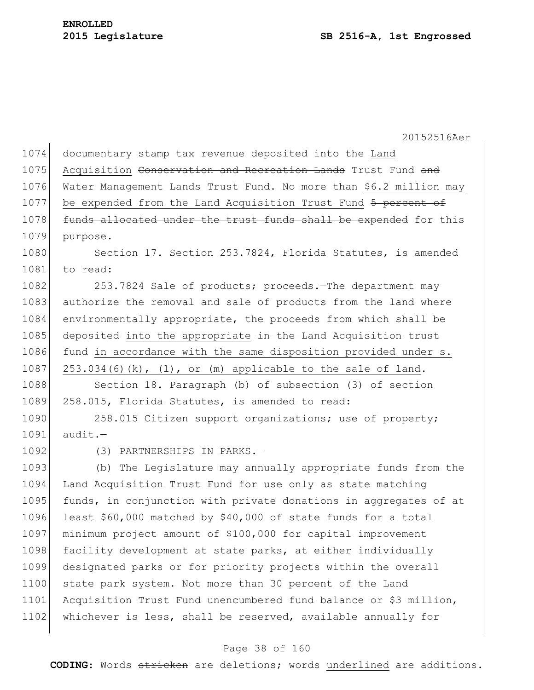| 1074 | documentary stamp tax revenue deposited into the Land              |
|------|--------------------------------------------------------------------|
| 1075 | Acquisition Conservation and Recreation Lands Trust Fund and       |
| 1076 | Water Management Lands Trust Fund. No more than \$6.2 million may  |
| 1077 | be expended from the Land Acquisition Trust Fund 5 percent of      |
| 1078 | funds allocated under the trust funds shall be expended for this   |
| 1079 | purpose.                                                           |
| 1080 | Section 17. Section 253.7824, Florida Statutes, is amended         |
| 1081 | to read:                                                           |
| 1082 | 253.7824 Sale of products; proceeds. The department may            |
| 1083 | authorize the removal and sale of products from the land where     |
| 1084 | environmentally appropriate, the proceeds from which shall be      |
| 1085 | deposited into the appropriate in the Land Acquisition trust       |
| 1086 | fund in accordance with the same disposition provided under s.     |
| 1087 | $253.034(6)(k)$ , $(1)$ , or $(m)$ applicable to the sale of land. |
| 1088 | Section 18. Paragraph (b) of subsection (3) of section             |
| 1089 | 258.015, Florida Statutes, is amended to read:                     |
| 1090 | 258.015 Citizen support organizations; use of property;            |
| 1091 | $audit.$ -                                                         |
| 1092 | (3) PARTNERSHIPS IN PARKS.-                                        |
| 1093 | (b) The Legislature may annually appropriate funds from the        |
| 1094 | Land Acquisition Trust Fund for use only as state matching         |
| 1095 | funds, in conjunction with private donations in aggregates of at   |
| 1096 | least \$60,000 matched by \$40,000 of state funds for a total      |
| 1097 | minimum project amount of \$100,000 for capital improvement        |
| 1098 | facility development at state parks, at either individually        |
| 1099 | designated parks or for priority projects within the overall       |
| 1100 | state park system. Not more than 30 percent of the Land            |
| 1101 | Acquisition Trust Fund unencumbered fund balance or \$3 million,   |
| 1102 | whichever is less, shall be reserved, available annually for       |
|      |                                                                    |

### Page 38 of 160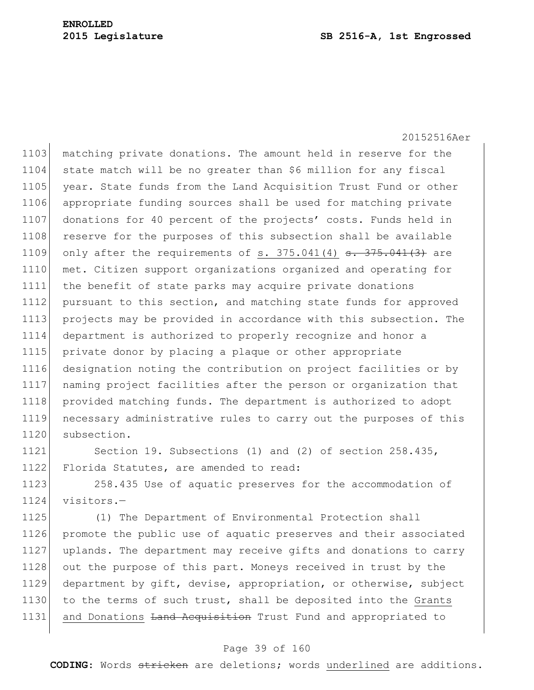20152516Aer 1103 matching private donations. The amount held in reserve for the 1104 state match will be no greater than \$6 million for any fiscal 1105 year. State funds from the Land Acquisition Trust Fund or other 1106 appropriate funding sources shall be used for matching private 1107 donations for 40 percent of the projects' costs. Funds held in 1108 reserve for the purposes of this subsection shall be available 1109 only after the requirements of s.  $375.041(4)$   $\texttt{s. } 375.041(3)$  are 1110 met. Citizen support organizations organized and operating for 1111 the benefit of state parks may acquire private donations 1112 pursuant to this section, and matching state funds for approved 1113 projects may be provided in accordance with this subsection. The 1114 department is authorized to properly recognize and honor a 1115 private donor by placing a plaque or other appropriate 1116 designation noting the contribution on project facilities or by 1117 naming project facilities after the person or organization that 1118 provided matching funds. The department is authorized to adopt 1119 necessary administrative rules to carry out the purposes of this 1120 subsection.

1121 Section 19. Subsections (1) and (2) of section 258.435, 1122 Florida Statutes, are amended to read:

1123 258.435 Use of aquatic preserves for the accommodation of 1124 visitors.—

1125 (1) The Department of Environmental Protection shall 1126 promote the public use of aquatic preserves and their associated 1127 uplands. The department may receive gifts and donations to carry 1128 out the purpose of this part. Moneys received in trust by the 1129 department by gift, devise, appropriation, or otherwise, subject 1130 to the terms of such trust, shall be deposited into the Grants 1131 and Donations Land Acquisition Trust Fund and appropriated to

#### Page 39 of 160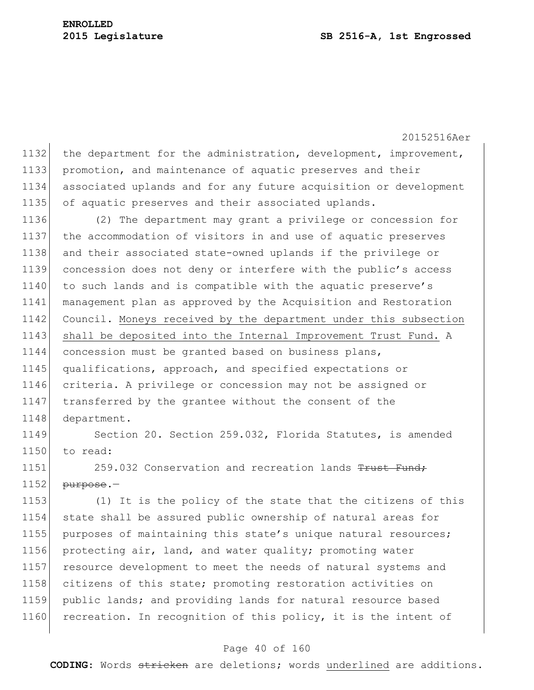1132 the department for the administration, development, improvement, 1133 promotion, and maintenance of aquatic preserves and their 1134 associated uplands and for any future acquisition or development 1135 of aquatic preserves and their associated uplands.

 (2) The department may grant a privilege or concession for the accommodation of visitors in and use of aquatic preserves and their associated state-owned uplands if the privilege or concession does not deny or interfere with the public's access 1140 to such lands and is compatible with the aquatic preserve's management plan as approved by the Acquisition and Restoration Council. Moneys received by the department under this subsection 1143 shall be deposited into the Internal Improvement Trust Fund. A concession must be granted based on business plans, qualifications, approach, and specified expectations or criteria. A privilege or concession may not be assigned or 1147 transferred by the grantee without the consent of the 1148 department.

1149 Section 20. Section 259.032, Florida Statutes, is amended 1150 to read:

1151 259.032 Conservation and recreation lands Trust Fund  $1152$  purpose.

1153 (1) It is the policy of the state that the citizens of this 1154 state shall be assured public ownership of natural areas for 1155 purposes of maintaining this state's unique natural resources; 1156 protecting air, land, and water quality; promoting water 1157 resource development to meet the needs of natural systems and 1158 citizens of this state; promoting restoration activities on 1159 public lands; and providing lands for natural resource based 1160 recreation. In recognition of this policy, it is the intent of

#### Page 40 of 160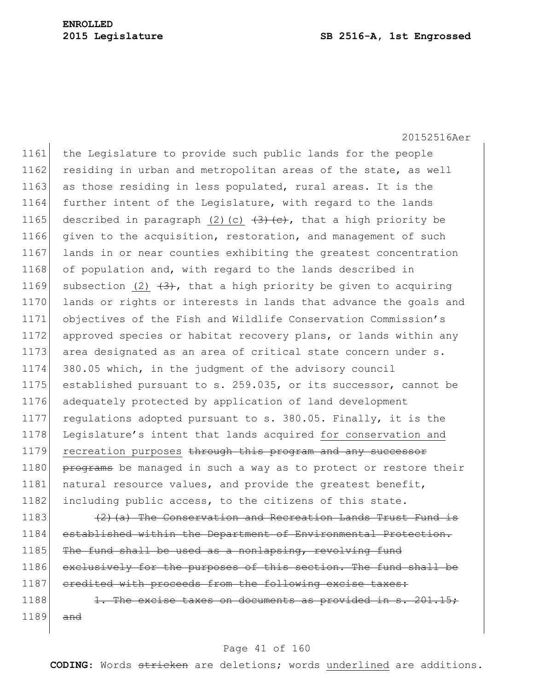#### **2015 Legislature SB 2516-A, 1st Engrossed**

20152516Aer

1161 the Legislature to provide such public lands for the people 1162 residing in urban and metropolitan areas of the state, as well 1163 as those residing in less populated, rural areas. It is the 1164 further intent of the Legislature, with regard to the lands 1165 described in paragraph (2)(c)  $\left(3\right)$  (e), that a high priority be 1166 given to the acquisition, restoration, and management of such 1167 lands in or near counties exhibiting the greatest concentration 1168 of population and, with regard to the lands described in 1169 subsection (2)  $(3)$ , that a high priority be given to acquiring 1170 lands or rights or interests in lands that advance the goals and 1171 objectives of the Fish and Wildlife Conservation Commission's 1172 approved species or habitat recovery plans, or lands within any 1173 area designated as an area of critical state concern under s. 1174 380.05 which, in the judgment of the advisory council 1175 established pursuant to s. 259.035, or its successor, cannot be 1176 adequately protected by application of land development 1177 regulations adopted pursuant to s. 380.05. Finally, it is the 1178 Legislature's intent that lands acquired for conservation and 1179 recreation purposes through this program and any successor 1180 programs be managed in such a way as to protect or restore their 1181 | natural resource values, and provide the greatest benefit, 1182 including public access, to the citizens of this state.

1183  $(2)$  (a) The Conservation and Recreation Lands Trust Fund is 1184 established within the Department of Environmental Protection.  $1185$  The fund shall be used as a nonlapsing, revolving fund 1186 exclusively for the purposes of this section. The fund shall be 1187 credited with proceeds from the following excise taxes:

1188  $\vert$  1. The excise taxes on documents as provided in s. 201.15;  $1189$  and

#### Page 41 of 160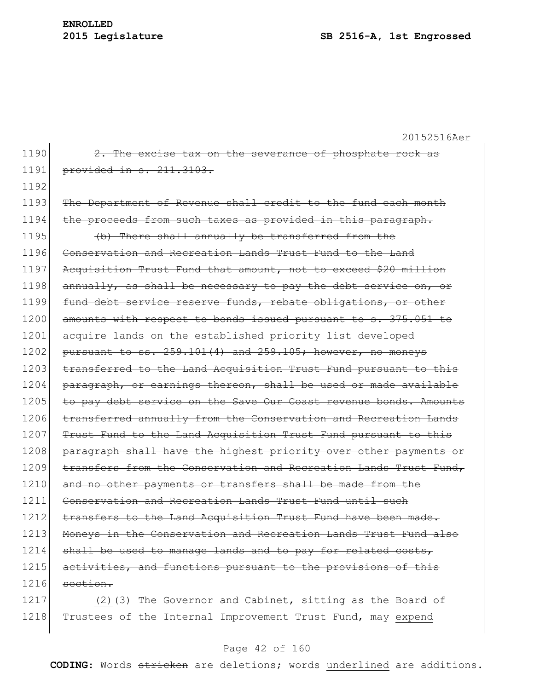20152516Aer 1190  $\vert$  2. The excise tax on the severance of phosphate rock as 1191 provided in s. 211.3103. 1192 1193 The Department of Revenue shall credit to the fund each month 1194 the proceeds from such taxes as provided in this paragraph. 1195  $\left| \right\rangle$  (b) There shall annually be transferred from the 1196 Conservation and Recreation Lands Trust Fund to the Land 1197 Acquisition Trust Fund that amount, not to exceed \$20 million  $1198$  annually, as shall be necessary to pay the debt service on, or 1199 fund debt service reserve funds, rebate obligations, or other 1200 amounts with respect to bonds issued pursuant to s. 375.051 to 1201 acquire lands on the established priority list developed 1202 pursuant to ss.  $259.101(4)$  and  $259.105$ ; however, no moneys 1203 transferred to the Land Acquisition Trust Fund pursuant to this 1204 paragraph, or earnings thereon, shall be used or made available 1205 to pay debt service on the Save Our Coast revenue bonds. Amounts 1206 transferred annually from the Conservation and Recreation Lands 1207 Trust Fund to the Land Acquisition Trust Fund pursuant to this 1208 paragraph shall have the highest priority over other payments or 1209 transfers from the Conservation and Recreation Lands Trust Fund, 1210 and no other payments or transfers shall be made from the 1211 Conservation and Recreation Lands Trust Fund until such 1212 transfers to the Land Acquisition Trust Fund have been made. 1213 Moneys in the Conservation and Recreation Lands Trust Fund also  $1214$  shall be used to manage lands and to pay for related costs, 1215 activities, and functions pursuant to the provisions of this  $1216$  section. 1217 (2)  $(3)$  The Governor and Cabinet, sitting as the Board of

#### Page 42 of 160

1218 Trustees of the Internal Improvement Trust Fund, may expend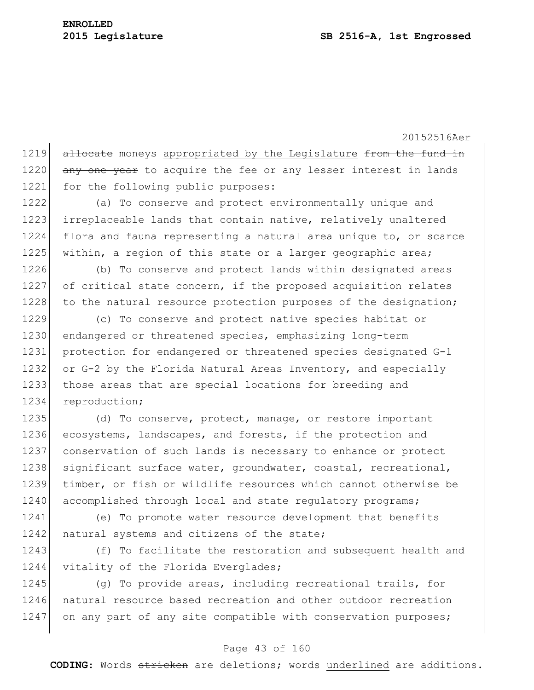1219 allocate moneys appropriated by the Legislature from the fund in 1220 any one year to acquire the fee or any lesser interest in lands 1221 for the following public purposes:

1222 (a) To conserve and protect environmentally unique and 1223 irreplaceable lands that contain native, relatively unaltered 1224 flora and fauna representing a natural area unique to, or scarce 1225 within, a region of this state or a larger geographic area;

1226 (b) To conserve and protect lands within designated areas 1227 of critical state concern, if the proposed acquisition relates 1228 to the natural resource protection purposes of the designation;

1229 (c) To conserve and protect native species habitat or 1230 endangered or threatened species, emphasizing long-term 1231 protection for endangered or threatened species designated G-1 1232 or G-2 by the Florida Natural Areas Inventory, and especially 1233 those areas that are special locations for breeding and 1234 reproduction;

1235 (d) To conserve, protect, manage, or restore important 1236 ecosystems, landscapes, and forests, if the protection and 1237 conservation of such lands is necessary to enhance or protect 1238 significant surface water, groundwater, coastal, recreational, 1239 timber, or fish or wildlife resources which cannot otherwise be 1240 accomplished through local and state regulatory programs;

1241 (e) To promote water resource development that benefits 1242 natural systems and citizens of the state;

1243 (f) To facilitate the restoration and subsequent health and 1244 vitality of the Florida Everglades;

1245 (g) To provide areas, including recreational trails, for 1246 natural resource based recreation and other outdoor recreation 1247 on any part of any site compatible with conservation purposes;

#### Page 43 of 160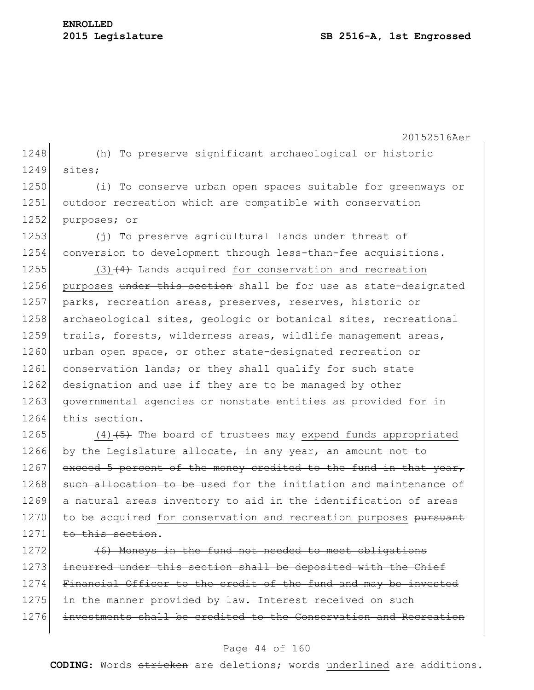20152516Aer 1248 (h) To preserve significant archaeological or historic 1249 sites; 1250 (i) To conserve urban open spaces suitable for greenways or 1251 outdoor recreation which are compatible with conservation 1252 purposes; or 1253 (j) To preserve agricultural lands under threat of 1254 conversion to development through less-than-fee acquisitions. 1255  $(3)$   $(4)$  Lands acquired for conservation and recreation 1256 purposes under this section shall be for use as state-designated 1257 parks, recreation areas, preserves, reserves, historic or 1258 archaeological sites, geologic or botanical sites, recreational 1259 trails, forests, wilderness areas, wildlife management areas, 1260 urban open space, or other state-designated recreation or 1261 conservation lands; or they shall qualify for such state 1262 designation and use if they are to be managed by other 1263 governmental agencies or nonstate entities as provided for in 1264 this section. 1265  $(4)$   $\leftarrow$  (4) $\leftarrow$  The board of trustees may expend funds appropriated 1266 by the Legislature allocate, in any year, an amount not to 1267 exceed 5 percent of the money credited to the fund in that year, 1268 such allocation to be used for the initiation and maintenance of

1269 a natural areas inventory to aid in the identification of areas 1270 to be acquired for conservation and recreation purposes pursuant 1271 to this section.

1272 (6) Moneys in the fund not needed to meet obligations 1273 incurred under this section shall be deposited with the Chief 1274 Financial Officer to the credit of the fund and may be invested 1275 in the manner provided by law. Interest received on such 1276 investments shall be credited to the Conservation and Recreation

#### Page 44 of 160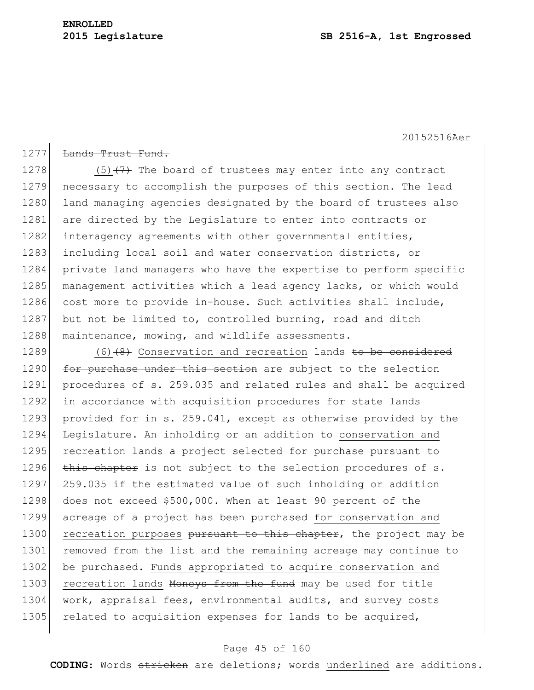# **ENROLLED**

1277 <del>Lands Trust Fund.</del>

20152516Aer

### 1278  $(5)$   $(7)$  The board of trustees may enter into any contract 1279 necessary to accomplish the purposes of this section. The lead 1280 land managing agencies designated by the board of trustees also 1281 are directed by the Legislature to enter into contracts or 1282 interagency agreements with other governmental entities, 1283 including local soil and water conservation districts, or 1284 private land managers who have the expertise to perform specific 1285 management activities which a lead agency lacks, or which would 1286 cost more to provide in-house. Such activities shall include, 1287 but not be limited to, controlled burning, road and ditch 1288 maintenance, mowing, and wildlife assessments.

1289  $(6)$  (6) (8) Conservation and recreation lands to be considered 1290 for purchase under this section are subject to the selection 1291 procedures of s. 259.035 and related rules and shall be acquired 1292 in accordance with acquisition procedures for state lands 1293 provided for in s. 259.041, except as otherwise provided by the 1294 Legislature. An inholding or an addition to conservation and 1295 recreation lands a project selected for purchase pursuant to 1296 this chapter is not subject to the selection procedures of s. 1297 259.035 if the estimated value of such inholding or addition 1298 does not exceed \$500,000. When at least 90 percent of the 1299 acreage of a project has been purchased for conservation and 1300 recreation purposes pursuant to this chapter, the project may be 1301 removed from the list and the remaining acreage may continue to 1302 be purchased. Funds appropriated to acquire conservation and 1303 recreation lands Moneys from the fund may be used for title 1304 work, appraisal fees, environmental audits, and survey costs 1305 related to acquisition expenses for lands to be acquired,

#### Page 45 of 160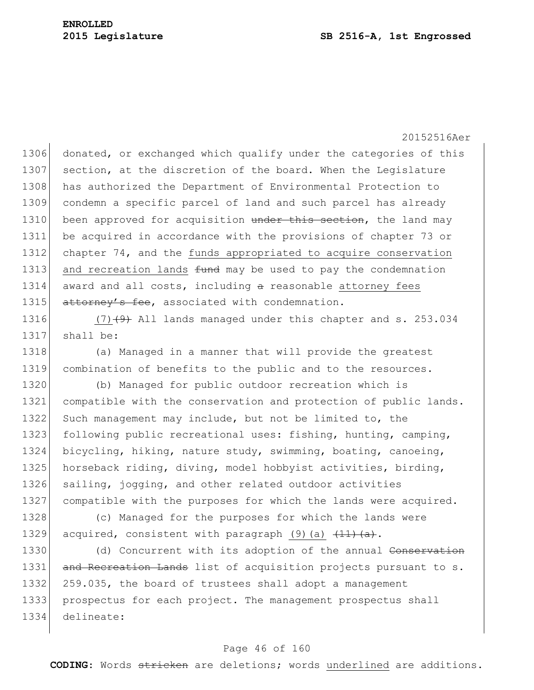1306 donated, or exchanged which qualify under the categories of this 1307 section, at the discretion of the board. When the Legislature 1308 has authorized the Department of Environmental Protection to 1309 condemn a specific parcel of land and such parcel has already 1310 been approved for acquisition under this section, the land may 1311 be acquired in accordance with the provisions of chapter 73 or 1312 chapter 74, and the funds appropriated to acquire conservation 1313 and recreation lands  $f$ und may be used to pay the condemnation  $1314$  award and all costs, including  $\alpha$  reasonable attorney fees 1315 attorney's fee, associated with condemnation.

1316  $(7)$   $(4)$  All lands managed under this chapter and s. 253.034 1317 shall be:

1318 (a) Managed in a manner that will provide the greatest 1319 combination of benefits to the public and to the resources.

1320 (b) Managed for public outdoor recreation which is 1321 compatible with the conservation and protection of public lands. 1322 Such management may include, but not be limited to, the 1323 following public recreational uses: fishing, hunting, camping, 1324 bicycling, hiking, nature study, swimming, boating, canoeing, 1325 horseback riding, diving, model hobbyist activities, birding, 1326 sailing, jogging, and other related outdoor activities 1327 compatible with the purposes for which the lands were acquired.

1328 (c) Managed for the purposes for which the lands were 1329 acquired, consistent with paragraph  $(9)$  (a)  $\frac{11}{(a)}$ .

1330 (d) Concurrent with its adoption of the annual Conservation 1331 and Recreation Lands list of acquisition projects pursuant to s. 1332 259.035, the board of trustees shall adopt a management 1333 prospectus for each project. The management prospectus shall 1334 delineate:

#### Page 46 of 160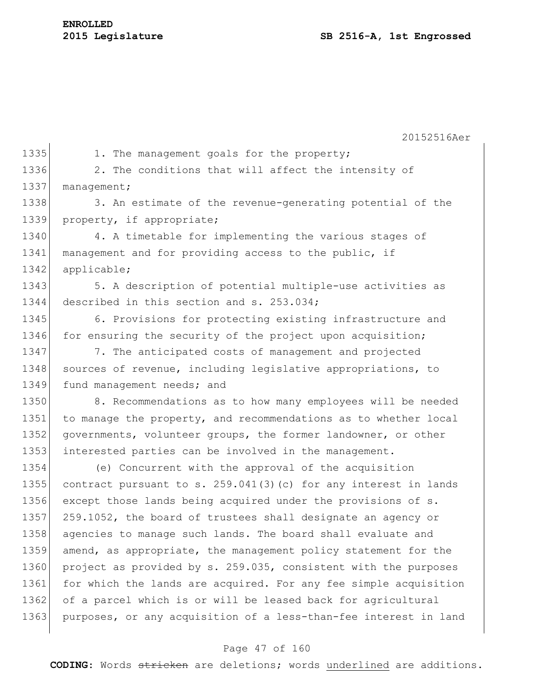20152516Aer 1335 1. The management goals for the property; 1336 2. The conditions that will affect the intensity of 1337 management; 1338 3. An estimate of the revenue-generating potential of the 1339 property, if appropriate; 1340 4. A timetable for implementing the various stages of 1341 management and for providing access to the public, if 1342 applicable; 1343 5. A description of potential multiple-use activities as 1344 described in this section and s. 253.034; 1345 6. Provisions for protecting existing infrastructure and 1346 for ensuring the security of the project upon acquisition; 1347 7. The anticipated costs of management and projected 1348 sources of revenue, including legislative appropriations, to 1349 fund management needs; and 1350 8. Recommendations as to how many employees will be needed 1351 to manage the property, and recommendations as to whether local 1352 governments, volunteer groups, the former landowner, or other 1353 interested parties can be involved in the management. 1354 (e) Concurrent with the approval of the acquisition 1355 contract pursuant to s. 259.041(3)(c) for any interest in lands 1356 except those lands being acquired under the provisions of s. 1357 259.1052, the board of trustees shall designate an agency or 1358 agencies to manage such lands. The board shall evaluate and 1359 amend, as appropriate, the management policy statement for the 1360 project as provided by s. 259.035, consistent with the purposes 1361 for which the lands are acquired. For any fee simple acquisition 1362 of a parcel which is or will be leased back for agricultural 1363 purposes, or any acquisition of a less-than-fee interest in land

#### Page 47 of 160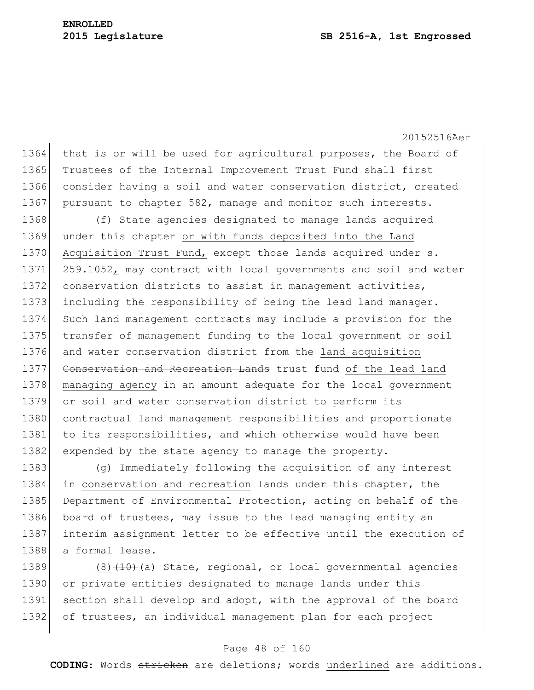20152516Aer 1364 that is or will be used for agricultural purposes, the Board of 1365 Trustees of the Internal Improvement Trust Fund shall first 1366 consider having a soil and water conservation district, created 1367 pursuant to chapter 582, manage and monitor such interests. 1368 (f) State agencies designated to manage lands acquired 1369 under this chapter or with funds deposited into the Land 1370 Acquisition Trust Fund, except those lands acquired under s. 1371 259.1052, may contract with local governments and soil and water 1372 conservation districts to assist in management activities, 1373 including the responsibility of being the lead land manager. 1374 Such land management contracts may include a provision for the 1375 transfer of management funding to the local government or soil 1376 and water conservation district from the land acquisition 1377 Conservation and Recreation Lands trust fund of the lead land 1378 managing agency in an amount adequate for the local government 1379 or soil and water conservation district to perform its 1380 contractual land management responsibilities and proportionate 1381 to its responsibilities, and which otherwise would have been 1382 expended by the state agency to manage the property.

1383 (g) Immediately following the acquisition of any interest 1384 in conservation and recreation lands under this chapter, the 1385 Department of Environmental Protection, acting on behalf of the 1386 board of trustees, may issue to the lead managing entity an 1387 interim assignment letter to be effective until the execution of 1388 a formal lease.

1389  $(8)$  (10)(a) State, regional, or local governmental agencies 1390 or private entities designated to manage lands under this 1391 section shall develop and adopt, with the approval of the board 1392 of trustees, an individual management plan for each project

#### Page 48 of 160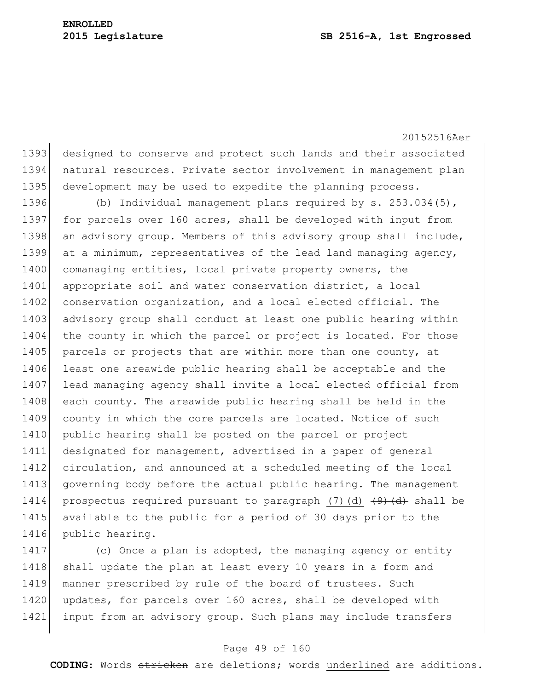1393 designed to conserve and protect such lands and their associated 1394 natural resources. Private sector involvement in management plan 1395 development may be used to expedite the planning process.

1396 (b) Individual management plans required by s. 253.034(5), 1397 for parcels over 160 acres, shall be developed with input from 1398 an advisory group. Members of this advisory group shall include, 1399 at a minimum, representatives of the lead land managing agency, 1400 comanaging entities, local private property owners, the 1401 appropriate soil and water conservation district, a local 1402 conservation organization, and a local elected official. The 1403 advisory group shall conduct at least one public hearing within 1404 the county in which the parcel or project is located. For those 1405 parcels or projects that are within more than one county, at 1406 least one areawide public hearing shall be acceptable and the 1407 lead managing agency shall invite a local elected official from 1408 each county. The areawide public hearing shall be held in the 1409 county in which the core parcels are located. Notice of such 1410 public hearing shall be posted on the parcel or project 1411 designated for management, advertised in a paper of general 1412 circulation, and announced at a scheduled meeting of the local 1413 governing body before the actual public hearing. The management 1414 prospectus required pursuant to paragraph (7)(d)  $\left(4\right)$  shall be 1415 available to the public for a period of 30 days prior to the 1416 public hearing.

1417 (c) Once a plan is adopted, the managing agency or entity 1418 shall update the plan at least every 10 years in a form and 1419 manner prescribed by rule of the board of trustees. Such 1420 updates, for parcels over 160 acres, shall be developed with 1421 input from an advisory group. Such plans may include transfers

#### Page 49 of 160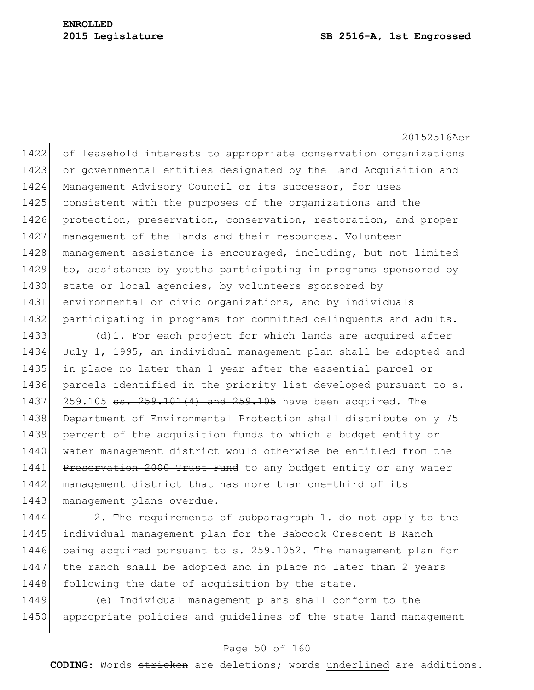20152516Aer 1422 of leasehold interests to appropriate conservation organizations 1423 or governmental entities designated by the Land Acquisition and 1424 Management Advisory Council or its successor, for uses 1425 consistent with the purposes of the organizations and the 1426 protection, preservation, conservation, restoration, and proper 1427 management of the lands and their resources. Volunteer 1428 management assistance is encouraged, including, but not limited 1429 to, assistance by youths participating in programs sponsored by 1430 state or local agencies, by volunteers sponsored by 1431 environmental or civic organizations, and by individuals 1432 participating in programs for committed delinquents and adults. 1433 (d) 1. For each project for which lands are acquired after 1434 July 1, 1995, an individual management plan shall be adopted and 1435 in place no later than 1 year after the essential parcel or 1436 parcels identified in the priority list developed pursuant to s. 1437 259.105 <del>ss. 259.101(4) and 259.105</del> have been acquired. The 1438 Department of Environmental Protection shall distribute only 75

1439 percent of the acquisition funds to which a budget entity or 1440 water management district would otherwise be entitled from the 1441 Preservation 2000 Trust Fund to any budget entity or any water 1442 management district that has more than one-third of its 1443 management plans overdue.

1444 2. The requirements of subparagraph 1. do not apply to the 1445 individual management plan for the Babcock Crescent B Ranch 1446 being acquired pursuant to s. 259.1052. The management plan for 1447 the ranch shall be adopted and in place no later than 2 years 1448 following the date of acquisition by the state.

1449 (e) Individual management plans shall conform to the 1450 appropriate policies and quidelines of the state land management

#### Page 50 of 160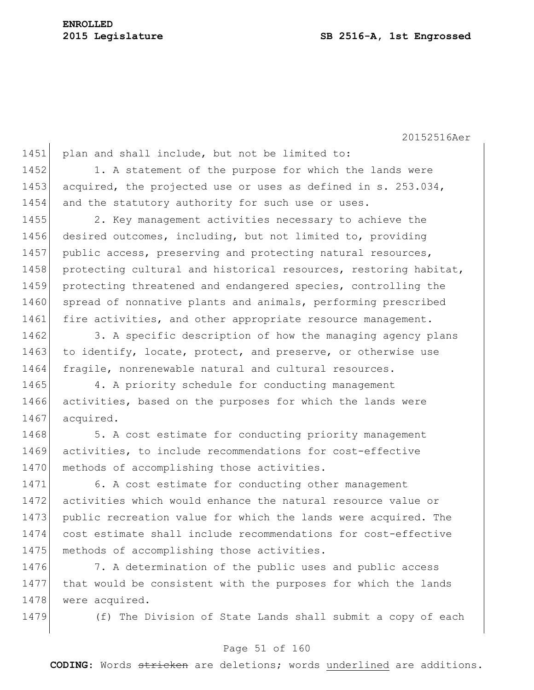# **ENROLLED**

#### **2015 Legislature SB 2516-A, 1st Engrossed**

20152516Aer

1451 plan and shall include, but not be limited to: 1452 1. A statement of the purpose for which the lands were 1453 acquired, the projected use or uses as defined in s. 253.034, 1454 and the statutory authority for such use or uses. 1455 2. Key management activities necessary to achieve the 1456 desired outcomes, including, but not limited to, providing 1457 public access, preserving and protecting natural resources, 1458 protecting cultural and historical resources, restoring habitat, 1459 protecting threatened and endangered species, controlling the 1460 spread of nonnative plants and animals, performing prescribed 1461 fire activities, and other appropriate resource management. 1462 3. A specific description of how the managing agency plans 1463 to identify, locate, protect, and preserve, or otherwise use 1464 fragile, nonrenewable natural and cultural resources. 1465 4. A priority schedule for conducting management 1466 activities, based on the purposes for which the lands were 1467 acquired. 1468 5. A cost estimate for conducting priority management 1469 activities, to include recommendations for cost-effective 1470 methods of accomplishing those activities. 1471 6. A cost estimate for conducting other management 1472 activities which would enhance the natural resource value or 1473 public recreation value for which the lands were acquired. The 1474 cost estimate shall include recommendations for cost-effective

1476 7. A determination of the public uses and public access 1477 that would be consistent with the purposes for which the lands 1478 were acquired.

1475 methods of accomplishing those activities.

1479 (f) The Division of State Lands shall submit a copy of each

#### Page 51 of 160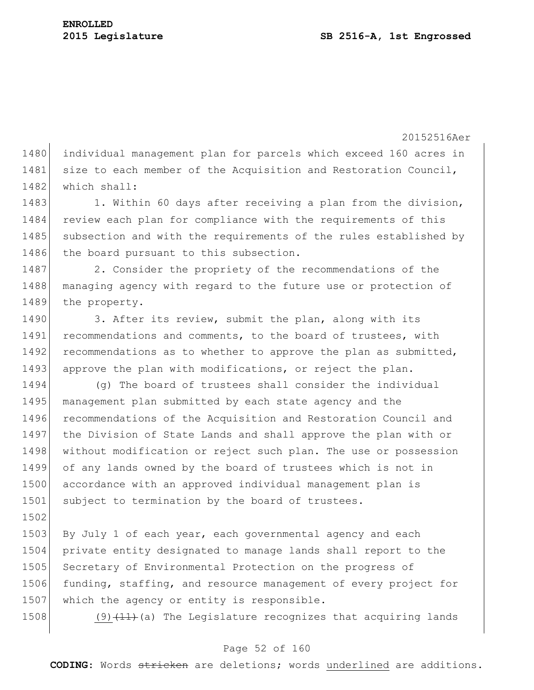1480 individual management plan for parcels which exceed 160 acres in 1481 size to each member of the Acquisition and Restoration Council, 1482 which shall:

1483 1. Within 60 days after receiving a plan from the division, 1484 review each plan for compliance with the requirements of this 1485 subsection and with the requirements of the rules established by 1486 the board pursuant to this subsection.

1487 2. Consider the propriety of the recommendations of the 1488 managing agency with regard to the future use or protection of 1489 the property.

1490 3. After its review, submit the plan, along with its 1491 recommendations and comments, to the board of trustees, with 1492 recommendations as to whether to approve the plan as submitted, 1493 approve the plan with modifications, or reject the plan.

1494 (g) The board of trustees shall consider the individual 1495 management plan submitted by each state agency and the 1496 recommendations of the Acquisition and Restoration Council and 1497 the Division of State Lands and shall approve the plan with or 1498 without modification or reject such plan. The use or possession 1499 of any lands owned by the board of trustees which is not in 1500 accordance with an approved individual management plan is 1501 subject to termination by the board of trustees.

1503 By July 1 of each year, each governmental agency and each 1504 private entity designated to manage lands shall report to the 1505 Secretary of Environmental Protection on the progress of 1506 funding, staffing, and resource management of every project for 1507 which the agency or entity is responsible.

1502

1508 (9) $(11)$  (a) The Legislature recognizes that acquiring lands

#### Page 52 of 160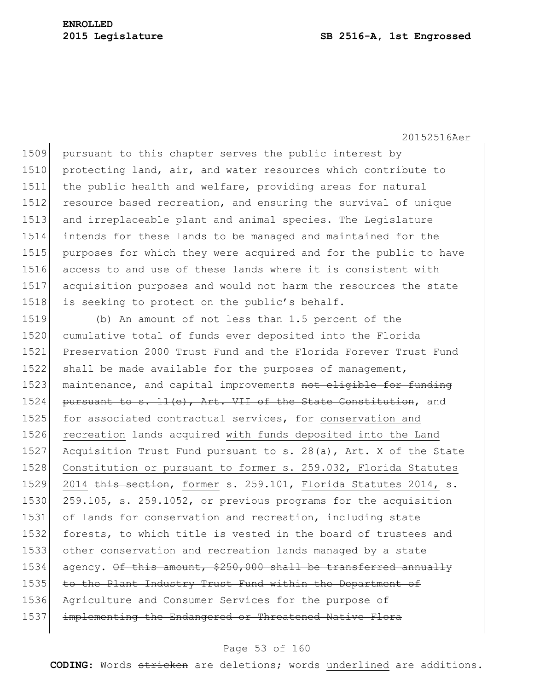#### **2015 Legislature SB 2516-A, 1st Engrossed**

20152516Aer

 pursuant to this chapter serves the public interest by 1510 protecting land, air, and water resources which contribute to the public health and welfare, providing areas for natural resource based recreation, and ensuring the survival of unique and irreplaceable plant and animal species. The Legislature intends for these lands to be managed and maintained for the purposes for which they were acquired and for the public to have access to and use of these lands where it is consistent with acquisition purposes and would not harm the resources the state 1518 is seeking to protect on the public's behalf.

1519 (b) An amount of not less than 1.5 percent of the 1520 cumulative total of funds ever deposited into the Florida 1521 Preservation 2000 Trust Fund and the Florida Forever Trust Fund 1522 shall be made available for the purposes of management, 1523 maintenance, and capital improvements not eligible for funding 1524 pursuant to s.  $11(e)$ , Art. VII of the State Constitution, and 1525 for associated contractual services, for conservation and 1526 recreation lands acquired with funds deposited into the Land 1527 Acquisition Trust Fund pursuant to s. 28(a), Art. X of the State 1528 Constitution or pursuant to former s. 259.032, Florida Statutes 1529 2014 this section, former s. 259.101, Florida Statutes 2014, s. 1530 259.105, s. 259.1052, or previous programs for the acquisition 1531 of lands for conservation and recreation, including state 1532 forests, to which title is vested in the board of trustees and 1533 other conservation and recreation lands managed by a state  $1534$  agency. Of this amount, \$250,000 shall be transferred annually 1535 to the Plant Industry Trust Fund within the Department of 1536 Agriculture and Consumer Services for the purpose of 1537 implementing the Endangered or Threatened Native Flora

#### Page 53 of 160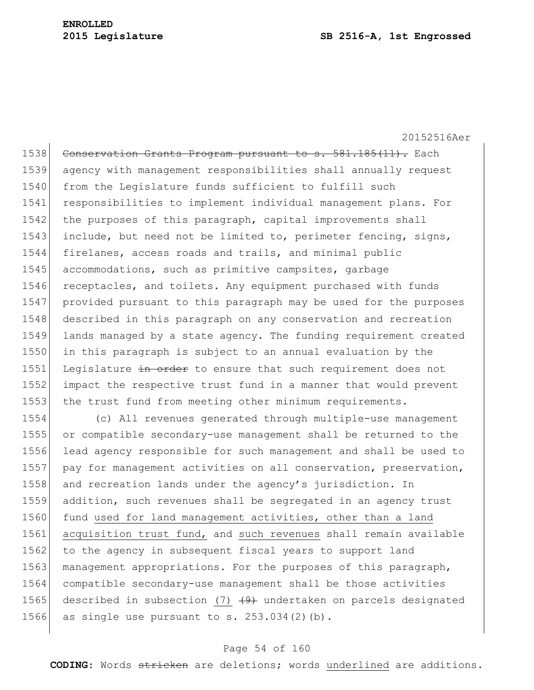20152516Aer 1538 Conservation Grants Program pursuant to s. 581.185(11). Each 1539 agency with management responsibilities shall annually request 1540 from the Legislature funds sufficient to fulfill such 1541 responsibilities to implement individual management plans. For 1542 the purposes of this paragraph, capital improvements shall 1543 include, but need not be limited to, perimeter fencing, signs, 1544 firelanes, access roads and trails, and minimal public 1545 accommodations, such as primitive campsites, garbage 1546 receptacles, and toilets. Any equipment purchased with funds 1547 provided pursuant to this paragraph may be used for the purposes 1548 described in this paragraph on any conservation and recreation 1549 lands managed by a state agency. The funding requirement created 1550 in this paragraph is subject to an annual evaluation by the 1551 Legislature in order to ensure that such requirement does not 1552 impact the respective trust fund in a manner that would prevent 1553 the trust fund from meeting other minimum requirements.

1554 (c) All revenues generated through multiple-use management 1555 or compatible secondary-use management shall be returned to the 1556 lead agency responsible for such management and shall be used to 1557 pay for management activities on all conservation, preservation, 1558 and recreation lands under the agency's jurisdiction. In 1559 addition, such revenues shall be segregated in an agency trust 1560 fund used for land management activities, other than a land 1561 acquisition trust fund, and such revenues shall remain available 1562 to the agency in subsequent fiscal years to support land 1563 management appropriations. For the purposes of this paragraph, 1564 compatible secondary-use management shall be those activities 1565 described in subsection (7)  $(9)$  undertaken on parcels designated 1566 as single use pursuant to s.  $253.034(2)(b)$ .

#### Page 54 of 160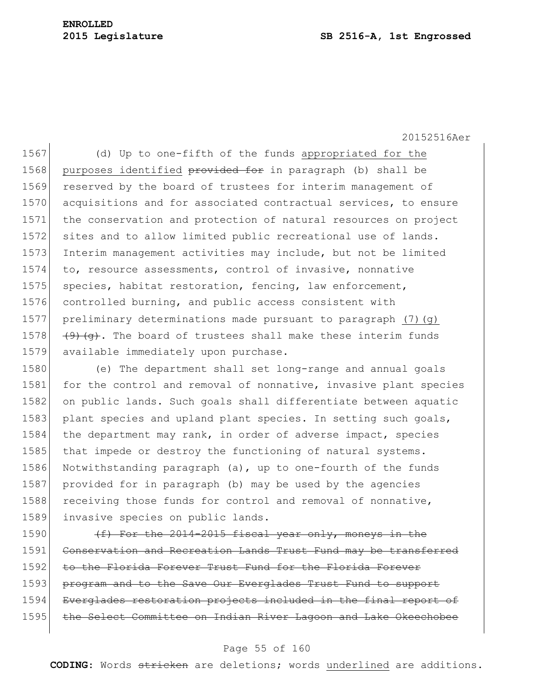1567 (d) Up to one-fifth of the funds appropriated for the 1568 purposes identified provided for in paragraph (b) shall be 1569 reserved by the board of trustees for interim management of 1570 acquisitions and for associated contractual services, to ensure 1571 the conservation and protection of natural resources on project 1572 sites and to allow limited public recreational use of lands. 1573 Interim management activities may include, but not be limited 1574 to, resource assessments, control of invasive, nonnative 1575 species, habitat restoration, fencing, law enforcement, 1576 controlled burning, and public access consistent with 1577 preliminary determinations made pursuant to paragraph (7)(g) 1578  $(9)$   $(9)$   $(9)$ . The board of trustees shall make these interim funds 1579 available immediately upon purchase.

1580 (e) The department shall set long-range and annual goals 1581 for the control and removal of nonnative, invasive plant species 1582 on public lands. Such goals shall differentiate between aquatic 1583 plant species and upland plant species. In setting such goals, 1584 the department may rank, in order of adverse impact, species 1585 that impede or destroy the functioning of natural systems. 1586 Notwithstanding paragraph (a), up to one-fourth of the funds 1587 provided for in paragraph (b) may be used by the agencies 1588 receiving those funds for control and removal of nonnative, 1589 invasive species on public lands.

1590  $(f)$  For the 2014-2015 fiscal year only, moneys in the 1591 Conservation and Recreation Lands Trust Fund may be transferred 1592 to the Florida Forever Trust Fund for the Florida Forever 1593 program and to the Save Our Everglades Trust Fund to support 1594 Everglades restoration projects included in the final report of 1595 the Select Committee on Indian River Lagoon and Lake Okeechobee

#### Page 55 of 160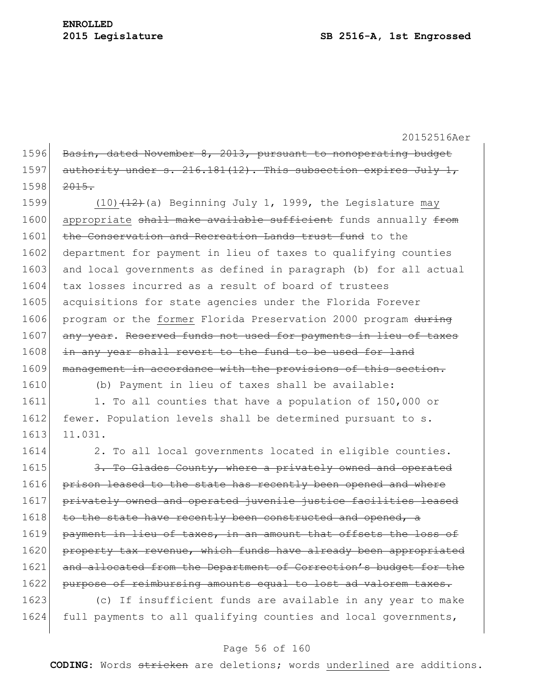1596 Basin, dated November 8, 2013, pursuant to nonoperating budget 1597 authority under s.  $216.181(12)$ . This subsection expires July 1, 1598 <del>2015.</del>

1599 (10) $(12)$  (a) Beginning July 1, 1999, the Legislature may 1600 appropriate shall make available sufficient funds annually from 1601 the Conservation and Recreation Lands trust fund to the 1602 department for payment in lieu of taxes to qualifying counties 1603 and local governments as defined in paragraph (b) for all actual 1604 tax losses incurred as a result of board of trustees 1605 acquisitions for state agencies under the Florida Forever 1606 program or the former Florida Preservation 2000 program during 1607 any year. Reserved funds not used for payments in lieu of taxes 1608 in any year shall revert to the fund to be used for land 1609 management in accordance with the provisions of this section.

1610 (b) Payment in lieu of taxes shall be available:

1611 1. To all counties that have a population of 150,000 or 1612 fewer. Population levels shall be determined pursuant to s. 1613 11.031.

1614 2. To all local governments located in eligible counties.

1615 3. To Glades County, where a privately owned and operated 1616 prison leased to the state has recently been opened and where 1617 privately owned and operated juvenile justice facilities leased 1618 to the state have recently been constructed and opened, a 1619 payment in lieu of taxes, in an amount that offsets the loss of 1620 property tax revenue, which funds have already been appropriated 1621 and allocated from the Department of Correction's budget for the 1622 purpose of reimbursing amounts equal to lost ad valorem taxes.

1623 (c) If insufficient funds are available in any year to make 1624 full payments to all qualifying counties and local governments,

#### Page 56 of 160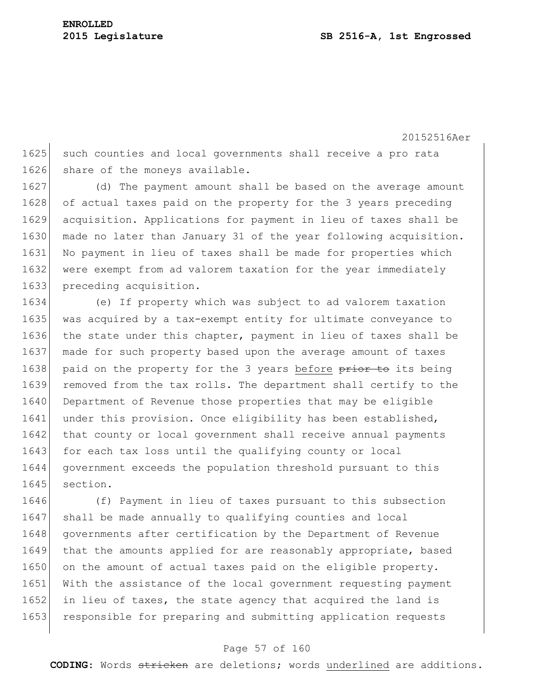1625 such counties and local governments shall receive a pro rata 1626 share of the moneys available.

 (d) The payment amount shall be based on the average amount 1628 of actual taxes paid on the property for the 3 years preceding acquisition. Applications for payment in lieu of taxes shall be made no later than January 31 of the year following acquisition. No payment in lieu of taxes shall be made for properties which were exempt from ad valorem taxation for the year immediately preceding acquisition.

1634 (e) If property which was subject to ad valorem taxation 1635 was acquired by a tax-exempt entity for ultimate conveyance to 1636 the state under this chapter, payment in lieu of taxes shall be 1637 made for such property based upon the average amount of taxes 1638 paid on the property for the 3 years before prior to its being 1639 removed from the tax rolls. The department shall certify to the 1640 Department of Revenue those properties that may be eligible 1641 under this provision. Once eligibility has been established, 1642 that county or local government shall receive annual payments 1643 for each tax loss until the qualifying county or local 1644 government exceeds the population threshold pursuant to this 1645 section.

1646 (f) Payment in lieu of taxes pursuant to this subsection 1647 shall be made annually to qualifying counties and local 1648 governments after certification by the Department of Revenue 1649 that the amounts applied for are reasonably appropriate, based 1650 on the amount of actual taxes paid on the eligible property. 1651 With the assistance of the local government requesting payment 1652 in lieu of taxes, the state agency that acquired the land is 1653 responsible for preparing and submitting application requests

#### Page 57 of 160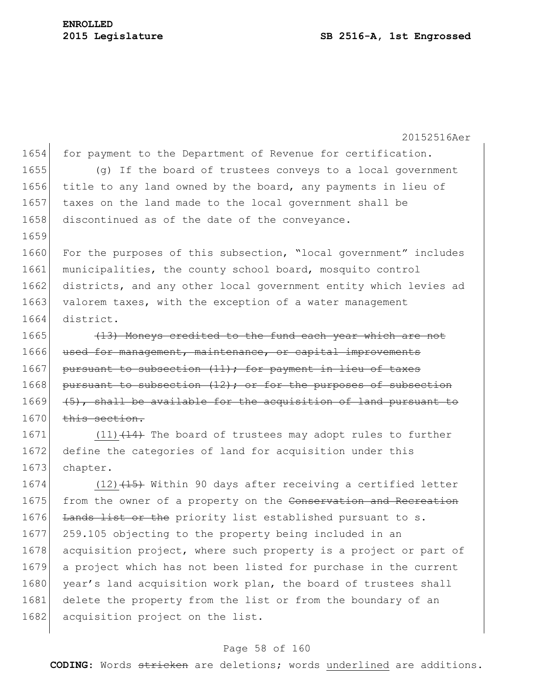20152516Aer 1654 for payment to the Department of Revenue for certification. 1655 (g) If the board of trustees conveys to a local government 1656 title to any land owned by the board, any payments in lieu of 1657 taxes on the land made to the local government shall be 1658 discontinued as of the date of the conveyance. 1659 1660 For the purposes of this subsection, "local government" includes 1661 municipalities, the county school board, mosquito control 1662 districts, and any other local government entity which levies ad 1663 valorem taxes, with the exception of a water management 1664 district. 1665 (13) Moneys credited to the fund each year which are not 1666 used for management, maintenance, or capital improvements 1667 pursuant to subsection (11); for payment in lieu of taxes  $1668$  pursuant to subsection  $(12)$ ; or for the purposes of subsection  $1669$  (5), shall be available for the acquisition of land pursuant to 1670 this section. 1671 (11) (14) The board of trustees may adopt rules to further 1672 define the categories of land for acquisition under this 1673 chapter. 1674  $(12)$   $(15)$  Within 90 days after receiving a certified letter 1675 from the owner of a property on the Conservation and Recreation 1676 Lands list or the priority list established pursuant to s. 1677 259.105 objecting to the property being included in an 1678 acquisition project, where such property is a project or part of 1679 a project which has not been listed for purchase in the current 1680 year's land acquisition work plan, the board of trustees shall 1681 delete the property from the list or from the boundary of an 1682 acquisition project on the list.

#### Page 58 of 160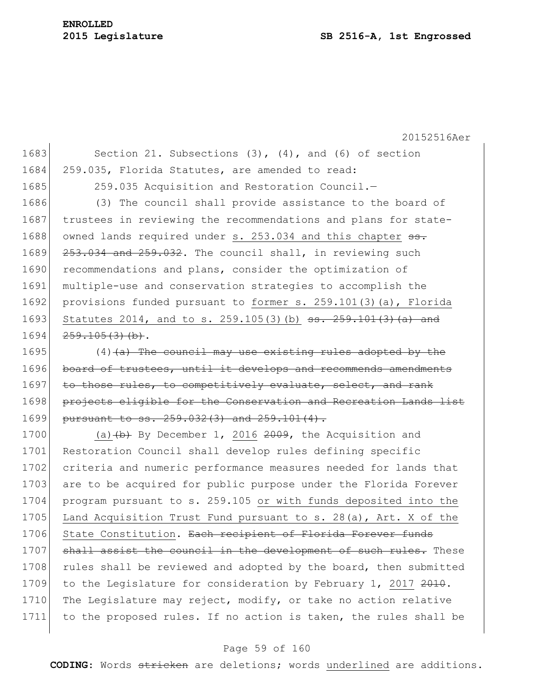# **ENROLLED**

#### **2015 Legislature SB 2516-A, 1st Engrossed**

20152516Aer 1683 Section 21. Subsections (3), (4), and (6) of section 1684 259.035, Florida Statutes, are amended to read: 1685 259.035 Acquisition and Restoration Council. 1686 (3) The council shall provide assistance to the board of 1687 trustees in reviewing the recommendations and plans for state-1688 owned lands required under s. 253.034 and this chapter  $s$ . 1689 253.034 and 259.032. The council shall, in reviewing such 1690 recommendations and plans, consider the optimization of 1691 multiple-use and conservation strategies to accomplish the 1692 provisions funded pursuant to former s. 259.101(3)(a), Florida 1693 Statutes 2014, and to s. 259.105(3)(b) <del>ss. 259.101(3)(a) and</del>  $1694$   $259.105(3)$  (b).  $1695$  (4) (a) The council may use existing rules adopted by the 1696 board of trustees, until it develops and recommends amendments 1697 to those rules, to competitively evaluate, select, and rank 1698 projects eligible for the Conservation and Recreation Lands list 1699 pursuant to ss. 259.032(3) and 259.101(4). 1700 (a) $(b)$  By December 1, 2016 2009, the Acquisition and 1701 Restoration Council shall develop rules defining specific 1702 criteria and numeric performance measures needed for lands that 1703 are to be acquired for public purpose under the Florida Forever

1704 program pursuant to s. 259.105 or with funds deposited into the 1705 Land Acquisition Trust Fund pursuant to s. 28(a), Art. X of the 1706 State Constitution. Each recipient of Florida Forever funds 1707 shall assist the council in the development of such rules. These 1708 rules shall be reviewed and adopted by the board, then submitted 1709 to the Legislature for consideration by February 1, 2017 2010. 1710 The Legislature may reject, modify, or take no action relative 1711 to the proposed rules. If no action is taken, the rules shall be

#### Page 59 of 160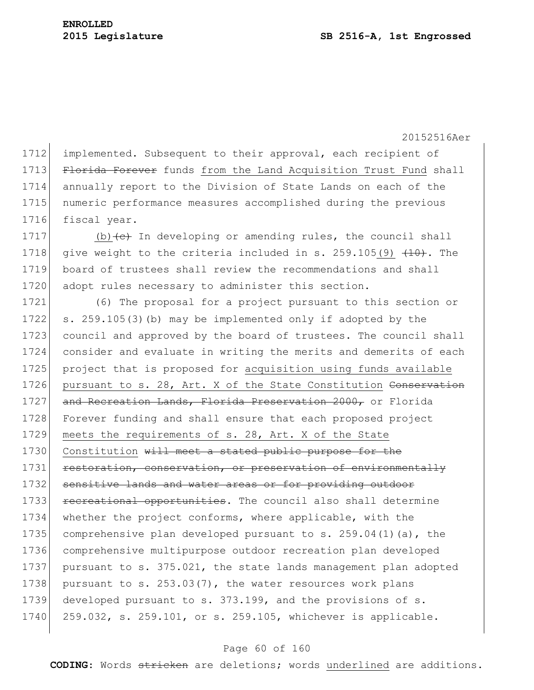1712 implemented. Subsequent to their approval, each recipient of 1713 Florida Forever funds from the Land Acquisition Trust Fund shall 1714 annually report to the Division of State Lands on each of the 1715 numeric performance measures accomplished during the previous 1716 fiscal year.

1717 (b)  $\left\{ \left. \epsilon \right\}$  In developing or amending rules, the council shall 1718 give weight to the criteria included in s.  $259.105(9)$   $(10)$ . The 1719 board of trustees shall review the recommendations and shall 1720 adopt rules necessary to administer this section.

1721 (6) The proposal for a project pursuant to this section or 1722 s. 259.105(3)(b) may be implemented only if adopted by the 1723 council and approved by the board of trustees. The council shall 1724 consider and evaluate in writing the merits and demerits of each 1725 project that is proposed for acquisition using funds available 1726 pursuant to s. 28, Art. X of the State Constitution Conservation 1727 and Recreation Lands, Florida Preservation 2000, or Florida 1728 Forever funding and shall ensure that each proposed project 1729 meets the requirements of s. 28, Art. X of the State 1730 Constitution will meet a stated public purpose for the 1731 restoration, conservation, or preservation of environmentally 1732 sensitive lands and water areas or for providing outdoor 1733 recreational opportunities. The council also shall determine 1734 whether the project conforms, where applicable, with the 1735 comprehensive plan developed pursuant to s.  $259.04(1)(a)$ , the 1736 comprehensive multipurpose outdoor recreation plan developed 1737 pursuant to s. 375.021, the state lands management plan adopted 1738 pursuant to s.  $253.03(7)$ , the water resources work plans 1739 developed pursuant to s. 373.199, and the provisions of s. 1740 259.032, s. 259.101, or s. 259.105, whichever is applicable.

#### Page 60 of 160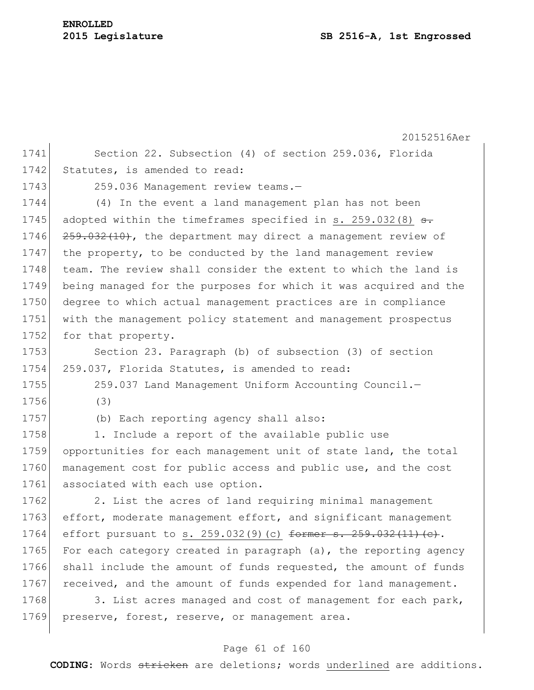### **ENROLLED**

20152516Aer 1741 Section 22. Subsection (4) of section 259.036, Florida 1742 Statutes, is amended to read: 1743 259.036 Management review teams.-1744 (4) In the event a land management plan has not been 1745 adopted within the timeframes specified in s.  $259.032(8)$  <del>s.</del> 1746 259.032(10), the department may direct a management review of 1747 the property, to be conducted by the land management review 1748 team. The review shall consider the extent to which the land is 1749 being managed for the purposes for which it was acquired and the 1750 degree to which actual management practices are in compliance 1751 with the management policy statement and management prospectus 1752 for that property. 1753 Section 23. Paragraph (b) of subsection (3) of section 1754 259.037, Florida Statutes, is amended to read: 1755 259.037 Land Management Uniform Accounting Council. 1756 (3) 1757 (b) Each reporting agency shall also: 1758 1. Include a report of the available public use 1759 opportunities for each management unit of state land, the total 1760 management cost for public access and public use, and the cost 1761 associated with each use option. 1762 2. List the acres of land requiring minimal management 1763 effort, moderate management effort, and significant management 1764 effort pursuant to s. 259.032(9)(c) former s. 259.032(11)(c). 1765 For each category created in paragraph (a), the reporting agency 1766 shall include the amount of funds requested, the amount of funds 1767 received, and the amount of funds expended for land management. 1768 3. List acres managed and cost of management for each park, 1769 preserve, forest, reserve, or management area.

#### Page 61 of 160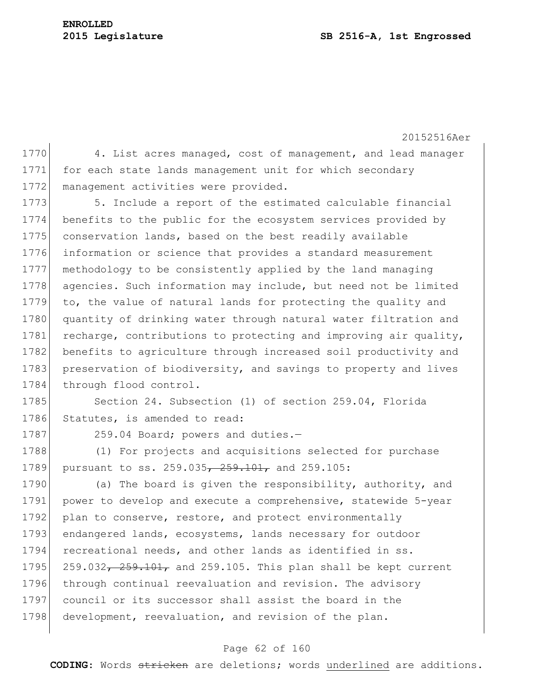### **2015 Legislature SB 2516-A, 1st Engrossed**

## **ENROLLED**

20152516Aer Page 62 of 160 1770 4. List acres managed, cost of management, and lead manager 1771 for each state lands management unit for which secondary 1772 management activities were provided. 1773 5. Include a report of the estimated calculable financial 1774 benefits to the public for the ecosystem services provided by 1775 conservation lands, based on the best readily available 1776 information or science that provides a standard measurement 1777 methodology to be consistently applied by the land managing 1778 agencies. Such information may include, but need not be limited 1779 to, the value of natural lands for protecting the quality and 1780 quantity of drinking water through natural water filtration and 1781 recharge, contributions to protecting and improving air quality, 1782 benefits to agriculture through increased soil productivity and 1783 preservation of biodiversity, and savings to property and lives 1784 through flood control. 1785 Section 24. Subsection (1) of section 259.04, Florida 1786 Statutes, is amended to read: 1787 259.04 Board; powers and duties.-1788 (1) For projects and acquisitions selected for purchase 1789 pursuant to ss. 259.035, 259.101, and 259.105: 1790 (a) The board is given the responsibility, authority, and 1791 power to develop and execute a comprehensive, statewide 5-year 1792 plan to conserve, restore, and protect environmentally 1793 endangered lands, ecosystems, lands necessary for outdoor 1794 recreational needs, and other lands as identified in ss. 1795  $259.032$ ,  $259.101$ , and 259.105. This plan shall be kept current 1796 through continual reevaluation and revision. The advisory 1797 council or its successor shall assist the board in the 1798 development, reevaluation, and revision of the plan.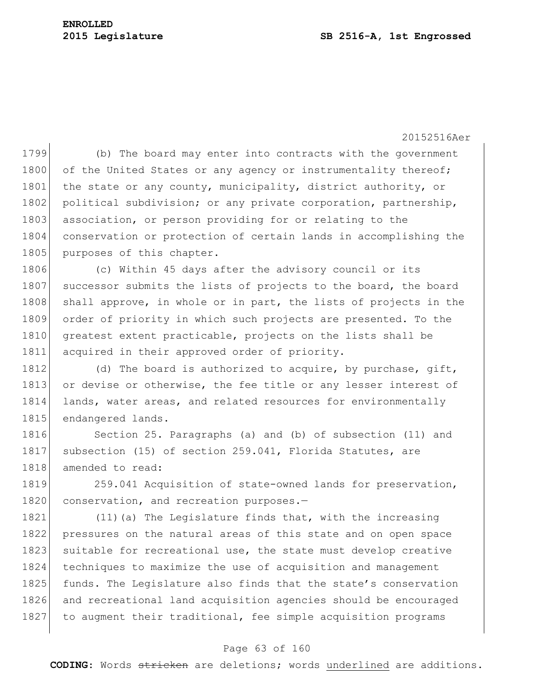1799 (b) The board may enter into contracts with the government 1800 of the United States or any agency or instrumentality thereof; 1801 the state or any county, municipality, district authority, or 1802 political subdivision; or any private corporation, partnership, 1803 association, or person providing for or relating to the 1804 conservation or protection of certain lands in accomplishing the 1805 purposes of this chapter.

1806 (c) Within 45 days after the advisory council or its 1807 successor submits the lists of projects to the board, the board 1808 shall approve, in whole or in part, the lists of projects in the 1809 order of priority in which such projects are presented. To the 1810 greatest extent practicable, projects on the lists shall be 1811 acquired in their approved order of priority.

1812 (d) The board is authorized to acquire, by purchase, gift, 1813 or devise or otherwise, the fee title or any lesser interest of 1814 lands, water areas, and related resources for environmentally 1815 endangered lands.

1816 Section 25. Paragraphs (a) and (b) of subsection (11) and 1817 subsection (15) of section 259.041, Florida Statutes, are 1818 amended to read:

1819 259.041 Acquisition of state-owned lands for preservation, 1820 conservation, and recreation purposes.-

1821 (11) (a) The Legislature finds that, with the increasing 1822 pressures on the natural areas of this state and on open space 1823 suitable for recreational use, the state must develop creative 1824 techniques to maximize the use of acquisition and management 1825 funds. The Legislature also finds that the state's conservation 1826 and recreational land acquisition agencies should be encouraged 1827 to augment their traditional, fee simple acquisition programs

#### Page 63 of 160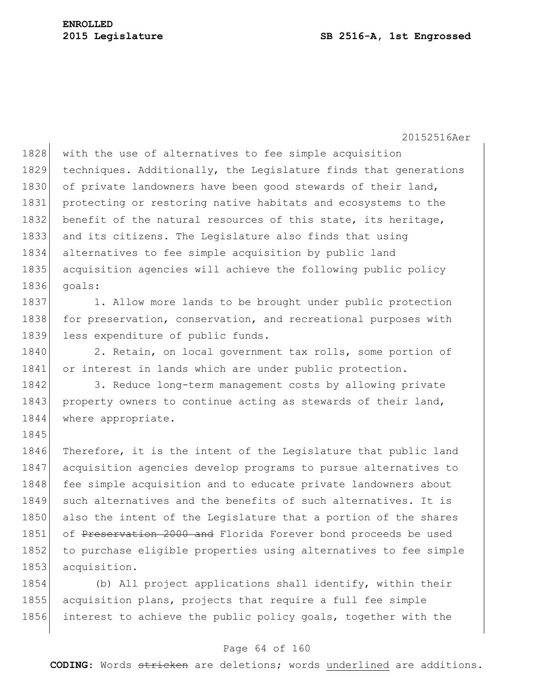1845

#### **2015 Legislature SB 2516-A, 1st Engrossed**

20152516Aer

1828 with the use of alternatives to fee simple acquisition 1829 techniques. Additionally, the Legislature finds that generations 1830 of private landowners have been good stewards of their land, 1831 protecting or restoring native habitats and ecosystems to the 1832 benefit of the natural resources of this state, its heritage, 1833 and its citizens. The Legislature also finds that using 1834 alternatives to fee simple acquisition by public land 1835 acquisition agencies will achieve the following public policy 1836 goals:

1837 1. Allow more lands to be brought under public protection 1838 for preservation, conservation, and recreational purposes with 1839 less expenditure of public funds.

1840 2. Retain, on local government tax rolls, some portion of 1841 or interest in lands which are under public protection.

1842 3. Reduce long-term management costs by allowing private 1843 property owners to continue acting as stewards of their land, 1844 where appropriate.

1846 Therefore, it is the intent of the Legislature that public land 1847 acquisition agencies develop programs to pursue alternatives to 1848 fee simple acquisition and to educate private landowners about 1849 such alternatives and the benefits of such alternatives. It is 1850 also the intent of the Legislature that a portion of the shares 1851 of Preservation 2000 and Florida Forever bond proceeds be used 1852 to purchase eligible properties using alternatives to fee simple 1853 acquisition.

1854 (b) All project applications shall identify, within their 1855 acquisition plans, projects that require a full fee simple 1856 interest to achieve the public policy goals, together with the

#### Page 64 of 160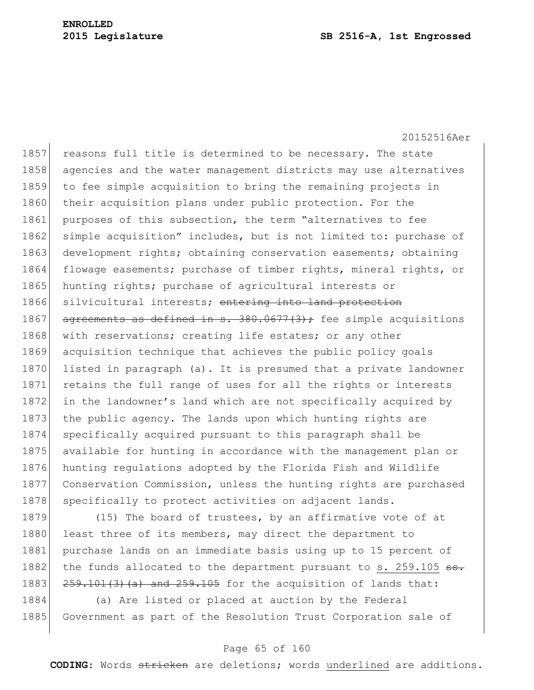#### **2015 Legislature SB 2516-A, 1st Engrossed**

20152516Aer

1857 reasons full title is determined to be necessary. The state 1858 agencies and the water management districts may use alternatives 1859 to fee simple acquisition to bring the remaining projects in 1860 their acquisition plans under public protection. For the 1861 purposes of this subsection, the term "alternatives to fee 1862 simple acquisition" includes, but is not limited to: purchase of 1863 development rights; obtaining conservation easements; obtaining 1864 flowage easements; purchase of timber rights, mineral rights, or 1865 hunting rights; purchase of agricultural interests or 1866 silvicultural interests; entering into land protection 1867 agreements as defined in s.  $380.0677(3)$ ; fee simple acquisitions 1868 with reservations; creating life estates; or any other 1869 acquisition technique that achieves the public policy goals 1870 listed in paragraph (a). It is presumed that a private landowner 1871 retains the full range of uses for all the rights or interests 1872 in the landowner's land which are not specifically acquired by 1873 the public agency. The lands upon which hunting rights are 1874 specifically acquired pursuant to this paragraph shall be 1875 available for hunting in accordance with the management plan or 1876 hunting regulations adopted by the Florida Fish and Wildlife 1877 Conservation Commission, unless the hunting rights are purchased 1878 specifically to protect activities on adjacent lands.

1879 (15) The board of trustees, by an affirmative vote of at 1880 least three of its members, may direct the department to 1881 purchase lands on an immediate basis using up to 15 percent of 1882 the funds allocated to the department pursuant to s.  $259.105$   $\text{ss.}$ 1883  $\left| \frac{259.101(3)(a)}{259.10} \right|$  and  $\left| \frac{259.105}{259.10} \right|$  for the acquisition of lands that:

1884 (a) Are listed or placed at auction by the Federal 1885 Government as part of the Resolution Trust Corporation sale of

#### Page 65 of 160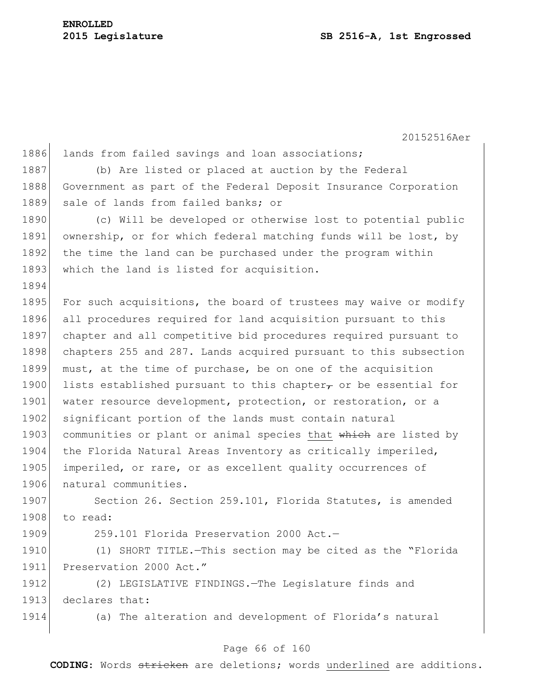| 1886 | lands from failed savings and loan associations;                      |
|------|-----------------------------------------------------------------------|
| 1887 | (b) Are listed or placed at auction by the Federal                    |
| 1888 | Government as part of the Federal Deposit Insurance Corporation       |
| 1889 | sale of lands from failed banks; or                                   |
| 1890 | (c) Will be developed or otherwise lost to potential public           |
| 1891 | ownership, or for which federal matching funds will be lost, by       |
| 1892 | the time the land can be purchased under the program within           |
| 1893 | which the land is listed for acquisition.                             |
| 1894 |                                                                       |
| 1895 | For such acquisitions, the board of trustees may waive or modify      |
| 1896 | all procedures required for land acquisition pursuant to this         |
| 1897 | chapter and all competitive bid procedures required pursuant to       |
| 1898 | chapters 255 and 287. Lands acquired pursuant to this subsection      |
| 1899 | must, at the time of purchase, be on one of the acquisition           |
| 1900 | lists established pursuant to this chapter $\tau$ or be essential for |
| 1901 | water resource development, protection, or restoration, or a          |
| 1902 | significant portion of the lands must contain natural                 |
| 1903 | communities or plant or animal species that which are listed by       |
| 1904 | the Florida Natural Areas Inventory as critically imperiled,          |
| 1905 | imperiled, or rare, or as excellent quality occurrences of            |
| 1906 | natural communities.                                                  |
| 1907 | Section 26. Section 259.101, Florida Statutes, is amended             |
| 1908 | to read:                                                              |
| 1909 | 259.101 Florida Preservation 2000 Act.-                               |
| 1910 | (1) SHORT TITLE. - This section may be cited as the "Florida          |
| 1911 | Preservation 2000 Act."                                               |
| 1912 | (2) LEGISLATIVE FINDINGS. The Legislature finds and                   |
| 1913 | declares that:                                                        |
| 1914 | (a) The alteration and development of Florida's natural               |
|      |                                                                       |
|      |                                                                       |

### Page 66 of 160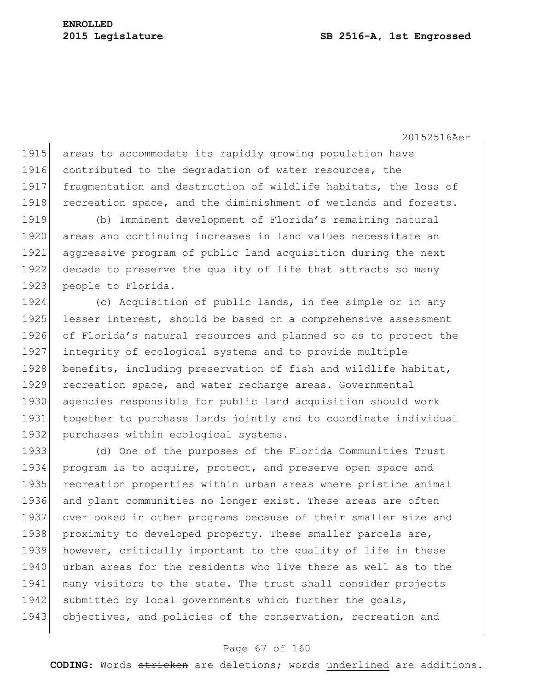1915 areas to accommodate its rapidly growing population have 1916 contributed to the degradation of water resources, the 1917 fragmentation and destruction of wildlife habitats, the loss of 1918 recreation space, and the diminishment of wetlands and forests. 1919 (b) Imminent development of Florida's remaining natural 1920 areas and continuing increases in land values necessitate an 1921 aggressive program of public land acquisition during the next

1922 decade to preserve the quality of life that attracts so many 1923 people to Florida. 1924 (c) Acquisition of public lands, in fee simple or in any

1925 lesser interest, should be based on a comprehensive assessment 1926 of Florida's natural resources and planned so as to protect the 1927 integrity of ecological systems and to provide multiple 1928 benefits, including preservation of fish and wildlife habitat, 1929 recreation space, and water recharge areas. Governmental 1930 agencies responsible for public land acquisition should work 1931 together to purchase lands jointly and to coordinate individual 1932 purchases within ecological systems.

1933 (d) One of the purposes of the Florida Communities Trust 1934 program is to acquire, protect, and preserve open space and 1935 recreation properties within urban areas where pristine animal 1936 and plant communities no longer exist. These areas are often 1937 overlooked in other programs because of their smaller size and 1938 proximity to developed property. These smaller parcels are, 1939 however, critically important to the quality of life in these 1940 urban areas for the residents who live there as well as to the 1941 many visitors to the state. The trust shall consider projects 1942 submitted by local governments which further the goals, 1943 objectives, and policies of the conservation, recreation and

#### Page 67 of 160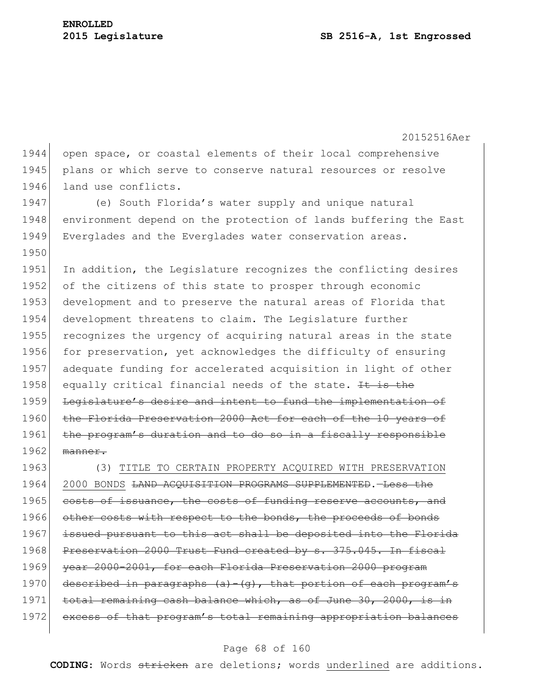20152516Aer 1944 open space, or coastal elements of their local comprehensive 1945 plans or which serve to conserve natural resources or resolve 1946 land use conflicts. 1947 (e) South Florida's water supply and unique natural 1948 environment depend on the protection of lands buffering the East 1949 Everglades and the Everglades water conservation areas. 1950 1951 In addition, the Legislature recognizes the conflicting desires 1952 of the citizens of this state to prosper through economic 1953 development and to preserve the natural areas of Florida that 1954 development threatens to claim. The Legislature further 1955 recognizes the urgency of acquiring natural areas in the state 1956 for preservation, yet acknowledges the difficulty of ensuring 1957 adequate funding for accelerated acquisition in light of other 1958 equally critical financial needs of the state. It is the 1959 Legislature's desire and intent to fund the implementation of 1960 the Florida Preservation 2000 Act for each of the 10 years of 1961 the program's duration and to do so in a fiscally responsible 1962 manner. 1963 (3) TITLE TO CERTAIN PROPERTY ACQUIRED WITH PRESERVATION 1964 2000 BONDS LAND ACQUISITION PROGRAMS SUPPLEMENTED. Less the 1965 costs of issuance, the costs of funding reserve accounts, and 1966 other costs with respect to the bonds, the proceeds of bonds 1967 issued pursuant to this act shall be deposited into the Florida 1968 Preservation 2000 Trust Fund created by s. 375.045. In fiscal 1969 year 2000-2001, for each Florida Preservation 2000 program 1970 described in paragraphs  $(a) - (q)$ , that portion of each program's 1971 total remaining cash balance which, as of June 30, 2000, is in 1972 excess of that program's total remaining appropriation balances

#### Page 68 of 160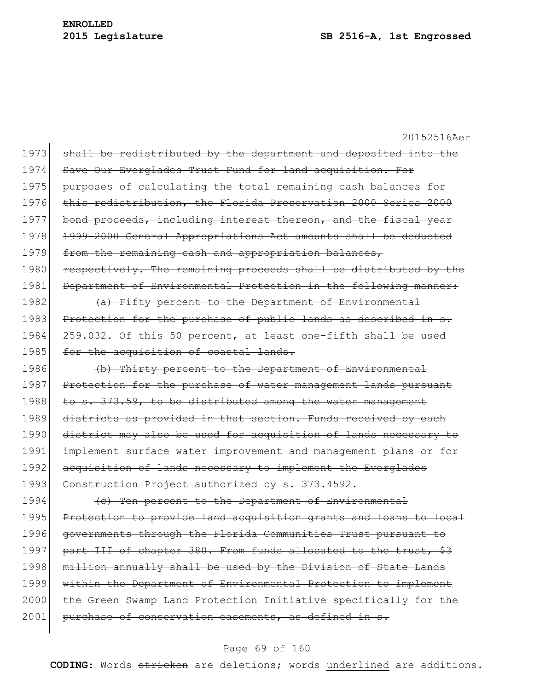20152516Aer 1973 shall be redistributed by the department and deposited into the 1974 Save Our Everglades Trust Fund for land acquisition. For 1975 purposes of calculating the total remaining cash balances for 1976 this redistribution, the Florida Preservation 2000 Series 2000 1977 bond proceeds, including interest thereon, and the fiscal year 1978 1999-2000 General Appropriations Act amounts shall be deducted 1979 from the remaining cash and appropriation balances, 1980 respectively. The remaining proceeds shall be distributed by the 1981 Department of Environmental Protection in the following manner: 1982  $\left( a\right)$  Fifty percent to the Department of Environmental 1983 Protection for the purchase of public lands as described in s. 1984 259.032. Of this 50 percent, at least one-fifth shall be used 1985 for the acquisition of coastal lands. 1986 (b) Thirty percent to the Department of Environmental 1987 Protection for the purchase of water management lands pursuant 1988 to s. 373.59, to be distributed among the water management 1989 districts as provided in that section. Funds received by each 1990 district may also be used for acquisition of lands necessary to 1991 implement surface water improvement and management plans or for 1992 acquisition of lands necessary to implement the Everglades 1993 Construction Project authorized by s. 373.4592. 1994 (c) Ten percent to the Department of Environmental 1995 Protection to provide land acquisition grants and loans to local 1996 governments through the Florida Communities Trust pursuant to 1997 part III of chapter 380. From funds allocated to the trust, \$3 1998 million annually shall be used by the Division of State Lands 1999 within the Department of Environmental Protection to implement 2000 the Green Swamp Land Protection Initiative specifically for the

#### Page 69 of 160

2001 purchase of conservation easements, as defined in s.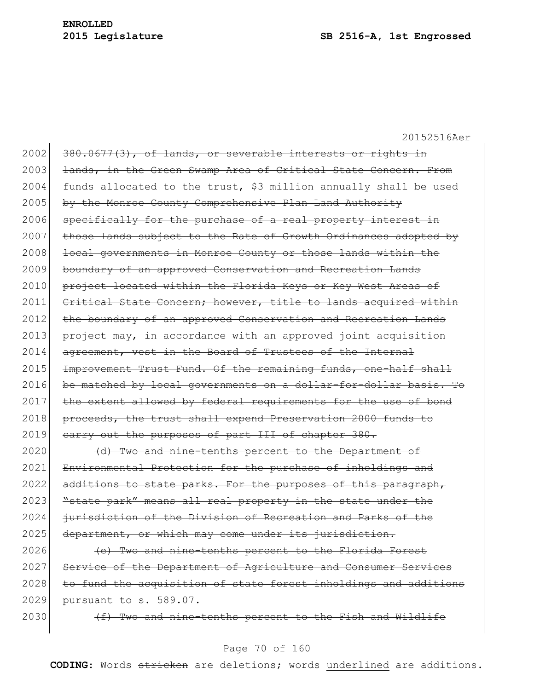$2002$  380.0677(3), of lands, or severable interests or rights in 2003 <del>lands, in the Green Swamp Area of Critical State Concern. From</del>  $2004$  funds allocated to the trust, \$3 million annually shall be used 2005 by the Monroe County Comprehensive Plan Land Authority  $2006$  specifically for the purchase of a real property interest in 2007 those lands subject to the Rate of Growth Ordinances adopted by 2008 local governments in Monroe County or those lands within the 2009 boundary of an approved Conservation and Recreation Lands 2010 project located within the Florida Keys or Key West Areas of 2011 Critical State Concern; however, title to lands acquired within 2012 | the boundary of an approved Conservation and Recreation Lands 2013 project may, in accordance with an approved joint acquisition  $2014$  agreement, vest in the Board of Trustees of the Internal 2015 Improvement Trust Fund. Of the remaining funds, one-half shall 2016 be matched by local governments on a dollar-for-dollar basis. To 2017 the extent allowed by federal requirements for the use of bond 2018 proceeds, the trust shall expend Preservation 2000 funds to 2019 carry out the purposes of part III of chapter 380.

2020 (d) Two and nine-tenths percent to the Department of 2021 Environmental Protection for the purchase of inholdings and  $2022$  additions to state parks. For the purposes of this paragraph, 2023 "state park" means all real property in the state under the 2024 jurisdiction of the Division of Recreation and Parks of the 2025 department, or which may come under its jurisdiction.

 $2026$  (e) Two and nine-tenths percent to the Florida Forest 2027 Service of the Department of Agriculture and Consumer Services 2028 to fund the acquisition of state forest inholdings and additions  $2029$  pursuant to s. 589.07.

 $2030$  (f) Two and nine-tenths percent to the Fish and Wildlife

#### Page 70 of 160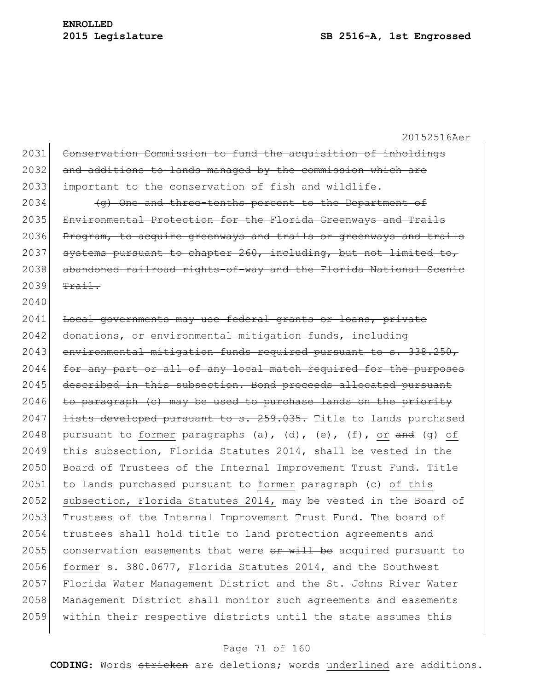2031 Conservation Commission to fund the acquisition of inholdings 2032 and additions to lands managed by the commission which are 2033 important to the conservation of fish and wildlife.  $2034$  (g) One and three-tenths percent to the Department of 2035 Environmental Protection for the Florida Greenways and Trails 2036 Program, to acquire greenways and trails or greenways and trails 2037 systems pursuant to chapter 260, including, but not limited to, 2038 abandoned railroad rights-of-way and the Florida National Scenic  $2039$  Trail. 2040 2041 Local governments may use federal grants or loans, private 2042 donations, or environmental mitigation funds, including 2043 environmental mitigation funds required pursuant to s. 338.250, 2044 for any part or all of any local match required for the purposes 2045 described in this subsection. Bond proceeds allocated pursuant  $2046$  to paragraph (c) may be used to purchase lands on the priority 2047 <del>lists developed pursuant to s. 259.035.</del> Title to lands purchased 2048 pursuant to former paragraphs (a), (d), (e), (f), or  $\frac{1}{\pi}$  (g) of 2049 this subsection, Florida Statutes 2014, shall be vested in the 2050 Board of Trustees of the Internal Improvement Trust Fund. Title 2051 to lands purchased pursuant to former paragraph (c) of this 2052 subsection, Florida Statutes 2014, may be vested in the Board of 2053 Trustees of the Internal Improvement Trust Fund. The board of 2054 trustees shall hold title to land protection agreements and 2055 conservation easements that were  $er$  will be acquired pursuant to 2056 former s. 380.0677, Florida Statutes 2014, and the Southwest 2057 Florida Water Management District and the St. Johns River Water 2058 Management District shall monitor such agreements and easements 2059 within their respective districts until the state assumes this

#### Page 71 of 160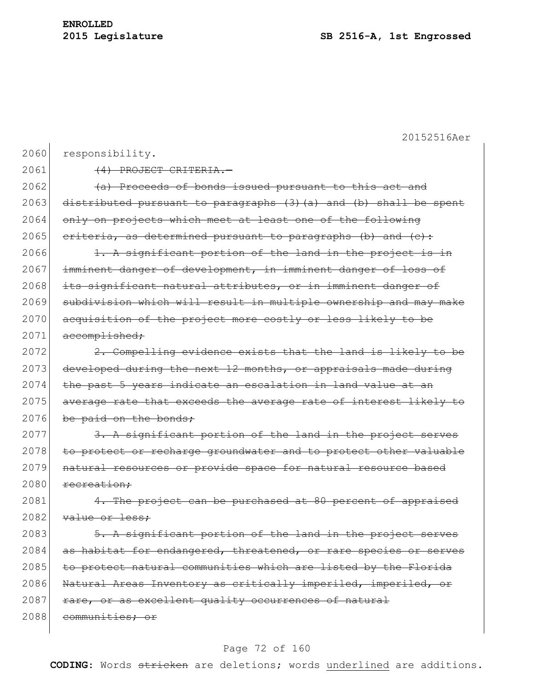20152516Aer 2060 responsibility. 2061 (4) PROJECT CRITERIA.  $2062$  (a) Proceeds of bonds issued pursuant to this act and 2063 distributed pursuant to paragraphs  $(3)$   $(a)$  and  $(b)$  shall be spent 2064 only on projects which meet at least one of the following 2065 criteria, as determined pursuant to paragraphs (b) and  $(c)$ : 2066  $\vert$  1. A significant portion of the land in the project is in 2067 imminent danger of development, in imminent danger of loss of 2068 its significant natural attributes, or in imminent danger of 2069 subdivision which will result in multiple ownership and may make 2070 acquisition of the project more costly or less likely to be  $2071$  accomplished;  $2072$  2. Compelling evidence exists that the land is likely to be 2073 developed during the next  $12$  months, or appraisals made during 2074 the past 5 years indicate an escalation in land value at an 2075 average rate that exceeds the average rate of interest likely to 2076 be paid on the bonds; 2077 3. A significant portion of the land in the project serves 2078 to protect or recharge groundwater and to protect other valuable 2079 natural resources or provide space for natural resource based  $2080$  recreation:  $2081$  4. The project can be purchased at 80 percent of appraised  $2082$  value or less:  $2083$   $\overline{5. A}$  significant portion of the land in the project serves 2084 as habitat for endangered, threatened, or rare species or serves 2085 to protect natural communities which are listed by the Florida 2086 Natural Areas Inventory as critically imperiled, imperiled, or 2087 rare, or as excellent quality occurrences of natural 2088 communities; or

#### Page 72 of 160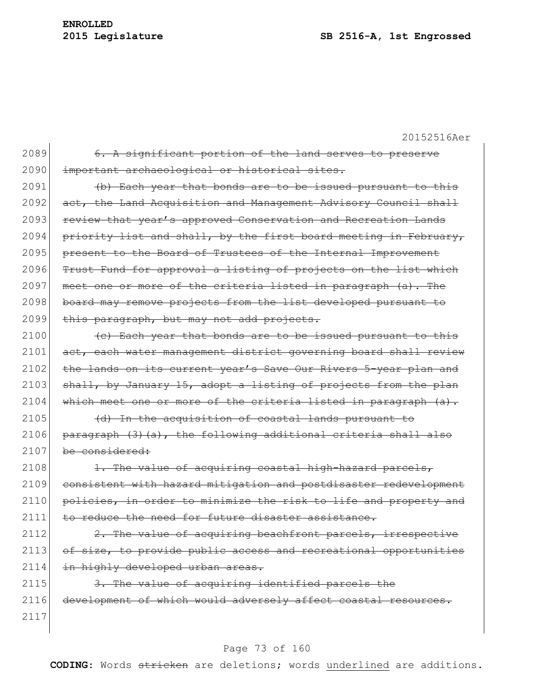| 2089 | 6. A significant portion of the land serves to preserve          |
|------|------------------------------------------------------------------|
| 2090 | important archaeological or historical sites.                    |
| 2091 | (b) Each year that bonds are to be issued pursuant to this       |
| 2092 | act, the Land Acquisition and Management Advisory Council shall  |
| 2093 | review that year's approved Conservation and Recreation Lands    |
| 2094 | priority list and shall, by the first board meeting in February, |
| 2095 | present to the Board of Trustees of the Internal Improvement     |
| 2096 | Trust Fund for approval a listing of projects on the list which  |
| 2097 | meet one or more of the criteria listed in paragraph (a). The    |
| 2098 | board may remove projects from the list developed pursuant to    |
| 2099 | this paragraph, but may not add projects.                        |
| 2100 | (c) Each year that bonds are to be issued pursuant to this       |
| 2101 | act, each water management district governing board shall review |
| 2102 | the lands on its current year's Save Our Rivers 5-year plan and  |
| 2103 | shall, by January 15, adopt a listing of projects from the plan  |
| 2104 | which meet one or more of the criteria listed in paragraph (a).  |
| 2105 | (d) In the acquisition of coastal lands pursuant to              |
| 2106 | paragraph (3) (a), the following additional criteria shall also  |
| 2107 | be considered:                                                   |
| 2108 | 1. The value of acquiring coastal high-hazard parcels,           |
| 2109 | consistent with hazard mitigation and postdisaster redevelopment |
| 2110 | policies, in order to minimize the risk to life and property and |
| 2111 | to reduce the need for future disaster assistance.               |
| 2112 | 2. The value of acquiring beachfront parcels, irrespective       |
| 2113 | of size, to provide public access and recreational opportunities |
| 2114 | in highly developed urban areas.                                 |

 $2115$  3. The value of acquiring identified parcels the 2116 development of which would adversely affect coastal resources. 2117

# Page 73 of 160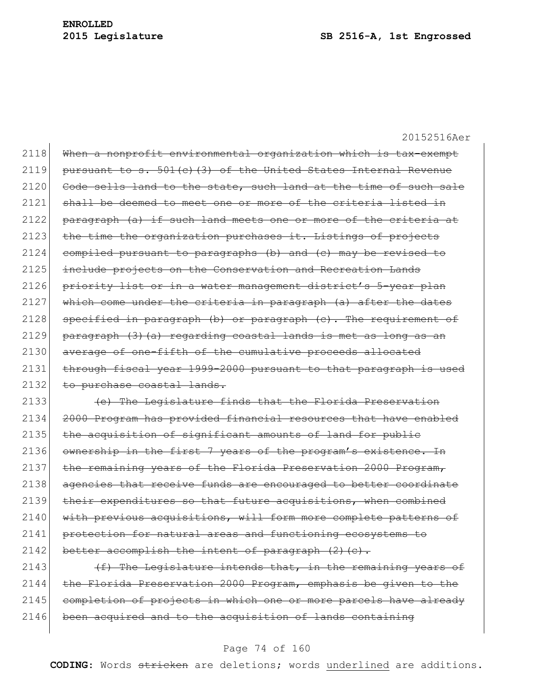2118 When a nonprofit environmental organization which is tax-exempt 2119 pursuant to s.  $501(c)$  (3) of the United States Internal Revenue 2120 Code sells land to the state, such land at the time of such sale 2121 shall be deemed to meet one or more of the criteria listed in 2122 paragraph (a) if such land meets one or more of the criteria at  $2123$  the time the organization purchases it. Listings of projects  $2124$  compiled pursuant to paragraphs (b) and (c) may be revised to 2125 include projects on the Conservation and Recreation Lands 2126 priority list or in a water management district's 5-year plan  $2127$  which come under the criteria in paragraph (a) after the dates 2128 specified in paragraph (b) or paragraph (c). The requirement of 2129 paragraph (3)(a) regarding coastal lands is met as long as an 2130 average of one-fifth of the cumulative proceeds allocated 2131 through fiscal year 1999-2000 pursuant to that paragraph is used 2132 to purchase coastal lands. 2133 (e) The Legislature finds that the Florida Preservation

2134 2000 Program has provided financial resources that have enabled 2135 the acquisition of significant amounts of land for public 2136 ownership in the first 7 years of the program's existence. In 2137 the remaining years of the Florida Preservation 2000 Program, 2138 agencies that receive funds are encouraged to better coordinate 2139 their expenditures so that future acquisitions, when combined 2140 with previous acquisitions, will form more complete patterns of 2141 protection for natural areas and functioning ecosystems to 2142 better accomplish the intent of paragraph  $(2)$  (c).

2143  $(f)$  The Legislature intends that, in the remaining years of 2144 the Florida Preservation 2000 Program, emphasis be given to the 2145 completion of projects in which one or more parcels have already  $2146$  been acquired and to the acquisition of lands containing

### Page 74 of 160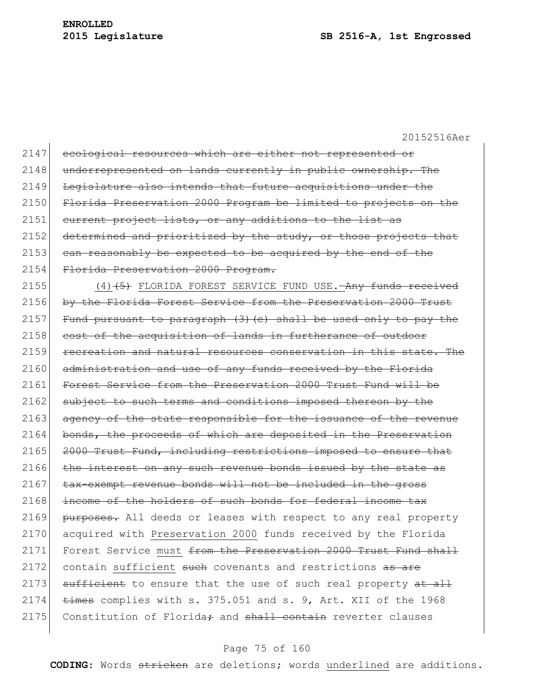| 2147 | ecological resources which are either not represented or             |
|------|----------------------------------------------------------------------|
| 2148 | underrepresented on lands currently in public ownership. The         |
| 2149 | Legislature also intends that future acquisitions under the          |
| 2150 | Florida Preservation 2000 Program be limited to projects on the      |
| 2151 | eurrent project lists, or any additions to the list as               |
| 2152 | determined and prioritized by the study, or those projects that      |
| 2153 | can reasonably be expected to be acquired by the end of the          |
| 2154 | Florida Preservation 2000 Program.                                   |
| 2155 | $(4)$ (4) (5) FLORIDA FOREST SERVICE FUND USE. $-Any$ funds received |
| 2156 | by the Florida Forest Service from the Preservation 2000 Trust       |
| 2157 | Fund pursuant to paragraph (3) (e) shall be used only to pay the     |
| 2158 | cost of the acquisition of lands in furtherance of outdoor           |
| 2159 | recreation and natural resources conservation in this state. The     |
| 2160 | administration and use of any funds received by the Florida          |
| 2161 | Forest Service from the Preservation 2000 Trust Fund will be         |
| 2162 | subject to such terms and conditions imposed thereon by the          |
| 2163 | agency of the state responsible for the issuance of the revenue      |
| 2164 | bonds, the proceeds of which are deposited in the Preservation       |
| 2165 | 2000 Trust Fund, including restrictions imposed to ensure that       |
| 2166 | the interest on any such revenue bonds issued by the state as        |
| 2167 | tax-exempt revenue bonds will not be included in the gross           |
| 2168 | income of the holders of such bonds for federal income tax           |
| 2169 | purposes. All deeds or leases with respect to any real property      |
| 2170 | acquired with Preservation 2000 funds received by the Florida        |
| 2171 | Forest Service must from the Preservation 2000 Trust Fund shall      |
| 2172 | contain sufficient such covenants and restrictions as are            |
| 2173 | sufficient to ensure that the use of such real property at all       |
| 2174 | times complies with s. 375.051 and s. 9, Art. XII of the 1968        |
| 2175 | Constitution of Florida; and shall contain reverter clauses          |
|      |                                                                      |

# Page 75 of 160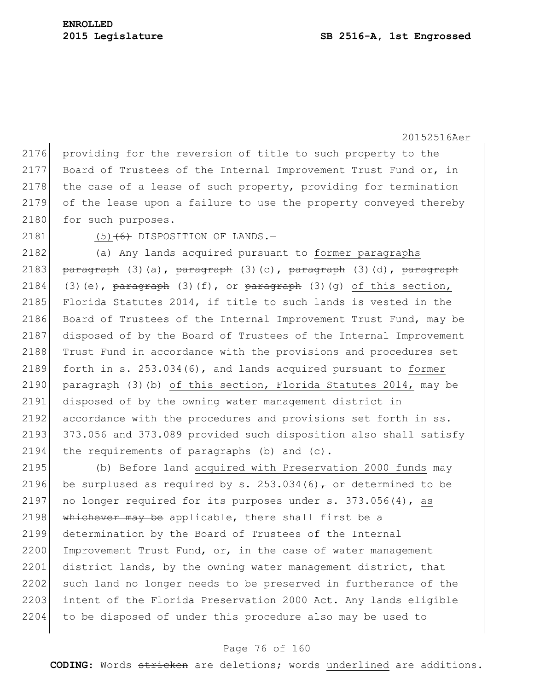2176 providing for the reversion of title to such property to the 2177 Board of Trustees of the Internal Improvement Trust Fund or, in 2178 the case of a lease of such property, providing for termination 2179 of the lease upon a failure to use the property conveyed thereby 2180 for such purposes.

 $2181$  (5)  $\left(6\right)$  DISPOSITION OF LANDS. -

2182 (a) Any lands acquired pursuant to former paragraphs 2183 paragraph (3)(a), paragraph (3)(c), paragraph (3)(d), paragraph 2184 (3)(e),  $\frac{1}{2}$  paragraph (3)(f), or  $\frac{1}{2}$  paragraph (3)(g) of this section, 2185 Florida Statutes 2014, if title to such lands is vested in the 2186 Board of Trustees of the Internal Improvement Trust Fund, may be 2187 disposed of by the Board of Trustees of the Internal Improvement 2188 Trust Fund in accordance with the provisions and procedures set 2189 forth in s. 253.034(6), and lands acquired pursuant to former 2190 paragraph (3)(b) of this section, Florida Statutes 2014, may be 2191 disposed of by the owning water management district in 2192 accordance with the procedures and provisions set forth in ss. 2193 373.056 and 373.089 provided such disposition also shall satisfy 2194 the requirements of paragraphs (b) and  $(c)$ .

2195 (b) Before land acquired with Preservation 2000 funds may 2196 be surplused as required by s. 253.034(6) $\tau$  or determined to be 2197 no longer required for its purposes under s.  $373.056(4)$ , as 2198 whichever may be applicable, there shall first be a 2199 determination by the Board of Trustees of the Internal  $2200$  Improvement Trust Fund, or, in the case of water management 2201 district lands, by the owning water management district, that 2202 such land no longer needs to be preserved in furtherance of the 2203 intent of the Florida Preservation 2000 Act. Any lands eligible 2204 to be disposed of under this procedure also may be used to

### Page 76 of 160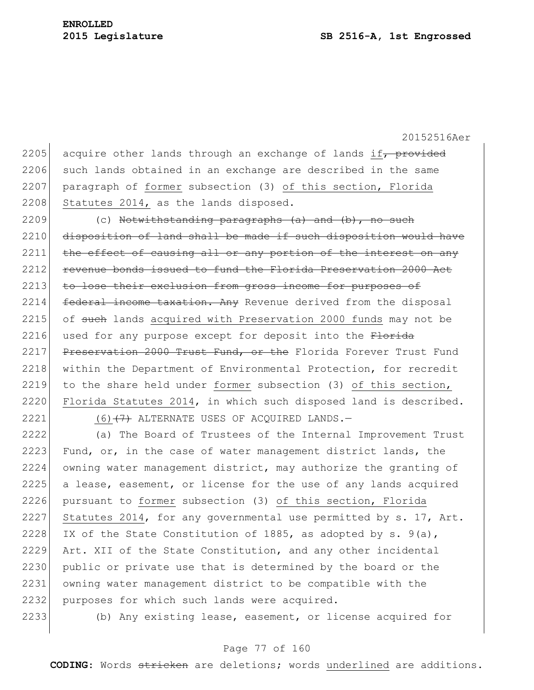2205 acquire other lands through an exchange of lands if, provided 2206 such lands obtained in an exchange are described in the same 2207 paragraph of former subsection (3) of this section, Florida 2208 Statutes 2014, as the lands disposed.  $2209$  (c) Notwithstanding paragraphs (a) and (b), no such 2210 disposition of land shall be made if such disposition would have 2211 the effect of causing all or any portion of the interest on any 2212 revenue bonds issued to fund the Florida Preservation 2000 Act 2213 to lose their exclusion from gross income for purposes of 2214 federal income taxation. Any Revenue derived from the disposal 2215 of such lands acquired with Preservation 2000 funds may not be 2216 used for any purpose except for deposit into the  $F$ -lorida 2217 Preservation 2000 Trust Fund, or the Florida Forever Trust Fund 2218 within the Department of Environmental Protection, for recredit 2219 to the share held under former subsection (3) of this section, 2220 Florida Statutes 2014, in which such disposed land is described. 2221 (6)  $\left(7\right)$  ALTERNATE USES OF ACQUIRED LANDS. 2222 (a) The Board of Trustees of the Internal Improvement Trust 2223 Fund, or, in the case of water management district lands, the 2224 owning water management district, may authorize the granting of 2225 a lease, easement, or license for the use of any lands acquired 2226 pursuant to former subsection (3) of this section, Florida 2227 Statutes 2014, for any governmental use permitted by s. 17, Art. 2228 IX of the State Constitution of 1885, as adopted by s.  $9(a)$ ,

2229 Art. XII of the State Constitution, and any other incidental 2230 public or private use that is determined by the board or the 2231 owning water management district to be compatible with the 2232 purposes for which such lands were acquired.

2233 (b) Any existing lease, easement, or license acquired for

### Page 77 of 160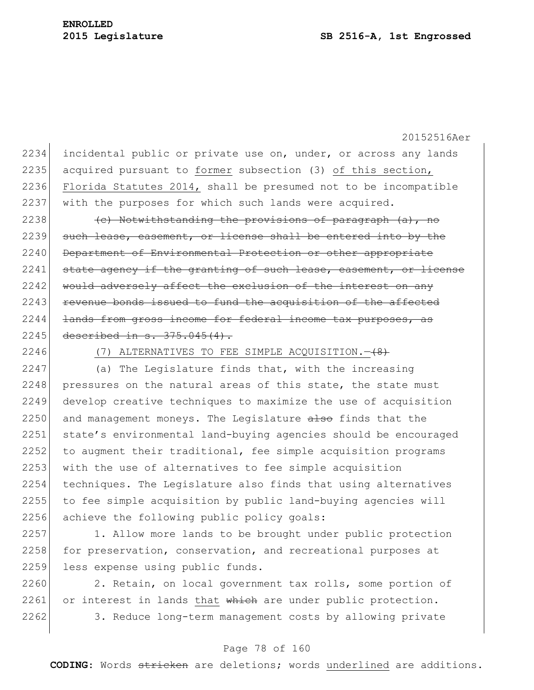2234 incidental public or private use on, under, or across any lands 2235 acquired pursuant to former subsection (3) of this section, 2236 Florida Statutes 2014, shall be presumed not to be incompatible 2237 with the purposes for which such lands were acquired. 2238  $\sim$  (c) Notwithstanding the provisions of paragraph (a), no 2239 such lease, easement, or license shall be entered into by the 2240 Department of Environmental Protection or other appropriate 2241 state agency if the granting of such lease, easement, or license 2242 would adversely affect the exclusion of the interest on any 2243 revenue bonds issued to fund the acquisition of the affected 2244 <del>lands from gross income for federal income tax purposes, as</del> 2245 described in s. 375.045(4). 2246 (7) ALTERNATIVES TO FEE SIMPLE ACQUISITION.  $2247$  (a) The Legislature finds that, with the increasing 2248 pressures on the natural areas of this state, the state must 2249 develop creative techniques to maximize the use of acquisition 2250 and management moneys. The Legislature  $\frac{1}{100}$  finds that the 2251 state's environmental land-buying agencies should be encouraged 2252 to augment their traditional, fee simple acquisition programs 2253 with the use of alternatives to fee simple acquisition 2254 techniques. The Legislature also finds that using alternatives 2255 to fee simple acquisition by public land-buying agencies will 2256 achieve the following public policy goals:

2257 1. Allow more lands to be brought under public protection 2258 for preservation, conservation, and recreational purposes at 2259 less expense using public funds.

2260 2. Retain, on local government tax rolls, some portion of  $2261$  or interest in lands that which are under public protection. 2262 3. Reduce long-term management costs by allowing private

### Page 78 of 160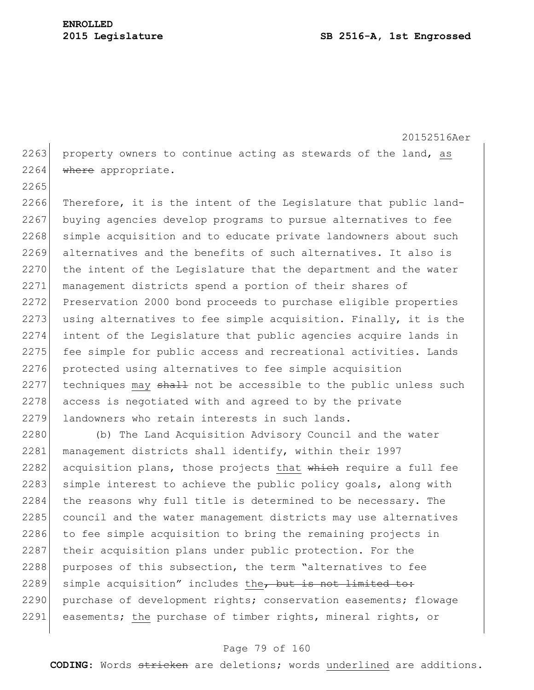2265

20152516Aer 2263 property owners to continue acting as stewards of the land, as 2264 where appropriate.

2266 Therefore, it is the intent of the Legislature that public land-2267 buying agencies develop programs to pursue alternatives to fee 2268 simple acquisition and to educate private landowners about such 2269 alternatives and the benefits of such alternatives. It also is 2270 the intent of the Legislature that the department and the water 2271 management districts spend a portion of their shares of 2272 Preservation 2000 bond proceeds to purchase eligible properties 2273 using alternatives to fee simple acquisition. Finally, it is the 2274 intent of the Legislature that public agencies acquire lands in 2275 fee simple for public access and recreational activities. Lands 2276 protected using alternatives to fee simple acquisition  $2277$  techniques may  $shall$  not be accessible to the public unless such 2278 access is negotiated with and agreed to by the private 2279 landowners who retain interests in such lands.

2280 (b) The Land Acquisition Advisory Council and the water 2281 management districts shall identify, within their 1997 2282 acquisition plans, those projects that  $\theta$  which require a full fee 2283 simple interest to achieve the public policy goals, along with 2284 the reasons why full title is determined to be necessary. The 2285 council and the water management districts may use alternatives 2286 to fee simple acquisition to bring the remaining projects in 2287 their acquisition plans under public protection. For the 2288 purposes of this subsection, the term "alternatives to fee  $2289$  simple acquisition" includes the, but is not limited to: 2290 purchase of development rights; conservation easements; flowage 2291 easements; the purchase of timber rights, mineral rights, or

### Page 79 of 160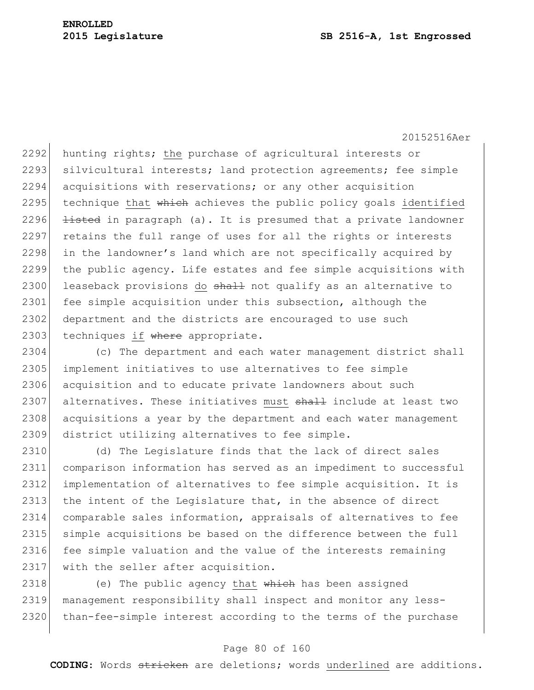2292 hunting rights; the purchase of agricultural interests or 2293 silvicultural interests; land protection agreements; fee simple 2294 acquisitions with reservations; or any other acquisition 2295 technique that  $\frac{1}{2}$  which achieves the public policy goals identified 2296  $\rightarrow$  listed in paragraph (a). It is presumed that a private landowner 2297 retains the full range of uses for all the rights or interests 2298 in the landowner's land which are not specifically acquired by 2299 the public agency. Life estates and fee simple acquisitions with 2300 leaseback provisions do  $shall$  not qualify as an alternative to 2301 fee simple acquisition under this subsection, although the 2302 department and the districts are encouraged to use such 2303 techniques if where appropriate.

2304 (c) The department and each water management district shall 2305 implement initiatives to use alternatives to fee simple 2306 acquisition and to educate private landowners about such 2307 alternatives. These initiatives must shall include at least two 2308 acquisitions a year by the department and each water management 2309 district utilizing alternatives to fee simple.

2310 (d) The Legislature finds that the lack of direct sales 2311 comparison information has served as an impediment to successful 2312 implementation of alternatives to fee simple acquisition. It is 2313 the intent of the Legislature that, in the absence of direct 2314 comparable sales information, appraisals of alternatives to fee 2315 simple acquisitions be based on the difference between the full 2316 fee simple valuation and the value of the interests remaining 2317 with the seller after acquisition.

2318 (e) The public agency that which has been assigned 2319 management responsibility shall inspect and monitor any less-2320 than-fee-simple interest according to the terms of the purchase

### Page 80 of 160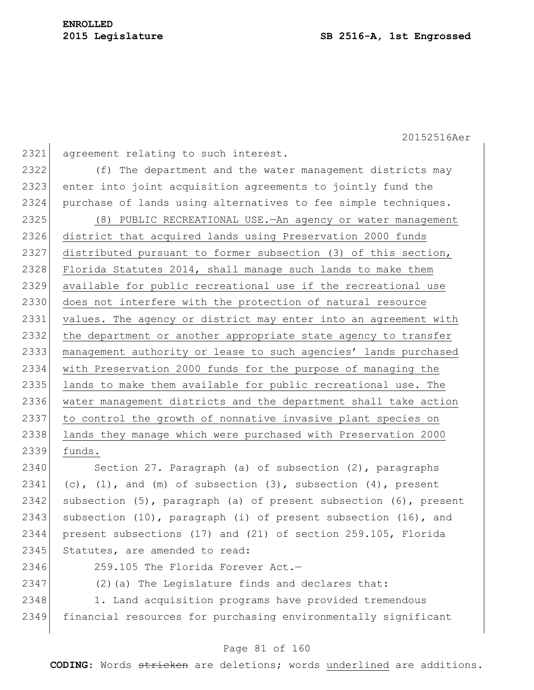2321 agreement relating to such interest. 2322 (f) The department and the water management districts may 2323 enter into joint acquisition agreements to jointly fund the 2324 purchase of lands using alternatives to fee simple techniques. 2325 (8) PUBLIC RECREATIONAL USE.—An agency or water management 2326 district that acquired lands using Preservation 2000 funds 2327 distributed pursuant to former subsection (3) of this section, 2328 Florida Statutes 2014, shall manage such lands to make them 2329 available for public recreational use if the recreational use 2330 does not interfere with the protection of natural resource 2331 values. The agency or district may enter into an agreement with 2332 the department or another appropriate state agency to transfer 2333 management authority or lease to such agencies' lands purchased 2334 with Preservation 2000 funds for the purpose of managing the 2335 lands to make them available for public recreational use. The 2336 water management districts and the department shall take action 2337 to control the growth of nonnative invasive plant species on 2338 lands they manage which were purchased with Preservation 2000 2339 funds. 2340 Section 27. Paragraph (a) of subsection (2), paragraphs 2341 (c), (1), and (m) of subsection  $(3)$ , subsection  $(4)$ , present 2342 subsection  $(5)$ , paragraph (a) of present subsection  $(6)$ , present

2343 subsection  $(10)$ , paragraph  $(i)$  of present subsection  $(16)$ , and 2344 present subsections (17) and (21) of section 259.105, Florida 2345 Statutes, are amended to read:

2346 259.105 The Florida Forever Act.—

2347 (2)(a) The Legislature finds and declares that:

2348 1. Land acquisition programs have provided tremendous 2349 financial resources for purchasing environmentally significant

### Page 81 of 160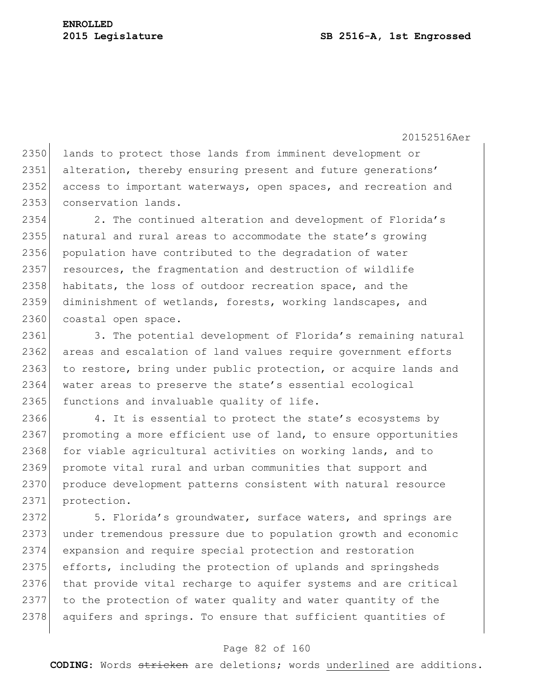2350 lands to protect those lands from imminent development or 2351 alteration, thereby ensuring present and future generations' 2352 access to important waterways, open spaces, and recreation and 2353 conservation lands.

2354 2. The continued alteration and development of Florida's 2355 natural and rural areas to accommodate the state's growing 2356 population have contributed to the degradation of water 2357 resources, the fragmentation and destruction of wildlife 2358 habitats, the loss of outdoor recreation space, and the 2359 diminishment of wetlands, forests, working landscapes, and 2360 coastal open space.

2361 3. The potential development of Florida's remaining natural 2362 areas and escalation of land values require government efforts 2363 to restore, bring under public protection, or acquire lands and 2364 water areas to preserve the state's essential ecological 2365 functions and invaluable quality of life.

2366 4. It is essential to protect the state's ecosystems by 2367 promoting a more efficient use of land, to ensure opportunities 2368 for viable agricultural activities on working lands, and to 2369 promote vital rural and urban communities that support and 2370 produce development patterns consistent with natural resource 2371 protection.

2372 5. Florida's groundwater, surface waters, and springs are 2373 under tremendous pressure due to population growth and economic 2374 expansion and require special protection and restoration 2375 efforts, including the protection of uplands and springsheds 2376 that provide vital recharge to aquifer systems and are critical 2377 to the protection of water quality and water quantity of the 2378 aquifers and springs. To ensure that sufficient quantities of

### Page 82 of 160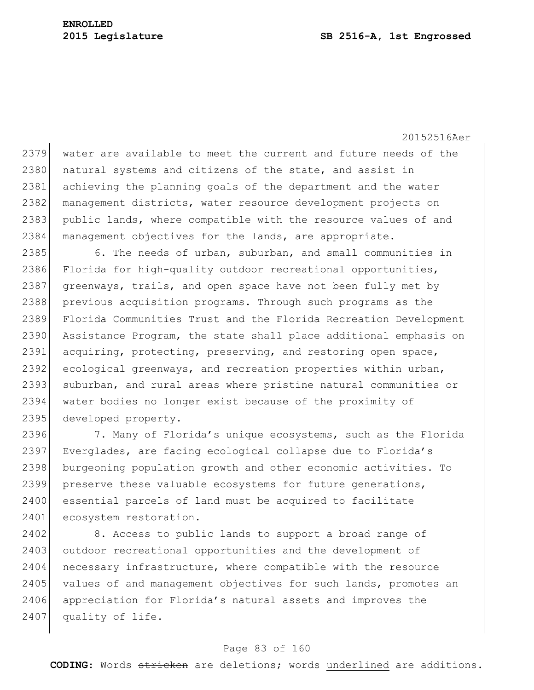2379 water are available to meet the current and future needs of the 2380 natural systems and citizens of the state, and assist in 2381 achieving the planning goals of the department and the water 2382 management districts, water resource development projects on 2383 public lands, where compatible with the resource values of and 2384 management objectives for the lands, are appropriate.

2385 6. The needs of urban, suburban, and small communities in 2386 Florida for high-quality outdoor recreational opportunities, 2387 greenways, trails, and open space have not been fully met by 2388 previous acquisition programs. Through such programs as the 2389 Florida Communities Trust and the Florida Recreation Development 2390 Assistance Program, the state shall place additional emphasis on 2391 acquiring, protecting, preserving, and restoring open space, 2392 ecological greenways, and recreation properties within urban, 2393 suburban, and rural areas where pristine natural communities or 2394 water bodies no longer exist because of the proximity of 2395 developed property.

2396 7. Many of Florida's unique ecosystems, such as the Florida 2397 Everglades, are facing ecological collapse due to Florida's 2398 burgeoning population growth and other economic activities. To 2399 preserve these valuable ecosystems for future generations, 2400 essential parcels of land must be acquired to facilitate 2401 ecosystem restoration.

2402 8. Access to public lands to support a broad range of 2403 outdoor recreational opportunities and the development of 2404 necessary infrastructure, where compatible with the resource 2405 values of and management objectives for such lands, promotes an 2406 appreciation for Florida's natural assets and improves the 2407 quality of life.

### Page 83 of 160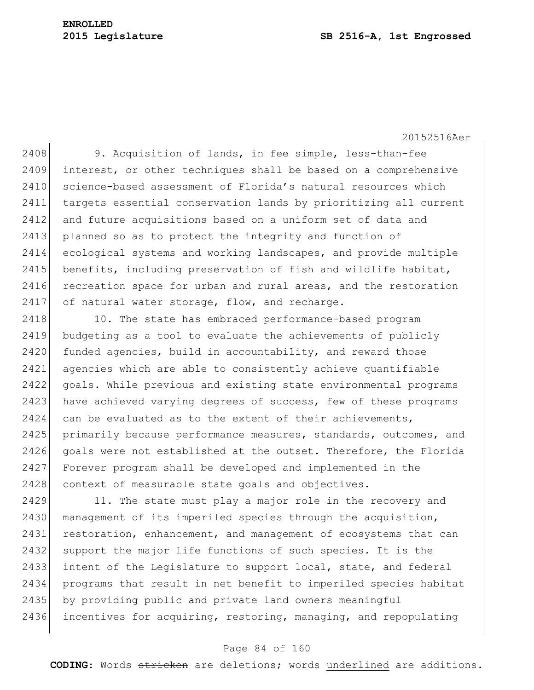### **2015 Legislature SB 2516-A, 1st Engrossed**

20152516Aer

2408 9. Acquisition of lands, in fee simple, less-than-fee 2409 interest, or other techniques shall be based on a comprehensive 2410 science-based assessment of Florida's natural resources which 2411 targets essential conservation lands by prioritizing all current 2412 and future acquisitions based on a uniform set of data and 2413 planned so as to protect the integrity and function of 2414 ecological systems and working landscapes, and provide multiple 2415 benefits, including preservation of fish and wildlife habitat, 2416 recreation space for urban and rural areas, and the restoration  $2417$  of natural water storage, flow, and recharge.

2418 10. The state has embraced performance-based program 2419 budgeting as a tool to evaluate the achievements of publicly 2420 funded agencies, build in accountability, and reward those 2421 agencies which are able to consistently achieve quantifiable 2422 goals. While previous and existing state environmental programs 2423 have achieved varying degrees of success, few of these programs  $2424$  can be evaluated as to the extent of their achievements, 2425 primarily because performance measures, standards, outcomes, and 2426 goals were not established at the outset. Therefore, the Florida 2427 Forever program shall be developed and implemented in the 2428 context of measurable state goals and objectives.

2429 11. The state must play a major role in the recovery and 2430 management of its imperiled species through the acquisition, 2431 restoration, enhancement, and management of ecosystems that can 2432 support the major life functions of such species. It is the 2433 intent of the Legislature to support local, state, and federal 2434 programs that result in net benefit to imperiled species habitat 2435 by providing public and private land owners meaningful 2436 incentives for acquiring, restoring, managing, and repopulating

### Page 84 of 160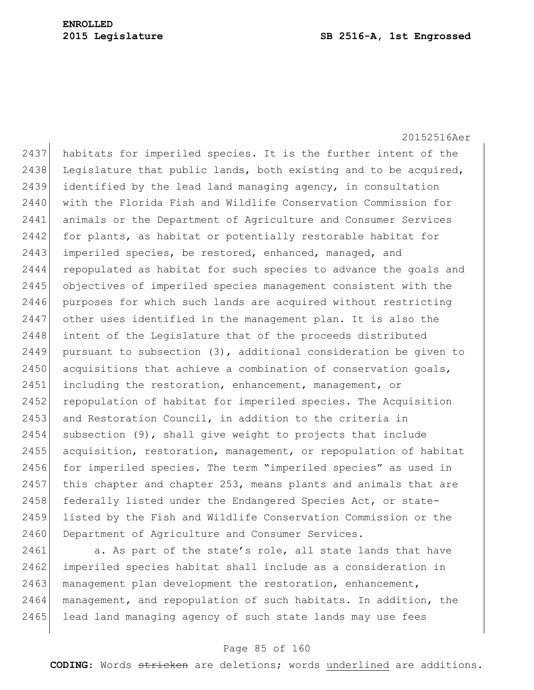2437 habitats for imperiled species. It is the further intent of the 2438 Legislature that public lands, both existing and to be acquired, 2439 identified by the lead land managing agency, in consultation 2440 with the Florida Fish and Wildlife Conservation Commission for 2441 animals or the Department of Agriculture and Consumer Services 2442 for plants, as habitat or potentially restorable habitat for 2443 imperiled species, be restored, enhanced, managed, and 2444 repopulated as habitat for such species to advance the goals and 2445 objectives of imperiled species management consistent with the 2446 purposes for which such lands are acquired without restricting 2447 other uses identified in the management plan. It is also the 2448 intent of the Legislature that of the proceeds distributed 2449 pursuant to subsection  $(3)$ , additional consideration be given to 2450 acquisitions that achieve a combination of conservation goals, 2451 including the restoration, enhancement, management, or 2452 repopulation of habitat for imperiled species. The Acquisition  $2453$  and Restoration Council, in addition to the criteria in 2454 subsection (9), shall give weight to projects that include 2455 acquisition, restoration, management, or repopulation of habitat 2456 for imperiled species. The term "imperiled species" as used in  $2457$  this chapter and chapter 253, means plants and animals that are 2458 federally listed under the Endangered Species Act, or state-2459 listed by the Fish and Wildlife Conservation Commission or the 2460 Department of Agriculture and Consumer Services.

2461 a. As part of the state's role, all state lands that have 2462 imperiled species habitat shall include as a consideration in 2463 management plan development the restoration, enhancement, 2464 management, and repopulation of such habitats. In addition, the 2465 lead land managing agency of such state lands may use fees

### Page 85 of 160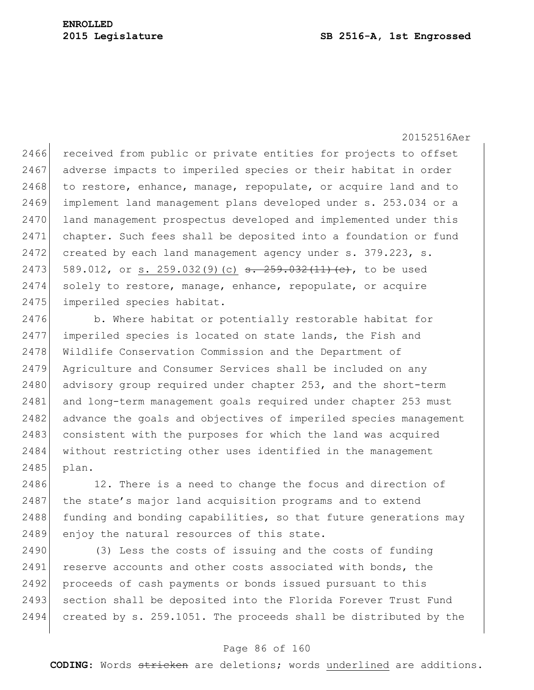2466 received from public or private entities for projects to offset 2467 adverse impacts to imperiled species or their habitat in order 2468 to restore, enhance, manage, repopulate, or acquire land and to 2469 implement land management plans developed under s. 253.034 or a 2470 land management prospectus developed and implemented under this 2471 chapter. Such fees shall be deposited into a foundation or fund  $2472$  created by each land management agency under s. 379.223, s. 2473 589.012, or s. 259.032(9)(c)  $\frac{1}{1}$   $\frac{1}{2}$   $\frac{1}{2}$   $\frac{1}{2}$   $\frac{1}{2}$   $\frac{1}{2}$   $\frac{1}{2}$  to be used 2474 solely to restore, manage, enhance, repopulate, or acquire 2475 imperiled species habitat.

2476 b. Where habitat or potentially restorable habitat for 2477 imperiled species is located on state lands, the Fish and 2478 Wildlife Conservation Commission and the Department of 2479 Agriculture and Consumer Services shall be included on any 2480 advisory group required under chapter 253, and the short-term 2481 and long-term management goals required under chapter 253 must 2482 advance the goals and objectives of imperiled species management 2483 consistent with the purposes for which the land was acquired 2484 without restricting other uses identified in the management 2485 plan.

2486 12. There is a need to change the focus and direction of 2487 the state's major land acquisition programs and to extend  $2488$  funding and bonding capabilities, so that future generations may 2489 enjoy the natural resources of this state.

2490 (3) Less the costs of issuing and the costs of funding 2491 reserve accounts and other costs associated with bonds, the 2492 proceeds of cash payments or bonds issued pursuant to this 2493 section shall be deposited into the Florida Forever Trust Fund 2494 created by s. 259.1051. The proceeds shall be distributed by the

### Page 86 of 160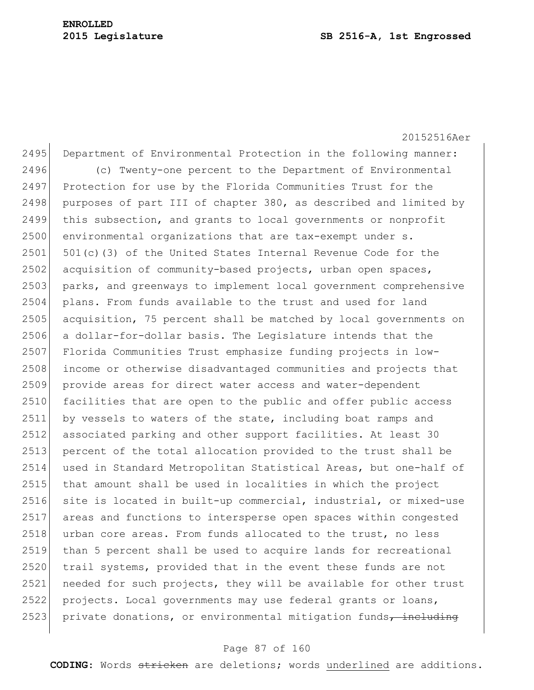20152516Aer 2495 Department of Environmental Protection in the following manner: 2496 (c) Twenty-one percent to the Department of Environmental 2497 Protection for use by the Florida Communities Trust for the 2498 purposes of part III of chapter 380, as described and limited by 2499 this subsection, and grants to local governments or nonprofit 2500 environmental organizations that are tax-exempt under s.  $2501$  501(c)(3) of the United States Internal Revenue Code for the  $2502$  acquisition of community-based projects, urban open spaces, 2503 parks, and greenways to implement local government comprehensive 2504 plans. From funds available to the trust and used for land 2505 acquisition, 75 percent shall be matched by local governments on 2506 a dollar-for-dollar basis. The Legislature intends that the 2507 Florida Communities Trust emphasize funding projects in low-2508 income or otherwise disadvantaged communities and projects that 2509 provide areas for direct water access and water-dependent 2510 facilities that are open to the public and offer public access 2511 by vessels to waters of the state, including boat ramps and 2512 associated parking and other support facilities. At least 30 2513 percent of the total allocation provided to the trust shall be 2514 used in Standard Metropolitan Statistical Areas, but one-half of 2515 that amount shall be used in localities in which the project 2516 site is located in built-up commercial, industrial, or mixed-use 2517 areas and functions to intersperse open spaces within congested 2518 urban core areas. From funds allocated to the trust, no less 2519 than 5 percent shall be used to acquire lands for recreational 2520 trail systems, provided that in the event these funds are not 2521 needed for such projects, they will be available for other trust 2522 projects. Local governments may use federal grants or loans, 2523 private donations, or environmental mitigation funds, including

### Page 87 of 160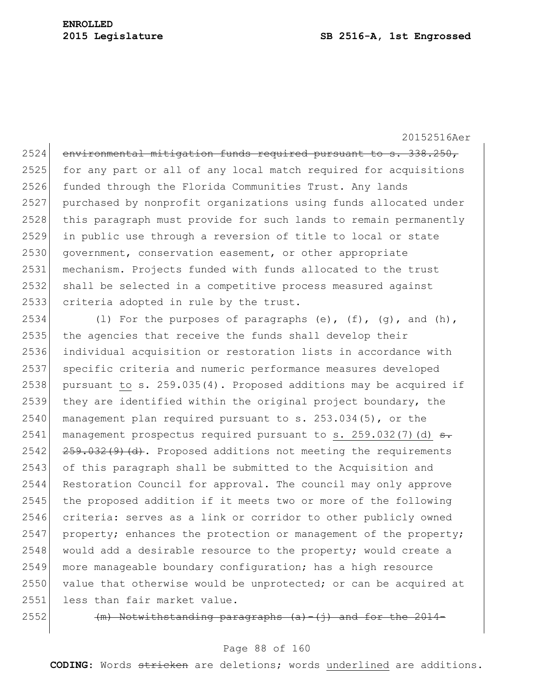2524 environmental mitigation funds required pursuant to s. 338.250, 2525 for any part or all of any local match required for acquisitions 2526 funded through the Florida Communities Trust. Any lands 2527 purchased by nonprofit organizations using funds allocated under 2528 this paragraph must provide for such lands to remain permanently 2529 in public use through a reversion of title to local or state 2530 government, conservation easement, or other appropriate 2531 mechanism. Projects funded with funds allocated to the trust 2532 shall be selected in a competitive process measured against 2533 criteria adopted in rule by the trust.

2534 (1) For the purposes of paragraphs  $(e)$ ,  $(f)$ ,  $(g)$ , and  $(h)$ , 2535 the agencies that receive the funds shall develop their 2536 individual acquisition or restoration lists in accordance with 2537 specific criteria and numeric performance measures developed 2538 pursuant to s.  $259.035(4)$ . Proposed additions may be acquired if 2539 they are identified within the original project boundary, the 2540 management plan required pursuant to  $s. 253.034(5)$ , or the 2541 management prospectus required pursuant to s. 259.032(7)(d)  $\epsilon$ .  $2542$   $259.032(9)$   $(d)$ . Proposed additions not meeting the requirements 2543 of this paragraph shall be submitted to the Acquisition and 2544 Restoration Council for approval. The council may only approve 2545 the proposed addition if it meets two or more of the following 2546 criteria: serves as a link or corridor to other publicly owned 2547 property; enhances the protection or management of the property;  $2548$  would add a desirable resource to the property; would create a 2549 more manageable boundary configuration; has a high resource 2550 value that otherwise would be unprotected; or can be acquired at 2551 less than fair market value.

 $2552$  (m) Notwithstanding paragraphs (a)-(j) and for

### Page 88 of 160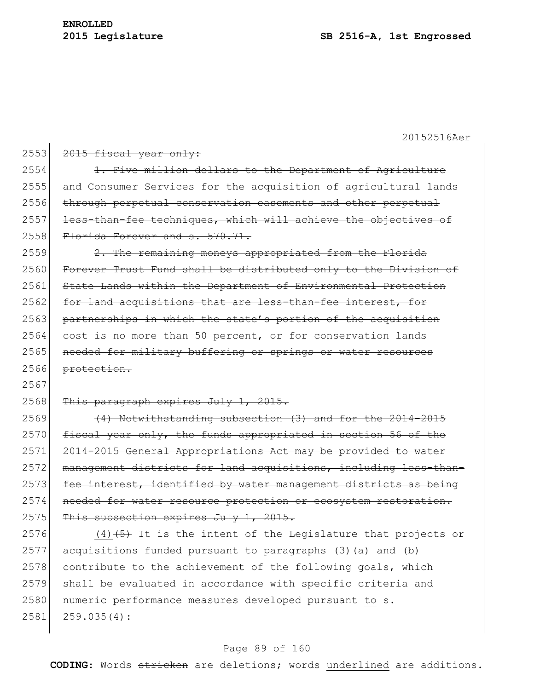| 2553 | 2015 fiscal year only:                                                 |
|------|------------------------------------------------------------------------|
| 2554 | 1. Five million dollars to the Department of Agriculture               |
| 2555 | and Consumer Services for the acquisition of agricultural lands        |
| 2556 | through perpetual conservation easements and other perpetual           |
| 2557 | less-than-fee techniques, which will achieve the objectives of         |
| 2558 | Florida Forever and s. 570.71.                                         |
| 2559 | 2. The remaining moneys appropriated from the Florida                  |
| 2560 | Forever Trust Fund shall be distributed only to the Division of        |
| 2561 | State Lands within the Department of Environmental Protection          |
| 2562 | for land acquisitions that are less-than-fee interest, for             |
| 2563 | partnerships in which the state's portion of the acquisition           |
| 2564 | cost is no more than 50 percent, or for conservation lands             |
| 2565 | needed for military buffering or springs or water resources            |
| 2566 | protection.                                                            |
| 2567 |                                                                        |
|      |                                                                        |
| 2568 | This paragraph expires July 1, 2015.                                   |
| 2569 | (4) Notwithstanding subsection (3) and for the 2014-2015               |
| 2570 | fiscal year only, the funds appropriated in section 56 of the          |
| 2571 | 2014-2015 General Appropriations Act may be provided to water          |
| 2572 | management districts for land acquisitions, including less-than-       |
| 2573 | fee interest, identified by water management districts as being        |
| 2574 | needed for water resource protection or ecosystem restoration.         |
| 2575 | This subsection expires July 1, 2015.                                  |
| 2576 | $(4)$ $(4)$ $(5)$ It is the intent of the Legislature that projects or |
| 2577 | acquisitions funded pursuant to paragraphs (3)(a) and (b)              |
| 2578 | contribute to the achievement of the following goals, which            |
| 2579 | shall be evaluated in accordance with specific criteria and            |
| 2580 | numeric performance measures developed pursuant to s.                  |
| 2581 | 259.035(4):                                                            |

# Page 89 of 160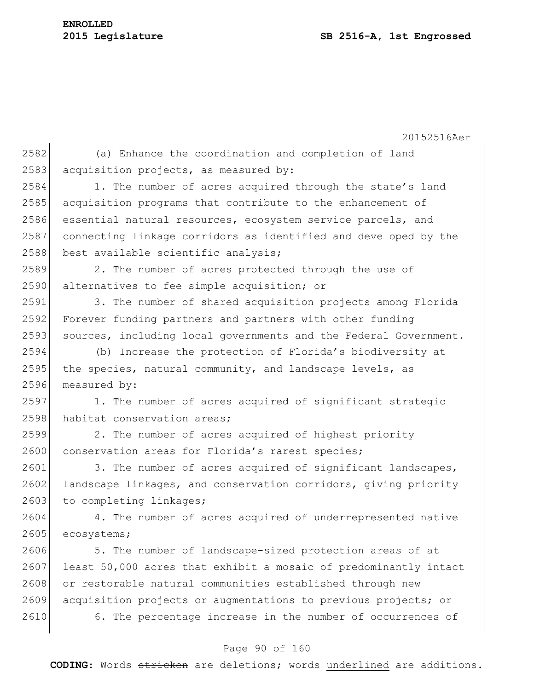20152516Aer 2582 (a) Enhance the coordination and completion of land 2583 acquisition projects, as measured by: 2584 1. The number of acres acquired through the state's land 2585 acquisition programs that contribute to the enhancement of 2586 essential natural resources, ecosystem service parcels, and 2587 connecting linkage corridors as identified and developed by the 2588 best available scientific analysis; 2589 2. The number of acres protected through the use of 2590 alternatives to fee simple acquisition; or 2591 3. The number of shared acquisition projects among Florida 2592 Forever funding partners and partners with other funding 2593 sources, including local governments and the Federal Government. 2594 (b) Increase the protection of Florida's biodiversity at 2595 the species, natural community, and landscape levels, as 2596 measured by: 2597 1. The number of acres acquired of significant strategic 2598 habitat conservation areas; 2599 2. The number of acres acquired of highest priority 2600 conservation areas for Florida's rarest species; 2601 3. The number of acres acquired of significant landscapes, 2602 landscape linkages, and conservation corridors, giving priority 2603 to completing linkages; 2604 4. The number of acres acquired of underrepresented native 2605 ecosystems; 2606 5. The number of landscape-sized protection areas of at 2607 least 50,000 acres that exhibit a mosaic of predominantly intact 2608 or restorable natural communities established through new 2609 acquisition projects or augmentations to previous projects; or 2610 6. The percentage increase in the number of occurrences of

### Page 90 of 160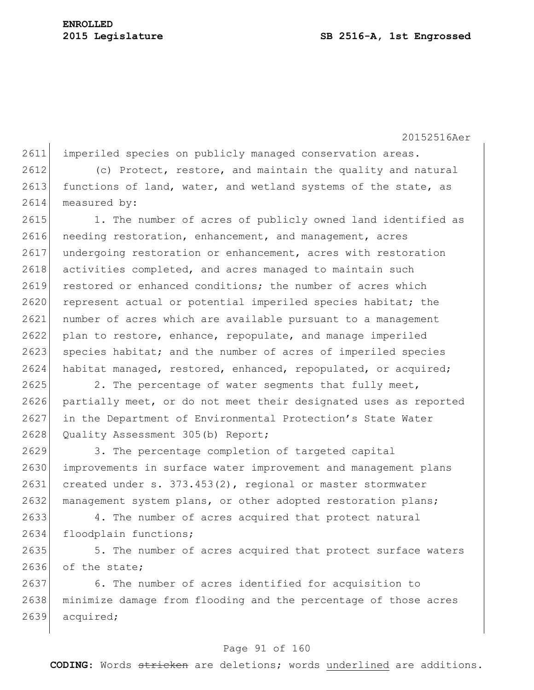2611 imperiled species on publicly managed conservation areas.

2612 (c) Protect, restore, and maintain the quality and natural 2613 functions of land, water, and wetland systems of the state, as 2614 measured by:

2615 1. The number of acres of publicly owned land identified as 2616 needing restoration, enhancement, and management, acres 2617 undergoing restoration or enhancement, acres with restoration 2618 activities completed, and acres managed to maintain such 2619 restored or enhanced conditions; the number of acres which 2620 represent actual or potential imperiled species habitat; the 2621 number of acres which are available pursuant to a management 2622 plan to restore, enhance, repopulate, and manage imperiled 2623 species habitat; and the number of acres of imperiled species 2624 habitat managed, restored, enhanced, repopulated, or acquired;

2625 2. The percentage of water segments that fully meet, 2626 partially meet, or do not meet their designated uses as reported 2627 in the Department of Environmental Protection's State Water 2628 Quality Assessment 305 (b) Report;

 3. The percentage completion of targeted capital improvements in surface water improvement and management plans created under s. 373.453(2), regional or master stormwater 2632 management system plans, or other adopted restoration plans;

2633 4. The number of acres acquired that protect natural 2634 floodplain functions;

2635 5. The number of acres acquired that protect surface waters 2636 of the state;

2637 6. The number of acres identified for acquisition to 2638 minimize damage from flooding and the percentage of those acres 2639 acquired;

### Page 91 of 160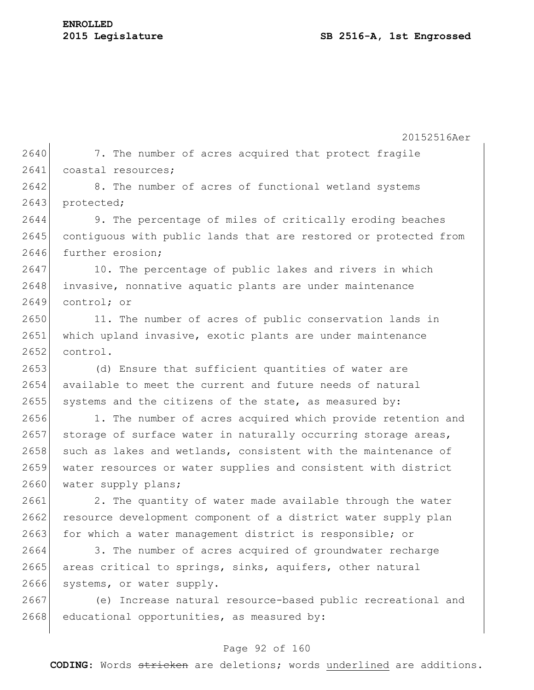20152516Aer 2640 7. The number of acres acquired that protect fragile 2641 coastal resources; 2642 8. The number of acres of functional wetland systems 2643 protected; 2644 9. The percentage of miles of critically eroding beaches 2645 contiguous with public lands that are restored or protected from 2646 further erosion: 2647 10. The percentage of public lakes and rivers in which 2648 invasive, nonnative aquatic plants are under maintenance 2649 control; or 2650 11. The number of acres of public conservation lands in 2651 which upland invasive, exotic plants are under maintenance  $2652$  control. 2653 (d) Ensure that sufficient quantities of water are 2654 available to meet the current and future needs of natural 2655 systems and the citizens of the state, as measured by: 2656 1. The number of acres acquired which provide retention and 2657 storage of surface water in naturally occurring storage areas, 2658 such as lakes and wetlands, consistent with the maintenance of 2659 water resources or water supplies and consistent with district 2660 water supply plans; 2661 2. The quantity of water made available through the water 2662 resource development component of a district water supply plan 2663 for which a water management district is responsible; or 2664 3. The number of acres acquired of groundwater recharge 2665 areas critical to springs, sinks, aquifers, other natural 2666 systems, or water supply. 2667 (e) Increase natural resource-based public recreational and  $2668$  educational opportunities, as measured by:

### Page 92 of 160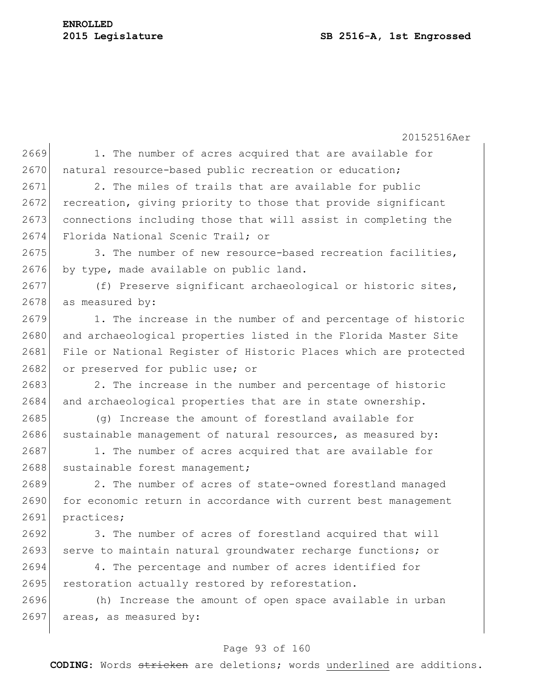20152516Aer Page 93 of 160 2669 1. The number of acres acquired that are available for 2670 natural resource-based public recreation or education; 2671 2. The miles of trails that are available for public 2672 recreation, giving priority to those that provide significant 2673 connections including those that will assist in completing the 2674 Florida National Scenic Trail; or 2675 3. The number of new resource-based recreation facilities, 2676 by type, made available on public land. 2677 (f) Preserve significant archaeological or historic sites, 2678 as measured by:  $2679$  1. The increase in the number of and percentage of historic 2680 and archaeological properties listed in the Florida Master Site 2681 File or National Register of Historic Places which are protected 2682 or preserved for public use; or 2683 2. The increase in the number and percentage of historic 2684 and archaeological properties that are in state ownership. 2685 (g) Increase the amount of forestland available for  $2686$  sustainable management of natural resources, as measured by: 2687 1. The number of acres acquired that are available for 2688 sustainable forest management; 2689 2. The number of acres of state-owned forestland managed 2690 for economic return in accordance with current best management 2691 practices; 2692 3. The number of acres of forestland acquired that will 2693 serve to maintain natural groundwater recharge functions; or 2694 4. The percentage and number of acres identified for 2695 restoration actually restored by reforestation. 2696 (h) Increase the amount of open space available in urban 2697 areas, as measured by: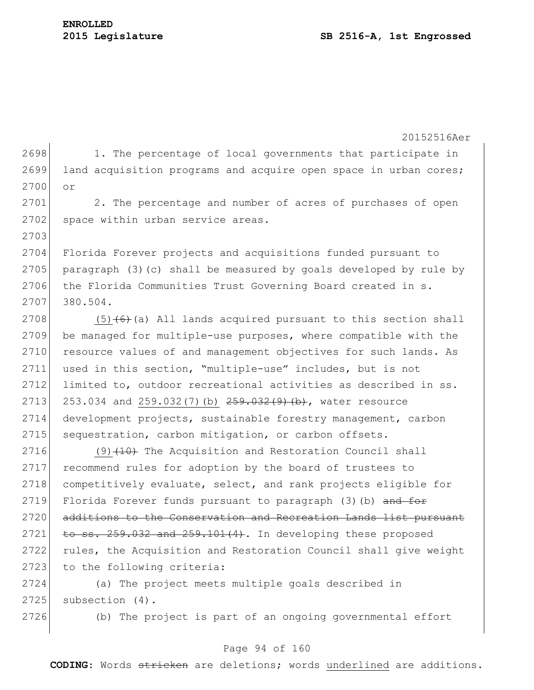2703

20152516Aer

 $2698$  1. The percentage of local governments that participate in 2699 land acquisition programs and acquire open space in urban cores; 2700 or

2701 2. The percentage and number of acres of purchases of open 2702 space within urban service areas.

2704 Florida Forever projects and acquisitions funded pursuant to 2705 paragraph (3)(c) shall be measured by goals developed by rule by 2706 the Florida Communities Trust Governing Board created in s. 2707 380.504.

2708  $(5)$  (6)(a) All lands acquired pursuant to this section shall 2709 be managed for multiple-use purposes, where compatible with the 2710 resource values of and management objectives for such lands. As 2711 used in this section, "multiple-use" includes, but is not 2712 limited to, outdoor recreational activities as described in ss. 2713 253.034 and 259.032(7)(b) 259.032(9)(b), water resource 2714 development projects, sustainable forestry management, carbon 2715 | sequestration, carbon mitigation, or carbon offsets.

 $2716$  (9)  $\left(10\right)$  The Acquisition and Restoration Council shall 2717 recommend rules for adoption by the board of trustees to 2718 competitively evaluate, select, and rank projects eligible for 2719 Florida Forever funds pursuant to paragraph  $(3)$  (b) and for 2720 additions to the Conservation and Recreation Lands list pursuant  $2721$  to ss.  $259.032$  and  $259.101(4)$ . In developing these proposed 2722 rules, the Acquisition and Restoration Council shall give weight 2723 to the following criteria:

2724 (a) The project meets multiple goals described in  $2725$  subsection  $(4)$ .

2726 (b) The project is part of an ongoing governmental effort

### Page 94 of 160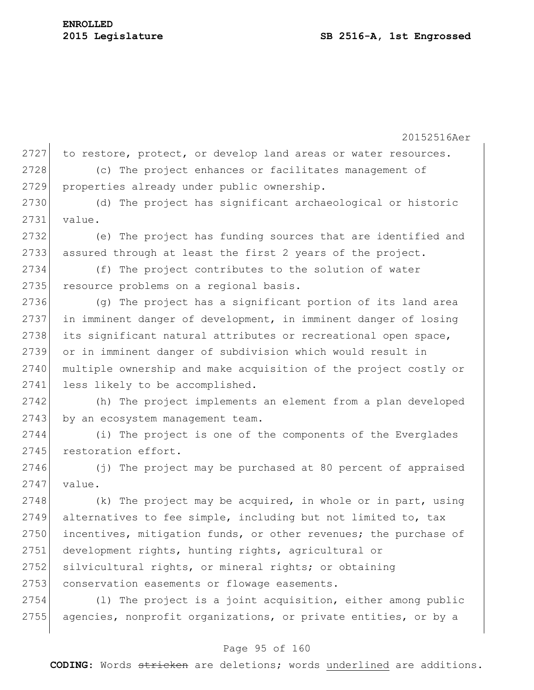20152516Aer 2727 to restore, protect, or develop land areas or water resources. 2728 (c) The project enhances or facilitates management of 2729 properties already under public ownership. 2730 (d) The project has significant archaeological or historic 2731 value. 2732 (e) The project has funding sources that are identified and 2733 assured through at least the first 2 years of the project. 2734 (f) The project contributes to the solution of water 2735 resource problems on a regional basis. 2736 (g) The project has a significant portion of its land area 2737 in imminent danger of development, in imminent danger of losing 2738 its significant natural attributes or recreational open space, 2739 or in imminent danger of subdivision which would result in 2740 multiple ownership and make acquisition of the project costly or 2741 less likely to be accomplished. 2742 (h) The project implements an element from a plan developed 2743 by an ecosystem management team. 2744 (i) The project is one of the components of the Everglades 2745 restoration effort. 2746 (j) The project may be purchased at 80 percent of appraised  $2747$  value. 2748 (k) The project may be acquired, in whole or in part, using 2749 alternatives to fee simple, including but not limited to, tax 2750 incentives, mitigation funds, or other revenues; the purchase of 2751 development rights, hunting rights, agricultural or 2752 silvicultural rights, or mineral rights; or obtaining 2753 conservation easements or flowage easements.  $2754$  (1) The project is a joint acquisition, either among public 2755 agencies, nonprofit organizations, or private entities, or by a

### Page 95 of 160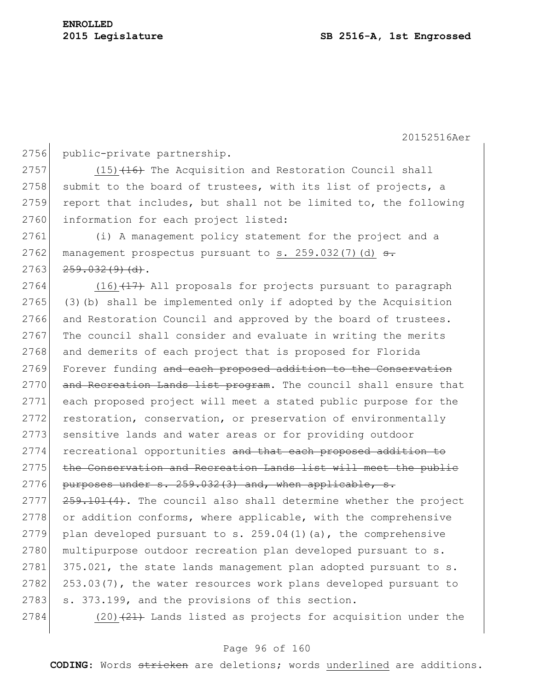2756 public-private partnership.

 $2757$  (15) $\left(16\right)$  The Acquisition and Restoration Council shall 2758 submit to the board of trustees, with its list of projects, a 2759 report that includes, but shall not be limited to, the following 2760 information for each project listed:

2761 (i) A management policy statement for the project and a 2762 management prospectus pursuant to s.  $259.032(7)(d)$  s.  $2763$   $259.032(9)(d)$ .

 $2764$  (16) $\overline{47}$  All proposals for projects pursuant to paragraph 2765 (3)(b) shall be implemented only if adopted by the Acquisition 2766 and Restoration Council and approved by the board of trustees. 2767 The council shall consider and evaluate in writing the merits 2768 and demerits of each project that is proposed for Florida 2769 Forever funding and each proposed addition to the Conservation 2770 and Recreation Lands list program. The council shall ensure that 2771 each proposed project will meet a stated public purpose for the 2772 restoration, conservation, or preservation of environmentally 2773 sensitive lands and water areas or for providing outdoor 2774 recreational opportunities and that each proposed addition to 2775 | the Conservation and Recreation Lands list will meet the public 2776 purposes under  $s. 259.032(3)$  and, when applicable,  $s.$  $2777$   $259.101(4)$ . The council also shall determine whether the project 2778 or addition conforms, where applicable, with the comprehensive 2779 plan developed pursuant to s.  $259.04(1)(a)$ , the comprehensive 2780 | multipurpose outdoor recreation plan developed pursuant to s.  $2781$  375.021, the state lands management plan adopted pursuant to s.  $2782$  253.03(7), the water resources work plans developed pursuant to  $2783$  s.  $373.199$ , and the provisions of this section.

2784 (20) $(21)$  Lands listed as projects for acquisition under the

### Page 96 of 160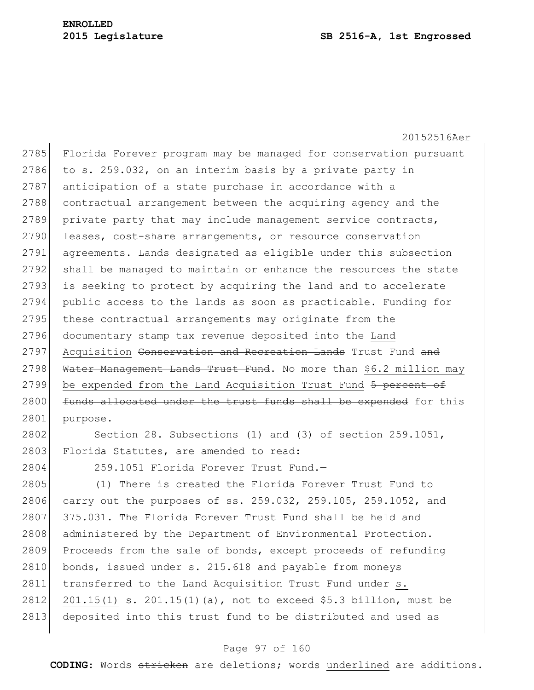20152516Aer 2785 Florida Forever program may be managed for conservation pursuant 2786 to s. 259.032, on an interim basis by a private party in 2787 anticipation of a state purchase in accordance with a 2788 contractual arrangement between the acquiring agency and the 2789 private party that may include management service contracts, 2790 leases, cost-share arrangements, or resource conservation 2791 agreements. Lands designated as eligible under this subsection 2792 shall be managed to maintain or enhance the resources the state 2793 is seeking to protect by acquiring the land and to accelerate 2794 public access to the lands as soon as practicable. Funding for 2795 these contractual arrangements may originate from the 2796 documentary stamp tax revenue deposited into the Land 2797 Acquisition Conservation and Recreation Lands Trust Fund and 2798 Water Management Lands Trust Fund. No more than \$6.2 million may 2799 be expended from the Land Acquisition Trust Fund 5 percent of 2800 funds allocated under the trust funds shall be expended for this 2801 purpose.

2802 Section 28. Subsections (1) and (3) of section 259.1051, 2803 Florida Statutes, are amended to read:

2804 259.1051 Florida Forever Trust Fund.—

2805 (1) There is created the Florida Forever Trust Fund to 2806 carry out the purposes of ss. 259.032, 259.105, 259.1052, and  $2807$  375.031. The Florida Forever Trust Fund shall be held and 2808 administered by the Department of Environmental Protection. 2809 Proceeds from the sale of bonds, except proceeds of refunding 2810 bonds, issued under s. 215.618 and payable from moneys 2811 transferred to the Land Acquisition Trust Fund under s. 2812 201.15(1)  $\frac{1}{2}$ ,  $\frac{201.15(1)}{1}$ ,  $\frac{201.15(1)}{1}$  (a), not to exceed \$5.3 billion, must be 2813 deposited into this trust fund to be distributed and used as

### Page 97 of 160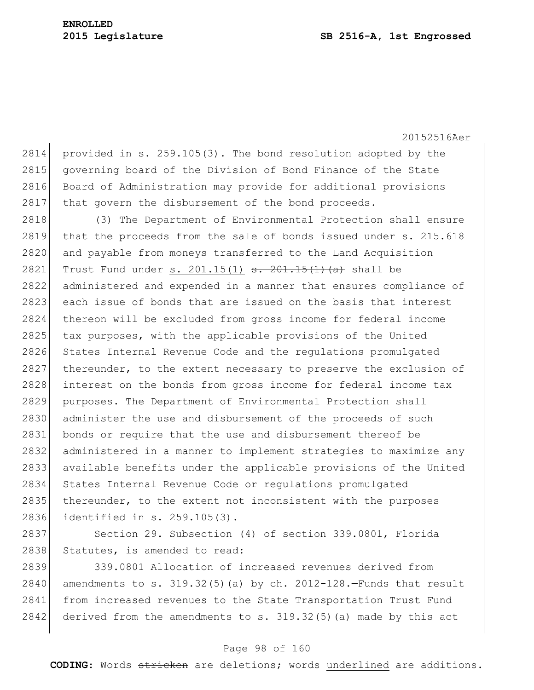2814 provided in s. 259.105(3). The bond resolution adopted by the 2815 governing board of the Division of Bond Finance of the State 2816 Board of Administration may provide for additional provisions 2817 that govern the disbursement of the bond proceeds.

2818 (3) The Department of Environmental Protection shall ensure 2819 that the proceeds from the sale of bonds issued under s. 215.618 2820 and payable from moneys transferred to the Land Acquisition 2821 Trust Fund under s. 201.15(1)  $\frac{1}{10}$   $\frac{1}{10}$   $\frac{1}{10}$  shall be 2822 administered and expended in a manner that ensures compliance of 2823 each issue of bonds that are issued on the basis that interest 2824 thereon will be excluded from gross income for federal income 2825 tax purposes, with the applicable provisions of the United 2826 States Internal Revenue Code and the regulations promulgated 2827 thereunder, to the extent necessary to preserve the exclusion of 2828 interest on the bonds from gross income for federal income tax 2829 purposes. The Department of Environmental Protection shall 2830 administer the use and disbursement of the proceeds of such 2831 bonds or require that the use and disbursement thereof be 2832 administered in a manner to implement strategies to maximize any 2833 available benefits under the applicable provisions of the United 2834 States Internal Revenue Code or regulations promulgated 2835 thereunder, to the extent not inconsistent with the purposes 2836 identified in s. 259.105(3).

2837 Section 29. Subsection (4) of section 339.0801, Florida 2838 Statutes, is amended to read:

2839 339.0801 Allocation of increased revenues derived from 2840 amendments to s.  $319.32(5)$  (a) by ch. 2012-128.-Funds that result 2841 from increased revenues to the State Transportation Trust Fund 2842 derived from the amendments to s.  $319.32(5)$  (a) made by this act

### Page 98 of 160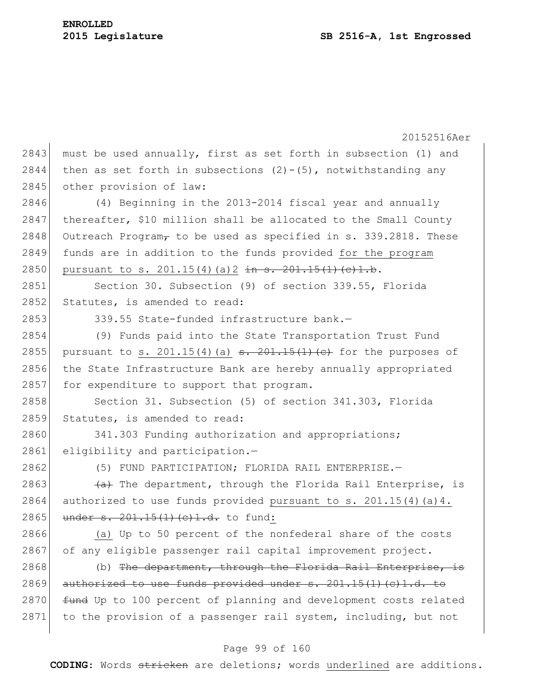|      | 20152516Aer                                                                                                                                        |
|------|----------------------------------------------------------------------------------------------------------------------------------------------------|
| 2843 | must be used annually, first as set forth in subsection (1) and                                                                                    |
| 2844 | then as set forth in subsections $(2) - (5)$ , notwithstanding any                                                                                 |
| 2845 | other provision of law:                                                                                                                            |
| 2846 | (4) Beginning in the 2013-2014 fiscal year and annually                                                                                            |
| 2847 | thereafter, \$10 million shall be allocated to the Small County                                                                                    |
| 2848 | Outreach Program, to be used as specified in s. 339.2818. These                                                                                    |
| 2849 | funds are in addition to the funds provided for the program                                                                                        |
| 2850 | pursuant to s. $201.15(4)(a)$ $2 \frac{1}{10} \frac{1}{10} \cdot \frac{201.15(1)}{10} \cdot \frac{1}{10}$ .                                        |
| 2851 | Section 30. Subsection (9) of section 339.55, Florida                                                                                              |
| 2852 | Statutes, is amended to read:                                                                                                                      |
| 2853 | 339.55 State-funded infrastructure bank.-                                                                                                          |
| 2854 | (9) Funds paid into the State Transportation Trust Fund                                                                                            |
| 2855 | pursuant to s. 201.15(4) (a) $\frac{1}{2}$ $\frac{1}{2}$ $\frac{1}{2}$ $\frac{1}{2}$ $\frac{1}{2}$ $\frac{1}{2}$ $\frac{1}{2}$ for the purposes of |
| 2856 | the State Infrastructure Bank are hereby annually appropriated                                                                                     |
| 2857 | for expenditure to support that program.                                                                                                           |
| 2858 | Section 31. Subsection (5) of section 341.303, Florida                                                                                             |
| 2859 | Statutes, is amended to read:                                                                                                                      |
| 2860 | 341.303 Funding authorization and appropriations;                                                                                                  |
| 2861 | eligibility and participation.-                                                                                                                    |
| 2862 | (5) FUND PARTICIPATION; FLORIDA RAIL ENTERPRISE. -                                                                                                 |
| 2863 | (a) The department, through the Florida Rail Enterprise, is                                                                                        |
| 2864 | authorized to use funds provided pursuant to s. 201.15(4) (a) 4.                                                                                   |
| 2865 | under s. 201.15(1) (c) 1.d. to fund:                                                                                                               |
| 2866 | (a) Up to 50 percent of the nonfederal share of the costs                                                                                          |
| 2867 | of any eligible passenger rail capital improvement project.                                                                                        |
| 2868 | (b) The department, through the Florida Rail Enterprise, is                                                                                        |
| 2869 | authorized to use funds provided under $s. 201.15(1)(c)1.d.$ to                                                                                    |
| 2870 | fund Up to 100 percent of planning and development costs related                                                                                   |
| 2871 | to the provision of a passenger rail system, including, but not                                                                                    |
|      |                                                                                                                                                    |

# Page 99 of 160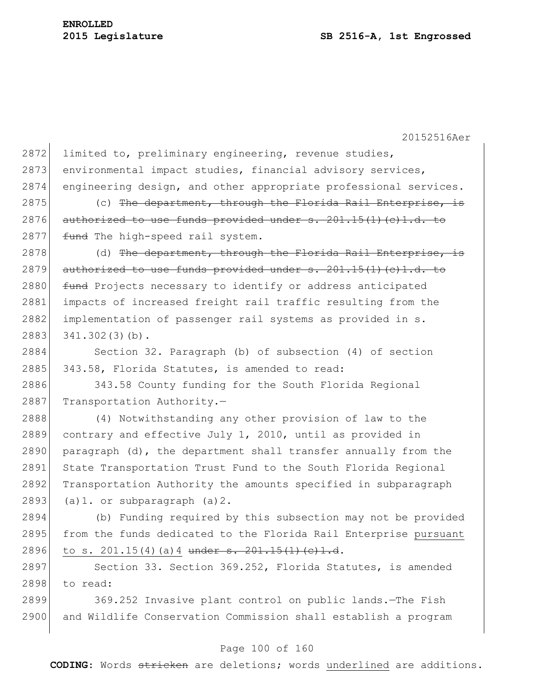| 2872 | limited to, preliminary engineering, revenue studies,             |
|------|-------------------------------------------------------------------|
| 2873 | environmental impact studies, financial advisory services,        |
| 2874 | engineering design, and other appropriate professional services.  |
| 2875 | (c) The department, through the Florida Rail Enterprise, is       |
| 2876 | authorized to use funds provided under $s. 201.15(1)$ (c) 1.d. to |
| 2877 | fund The high-speed rail system.                                  |
| 2878 | (d) The department, through the Florida Rail Enterprise, is       |
| 2879 | authorized to use funds provided under $s. 201.15(1)$ (c) 1.d. to |
| 2880 | fund Projects necessary to identify or address anticipated        |
| 2881 | impacts of increased freight rail traffic resulting from the      |
| 2882 | implementation of passenger rail systems as provided in s.        |
| 2883 | $341.302(3)(b)$ .                                                 |
| 2884 | Section 32. Paragraph (b) of subsection (4) of section            |
| 2885 | 343.58, Florida Statutes, is amended to read:                     |
| 2886 | 343.58 County funding for the South Florida Regional              |
| 2887 | Transportation Authority.-                                        |
| 2888 | (4) Notwithstanding any other provision of law to the             |
| 2889 | contrary and effective July 1, 2010, until as provided in         |
| 2890 | paragraph (d), the department shall transfer annually from the    |
| 2891 | State Transportation Trust Fund to the South Florida Regional     |
| 2892 | Transportation Authority the amounts specified in subparagraph    |
| 2893 | $(a) 1.$ or subparagraph $(a) 2.$                                 |
| 2894 | (b) Funding required by this subsection may not be provided       |
| 2895 | from the funds dedicated to the Florida Rail Enterprise pursuant  |
| 2896 | to s. $201.15(4)$ (a) 4 under s. $201.15(1)$ (c) 1.d.             |
| 2897 | Section 33. Section 369.252, Florida Statutes, is amended         |
| 2898 | to read:                                                          |
| 2899 | 369.252 Invasive plant control on public lands. - The Fish        |

# Page 100 of 160

2900 and Wildlife Conservation Commission shall establish a program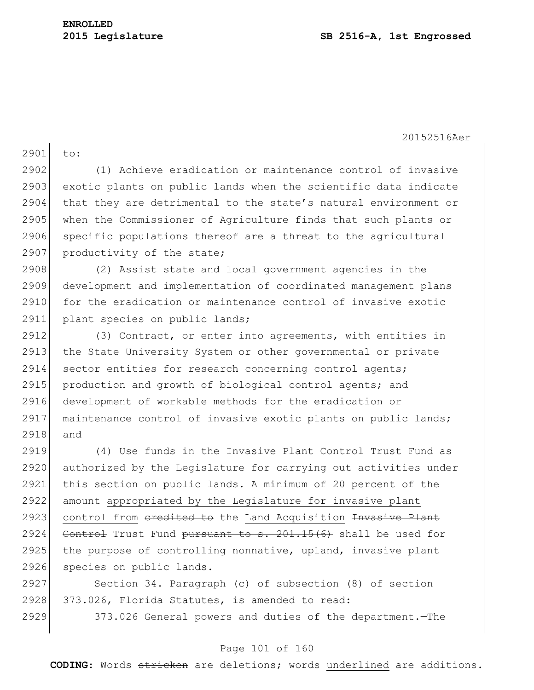2901 to: 2902 (1) Achieve eradication or maintenance control of invasive 2903 exotic plants on public lands when the scientific data indicate 2904 that they are detrimental to the state's natural environment or 2905 when the Commissioner of Agriculture finds that such plants or 2906 specific populations thereof are a threat to the agricultural 2907 productivity of the state; 2908 (2) Assist state and local government agencies in the 2909 development and implementation of coordinated management plans 2910 for the eradication or maintenance control of invasive exotic 2911 plant species on public lands; 2912 (3) Contract, or enter into agreements, with entities in 2913 the State University System or other governmental or private 2914 sector entities for research concerning control agents; 2915 production and growth of biological control agents; and 2916 development of workable methods for the eradication or 2917 maintenance control of invasive exotic plants on public lands; 2918 and 2919 (4) Use funds in the Invasive Plant Control Trust Fund as 2920 authorized by the Legislature for carrying out activities under 2921 this section on public lands. A minimum of 20 percent of the 2922 amount appropriated by the Legislature for invasive plant 2923 control from eredited to the Land Acquisition Invasive Plant 2924 Control Trust Fund pursuant to  $s. 201.15(6)$  shall be used for 2925 the purpose of controlling nonnative, upland, invasive plant 2926 species on public lands. 2927 Section 34. Paragraph (c) of subsection (8) of section 2928 373.026, Florida Statutes, is amended to read: 2929 373.026 General powers and duties of the department.—The

### Page 101 of 160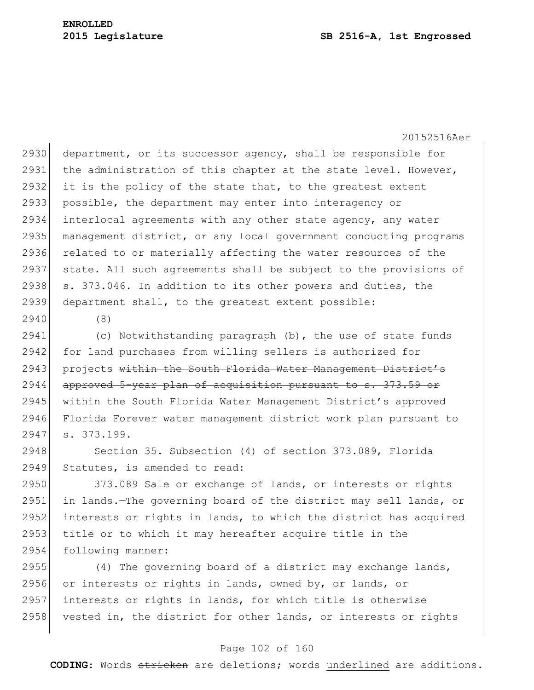2930 department, or its successor agency, shall be responsible for 2931 the administration of this chapter at the state level. However, 2932 it is the policy of the state that, to the greatest extent 2933 possible, the department may enter into interagency or 2934 interlocal agreements with any other state agency, any water 2935 management district, or any local government conducting programs 2936 related to or materially affecting the water resources of the 2937 state. All such agreements shall be subject to the provisions of 2938 s. 373.046. In addition to its other powers and duties, the 2939 department shall, to the greatest extent possible:

2940 (8)

2941 (c) Notwithstanding paragraph (b), the use of state funds 2942 for land purchases from willing sellers is authorized for 2943 projects within the South Florida Water Management District's 2944 approved 5-year plan of acquisition pursuant to s. 373.59 or 2945 within the South Florida Water Management District's approved 2946 Florida Forever water management district work plan pursuant to 2947 s. 373.199.

2948 Section 35. Subsection (4) of section 373.089, Florida 2949 Statutes, is amended to read:

2950 373.089 Sale or exchange of lands, or interests or rights 2951 in lands.—The governing board of the district may sell lands, or 2952 interests or rights in lands, to which the district has acquired 2953 title or to which it may hereafter acquire title in the 2954 following manner:

 $(4)$  The governing board of a district may exchange lands, or interests or rights in lands, owned by, or lands, or interests or rights in lands, for which title is otherwise 2958 vested in, the district for other lands, or interests or rights

### Page 102 of 160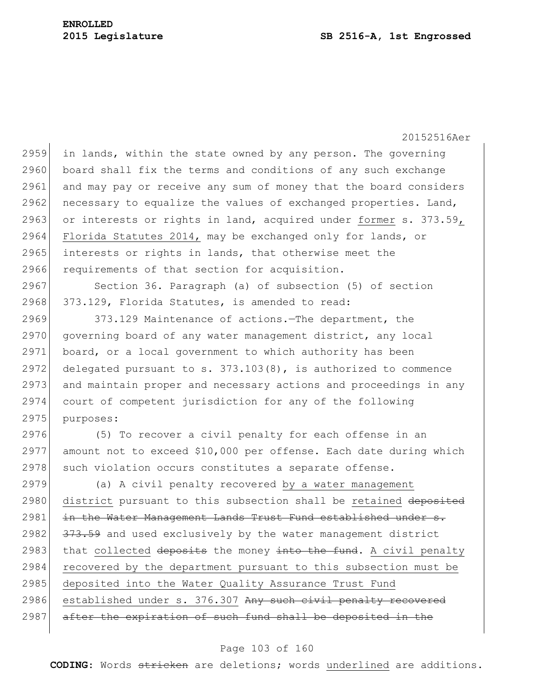2959 in lands, within the state owned by any person. The governing 2960 board shall fix the terms and conditions of any such exchange 2961 and may pay or receive any sum of money that the board considers 2962 necessary to equalize the values of exchanged properties. Land, 2963 or interests or rights in land, acquired under former s.  $373.59$ , 2964 Florida Statutes 2014, may be exchanged only for lands, or 2965 interests or rights in lands, that otherwise meet the 2966 requirements of that section for acquisition.

2967 Section 36. Paragraph (a) of subsection (5) of section 2968 373.129, Florida Statutes, is amended to read:

2969 373.129 Maintenance of actions.—The department, the 2970 governing board of any water management district, any local 2971 board, or a local government to which authority has been 2972 delegated pursuant to s.  $373.103(8)$ , is authorized to commence 2973 and maintain proper and necessary actions and proceedings in any 2974 court of competent jurisdiction for any of the following 2975 purposes:

2976 (5) To recover a civil penalty for each offense in an 2977 amount not to exceed \$10,000 per offense. Each date during which 2978 such violation occurs constitutes a separate offense.

2979 (a) A civil penalty recovered by a water management 2980 district pursuant to this subsection shall be retained deposited 2981 in the Water Management Lands Trust Fund established under s. 2982 373.59 and used exclusively by the water management district 2983 that collected deposits the money into the fund. A civil penalty 2984 recovered by the department pursuant to this subsection must be 2985 deposited into the Water Quality Assurance Trust Fund 2986 established under s. 376.307 Any such civil penalty recovered 2987 after the expiration of such fund shall be deposited in the

### Page 103 of 160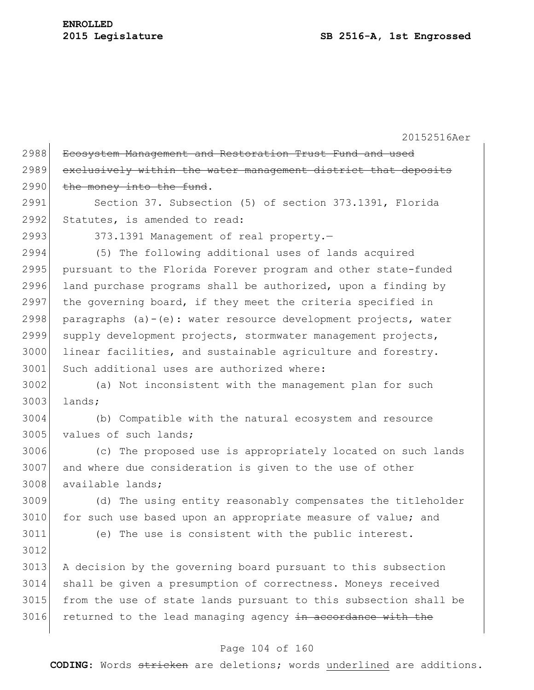| 2989<br>exclusively within the water management district that deposits<br>2990<br>the money into the fund.<br>2991<br>Section 37. Subsection (5) of section 373.1391, Florida<br>2992<br>Statutes, is amended to read:<br>2993<br>373.1391 Management of real property.-<br>2994<br>(5) The following additional uses of lands acquired<br>2995<br>pursuant to the Florida Forever program and other state-funded<br>2996<br>land purchase programs shall be authorized, upon a finding by<br>2997<br>the governing board, if they meet the criteria specified in<br>2998<br>paragraphs $(a) - (e)$ : water resource development projects, water<br>2999<br>supply development projects, stormwater management projects,<br>3000<br>linear facilities, and sustainable agriculture and forestry.<br>3001<br>Such additional uses are authorized where:<br>3002<br>(a) Not inconsistent with the management plan for such<br>3003<br>lands;<br>3004<br>(b) Compatible with the natural ecosystem and resource<br>3005<br>values of such lands;<br>3006<br>(c) The proposed use is appropriately located on such lands<br>3007<br>and where due consideration is given to the use of other<br>3008<br>available lands;<br>3009<br>(d) The using entity reasonably compensates the titleholder<br>3010<br>for such use based upon an appropriate measure of value; and<br>3011<br>(e) The use is consistent with the public interest.<br>3012<br>3013<br>A decision by the governing board pursuant to this subsection<br>3014<br>shall be given a presumption of correctness. Moneys received<br>3015<br>from the use of state lands pursuant to this subsection shall be<br>3016<br>returned to the lead managing agency in accordance with the | 2988 | Ecosystem Management and Restoration Trust Fund and used |
|------------------------------------------------------------------------------------------------------------------------------------------------------------------------------------------------------------------------------------------------------------------------------------------------------------------------------------------------------------------------------------------------------------------------------------------------------------------------------------------------------------------------------------------------------------------------------------------------------------------------------------------------------------------------------------------------------------------------------------------------------------------------------------------------------------------------------------------------------------------------------------------------------------------------------------------------------------------------------------------------------------------------------------------------------------------------------------------------------------------------------------------------------------------------------------------------------------------------------------------------------------------------------------------------------------------------------------------------------------------------------------------------------------------------------------------------------------------------------------------------------------------------------------------------------------------------------------------------------------------------------------------------------------------------------------------------------------------------------------------------|------|----------------------------------------------------------|
|                                                                                                                                                                                                                                                                                                                                                                                                                                                                                                                                                                                                                                                                                                                                                                                                                                                                                                                                                                                                                                                                                                                                                                                                                                                                                                                                                                                                                                                                                                                                                                                                                                                                                                                                                |      |                                                          |
|                                                                                                                                                                                                                                                                                                                                                                                                                                                                                                                                                                                                                                                                                                                                                                                                                                                                                                                                                                                                                                                                                                                                                                                                                                                                                                                                                                                                                                                                                                                                                                                                                                                                                                                                                |      |                                                          |
|                                                                                                                                                                                                                                                                                                                                                                                                                                                                                                                                                                                                                                                                                                                                                                                                                                                                                                                                                                                                                                                                                                                                                                                                                                                                                                                                                                                                                                                                                                                                                                                                                                                                                                                                                |      |                                                          |
|                                                                                                                                                                                                                                                                                                                                                                                                                                                                                                                                                                                                                                                                                                                                                                                                                                                                                                                                                                                                                                                                                                                                                                                                                                                                                                                                                                                                                                                                                                                                                                                                                                                                                                                                                |      |                                                          |
|                                                                                                                                                                                                                                                                                                                                                                                                                                                                                                                                                                                                                                                                                                                                                                                                                                                                                                                                                                                                                                                                                                                                                                                                                                                                                                                                                                                                                                                                                                                                                                                                                                                                                                                                                |      |                                                          |
|                                                                                                                                                                                                                                                                                                                                                                                                                                                                                                                                                                                                                                                                                                                                                                                                                                                                                                                                                                                                                                                                                                                                                                                                                                                                                                                                                                                                                                                                                                                                                                                                                                                                                                                                                |      |                                                          |
|                                                                                                                                                                                                                                                                                                                                                                                                                                                                                                                                                                                                                                                                                                                                                                                                                                                                                                                                                                                                                                                                                                                                                                                                                                                                                                                                                                                                                                                                                                                                                                                                                                                                                                                                                |      |                                                          |
|                                                                                                                                                                                                                                                                                                                                                                                                                                                                                                                                                                                                                                                                                                                                                                                                                                                                                                                                                                                                                                                                                                                                                                                                                                                                                                                                                                                                                                                                                                                                                                                                                                                                                                                                                |      |                                                          |
|                                                                                                                                                                                                                                                                                                                                                                                                                                                                                                                                                                                                                                                                                                                                                                                                                                                                                                                                                                                                                                                                                                                                                                                                                                                                                                                                                                                                                                                                                                                                                                                                                                                                                                                                                |      |                                                          |
|                                                                                                                                                                                                                                                                                                                                                                                                                                                                                                                                                                                                                                                                                                                                                                                                                                                                                                                                                                                                                                                                                                                                                                                                                                                                                                                                                                                                                                                                                                                                                                                                                                                                                                                                                |      |                                                          |
|                                                                                                                                                                                                                                                                                                                                                                                                                                                                                                                                                                                                                                                                                                                                                                                                                                                                                                                                                                                                                                                                                                                                                                                                                                                                                                                                                                                                                                                                                                                                                                                                                                                                                                                                                |      |                                                          |
|                                                                                                                                                                                                                                                                                                                                                                                                                                                                                                                                                                                                                                                                                                                                                                                                                                                                                                                                                                                                                                                                                                                                                                                                                                                                                                                                                                                                                                                                                                                                                                                                                                                                                                                                                |      |                                                          |
|                                                                                                                                                                                                                                                                                                                                                                                                                                                                                                                                                                                                                                                                                                                                                                                                                                                                                                                                                                                                                                                                                                                                                                                                                                                                                                                                                                                                                                                                                                                                                                                                                                                                                                                                                |      |                                                          |
|                                                                                                                                                                                                                                                                                                                                                                                                                                                                                                                                                                                                                                                                                                                                                                                                                                                                                                                                                                                                                                                                                                                                                                                                                                                                                                                                                                                                                                                                                                                                                                                                                                                                                                                                                |      |                                                          |
|                                                                                                                                                                                                                                                                                                                                                                                                                                                                                                                                                                                                                                                                                                                                                                                                                                                                                                                                                                                                                                                                                                                                                                                                                                                                                                                                                                                                                                                                                                                                                                                                                                                                                                                                                |      |                                                          |
|                                                                                                                                                                                                                                                                                                                                                                                                                                                                                                                                                                                                                                                                                                                                                                                                                                                                                                                                                                                                                                                                                                                                                                                                                                                                                                                                                                                                                                                                                                                                                                                                                                                                                                                                                |      |                                                          |
|                                                                                                                                                                                                                                                                                                                                                                                                                                                                                                                                                                                                                                                                                                                                                                                                                                                                                                                                                                                                                                                                                                                                                                                                                                                                                                                                                                                                                                                                                                                                                                                                                                                                                                                                                |      |                                                          |
|                                                                                                                                                                                                                                                                                                                                                                                                                                                                                                                                                                                                                                                                                                                                                                                                                                                                                                                                                                                                                                                                                                                                                                                                                                                                                                                                                                                                                                                                                                                                                                                                                                                                                                                                                |      |                                                          |
|                                                                                                                                                                                                                                                                                                                                                                                                                                                                                                                                                                                                                                                                                                                                                                                                                                                                                                                                                                                                                                                                                                                                                                                                                                                                                                                                                                                                                                                                                                                                                                                                                                                                                                                                                |      |                                                          |
|                                                                                                                                                                                                                                                                                                                                                                                                                                                                                                                                                                                                                                                                                                                                                                                                                                                                                                                                                                                                                                                                                                                                                                                                                                                                                                                                                                                                                                                                                                                                                                                                                                                                                                                                                |      |                                                          |
|                                                                                                                                                                                                                                                                                                                                                                                                                                                                                                                                                                                                                                                                                                                                                                                                                                                                                                                                                                                                                                                                                                                                                                                                                                                                                                                                                                                                                                                                                                                                                                                                                                                                                                                                                |      |                                                          |
|                                                                                                                                                                                                                                                                                                                                                                                                                                                                                                                                                                                                                                                                                                                                                                                                                                                                                                                                                                                                                                                                                                                                                                                                                                                                                                                                                                                                                                                                                                                                                                                                                                                                                                                                                |      |                                                          |
|                                                                                                                                                                                                                                                                                                                                                                                                                                                                                                                                                                                                                                                                                                                                                                                                                                                                                                                                                                                                                                                                                                                                                                                                                                                                                                                                                                                                                                                                                                                                                                                                                                                                                                                                                |      |                                                          |
|                                                                                                                                                                                                                                                                                                                                                                                                                                                                                                                                                                                                                                                                                                                                                                                                                                                                                                                                                                                                                                                                                                                                                                                                                                                                                                                                                                                                                                                                                                                                                                                                                                                                                                                                                |      |                                                          |
|                                                                                                                                                                                                                                                                                                                                                                                                                                                                                                                                                                                                                                                                                                                                                                                                                                                                                                                                                                                                                                                                                                                                                                                                                                                                                                                                                                                                                                                                                                                                                                                                                                                                                                                                                |      |                                                          |
|                                                                                                                                                                                                                                                                                                                                                                                                                                                                                                                                                                                                                                                                                                                                                                                                                                                                                                                                                                                                                                                                                                                                                                                                                                                                                                                                                                                                                                                                                                                                                                                                                                                                                                                                                |      |                                                          |
|                                                                                                                                                                                                                                                                                                                                                                                                                                                                                                                                                                                                                                                                                                                                                                                                                                                                                                                                                                                                                                                                                                                                                                                                                                                                                                                                                                                                                                                                                                                                                                                                                                                                                                                                                |      |                                                          |
|                                                                                                                                                                                                                                                                                                                                                                                                                                                                                                                                                                                                                                                                                                                                                                                                                                                                                                                                                                                                                                                                                                                                                                                                                                                                                                                                                                                                                                                                                                                                                                                                                                                                                                                                                |      |                                                          |
|                                                                                                                                                                                                                                                                                                                                                                                                                                                                                                                                                                                                                                                                                                                                                                                                                                                                                                                                                                                                                                                                                                                                                                                                                                                                                                                                                                                                                                                                                                                                                                                                                                                                                                                                                |      |                                                          |

# Page 104 of 160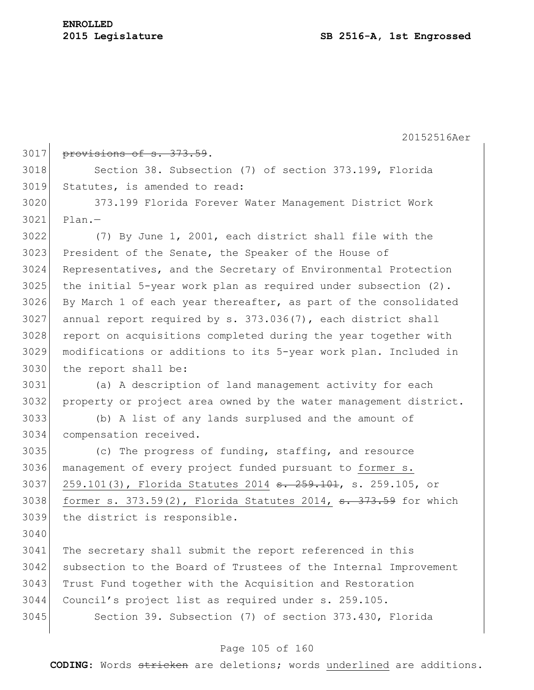# **ENROLLED**

20152516Aer

| 3017 | provisions of s. 373.59.                                                                    |
|------|---------------------------------------------------------------------------------------------|
| 3018 | Section 38. Subsection (7) of section 373.199, Florida                                      |
| 3019 | Statutes, is amended to read:                                                               |
| 3020 | 373.199 Florida Forever Water Management District Work                                      |
| 3021 | $Plan. -$                                                                                   |
| 3022 | (7) By June 1, 2001, each district shall file with the                                      |
| 3023 | President of the Senate, the Speaker of the House of                                        |
| 3024 | Representatives, and the Secretary of Environmental Protection                              |
| 3025 | the initial 5-year work plan as required under subsection $(2)$ .                           |
| 3026 | By March 1 of each year thereafter, as part of the consolidated                             |
| 3027 | annual report required by s. 373.036(7), each district shall                                |
| 3028 | report on acquisitions completed during the year together with                              |
| 3029 | modifications or additions to its 5-year work plan. Included in                             |
| 3030 | the report shall be:                                                                        |
| 3031 | (a) A description of land management activity for each                                      |
| 3032 | property or project area owned by the water management district.                            |
| 3033 | (b) A list of any lands surplused and the amount of                                         |
| 3034 | compensation received.                                                                      |
| 3035 | (c) The progress of funding, staffing, and resource                                         |
| 3036 | management of every project funded pursuant to former s.                                    |
| 3037 | 259.101(3), Florida Statutes 2014 s. 259.101, s. 259.105, or                                |
| 3038 | former s. $373.59(2)$ , Florida Statutes 2014, $\frac{1}{3}$ . $\frac{1}{373.59}$ for which |
| 3039 | the district is responsible.                                                                |
| 3040 |                                                                                             |
| 3041 | The secretary shall submit the report referenced in this                                    |
| 3042 | subsection to the Board of Trustees of the Internal Improvement                             |
| 3043 | Trust Fund together with the Acquisition and Restoration                                    |
| 3044 | Council's project list as required under s. 259.105.                                        |
| 3045 | Section 39. Subsection (7) of section 373.430, Florida                                      |
|      |                                                                                             |

# Page 105 of 160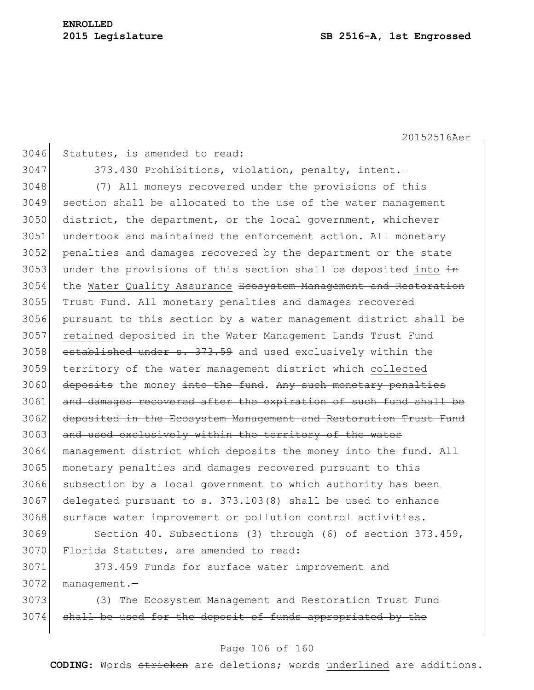3046 Statutes, is amended to read: 3047 373.430 Prohibitions, violation, penalty, intent. 3048 (7) All moneys recovered under the provisions of this 3049 section shall be allocated to the use of the water management 3050 district, the department, or the local government, whichever 3051 undertook and maintained the enforcement action. All monetary 3052 penalties and damages recovered by the department or the state 3053 under the provisions of this section shall be deposited into  $\frac{1}{2}$ 3054 the Water Quality Assurance Ecosystem Management and Restoration 3055 Trust Fund. All monetary penalties and damages recovered 3056 pursuant to this section by a water management district shall be 3057 retained deposited in the Water Management Lands Trust Fund 3058 established under s. 373.59 and used exclusively within the 3059 territory of the water management district which collected 3060 deposits the money into the fund. Any such monetary penalties 3061 and damages recovered after the expiration of such fund shall be 3062 deposited in the Ecosystem Management and Restoration Trust Fund 3063 and used exclusively within the territory of the water 3064 management district which deposits the money into the fund. All 3065 monetary penalties and damages recovered pursuant to this 3066 subsection by a local government to which authority has been  $3067$  delegated pursuant to s.  $373.103(8)$  shall be used to enhance 3068 surface water improvement or pollution control activities. 3069 Section 40. Subsections (3) through (6) of section 373.459, 3070 Florida Statutes, are amended to read: 3071 373.459 Funds for surface water improvement and 3072 management.-

3073 (3) The Ecosystem Management and Restoration Trust Fund 3074 shall be used for the deposit of funds appropriated by the

### Page 106 of 160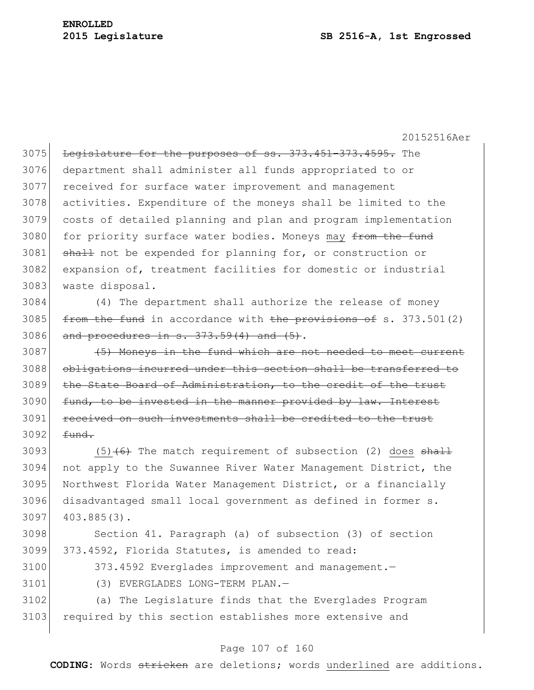3075 Legislature for the purposes of ss. 373.451-373.4595. The department shall administer all funds appropriated to or received for surface water improvement and management activities. Expenditure of the moneys shall be limited to the costs of detailed planning and plan and program implementation 3080 for priority surface water bodies. Moneys may from the fund 3081 shall not be expended for planning for, or construction or expansion of, treatment facilities for domestic or industrial waste disposal.

3084 (4) The department shall authorize the release of money 3085  $f$  from the fund in accordance with the provisions of s. 373.501(2)  $3086$  and procedures in s.  $373.59(4)$  and  $(5)$ .

3087 (5) Moneys in the fund which are not needed to meet current 3088 obligations incurred under this section shall be transferred to 3089 the State Board of Administration, to the credit of the trust 3090 fund, to be invested in the manner provided by law. Interest 3091 received on such investments shall be credited to the trust  $3092$   $\equiv$   $\frac{4 \text{ und}}{2 \text{ und}}$ 

3093 (5) $\left(6\right)$  The match requirement of subsection (2) does shall not apply to the Suwannee River Water Management District, the Northwest Florida Water Management District, or a financially disadvantaged small local government as defined in former s.  $403.885(3)$ .

3098 Section 41. Paragraph (a) of subsection (3) of section 3099 373.4592, Florida Statutes, is amended to read:

3100 373.4592 Everglades improvement and management.

3101 (3) EVERGLADES LONG-TERM PLAN.—

3102 (a) The Legislature finds that the Everglades Program 3103 required by this section establishes more extensive and

### Page 107 of 160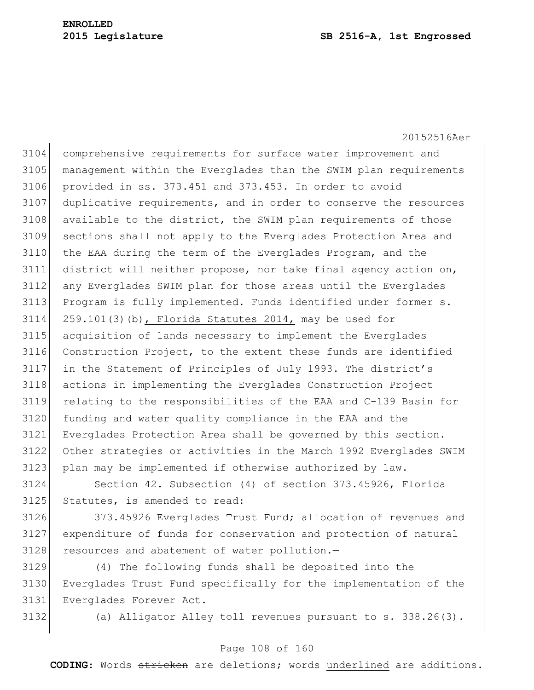### **Legislature SB 2516-A, 1st Engrossed**

20152516Aer

 comprehensive requirements for surface water improvement and management within the Everglades than the SWIM plan requirements provided in ss. 373.451 and 373.453. In order to avoid duplicative requirements, and in order to conserve the resources 3108 available to the district, the SWIM plan requirements of those sections shall not apply to the Everglades Protection Area and the EAA during the term of the Everglades Program, and the district will neither propose, nor take final agency action on, any Everglades SWIM plan for those areas until the Everglades 3113 Program is fully implemented. Funds identified under former s. 259.101(3)(b), Florida Statutes 2014, may be used for acquisition of lands necessary to implement the Everglades Construction Project, to the extent these funds are identified in the Statement of Principles of July 1993. The district's actions in implementing the Everglades Construction Project relating to the responsibilities of the EAA and C-139 Basin for 3120 funding and water quality compliance in the EAA and the Everglades Protection Area shall be governed by this section. Other strategies or activities in the March 1992 Everglades SWIM 3123 plan may be implemented if otherwise authorized by law.

 Section 42. Subsection (4) of section 373.45926, Florida Statutes, is amended to read:

 373.45926 Everglades Trust Fund; allocation of revenues and expenditure of funds for conservation and protection of natural 3128 resources and abatement of water pollution.-

 (4) The following funds shall be deposited into the Everglades Trust Fund specifically for the implementation of the Everglades Forever Act.

(a) Alligator Alley toll revenues pursuant to s. 338.26(3).

### Page 108 of 160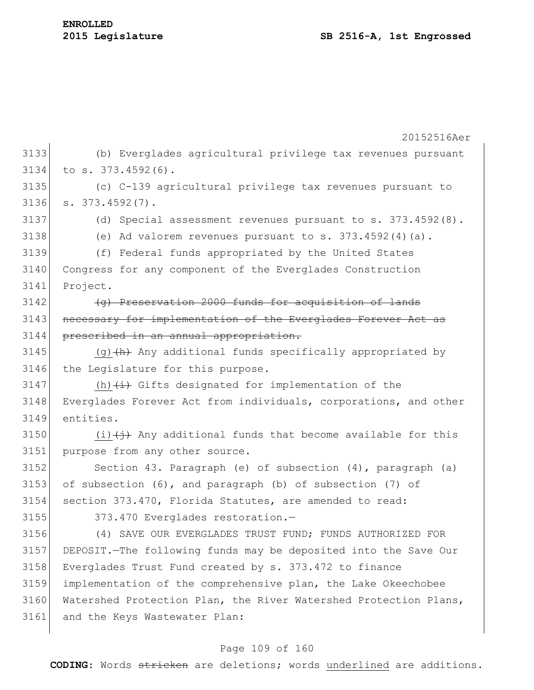|      | 20152516Aer                                                       |
|------|-------------------------------------------------------------------|
| 3133 |                                                                   |
|      | (b) Everglades agricultural privilege tax revenues pursuant       |
| 3134 | to s. 373.4592(6).                                                |
| 3135 | (c) C-139 agricultural privilege tax revenues pursuant to         |
| 3136 | $s. 373.4592(7)$ .                                                |
| 3137 | (d) Special assessment revenues pursuant to s. $373.4592(8)$ .    |
| 3138 | (e) Ad valorem revenues pursuant to $s. 373.4592(4)(a)$ .         |
| 3139 | (f) Federal funds appropriated by the United States               |
| 3140 | Congress for any component of the Everglades Construction         |
| 3141 | Project.                                                          |
| 3142 | (g) Preservation 2000 funds for acquisition of lands              |
| 3143 | necessary for implementation of the Everglades Forever Act as     |
| 3144 | prescribed in an annual appropriation.                            |
| 3145 | $(g)$ $(h)$ Any additional funds specifically appropriated by     |
| 3146 | the Legislature for this purpose.                                 |
| 3147 | (h) $\overline{(+)}$ Gifts designated for implementation of the   |
| 3148 | Everglades Forever Act from individuals, corporations, and other  |
| 3149 | entities.                                                         |
| 3150 | $(i)$ $(i)$ Any additional funds that become available for this   |
| 3151 | purpose from any other source.                                    |
| 3152 | Section 43. Paragraph (e) of subsection (4), paragraph (a)        |
| 3153 | of subsection (6), and paragraph (b) of subsection (7) of         |
| 3154 | section 373.470, Florida Statutes, are amended to read:           |
| 3155 | 373.470 Everglades restoration.-                                  |
| 3156 | (4) SAVE OUR EVERGLADES TRUST FUND; FUNDS AUTHORIZED FOR          |
| 3157 | DEPOSIT. - The following funds may be deposited into the Save Our |
| 3158 | Everglades Trust Fund created by s. 373.472 to finance            |
| 3159 | implementation of the comprehensive plan, the Lake Okeechobee     |
| 3160 | Watershed Protection Plan, the River Watershed Protection Plans,  |
| 3161 | and the Keys Wastewater Plan:                                     |
|      |                                                                   |

# Page 109 of 160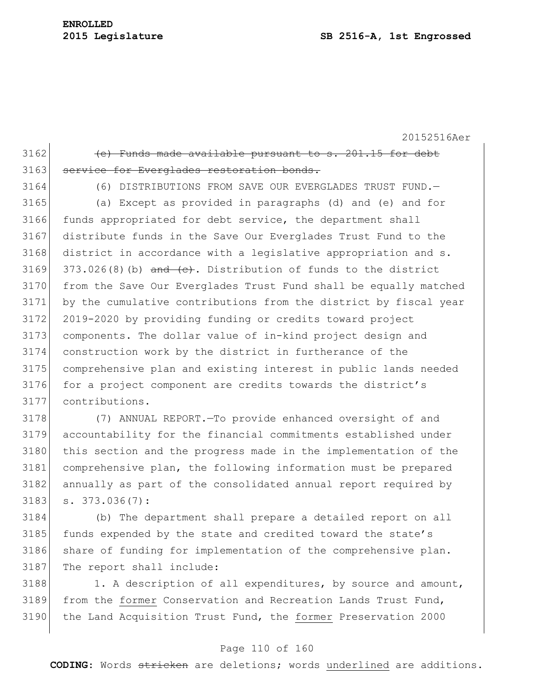# **ENROLLED**

20152516Aer  $3162$  (e) Funds made available pursuant to s. 201.15 for debt 3163 service for Everglades restoration bonds. 3164 (6) DISTRIBUTIONS FROM SAVE OUR EVERGLADES TRUST FUND.— 3165 (a) Except as provided in paragraphs (d) and (e) and for 3166 funds appropriated for debt service, the department shall

 distribute funds in the Save Our Everglades Trust Fund to the 3168 district in accordance with a legislative appropriation and s.  $373.026(8)$  (b) and  $(e)$ . Distribution of funds to the district from the Save Our Everglades Trust Fund shall be equally matched by the cumulative contributions from the district by fiscal year 2019-2020 by providing funding or credits toward project components. The dollar value of in-kind project design and construction work by the district in furtherance of the comprehensive plan and existing interest in public lands needed 3176 for a project component are credits towards the district's contributions.

 (7) ANNUAL REPORT.—To provide enhanced oversight of and accountability for the financial commitments established under 3180 this section and the progress made in the implementation of the comprehensive plan, the following information must be prepared annually as part of the consolidated annual report required by s.  $373.036(7)$ :

3184 (b) The department shall prepare a detailed report on all 3185 funds expended by the state and credited toward the state's 3186 share of funding for implementation of the comprehensive plan. 3187 The report shall include:

3188 1. A description of all expenditures, by source and amount, 3189 from the former Conservation and Recreation Lands Trust Fund, 3190 the Land Acquisition Trust Fund, the former Preservation 2000

#### Page 110 of 160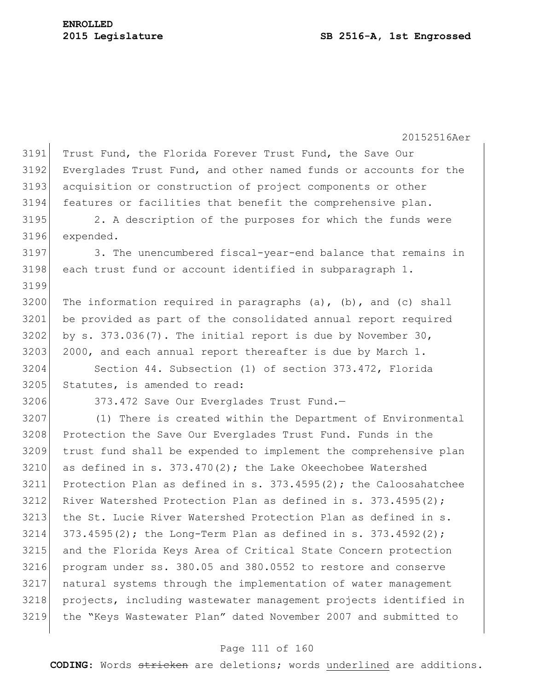3191 Trust Fund, the Florida Forever Trust Fund, the Save Our 3192 Everglades Trust Fund, and other named funds or accounts for the 3193 acquisition or construction of project components or other 3194 features or facilities that benefit the comprehensive plan. 3195 2. A description of the purposes for which the funds were 3196 expended. 3197 3. The unencumbered fiscal-year-end balance that remains in 3198 each trust fund or account identified in subparagraph 1. 3199 3200 The information required in paragraphs (a), (b), and (c) shall 3201 be provided as part of the consolidated annual report required 3202 by s. 373.036(7). The initial report is due by November 30,  $3203$  2000, and each annual report thereafter is due by March 1. 3204 Section 44. Subsection (1) of section 373.472, Florida 3205 Statutes, is amended to read: 3206 373.472 Save Our Everglades Trust Fund.-3207 (1) There is created within the Department of Environmental 3208 Protection the Save Our Everglades Trust Fund. Funds in the 3209 trust fund shall be expended to implement the comprehensive plan  $3210$  as defined in s.  $373.470(2)$ ; the Lake Okeechobee Watershed 3211 Protection Plan as defined in s. 373.4595(2); the Caloosahatchee 3212 River Watershed Protection Plan as defined in s.  $373.4595(2)$ ; 3213 the St. Lucie River Watershed Protection Plan as defined in s.  $3214$   $373.4595(2)$ ; the Long-Term Plan as defined in s.  $373.4592(2)$ ; 3215 and the Florida Keys Area of Critical State Concern protection 3216 program under ss. 380.05 and 380.0552 to restore and conserve 3217 natural systems through the implementation of water management 3218 projects, including wastewater management projects identified in 3219 the "Keys Wastewater Plan" dated November 2007 and submitted to

#### Page 111 of 160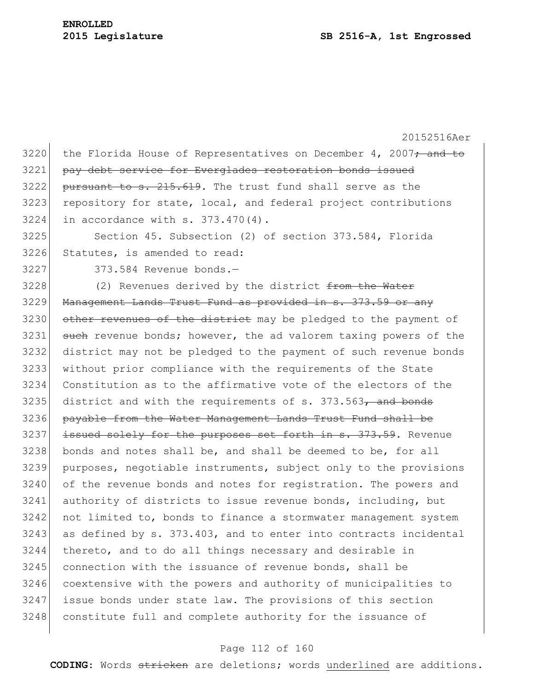20152516Aer 3220 the Florida House of Representatives on December 4, 2007 $\div$  and to pay debt service for Everglades restoration bonds issued pursuant to s.  $215.619$ . The trust fund shall serve as the 3223 repository for state, local, and federal project contributions in accordance with s. 373.470(4). Section 45. Subsection (2) of section 373.584, Florida 3226 Statutes, is amended to read: 373.584 Revenue bonds.— (2) Revenues derived by the district from the Water 3229 Management Lands Trust Fund as provided in s. 373.59 or any 3230 other revenues of the district may be pledged to the payment of 3231 such revenue bonds; however, the ad valorem taxing powers of the district may not be pledged to the payment of such revenue bonds without prior compliance with the requirements of the State Constitution as to the affirmative vote of the electors of the district and with the requirements of s. 373.563, and bonds payable from the Water Management Lands Trust Fund shall be 3237 issued solely for the purposes set forth in s. 373.59. Revenue bonds and notes shall be, and shall be deemed to be, for all purposes, negotiable instruments, subject only to the provisions 3240 of the revenue bonds and notes for registration. The powers and authority of districts to issue revenue bonds, including, but not limited to, bonds to finance a stormwater management system as defined by s.  $373.403$ , and to enter into contracts incidental thereto, and to do all things necessary and desirable in 3245 connection with the issuance of revenue bonds, shall be coextensive with the powers and authority of municipalities to issue bonds under state law. The provisions of this section 3248 constitute full and complete authority for the issuance of

#### Page 112 of 160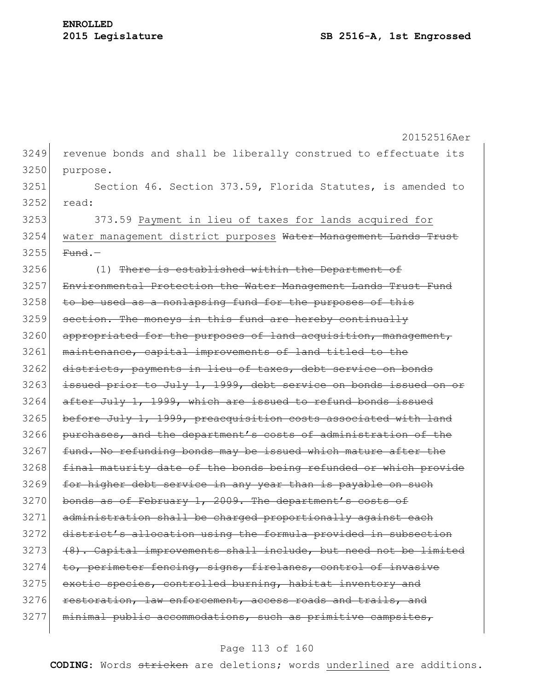|      | 20152516Aer                                                      |
|------|------------------------------------------------------------------|
| 3249 | revenue bonds and shall be liberally construed to effectuate its |
| 3250 | purpose.                                                         |
| 3251 | Section 46. Section 373.59, Florida Statutes, is amended to      |
| 3252 | read:                                                            |
| 3253 | 373.59 Payment in lieu of taxes for lands acquired for           |
| 3254 | water management district purposes Water Management Lands Trust  |
| 3255 | $Fund.$ -                                                        |
| 3256 | (1) There is established within the Department of                |
| 3257 | Environmental Protection the Water Management Lands Trust Fund   |
| 3258 | to be used as a nonlapsing fund for the purposes of this         |
| 3259 | section. The moneys in this fund are hereby continually          |
| 3260 | appropriated for the purposes of land acquisition, management,   |
| 3261 | maintenance, capital improvements of land titled to the          |
| 3262 | districts, payments in lieu of taxes, debt service on bonds      |
| 3263 | issued prior to July 1, 1999, debt service on bonds issued on or |
| 3264 | after July 1, 1999, which are issued to refund bonds issued      |
| 3265 | before July 1, 1999, preacquisition costs associated with land   |
| 3266 | purchases, and the department's costs of administration of the   |
| 3267 | fund. No refunding bonds may be issued which mature after the    |
| 3268 | final maturity date of the bonds being refunded or which provide |
| 3269 | for higher debt service in any year than is payable on such      |
| 3270 | bonds as of February 1, 2009. The department's costs of          |
| 3271 | administration shall be charged proportionally against each      |
| 3272 | district's allocation using the formula provided in subsection   |
| 3273 | (8). Capital improvements shall include, but need not be limited |
| 3274 | to, perimeter fencing, signs, firelanes, control of invasive     |
| 3275 | exotic species, controlled burning, habitat inventory and        |
| 3276 | restoration, law enforcement, access roads and trails, and       |
| 3277 | minimal public accommodations, such as primitive campsites,      |
|      |                                                                  |

# Page 113 of 160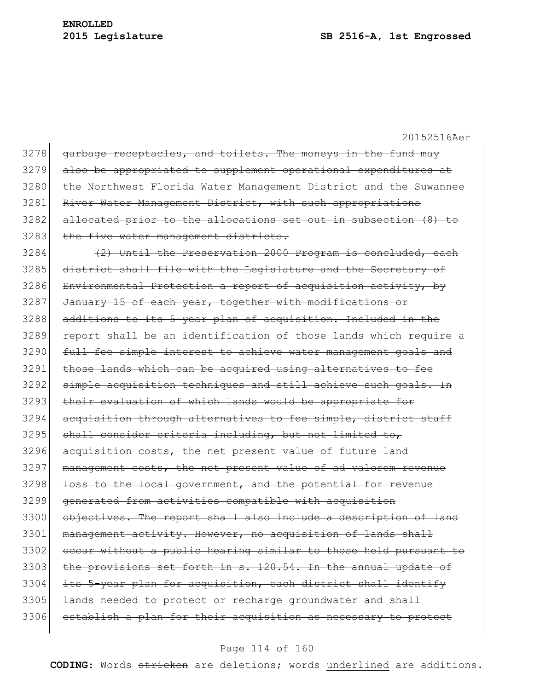| 3278 | garbage receptacles, and toilets. The moneys in the fund may     |
|------|------------------------------------------------------------------|
| 3279 | also be appropriated to supplement operational expenditures at   |
| 3280 | the Northwest Florida Water Management District and the Suwannee |
| 3281 | River Water Management District, with such appropriations        |
| 3282 | allocated prior to the allocations set out in subsection (8) to  |
| 3283 | the five water management districts.                             |
| 3284 | (2) Until the Preservation 2000 Program is concluded, each       |
| 3285 | district shall file with the Legislature and the Secretary of    |
| 3286 | Environmental Protection a report of acquisition activity, by    |
| 3287 | January 15 of each year, together with modifications or          |
| 3288 | additions to its 5-year plan of acquisition. Included in the     |
| 3289 | report shall be an identification of those lands which require a |
| 3290 | full fee simple interest to achieve water management goals and   |
| 3291 | those lands which can be acquired using alternatives to fee      |
| 3292 | simple acquisition techniques and still achieve such goals. In   |
| 3293 | their evaluation of which lands would be appropriate for         |
| 3294 | acquisition through alternatives to fee simple, district staff   |
| 3295 | shall consider criteria including, but not limited to,           |
| 3296 | acquisition costs, the net present value of future land          |
| 3297 | management costs, the net present value of ad valorem revenue    |
| 3298 | loss to the local government, and the potential for revenue      |
| 3299 | generated from activities compatible with acquisition            |
| 3300 | objectives. The report shall also include a description of land  |
| 3301 | management activity. However, no acquisition of lands shall      |
| 3302 | occur without a public hearing similar to those held pursuant to |
| 3303 | the provisions set forth in s. 120.54. In the annual update of   |
| 3304 | its 5-year plan for acquisition, each district shall identify    |
| 3305 | lands needed to protect or recharge groundwater and shall        |
| 3306 | establish a plan for their acquisition as necessary to protect   |
|      |                                                                  |

# Page 114 of 160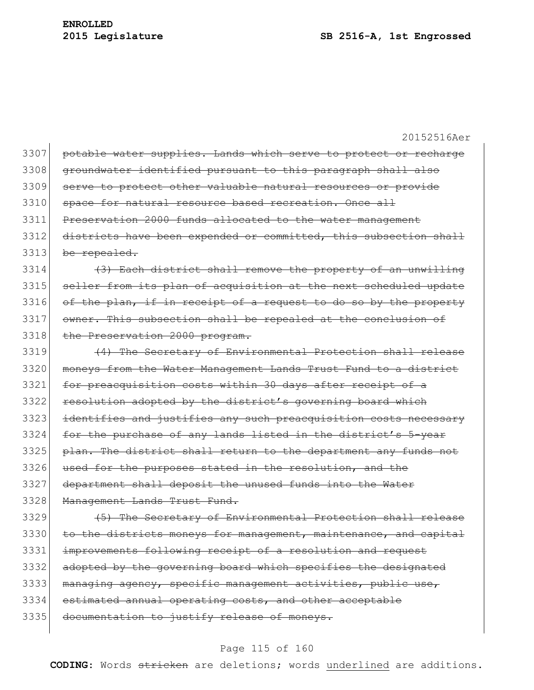|      | 20152516Aer                                                      |
|------|------------------------------------------------------------------|
| 3307 | potable water supplies. Lands which serve to protect or recharge |
| 3308 | groundwater identified pursuant to this paragraph shall also     |
| 3309 | serve to protect other valuable natural resources or provide     |
| 3310 | space for natural resource based recreation. Once all            |
| 3311 | Preservation 2000 funds allocated to the water management        |
| 3312 | districts have been expended or committed, this subsection shall |
| 3313 | be repealed.                                                     |
| 3314 | (3) Each district shall remove the property of an unwilling      |
| 3315 | seller from its plan of acquisition at the next scheduled update |
| 3316 | of the plan, if in receipt of a request to do so by the property |
| 3317 | owner. This subsection shall be repealed at the conclusion of    |
| 3318 | the Preservation 2000 program.                                   |
| 3319 | (4) The Secretary of Environmental Protection shall release      |
| 3320 | moneys from the Water Management Lands Trust Fund to a district  |
| 3321 | for preacquisition costs within 30 days after receipt of a       |
| 3322 | resolution adopted by the district's governing board which       |
| 3323 | identifies and justifies any such preacquisition costs necessary |
| 3324 | for the purchase of any lands listed in the district's 5-year    |
| 3325 | plan. The district shall return to the department any funds not  |
| 3326 | used for the purposes stated in the resolution, and the          |
| 3327 | department shall deposit the unused funds into the Water         |
| 3328 | Management Lands Trust Fund.                                     |
| 3329 | (5) The Secretary of Environmental Protection shall release      |

3330 to the districts moneys for management, maintenance, and capital 3331 improvements following receipt of a resolution and request 3332 adopted by the governing board which specifies the designated 3333 managing agency, specific management activities, public use, 3334 estimated annual operating costs, and other acceptable 3335 documentation to justify release of moneys.

#### Page 115 of 160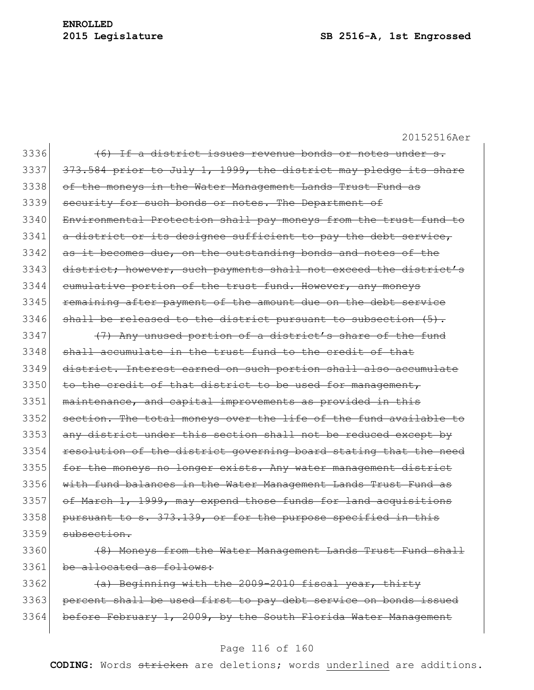| 3336 | (6) If a district issues revenue bonds or notes under s.         |
|------|------------------------------------------------------------------|
| 3337 | 373.584 prior to July 1, 1999, the district may pledge its share |
| 3338 | of the moneys in the Water Management Lands Trust Fund as        |
| 3339 | security for such bonds or notes. The Department of              |
| 3340 | Environmental Protection shall pay moneys from the trust fund to |
| 3341 | a district or its designee sufficient to pay the debt service,   |
| 3342 | as it becomes due, on the outstanding bonds and notes of the     |
| 3343 | district; however, such payments shall not exceed the district's |
| 3344 | cumulative portion of the trust fund. However, any moneys        |
| 3345 | remaining after payment of the amount due on the debt service    |
| 3346 | shall be released to the district pursuant to subsection (5).    |
| 3347 | (7) Any unused portion of a district's share of the fund         |
| 3348 | shall accumulate in the trust fund to the credit of that         |
| 3349 | district. Interest earned on such portion shall also accumulate  |
| 3350 | to the credit of that district to be used for management,        |
| 3351 | maintenance, and capital improvements as provided in this        |
| 3352 | section. The total moneys over the life of the fund available to |
| 3353 | any district under this section shall not be reduced except by   |
| 3354 | resolution of the district governing board stating that the need |
| 3355 | for the moneys no longer exists. Any water management district   |
| 3356 | with fund balances in the Water Management Lands Trust Fund as   |
| 3357 | of March 1, 1999, may expend those funds for land acquisitions   |
| 3358 | pursuant to s. 373.139, or for the purpose specified in this     |
| 3359 | subsection                                                       |
| 3360 | (8) Moneys from the Water Management Lands Trust Fund shall      |

3361 be allocated as follows:

3362 (a) Beginning with the 2009-2010 fiscal year, thirty 3363 percent shall be used first to pay debt service on bonds issued 3364 before February 1, 2009, by the South Florida Water Management

# Page 116 of 160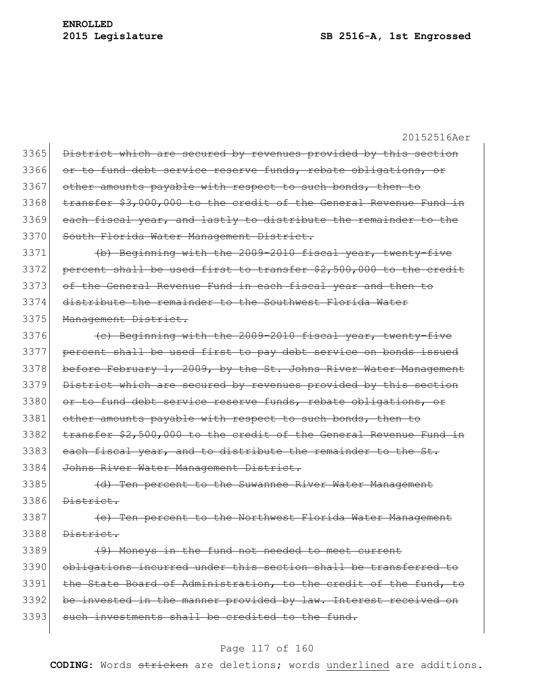20152516Aer 3365 District which are secured by revenues provided by this section 3366 or to fund debt service reserve funds, rebate obligations, or 3367 other amounts payable with respect to such bonds, then to 3368 transfer \$3,000,000 to the credit of the General Revenue Fund in 3369 each fiscal year, and lastly to distribute the remainder to the 3370 South Florida Water Management District. 3371 (b) Beginning with the 2009-2010 fiscal year, twenty-five 3372 percent shall be used first to transfer \$2,500,000 to the credit 3373 of the General Revenue Fund in each fiscal year and then to 3374 distribute the remainder to the Southwest Florida Water 3375 Management District. 3376 (c) Beginning with the 2009-2010 fiscal year, twenty-five 3377 percent shall be used first to pay debt service on bonds issued 3378 before February 1, 2009, by the St. Johns River Water Management 3379 District which are secured by revenues provided by this section 3380 or to fund debt service reserve funds, rebate obligations, or 3381 other amounts payable with respect to such bonds, then to 3382 transfer \$2,500,000 to the credit of the General Revenue Fund in 3383 each fiscal year, and to distribute the remainder to the St. 3384 Johns River Water Management District. 3385 (d) Ten percent to the Suwannee River Water Management  $3386$  District. 3387 (e) Ten percent to the Northwest Florida Water Management  $3388$  District. 3389 (9) Moneys in the fund not needed to meet current 3390 obligations incurred under this section shall be transferred to 3391 the State Board of Administration, to the credit of the fund, to 3392 be invested in the manner provided by law. Interest received on 3393 such investments shall be credited to the fund.

#### Page 117 of 160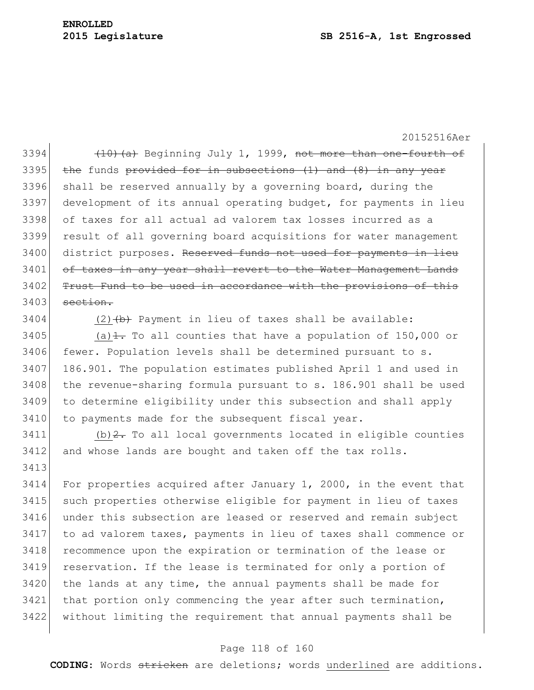3394  $(10)(a)$  Beginning July 1, 1999, not more than one-fourth of  $3395$  the funds provided for in subsections (1) and (8) in any year  $3396$  shall be reserved annually by a governing board, during the 3397 development of its annual operating budget, for payments in lieu 3398 of taxes for all actual ad valorem tax losses incurred as a 3399 result of all governing board acquisitions for water management 3400 district purposes. Reserved funds not used for payments in lieu 3401 of taxes in any year shall revert to the Water Management Lands 3402 Trust Fund to be used in accordance with the provisions of this  $3403$  section.

 $3404$  (2)  $\left(\frac{b}{b}\right)$  Payment in lieu of taxes shall be available:

3405 (a) $\pm$ . To all counties that have a population of 150,000 or  $3406$  fewer. Population levels shall be determined pursuant to s. 3407 186.901. The population estimates published April 1 and used in 3408 the revenue-sharing formula pursuant to s. 186.901 shall be used 3409 to determine eligibility under this subsection and shall apply 3410 to payments made for the subsequent fiscal year.

 $3411$  (b)  $2$ . To all local governments located in eligible counties 3412 and whose lands are bought and taken off the tax rolls. 3413

3414 For properties acquired after January 1, 2000, in the event that such properties otherwise eligible for payment in lieu of taxes under this subsection are leased or reserved and remain subject to ad valorem taxes, payments in lieu of taxes shall commence or 3418 recommence upon the expiration or termination of the lease or reservation. If the lease is terminated for only a portion of the lands at any time, the annual payments shall be made for that portion only commencing the year after such termination, without limiting the requirement that annual payments shall be

#### Page 118 of 160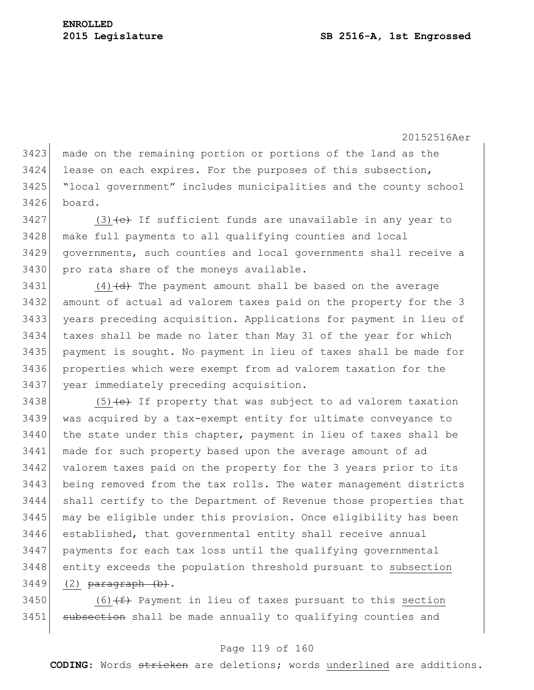made on the remaining portion or portions of the land as the lease on each expires. For the purposes of this subsection, "local government" includes municipalities and the county school board.

3427 (3)  $\left\{ \left( e \right)$  If sufficient funds are unavailable in any year to make full payments to all qualifying counties and local governments, such counties and local governments shall receive a 3430 pro rata share of the moneys available.

 (4) (d) The payment amount shall be based on the average amount of actual ad valorem taxes paid on the property for the 3 years preceding acquisition. Applications for payment in lieu of taxes shall be made no later than May 31 of the year for which payment is sought. No payment in lieu of taxes shall be made for properties which were exempt from ad valorem taxation for the year immediately preceding acquisition.

 $(5)$  (e) If property that was subject to ad valorem taxation was acquired by a tax-exempt entity for ultimate conveyance to the state under this chapter, payment in lieu of taxes shall be made for such property based upon the average amount of ad 3442 valorem taxes paid on the property for the 3 years prior to its being removed from the tax rolls. The water management districts shall certify to the Department of Revenue those properties that may be eligible under this provision. Once eligibility has been established, that governmental entity shall receive annual payments for each tax loss until the qualifying governmental entity exceeds the population threshold pursuant to subsection (2) paragraph (b).

3450 (6) $(f)$  Payment in lieu of taxes pursuant to this section 3451 subsection shall be made annually to qualifying counties and

## Page 119 of 160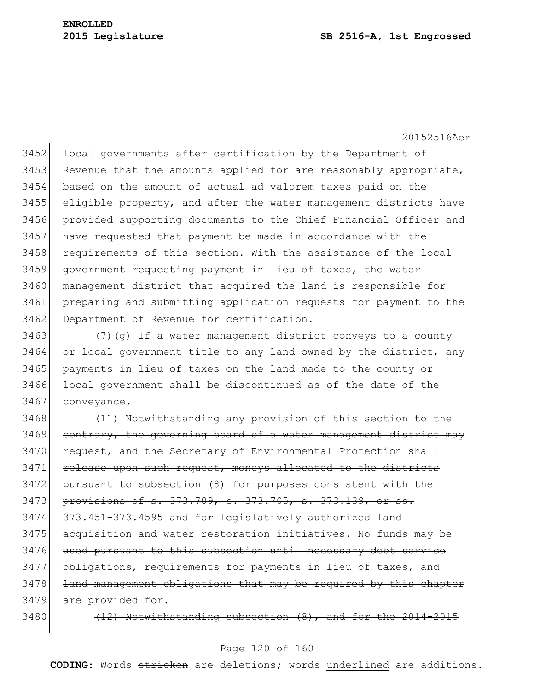3452 local governments after certification by the Department of 3453 Revenue that the amounts applied for are reasonably appropriate, based on the amount of actual ad valorem taxes paid on the eligible property, and after the water management districts have provided supporting documents to the Chief Financial Officer and have requested that payment be made in accordance with the 3458 requirements of this section. With the assistance of the local government requesting payment in lieu of taxes, the water management district that acquired the land is responsible for preparing and submitting application requests for payment to the 3462 Department of Revenue for certification.

3463 (7) $\left( \frac{q}{q} \right)$  If a water management district conveys to a county 3464 or local government title to any land owned by the district, any 3465 payments in lieu of taxes on the land made to the county or 3466 local government shall be discontinued as of the date of the 3467 conveyance.

3468 (11) Notwithstanding any provision of this section to the  $3469$  contrary, the governing board of a water management district may 3470 request, and the Secretary of Environmental Protection shall 3471 release upon such request, moneys allocated to the districts 3472 pursuant to subsection (8) for purposes consistent with the 3473 provisions of s. 373.709, s. 373.705, s. 373.139, or ss.  $3474$   $373.451-373.4595$  and for legislatively authorized land 3475 acquisition and water restoration initiatives. No funds may be 3476 used pursuant to this subsection until necessary debt service 3477 obligations, requirements for payments in lieu of taxes, and 3478 land management obligations that may be required by this chapter 3479 are provided for.

 $3480$  (12) Notwithstanding subsection  $(8)$ , and for the 2014-2015

#### Page 120 of 160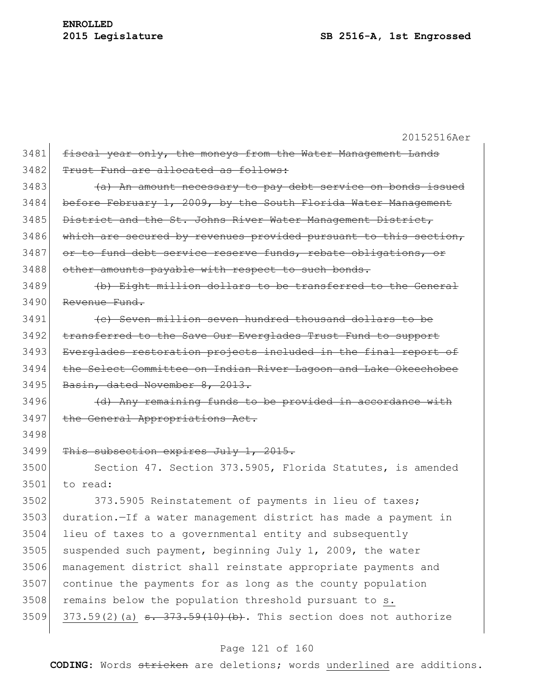20152516Aer  $3481$  fiscal year only, the moneys from the Water Management Lands 3482 Trust Fund are allocated as follows: 3483 (a) An amount necessary to pay debt service on bonds issued 3484 before February 1, 2009, by the South Florida Water Management 3485 District and the St. Johns River Water Management District, 3486 which are secured by revenues provided pursuant to this section, 3487 or to fund debt service reserve funds, rebate obligations, or 3488 other amounts payable with respect to such bonds. 3489 (b) Eight million dollars to be transferred to the General 3490 Revenue Fund. 3491 (c) Seven million seven hundred thousand dollars to be 3492 transferred to the Save Our Everglades Trust Fund to support 3493 Everglades restoration projects included in the final report of 3494 the Select Committee on Indian River Lagoon and Lake Okeechobee 3495 Basin, dated November 8, 2013.  $3496$  (d) Any remaining funds to be provided in accordance with 3497 the General Appropriations Act. 3498 3499 This subsection expires July 1, 2015. 3500 Section 47. Section 373.5905, Florida Statutes, is amended 3501 to read: 3502 373.5905 Reinstatement of payments in lieu of taxes; 3503 duration.—If a water management district has made a payment in 3504 lieu of taxes to a governmental entity and subsequently  $3505$  suspended such payment, beginning July 1, 2009, the water 3506 management district shall reinstate appropriate payments and 3507 continue the payments for as long as the county population  $3508$  remains below the population threshold pursuant to s. 3509 373.59(2)(a)  $\frac{1}{373.59(10)}$  (b). This section does not authorize

#### Page 121 of 160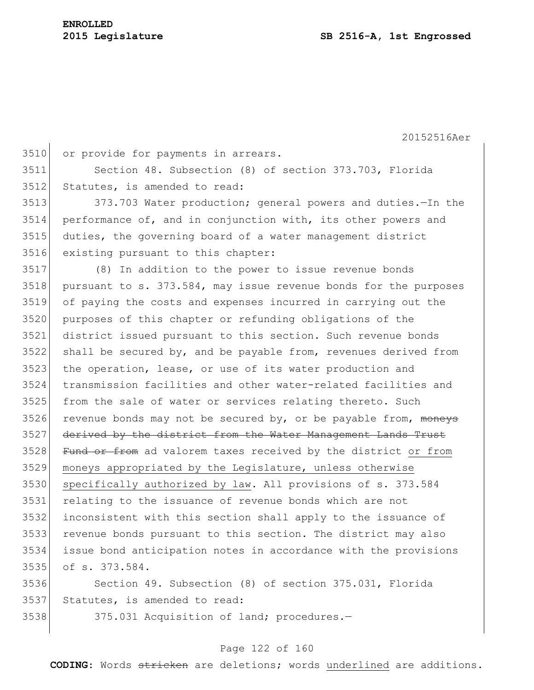```
3510 or provide for payments in arrears.
```
 Section 48. Subsection (8) of section 373.703, Florida Statutes, is amended to read:

 373.703 Water production; general powers and duties.—In the performance of, and in conjunction with, its other powers and duties, the governing board of a water management district existing pursuant to this chapter:

 (8) In addition to the power to issue revenue bonds pursuant to s. 373.584, may issue revenue bonds for the purposes of paying the costs and expenses incurred in carrying out the purposes of this chapter or refunding obligations of the district issued pursuant to this section. Such revenue bonds shall be secured by, and be payable from, revenues derived from 3523 the operation, lease, or use of its water production and transmission facilities and other water-related facilities and from the sale of water or services relating thereto. Such revenue bonds may not be secured by, or be payable from, moneys 3527 derived by the district from the Water Management Lands Trust 3528 Fund or from ad valorem taxes received by the district or from moneys appropriated by the Legislature, unless otherwise 3530 specifically authorized by law. All provisions of s. 373.584 relating to the issuance of revenue bonds which are not inconsistent with this section shall apply to the issuance of revenue bonds pursuant to this section. The district may also issue bond anticipation notes in accordance with the provisions of s. 373.584.

 Section 49. Subsection (8) of section 375.031, Florida Statutes, is amended to read:

3538 375.031 Acquisition of land; procedures.

## Page 122 of 160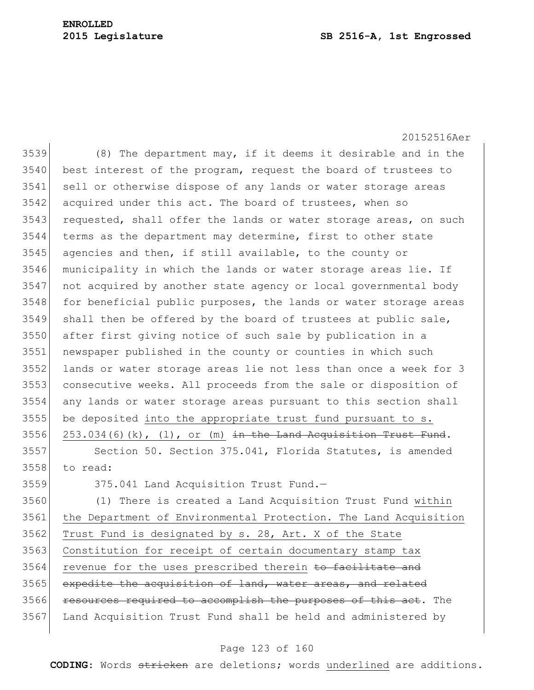#### **2015 Legislature SB 2516-A, 1st Engrossed**

20152516Aer 3539 (8) The department may, if it deems it desirable and in the best interest of the program, request the board of trustees to 3541 sell or otherwise dispose of any lands or water storage areas 3542 acquired under this act. The board of trustees, when so 3543 requested, shall offer the lands or water storage areas, on such terms as the department may determine, first to other state agencies and then, if still available, to the county or municipality in which the lands or water storage areas lie. If not acquired by another state agency or local governmental body 3548 for beneficial public purposes, the lands or water storage areas shall then be offered by the board of trustees at public sale, after first giving notice of such sale by publication in a newspaper published in the county or counties in which such lands or water storage areas lie not less than once a week for 3 consecutive weeks. All proceeds from the sale or disposition of any lands or water storage areas pursuant to this section shall be deposited into the appropriate trust fund pursuant to s.  $253.034(6)(k)$ ,  $(1)$ , or  $(m)$  in the Land Acquisition Trust Fund. Section 50. Section 375.041, Florida Statutes, is amended 3558 to read:

3559 375.041 Land Acquisition Trust Fund.-

 (1) There is created a Land Acquisition Trust Fund within the Department of Environmental Protection. The Land Acquisition Trust Fund is designated by s. 28, Art. X of the State Constitution for receipt of certain documentary stamp tax 3564 revenue for the uses prescribed therein to facilitate and 3565 expedite the acquisition of land, water areas, and related 3566 resources required to accomplish the purposes of this act. The Land Acquisition Trust Fund shall be held and administered by

#### Page 123 of 160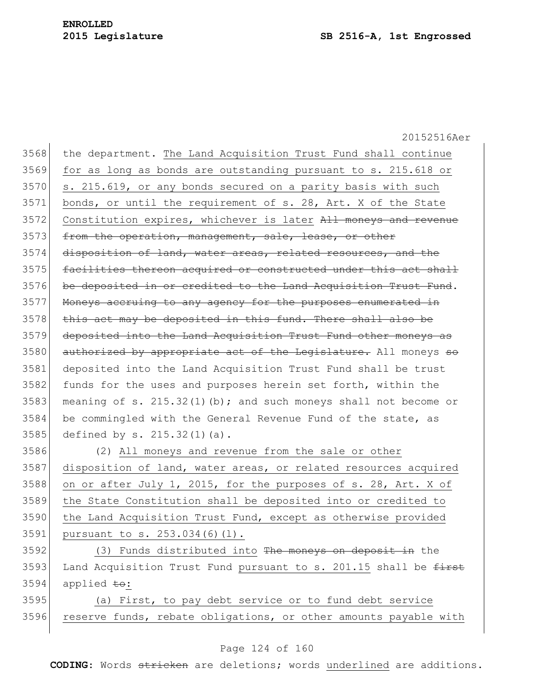20152516Aer 3568 the department. The Land Acquisition Trust Fund shall continue 3569 for as long as bonds are outstanding pursuant to s. 215.618 or 3570 s. 215.619, or any bonds secured on a parity basis with such  $3571$  bonds, or until the requirement of s. 28, Art. X of the State 3572 Constitution expires, whichever is later All moneys and revenue 3573 from the operation, management, sale, lease, or other  $3574$  disposition of land, water areas, related resources, and the 3575 facilities thereon acquired or constructed under this act shall 3576 be deposited in or credited to the Land Acquisition Trust Fund. 3577 Moneys accruing to any agency for the purposes enumerated in 3578 this act may be deposited in this fund. There shall also be 3579 deposited into the Land Acquisition Trust Fund other moneys as 3580 authorized by appropriate act of the Legislature. All moneys so 3581 deposited into the Land Acquisition Trust Fund shall be trust 3582 funds for the uses and purposes herein set forth, within the 3583 meaning of s. 215.32(1)(b); and such moneys shall not become or 3584 be commingled with the General Revenue Fund of the state, as 3585 defined by s. 215.32(1)(a). 3586 (2) All moneys and revenue from the sale or other 3587 disposition of land, water areas, or related resources acquired 3588 on or after July 1, 2015, for the purposes of s. 28, Art. X of 3589 the State Constitution shall be deposited into or credited to 3590 the Land Acquisition Trust Fund, except as otherwise provided 3591 pursuant to s. 253.034(6)(l). 3592 (3) Funds distributed into The moneys on deposit in the 3593 Land Acquisition Trust Fund pursuant to s. 201.15 shall be first  $3594$  applied  $\pm$ o: 3595 (a) First, to pay debt service or to fund debt service 3596 reserve funds, rebate obligations, or other amounts payable with

#### Page 124 of 160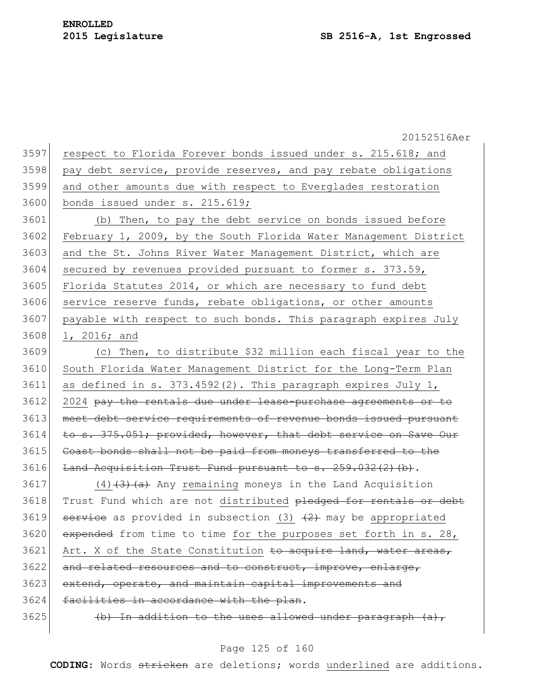20152516Aer 3597 respect to Florida Forever bonds issued under s. 215.618; and 3598 pay debt service, provide reserves, and pay rebate obligations 3599 and other amounts due with respect to Everglades restoration 3600 bonds issued under s. 215.619; 3601 (b) Then, to pay the debt service on bonds issued before 3602 February 1, 2009, by the South Florida Water Management District 3603 and the St. Johns River Water Management District, which are 3604 secured by revenues provided pursuant to former s. 373.59, 3605 Florida Statutes 2014, or which are necessary to fund debt 3606 service reserve funds, rebate obligations, or other amounts 3607 payable with respect to such bonds. This paragraph expires July 3608 1, 2016; and 3609 (c) Then, to distribute \$32 million each fiscal year to the 3610 South Florida Water Management District for the Long-Term Plan 3611 as defined in s. 373.4592(2). This paragraph expires July 1, 3612 2024 pay the rentals due under lease-purchase agreements or to 3613 meet debt service requirements of revenue bonds issued pursuant 3614 to s. 375.051; provided, however, that debt service on Save Our 3615 Coast bonds shall not be paid from moneys transferred to the 3616 Land Acquisition Trust Fund pursuant to s. 259.032(2)(b).  $3617$  (4)<del>(3)(a)</del> Any remaining moneys in the Land Acquisition 3618 Trust Fund which are not distributed pledged for rentals or debt 3619 service as provided in subsection (3)  $(2)$  may be appropriated  $3620$  expended from time to time for the purposes set forth in s. 28,  $3621$  Art. X of the State Constitution to acquire land, water areas, 3622 and related resources and to construct, improve, enlarge, 3623 extend, operate, and maintain capital improvements and 3624 facilities in accordance with the plan. 3625  $\vert$  (b) In addition to the uses allowed under paragraph (a),

#### Page 125 of 160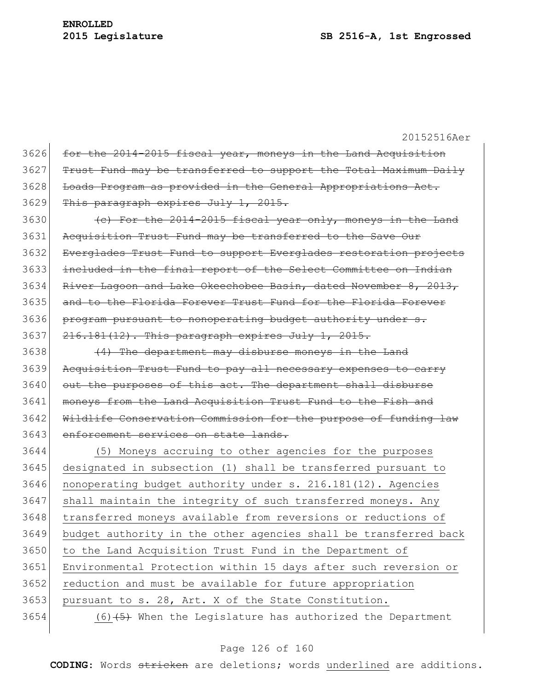20152516Aer 3626 for the 2014-2015 fiscal year, moneys in the Land Acquisition Trust Fund may be transferred to support the Total Maximum Daily Loads Program as provided in the General Appropriations Act. This paragraph expires July 1, 2015.  $\left($  (c) For the 2014-2015 fiscal year only, moneys in the Land Acquisition Trust Fund may be transferred to the Save Our Everglades Trust Fund to support Everglades restoration projects included in the final report of the Select Committee on Indian River Lagoon and Lake Okeechobee Basin, dated November 8, 2013, and to the Florida Forever Trust Fund for the Florida Forever 3636 program pursuant to nonoperating budget authority under s. 3637 216.181(12). This paragraph expires July 1, 2015. (4) The department may disburse moneys in the Land 3639 Acquisition Trust Fund to pay all necessary expenses to carry 3640 out the purposes of this act. The department shall disburse moneys from the Land Acquisition Trust Fund to the Fish and 3642 Wildlife Conservation Commission for the purpose of funding law 3643 enforcement services on state lands. (5) Moneys accruing to other agencies for the purposes designated in subsection (1) shall be transferred pursuant to nonoperating budget authority under s. 216.181(12). Agencies 3647 shall maintain the integrity of such transferred moneys. Any 3648 transferred moneys available from reversions or reductions of budget authority in the other agencies shall be transferred back to the Land Acquisition Trust Fund in the Department of Environmental Protection within 15 days after such reversion or reduction and must be available for future appropriation pursuant to s. 28, Art. X of the State Constitution.  $(6)$   $\leftarrow$   $\leftarrow$  When the Legislature has authorized the Department

#### Page 126 of 160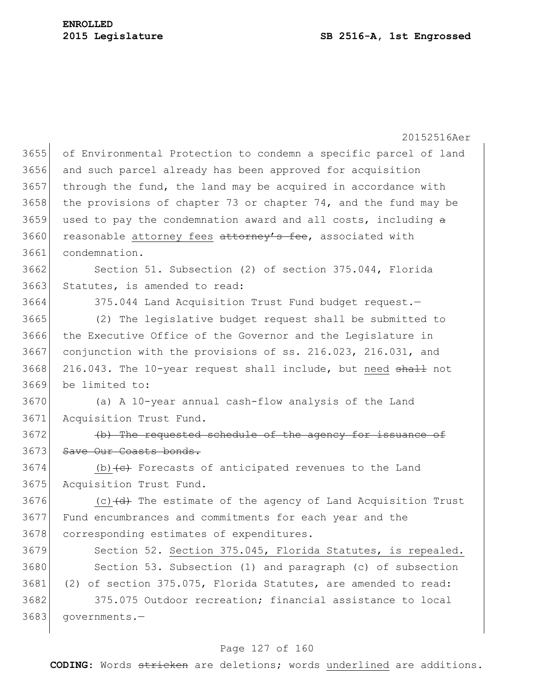20152516Aer 3655 of Environmental Protection to condemn a specific parcel of land 3656 and such parcel already has been approved for acquisition  $3657$  through the fund, the land may be acquired in accordance with 3658 the provisions of chapter 73 or chapter 74, and the fund may be 3659 used to pay the condemnation award and all costs, including  $\theta$ 3660 reasonable attorney fees attorney's fee, associated with 3661 condemnation. 3662 Section 51. Subsection (2) of section 375.044, Florida 3663 Statutes, is amended to read: 3664 375.044 Land Acquisition Trust Fund budget request. 3665 (2) The legislative budget request shall be submitted to 3666 the Executive Office of the Governor and the Legislature in 3667 conjunction with the provisions of ss. 216.023, 216.031, and 3668 216.043. The 10-year request shall include, but need shall not 3669 be limited to: 3670 (a) A 10-year annual cash-flow analysis of the Land 3671 Acquisition Trust Fund. 3672 (b) The requested schedule of the agency for issuance of 3673 Save Our Coasts bonds. 3674 (b) (e) Forecasts of anticipated revenues to the Land 3675 Acquisition Trust Fund. 3676  $(c)$  (c)  $(d)$  The estimate of the agency of Land Acquisition Trust 3677 Fund encumbrances and commitments for each year and the 3678 corresponding estimates of expenditures. 3679 Section 52. Section 375.045, Florida Statutes, is repealed. 3680 Section 53. Subsection (1) and paragraph (c) of subsection 3681 (2) of section 375.075, Florida Statutes, are amended to read: 3682 375.075 Outdoor recreation; financial assistance to local 3683 governments.—

## Page 127 of 160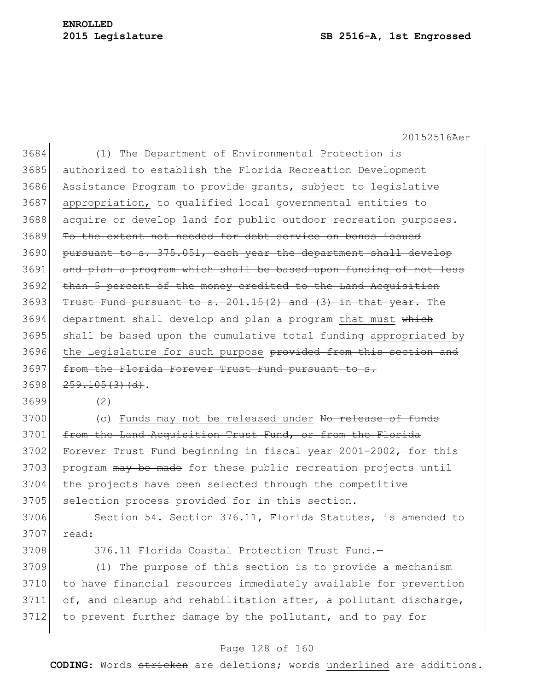#### **2015 Legislature SB 2516-A, 1st Engrossed**

20152516Aer

 (1) The Department of Environmental Protection is authorized to establish the Florida Recreation Development Assistance Program to provide grants, subject to legislative appropriation, to qualified local governmental entities to acquire or develop land for public outdoor recreation purposes. To the extent not needed for debt service on bonds issued pursuant to s. 375.051, each year the department shall develop 3691 and plan a program which shall be based upon funding of not less 3692 than 5 percent of the money credited to the Land Acquisition Trust Fund pursuant to s.  $201.15(2)$  and  $(3)$  in that year. The 3694 department shall develop and plan a program that must which shall be based upon the cumulative total funding appropriated by 3696 the Legislature for such purpose provided from this section and 3697 from the Florida Forever Trust Fund pursuant to  $259.105(3)(d)$ .

3699 (2)

3700 (c) Funds may not be released under No release of funds 3701 from the Land Acquisition Trust Fund, or from the Florida 3702 Forever Trust Fund beginning in fiscal year 2001-2002, for this 3703 program may be made for these public recreation projects until 3704 the projects have been selected through the competitive 3705 selection process provided for in this section.

3706 Section 54. Section 376.11, Florida Statutes, is amended to 3707 read:

3708 376.11 Florida Coastal Protection Trust Fund.—

 (1) The purpose of this section is to provide a mechanism to have financial resources immediately available for prevention of, and cleanup and rehabilitation after, a pollutant discharge, 3712 to prevent further damage by the pollutant, and to pay for

#### Page 128 of 160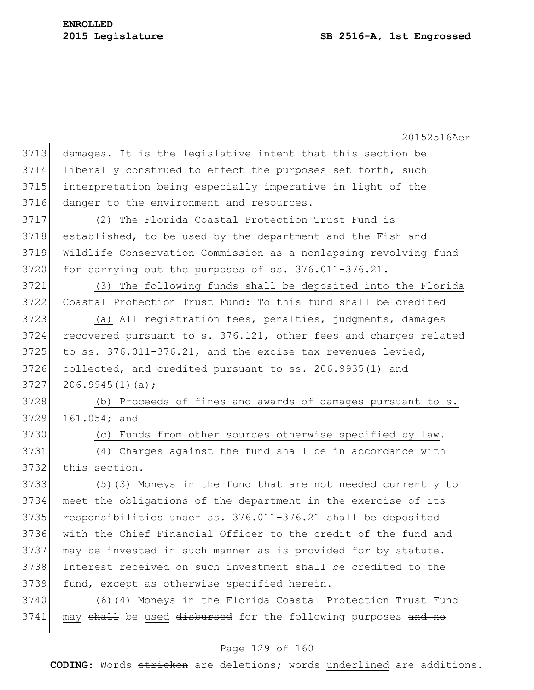20152516Aer damages. It is the legislative intent that this section be liberally construed to effect the purposes set forth, such interpretation being especially imperative in light of the danger to the environment and resources. (2) The Florida Coastal Protection Trust Fund is established, to be used by the department and the Fish and Wildlife Conservation Commission as a nonlapsing revolving fund 3720 for carrying out the purposes of ss. 376.011-376.21. (3) The following funds shall be deposited into the Florida 3722 Coastal Protection Trust Fund: To this fund shall be credited (a) All registration fees, penalties, judgments, damages recovered pursuant to s. 376.121, other fees and charges related to ss.  $376.011-376.21$ , and the excise tax revenues levied, collected, and credited pursuant to ss. 206.9935(1) and 206.9945(1)(a); (b) Proceeds of fines and awards of damages pursuant to s. 3729 161.054; and (c) Funds from other sources otherwise specified by law. (4) Charges against the fund shall be in accordance with this section.  $(5)$  (3) Woneys in the fund that are not needed currently to meet the obligations of the department in the exercise of its 3735 responsibilities under ss. 376.011-376.21 shall be deposited with the Chief Financial Officer to the credit of the fund and may be invested in such manner as is provided for by statute. Interest received on such investment shall be credited to the 3739 fund, except as otherwise specified herein.  $(6)$  (4) Moneys in the Florida Coastal Protection Trust Fund 3741 may shall be used disbursed for the following purposes and no

#### Page 129 of 160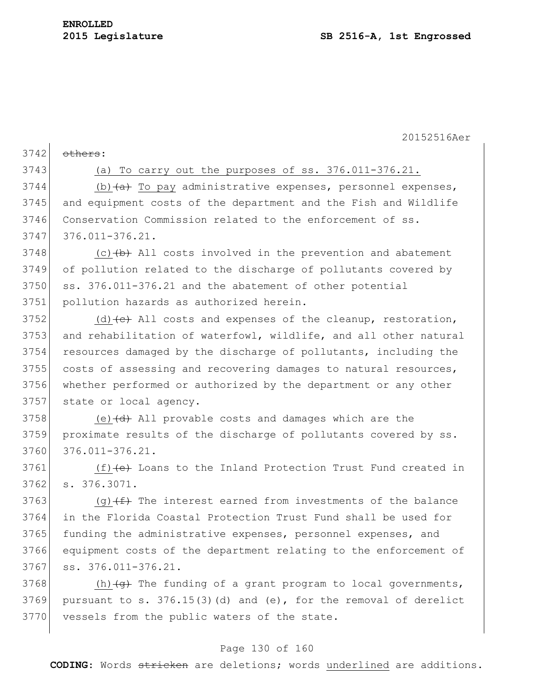$3742$  others:

## 3743 (a) To carry out the purposes of ss. 376.011-376.21.

3744 (b) (a) To pay administrative expenses, personnel expenses, 3745 and equipment costs of the department and the Fish and Wildlife 3746 Conservation Commission related to the enforcement of ss. 3747 376.011-376.21.

 (c) $\left(\frac{b}{b}\right)$  All costs involved in the prevention and abatement of pollution related to the discharge of pollutants covered by 3750 ss. 376.011-376.21 and the abatement of other potential pollution hazards as authorized herein.

 $3752$  (d)  $\left(\text{e}\right)$  All costs and expenses of the cleanup, restoration, 3753 and rehabilitation of waterfowl, wildlife, and all other natural 3754 resources damaged by the discharge of pollutants, including the 3755 costs of assessing and recovering damages to natural resources, 3756 whether performed or authorized by the department or any other 3757 state or local agency.

3758 (e) $\left(\frac{d}{dt}\right)$  All provable costs and damages which are the 3759 proximate results of the discharge of pollutants covered by ss. 3760 376.011-376.21.

3761  $(f)$  (f) (e) Loans to the Inland Protection Trust Fund created in 3762 s. 376.3071.

3763 (g) $(f)$  The interest earned from investments of the balance 3764 in the Florida Coastal Protection Trust Fund shall be used for 3765 funding the administrative expenses, personnel expenses, and 3766 equipment costs of the department relating to the enforcement of 3767 ss. 376.011-376.21.

3768 (h) $\left( \frac{q}{q} \right)$  The funding of a grant program to local governments, 3769 pursuant to s.  $376.15(3)(d)$  and (e), for the removal of derelict 3770 vessels from the public waters of the state.

#### Page 130 of 160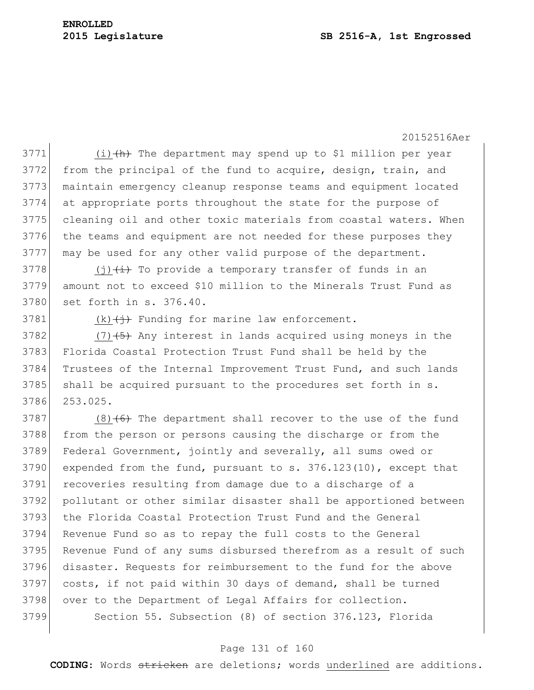(i)  $\left\langle h \right\rangle$  The department may spend up to \$1 million per year 3772 from the principal of the fund to acquire, design, train, and maintain emergency cleanup response teams and equipment located at appropriate ports throughout the state for the purpose of cleaning oil and other toxic materials from coastal waters. When 3776 the teams and equipment are not needed for these purposes they may be used for any other valid purpose of the department.

3778 (j) $\leftrightarrow$  To provide a temporary transfer of funds in an 3779 amount not to exceed \$10 million to the Minerals Trust Fund as 3780 set forth in s. 376.40.

3781 (k) $\left\{\frac{1}{t}\right\}$  Funding for marine law enforcement.

3782  $(7)$   $(5)$  Any interest in lands acquired using moneys in the 3783 Florida Coastal Protection Trust Fund shall be held by the 3784 Trustees of the Internal Improvement Trust Fund, and such lands 3785 shall be acquired pursuant to the procedures set forth in s. 3786 253.025.

3787 (8) $(6)$  The department shall recover to the use of the fund 3788 from the person or persons causing the discharge or from the Federal Government, jointly and severally, all sums owed or expended from the fund, pursuant to s.  $376.123(10)$ , except that recoveries resulting from damage due to a discharge of a pollutant or other similar disaster shall be apportioned between 3793 the Florida Coastal Protection Trust Fund and the General Revenue Fund so as to repay the full costs to the General Revenue Fund of any sums disbursed therefrom as a result of such disaster. Requests for reimbursement to the fund for the above costs, if not paid within 30 days of demand, shall be turned 3798 over to the Department of Legal Affairs for collection. Section 55. Subsection (8) of section 376.123, Florida

## Page 131 of 160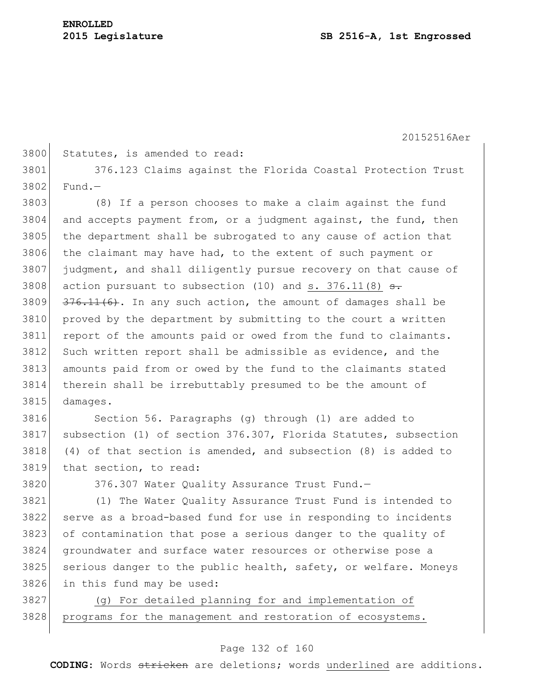$3802$  Fund.

20152516Aer

|      | 3800 Statutes, is amended to read: |  |  |                                                             |  |
|------|------------------------------------|--|--|-------------------------------------------------------------|--|
| 3801 |                                    |  |  | 376.123 Claims against the Florida Coastal Protection Trust |  |

 (8) If a person chooses to make a claim against the fund and accepts payment from, or a judgment against, the fund, then 3805 the department shall be subrogated to any cause of action that the claimant may have had, to the extent of such payment or judgment, and shall diligently pursue recovery on that cause of 3808 action pursuant to subsection  $(10)$  and s. 376.11 $(8)$  <del>s.</del>  $\left| \frac{376.11(6)}{1} \right|$ . In any such action, the amount of damages shall be proved by the department by submitting to the court a written 3811 report of the amounts paid or owed from the fund to claimants. 3812 Such written report shall be admissible as evidence, and the amounts paid from or owed by the fund to the claimants stated therein shall be irrebuttably presumed to be the amount of 3815 damages.

3816 Section 56. Paragraphs (g) through (1) are added to subsection (1) of section 376.307, Florida Statutes, subsection (4) of that section is amended, and subsection (8) is added to that section, to read:

3820 376.307 Water Quality Assurance Trust Fund.

 (1) The Water Quality Assurance Trust Fund is intended to serve as a broad-based fund for use in responding to incidents of contamination that pose a serious danger to the quality of groundwater and surface water resources or otherwise pose a 3825 serious danger to the public health, safety, or welfare. Moneys in this fund may be used:

3827 (g) For detailed planning for and implementation of 3828 | programs for the management and restoration of ecosystems.

#### Page 132 of 160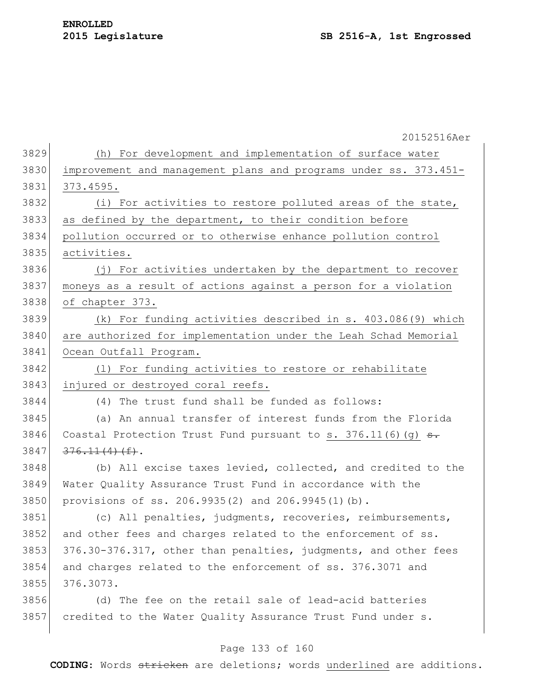|      | 20152516Aer                                                      |
|------|------------------------------------------------------------------|
| 3829 | (h) For development and implementation of surface water          |
| 3830 | improvement and management plans and programs under ss. 373.451- |
| 3831 | 373.4595.                                                        |
| 3832 | (i) For activities to restore polluted areas of the state,       |
| 3833 | as defined by the department, to their condition before          |
| 3834 | pollution occurred or to otherwise enhance pollution control     |
| 3835 | activities.                                                      |
| 3836 | (j) For activities undertaken by the department to recover       |
| 3837 | moneys as a result of actions against a person for a violation   |
| 3838 | of chapter 373.                                                  |
| 3839 | (k) For funding activities described in s. 403.086(9) which      |
| 3840 | are authorized for implementation under the Leah Schad Memorial  |
| 3841 | Ocean Outfall Program.                                           |
| 3842 | (1) For funding activities to restore or rehabilitate            |
| 3843 | injured or destroyed coral reefs.                                |
| 3844 | (4) The trust fund shall be funded as follows:                   |
| 3845 | (a) An annual transfer of interest funds from the Florida        |
| 3846 | Coastal Protection Trust Fund pursuant to s. $376.11(6)(g)$ s.   |
| 3847 | $376.11(4)$ (f).                                                 |
| 3848 | (b) All excise taxes levied, collected, and credited to the      |
| 3849 | Water Quality Assurance Trust Fund in accordance with the        |
| 3850 | provisions of ss. 206.9935(2) and 206.9945(1)(b).                |
| 3851 | (c) All penalties, judgments, recoveries, reimbursements,        |
| 3852 | and other fees and charges related to the enforcement of ss.     |
| 3853 | 376.30-376.317, other than penalties, judgments, and other fees  |
| 3854 | and charges related to the enforcement of ss. 376.3071 and       |
| 3855 | 376.3073.                                                        |
| 3856 | (d) The fee on the retail sale of lead-acid batteries            |
| 3857 | credited to the Water Quality Assurance Trust Fund under s.      |
|      |                                                                  |

# Page 133 of 160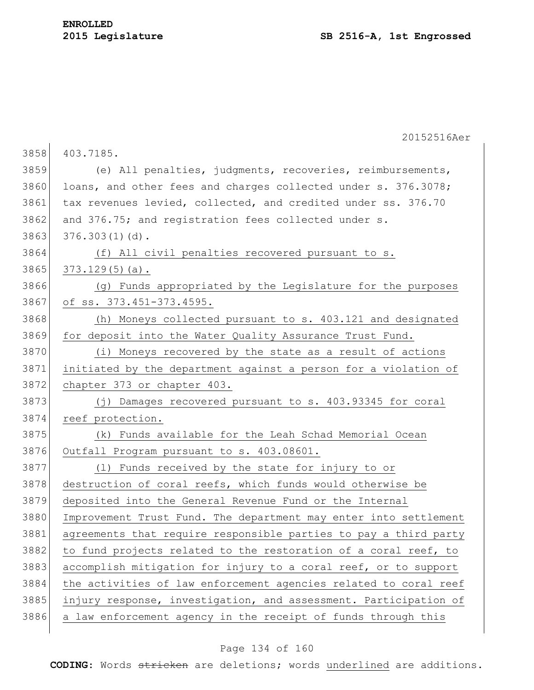|      | 20152516Aer                                                      |
|------|------------------------------------------------------------------|
| 3858 | 403.7185.                                                        |
| 3859 | (e) All penalties, judgments, recoveries, reimbursements,        |
| 3860 | loans, and other fees and charges collected under s. 376.3078;   |
| 3861 | tax revenues levied, collected, and credited under ss. 376.70    |
| 3862 | and 376.75; and registration fees collected under s.             |
| 3863 | $376.303(1)(d)$ .                                                |
| 3864 | (f) All civil penalties recovered pursuant to s.                 |
| 3865 | $373.129(5)(a)$ .                                                |
| 3866 | (g) Funds appropriated by the Legislature for the purposes       |
| 3867 | of ss. 373.451-373.4595.                                         |
| 3868 | (h) Moneys collected pursuant to s. 403.121 and designated       |
| 3869 | for deposit into the Water Quality Assurance Trust Fund.         |
| 3870 | (i) Moneys recovered by the state as a result of actions         |
| 3871 | initiated by the department against a person for a violation of  |
| 3872 | chapter 373 or chapter 403.                                      |
| 3873 | (j) Damages recovered pursuant to s. 403.93345 for coral         |
| 3874 | reef protection.                                                 |
| 3875 | (k) Funds available for the Leah Schad Memorial Ocean            |
| 3876 | Outfall Program pursuant to s. 403.08601.                        |
| 3877 | (1) Funds received by the state for injury to or                 |
| 3878 | destruction of coral reefs, which funds would otherwise be       |
| 3879 | deposited into the General Revenue Fund or the Internal          |
| 3880 | Improvement Trust Fund. The department may enter into settlement |
| 3881 | agreements that require responsible parties to pay a third party |
| 3882 | to fund projects related to the restoration of a coral reef, to  |
| 3883 | accomplish mitigation for injury to a coral reef, or to support  |
| 3884 | the activities of law enforcement agencies related to coral reef |
| 3885 | injury response, investigation, and assessment. Participation of |
| 3886 | a law enforcement agency in the receipt of funds through this    |

# Page 134 of 160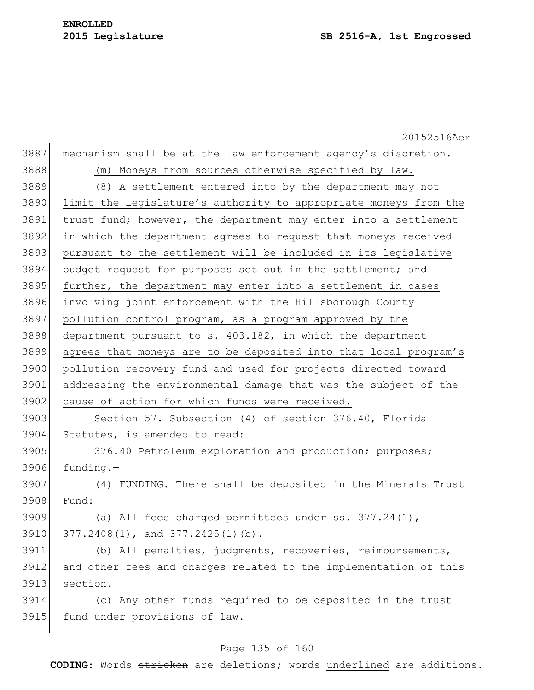20152516Aer 3887 mechanism shall be at the law enforcement agency's discretion. (m) Moneys from sources otherwise specified by law. (8) A settlement entered into by the department may not limit the Legislature's authority to appropriate moneys from the 3891 trust fund; however, the department may enter into a settlement in which the department agrees to request that moneys received pursuant to the settlement will be included in its legislative budget request for purposes set out in the settlement; and 3895 further, the department may enter into a settlement in cases involving joint enforcement with the Hillsborough County pollution control program, as a program approved by the department pursuant to s.  $403.182$ , in which the department agrees that moneys are to be deposited into that local program's pollution recovery fund and used for projects directed toward addressing the environmental damage that was the subject of the 3902 cause of action for which funds were received. Section 57. Subsection (4) of section 376.40, Florida Statutes, is amended to read: 3905 376.40 Petroleum exploration and production; purposes; funding. $-$  (4) FUNDING.—There shall be deposited in the Minerals Trust Fund: (a) All fees charged permittees under ss. 377.24(1), 3910 377.2408(1), and 377.2425(1)(b). (b) All penalties, judgments, recoveries, reimbursements, and other fees and charges related to the implementation of this section. (c) Any other funds required to be deposited in the trust 3915 fund under provisions of law.

#### Page 135 of 160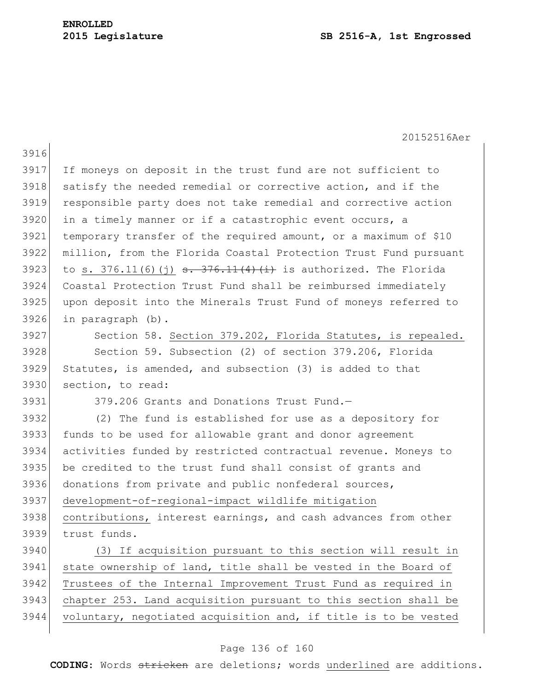|      | 20152516Aer                                                                 |
|------|-----------------------------------------------------------------------------|
| 3916 |                                                                             |
| 3917 | If moneys on deposit in the trust fund are not sufficient to                |
| 3918 | satisfy the needed remedial or corrective action, and if the                |
| 3919 | responsible party does not take remedial and corrective action              |
| 3920 | in a timely manner or if a catastrophic event occurs, a                     |
| 3921 | temporary transfer of the required amount, or a maximum of \$10             |
| 3922 | million, from the Florida Coastal Protection Trust Fund pursuant            |
| 3923 | to s. 376.11(6)(j) $\frac{1}{16}$ = 376.11(4)(i) is authorized. The Florida |
| 3924 | Coastal Protection Trust Fund shall be reimbursed immediately               |
| 3925 | upon deposit into the Minerals Trust Fund of moneys referred to             |
| 3926 | in paragraph (b).                                                           |
| 3927 | Section 58. Section 379.202, Florida Statutes, is repealed.                 |
| 3928 | Section 59. Subsection (2) of section 379.206, Florida                      |
| 3929 | Statutes, is amended, and subsection (3) is added to that                   |
| 3930 | section, to read:                                                           |
| 3931 | 379.206 Grants and Donations Trust Fund.-                                   |
| 3932 | (2) The fund is established for use as a depository for                     |
| 3933 | funds to be used for allowable grant and donor agreement                    |
| 3934 | activities funded by restricted contractual revenue. Moneys to              |
| 3935 | be credited to the trust fund shall consist of grants and                   |
| 3936 | donations from private and public nonfederal sources,                       |
| 3937 | development-of-regional-impact wildlife mitigation                          |
| 3938 | contributions, interest earnings, and cash advances from other              |
| 3939 | trust funds.                                                                |
| 3940 | (3) If acquisition pursuant to this section will result in                  |
| 3941 | state ownership of land, title shall be vested in the Board of              |
| 3942 | Trustees of the Internal Improvement Trust Fund as required in              |
| 3943 | chapter 253. Land acquisition pursuant to this section shall be             |
| 3944 | voluntary, negotiated acquisition and, if title is to be vested             |
|      |                                                                             |

# Page 136 of 160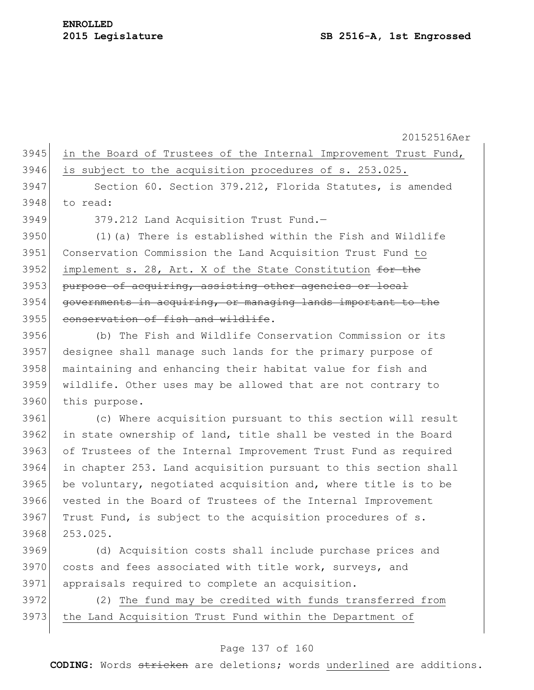|        | 3945 in the Board of Trustees of the Internal Improvement Trust Fund, |  |
|--------|-----------------------------------------------------------------------|--|
|        | 3946 is subject to the acquisition procedures of s. 253.025.          |  |
| $3947$ | Section 60. Section 379.212, Florida Statutes, is amended             |  |

3948 to read:

3949 379.212 Land Acquisition Trust Fund.-

3950 (1)(a) There is established within the Fish and Wildlife 3951 Conservation Commission the Land Acquisition Trust Fund to 3952 implement s. 28, Art. X of the State Constitution  $\frac{f}{f}$  the 3953 purpose of acquiring, assisting other agencies or local 3954 governments in acquiring, or managing lands important to the 3955 conservation of fish and wildlife.

 (b) The Fish and Wildlife Conservation Commission or its designee shall manage such lands for the primary purpose of maintaining and enhancing their habitat value for fish and wildlife. Other uses may be allowed that are not contrary to 3960 this purpose.

 (c) Where acquisition pursuant to this section will result 3962 in state ownership of land, title shall be vested in the Board of Trustees of the Internal Improvement Trust Fund as required in chapter 253. Land acquisition pursuant to this section shall 3965 be voluntary, negotiated acquisition and, where title is to be vested in the Board of Trustees of the Internal Improvement Trust Fund, is subject to the acquisition procedures of s. 3968 253.025.

3969 (d) Acquisition costs shall include purchase prices and 3970 costs and fees associated with title work, surveys, and 3971 appraisals required to complete an acquisition.

3972 (2) The fund may be credited with funds transferred from 3973 the Land Acquisition Trust Fund within the Department of

#### Page 137 of 160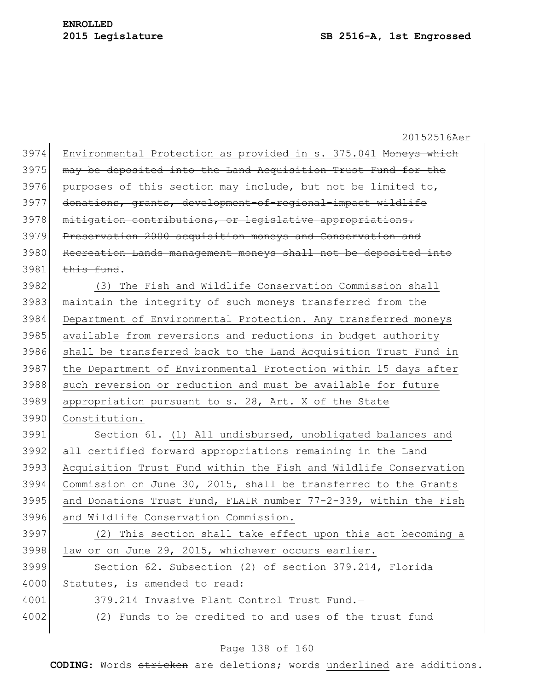20152516Aer 3974 Environmental Protection as provided in s. 375.041 Moneys which 3975 may be deposited into the Land Acquisition Trust Fund for the purposes of this section may include, but not be limited to, donations, grants, development-of-regional-impact wildlife 3978 mitigation contributions, or legislative appropriations. Preservation 2000 acquisition moneys and Conservation and 3980 Recreation Lands management moneys shall not be deposited into this fund. (3) The Fish and Wildlife Conservation Commission shall maintain the integrity of such moneys transferred from the Department of Environmental Protection. Any transferred moneys available from reversions and reductions in budget authority shall be transferred back to the Land Acquisition Trust Fund in 3987 the Department of Environmental Protection within 15 days after 3988 such reversion or reduction and must be available for future appropriation pursuant to s. 28, Art. X of the State Constitution. Section 61. (1) All undisbursed, unobligated balances and all certified forward appropriations remaining in the Land Acquisition Trust Fund within the Fish and Wildlife Conservation Commission on June 30, 2015, shall be transferred to the Grants and Donations Trust Fund, FLAIR number  $77-2-339$ , within the Fish and Wildlife Conservation Commission. (2) This section shall take effect upon this act becoming a 3998 law or on June 29, 2015, whichever occurs earlier. Section 62. Subsection (2) of section 379.214, Florida 4000 Statutes, is amended to read: 379.214 Invasive Plant Control Trust Fund.— 4002 (2) Funds to be credited to and uses of the trust fund

## Page 138 of 160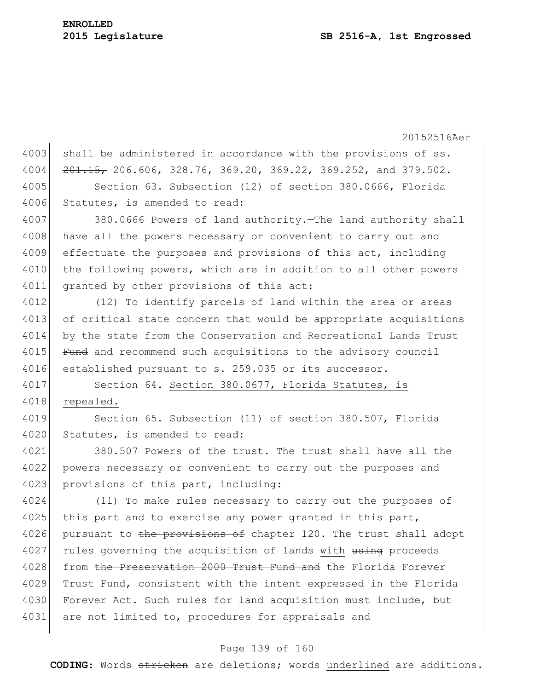20152516Aer 4003 shall be administered in accordance with the provisions of ss.  $4004$   $201.15$ , 206.606, 328.76, 369.20, 369.22, 369.252, and 379.502. 4005 Section 63. Subsection (12) of section 380.0666, Florida 4006 Statutes, is amended to read: 4007 380.0666 Powers of land authority.—The land authority shall 4008 have all the powers necessary or convenient to carry out and 4009 effectuate the purposes and provisions of this act, including 4010 the following powers, which are in addition to all other powers 4011 granted by other provisions of this act: 4012 (12) To identify parcels of land within the area or areas 4013 of critical state concern that would be appropriate acquisitions 4014 by the state from the Conservation and Recreational Lands Trust 4015 Fund and recommend such acquisitions to the advisory council 4016 established pursuant to s. 259.035 or its successor. 4017 Section 64. Section 380.0677, Florida Statutes, is 4018 repealed. 4019 Section 65. Subsection (11) of section 380.507, Florida 4020 Statutes, is amended to read: 4021 380.507 Powers of the trust.—The trust shall have all the 4022 powers necessary or convenient to carry out the purposes and 4023 provisions of this part, including: 4024 (11) To make rules necessary to carry out the purposes of 4025 this part and to exercise any power granted in this part, 4026 pursuant to the provisions of chapter 120. The trust shall adopt 4027 rules governing the acquisition of lands with using proceeds 4028 from the Preservation 2000 Trust Fund and the Florida Forever 4029 Trust Fund, consistent with the intent expressed in the Florida 4030 Forever Act. Such rules for land acquisition must include, but 4031 are not limited to, procedures for appraisals and

## Page 139 of 160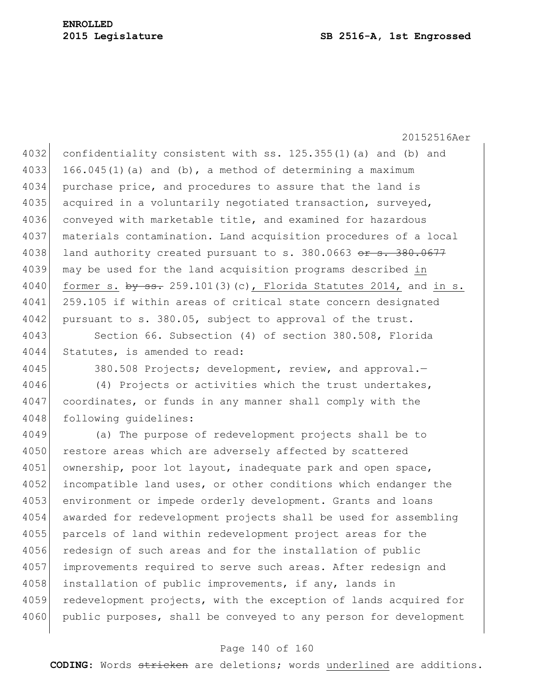#### **2015 Legislature SB 2516-A, 1st Engrossed**

20152516Aer

4032 confidentiality consistent with ss. 125.355(1)(a) and (b) and 4033 166.045(1)(a) and (b), a method of determining a maximum 4034 purchase price, and procedures to assure that the land is 4035 acquired in a voluntarily negotiated transaction, surveyed, 4036 conveyed with marketable title, and examined for hazardous 4037 materials contamination. Land acquisition procedures of a local 4038 land authority created pursuant to s. 380.0663 or s. 380.0677 4039 may be used for the land acquisition programs described in 4040 former s.  $\frac{160}{100}$  former s.  $\frac{160}{100}$ ,  $\frac{101(3)}{30}$  (c), Florida Statutes 2014, and in s. 4041 259.105 if within areas of critical state concern designated 4042 pursuant to s. 380.05, subject to approval of the trust.

4043 Section 66. Subsection (4) of section 380.508, Florida 4044 Statutes, is amended to read:

4045 380.508 Projects; development, review, and approval.-

4046 (4) Projects or activities which the trust undertakes, 4047 coordinates, or funds in any manner shall comply with the 4048 following quidelines:

4049 (a) The purpose of redevelopment projects shall be to 4050 restore areas which are adversely affected by scattered 4051 ownership, poor lot layout, inadequate park and open space, 4052 incompatible land uses, or other conditions which endanger the 4053 environment or impede orderly development. Grants and loans 4054 awarded for redevelopment projects shall be used for assembling 4055 parcels of land within redevelopment project areas for the 4056 redesign of such areas and for the installation of public 4057 improvements required to serve such areas. After redesign and 4058 installation of public improvements, if any, lands in 4059 redevelopment projects, with the exception of lands acquired for 4060 public purposes, shall be conveyed to any person for development

#### Page 140 of 160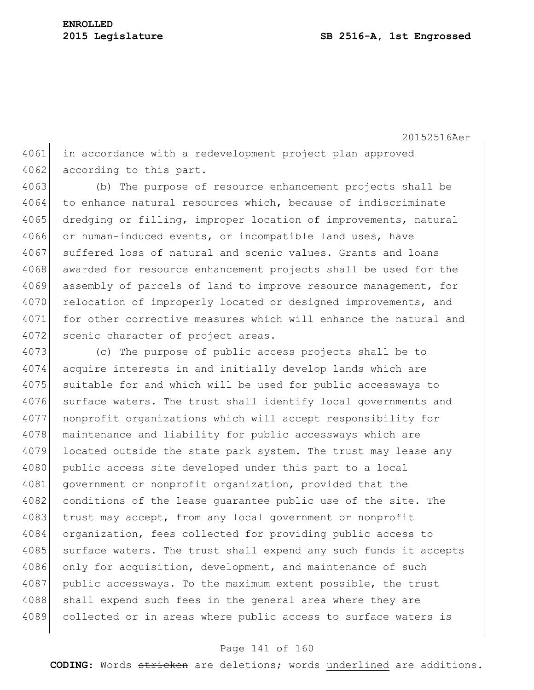4061 in accordance with a redevelopment project plan approved 4062 according to this part.

4063 (b) The purpose of resource enhancement projects shall be 4064 to enhance natural resources which, because of indiscriminate 4065 dredging or filling, improper location of improvements, natural 4066 or human-induced events, or incompatible land uses, have 4067 suffered loss of natural and scenic values. Grants and loans 4068 awarded for resource enhancement projects shall be used for the 4069 assembly of parcels of land to improve resource management, for 4070 relocation of improperly located or designed improvements, and 4071 for other corrective measures which will enhance the natural and 4072 scenic character of project areas.

4073 (c) The purpose of public access projects shall be to 4074 acquire interests in and initially develop lands which are 4075 suitable for and which will be used for public accessways to 4076 surface waters. The trust shall identify local governments and 4077 nonprofit organizations which will accept responsibility for 4078 maintenance and liability for public accessways which are 4079 located outside the state park system. The trust may lease any 4080 public access site developed under this part to a local 4081 government or nonprofit organization, provided that the 4082 conditions of the lease quarantee public use of the site. The 4083 trust may accept, from any local government or nonprofit 4084 organization, fees collected for providing public access to 4085 surface waters. The trust shall expend any such funds it accepts 4086 only for acquisition, development, and maintenance of such 4087 public accessways. To the maximum extent possible, the trust 4088 shall expend such fees in the general area where they are 4089 collected or in areas where public access to surface waters is

#### Page 141 of 160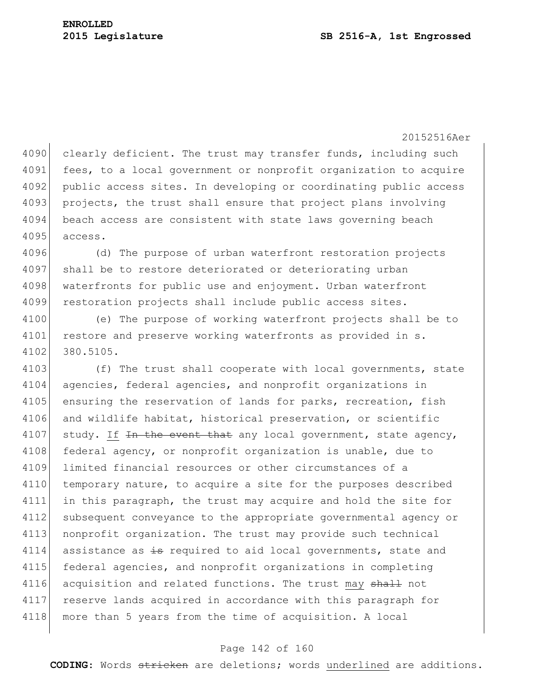4090 clearly deficient. The trust may transfer funds, including such 4091 fees, to a local government or nonprofit organization to acquire 4092 public access sites. In developing or coordinating public access 4093 projects, the trust shall ensure that project plans involving 4094 beach access are consistent with state laws governing beach 4095 access.

4096 (d) The purpose of urban waterfront restoration projects 4097 shall be to restore deteriorated or deteriorating urban 4098 waterfronts for public use and enjoyment. Urban waterfront 4099 restoration projects shall include public access sites.

4100 (e) The purpose of working waterfront projects shall be to 4101 restore and preserve working waterfronts as provided in s. 4102 380.5105.

4103 (f) The trust shall cooperate with local governments, state 4104 agencies, federal agencies, and nonprofit organizations in 4105 ensuring the reservation of lands for parks, recreation, fish 4106 and wildlife habitat, historical preservation, or scientific 4107 study. If  $\pm n$  the event that any local government, state agency, 4108 federal agency, or nonprofit organization is unable, due to 4109 limited financial resources or other circumstances of a 4110 temporary nature, to acquire a site for the purposes described 4111 in this paragraph, the trust may acquire and hold the site for 4112 subsequent conveyance to the appropriate governmental agency or 4113 nonprofit organization. The trust may provide such technical 4114 assistance as  $\frac{1}{2}$  required to aid local governments, state and 4115 federal agencies, and nonprofit organizations in completing 4116 acquisition and related functions. The trust may shall not 4117 reserve lands acquired in accordance with this paragraph for 4118 more than 5 years from the time of acquisition. A local

#### Page 142 of 160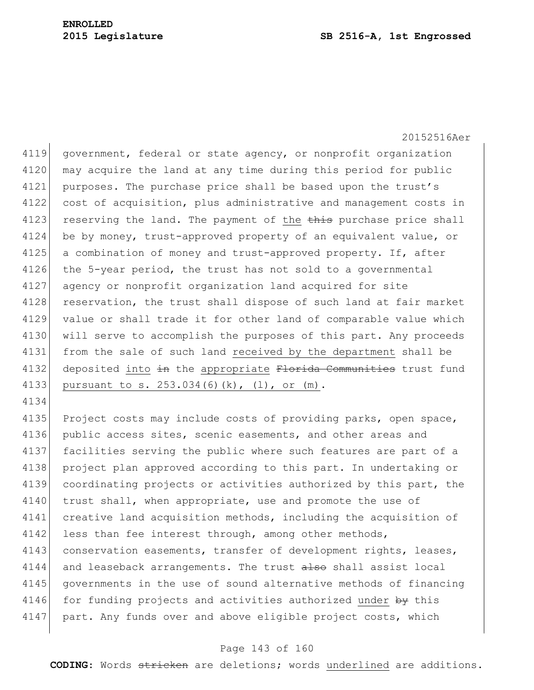4134

20152516Aer

4119 government, federal or state agency, or nonprofit organization 4120 may acquire the land at any time during this period for public 4121 purposes. The purchase price shall be based upon the trust's 4122 cost of acquisition, plus administrative and management costs in 4123 reserving the land. The payment of the  $\frac{1}{2}$  purchase price shall 4124 be by money, trust-approved property of an equivalent value, or 4125 a combination of money and trust-approved property. If, after 4126 the 5-year period, the trust has not sold to a governmental 4127 agency or nonprofit organization land acquired for site 4128 reservation, the trust shall dispose of such land at fair market 4129 value or shall trade it for other land of comparable value which 4130 will serve to accomplish the purposes of this part. Any proceeds 4131 from the sale of such land received by the department shall be 4132 deposited into in the appropriate Florida Communities trust fund 4133 pursuant to s. 253.034(6)(k), (1), or (m).

4135 Project costs may include costs of providing parks, open space, 4136 public access sites, scenic easements, and other areas and 4137 facilities serving the public where such features are part of a 4138 project plan approved according to this part. In undertaking or 4139 coordinating projects or activities authorized by this part, the 4140 trust shall, when appropriate, use and promote the use of 4141 creative land acquisition methods, including the acquisition of 4142 less than fee interest through, among other methods, 4143 conservation easements, transfer of development rights, leases, 4144 and leaseback arrangements. The trust also shall assist local 4145 governments in the use of sound alternative methods of financing 4146 for funding projects and activities authorized under by this 4147 part. Any funds over and above eligible project costs, which

#### Page 143 of 160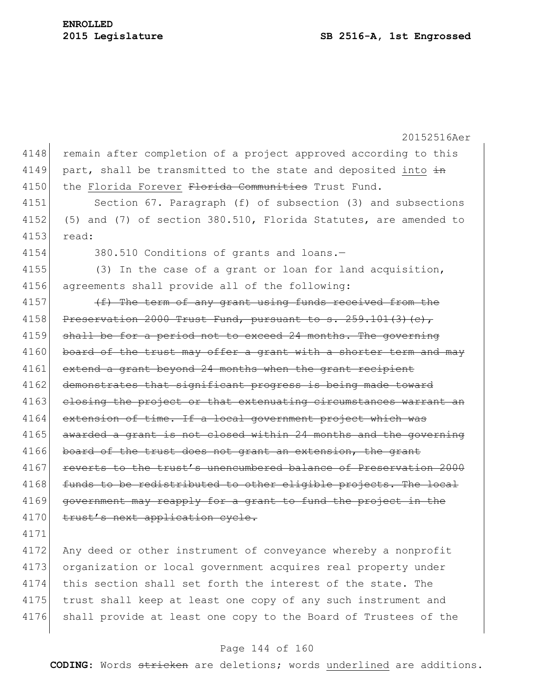20152516Aer 4148 remain after completion of a project approved according to this 4149 part, shall be transmitted to the state and deposited into  $\frac{1}{2}$ 4150 the Florida Forever Florida Communities Trust Fund. 4151 Section 67. Paragraph (f) of subsection (3) and subsections 4152 (5) and (7) of section 380.510, Florida Statutes, are amended to 4153 read: 4154 380.510 Conditions of grants and loans.— 4155 (3) In the case of a grant or loan for land acquisition, 4156 agreements shall provide all of the following: 4157  $(f)$  The term of any grant using funds received from the 4158 Preservation 2000 Trust Fund, pursuant to s.  $259.101(3)(c)$ , 4159 shall be for a period not to exceed 24 months. The governing 4160 board of the trust may offer a grant with a shorter term and may 4161 extend a grant beyond 24 months when the grant recipient 4162 demonstrates that significant progress is being made toward 4163 closing the project or that extenuating circumstances warrant an 4164 extension of time. If a local government project which was 4165 awarded a grant is not closed within 24 months and the governing 4166 board of the trust does not grant an extension, the grant 4167 reverts to the trust's unencumbered balance of Preservation 2000 4168 funds to be redistributed to other eligible projects. The local 4169 government may reapply for a grant to fund the project in the 4170 trust's next application cycle. 4171 4172 Any deed or other instrument of conveyance whereby a nonprofit 4173 organization or local government acquires real property under 4174 this section shall set forth the interest of the state. The 4175 trust shall keep at least one copy of any such instrument and 4176 shall provide at least one copy to the Board of Trustees of the

#### Page 144 of 160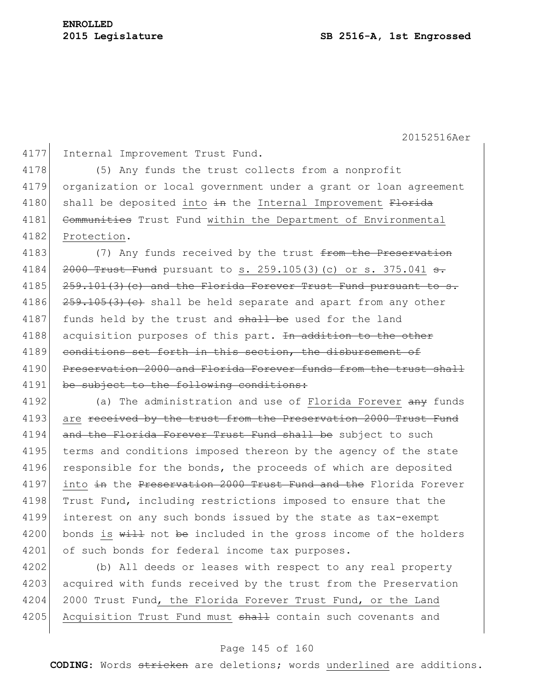4177 Internal Improvement Trust Fund.

4178 (5) Any funds the trust collects from a nonprofit 4179 organization or local government under a grant or loan agreement 4180 shall be deposited into  $\frac{1}{2}$  the Internal Improvement  $\frac{1}{2}$ 4181 Communities Trust Fund within the Department of Environmental 4182 Protection.

4183 (7) Any funds received by the trust from the Preservation 4184  $\left| \right. \left. \right. \left. \left. \right. \left. \right. \left. \right. \left. \left. \right. \right. \left. \left. \right. \left. \right. \left. \right. \left. \left. \right. \right. \left. \left. \right. \right. \left. \left. \right. \right. \left. \left. \right. \right. \left. \left. \right. \right. \left. \left. \right. \right. \left. \left. \right. \right. \left. \left. \right. \right. \left. \left. \right. \right. \left. \left. \right. \right. \left. \left. \right. \right. \left. \left. \right. \right. \left. \left$  $4185$   $259.101(3)$  (c) and the Florida Forever Trust Fund pursuant to s. 4186  $\left| \frac{259.105(3)(e)}{259.105(3)(e)} \right|$  shall be held separate and apart from any other 4187 funds held by the trust and shall be used for the land 4188 acquisition purposes of this part. In addition to the other 4189 conditions set forth in this section, the disbursement of 4190 Preservation 2000 and Florida Forever funds from the trust shall 4191 be subject to the following conditions:

4192 (a) The administration and use of Florida Forever  $\frac{any}{n}$  funds 4193 are received by the trust from the Preservation 2000 Trust Fund 4194 and the Florida Forever Trust Fund shall be subject to such 4195 terms and conditions imposed thereon by the agency of the state 4196 responsible for the bonds, the proceeds of which are deposited 4197 into in the Preservation 2000 Trust Fund and the Florida Forever 4198 Trust Fund, including restrictions imposed to ensure that the 4199 interest on any such bonds issued by the state as tax-exempt 4200 bonds is  $\frac{11}{20}$  not be included in the gross income of the holders 4201 of such bonds for federal income tax purposes.

4202 (b) All deeds or leases with respect to any real property 4203 acquired with funds received by the trust from the Preservation 4204 2000 Trust Fund, the Florida Forever Trust Fund, or the Land 4205 Acquisition Trust Fund must shall contain such covenants and

## Page 145 of 160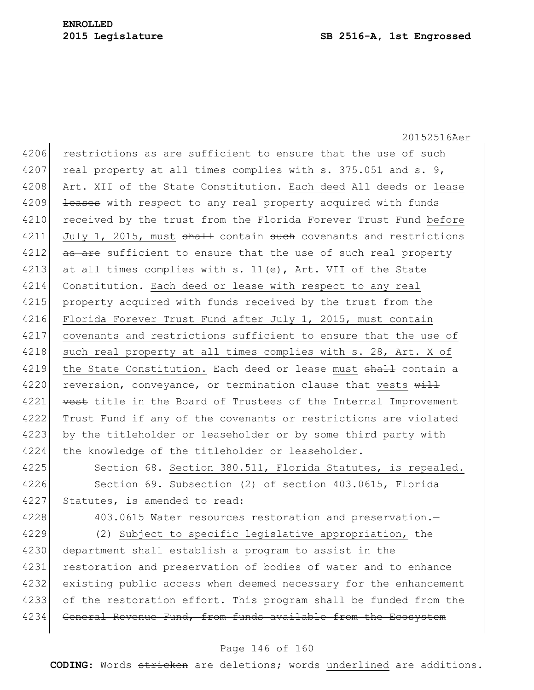20152516Aer 4206 restrictions as are sufficient to ensure that the use of such 4207 real property at all times complies with s. 375.051 and s. 9, 4208 Art. XII of the State Constitution. Each deed All deeds or lease 4209 <del>leases</del> with respect to any real property acquired with funds 4210 received by the trust from the Florida Forever Trust Fund before 4211 July 1, 2015, must  $\frac{1}{2}$  contain such covenants and restrictions 4212 as are sufficient to ensure that the use of such real property 4213 at all times complies with s. 11(e), Art. VII of the State 4214 Constitution. Each deed or lease with respect to any real 4215 property acquired with funds received by the trust from the 4216 Florida Forever Trust Fund after July 1, 2015, must contain 4217 covenants and restrictions sufficient to ensure that the use of 4218 such real property at all times complies with s. 28, Art. X of 4219 the State Constitution. Each deed or lease must shall contain a 4220 reversion, conveyance, or termination clause that vests  $\frac{11}{2}$ 4221 vest title in the Board of Trustees of the Internal Improvement 4222 Trust Fund if any of the covenants or restrictions are violated 4223 by the titleholder or leaseholder or by some third party with 4224 the knowledge of the titleholder or leaseholder. 4225 Section 68. Section 380.511, Florida Statutes, is repealed.

4226 Section 69. Subsection (2) of section 403.0615, Florida 4227 Statutes, is amended to read:

4228 403.0615 Water resources restoration and preservation.

4229 (2) Subject to specific legislative appropriation, the 4230 department shall establish a program to assist in the 4231 restoration and preservation of bodies of water and to enhance 4232 existing public access when deemed necessary for the enhancement 4233 of the restoration effort. This program shall be funded from the 4234 General Revenue Fund, from funds available from the Ecosystem

#### Page 146 of 160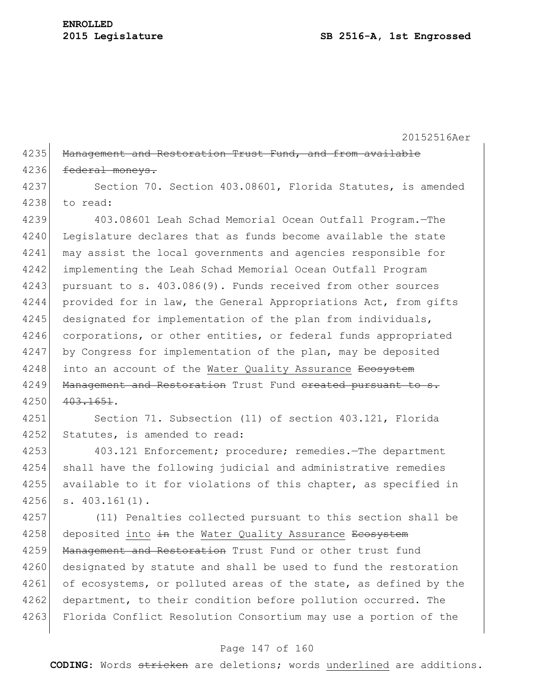4235 Management and Restoration Trust Fund, and from available 4236 federal moneys.

4237 Section 70. Section 403.08601, Florida Statutes, is amended 4238 to read:

4239 403.08601 Leah Schad Memorial Ocean Outfall Program.—The 4240 Legislature declares that as funds become available the state 4241 may assist the local governments and agencies responsible for 4242 implementing the Leah Schad Memorial Ocean Outfall Program 4243 pursuant to s. 403.086(9). Funds received from other sources 4244 provided for in law, the General Appropriations Act, from gifts 4245 designated for implementation of the plan from individuals, 4246 corporations, or other entities, or federal funds appropriated 4247 by Congress for implementation of the plan, may be deposited 4248 into an account of the Water Quality Assurance Ecosystem 4249 Management and Restoration Trust Fund ereated pursuant to s. 4250 403.1651.

4251 Section 71. Subsection (11) of section 403.121, Florida 4252 Statutes, is amended to read:

4253 403.121 Enforcement; procedure; remedies.—The department 4254 shall have the following judicial and administrative remedies 4255 available to it for violations of this chapter, as specified in 4256 s. 403.161(1).

4257 (11) Penalties collected pursuant to this section shall be 4258 deposited into in the Water Quality Assurance Ecosystem 4259 Management and Restoration Trust Fund or other trust fund 4260 designated by statute and shall be used to fund the restoration 4261 of ecosystems, or polluted areas of the state, as defined by the 4262 department, to their condition before pollution occurred. The 4263 Florida Conflict Resolution Consortium may use a portion of the

#### Page 147 of 160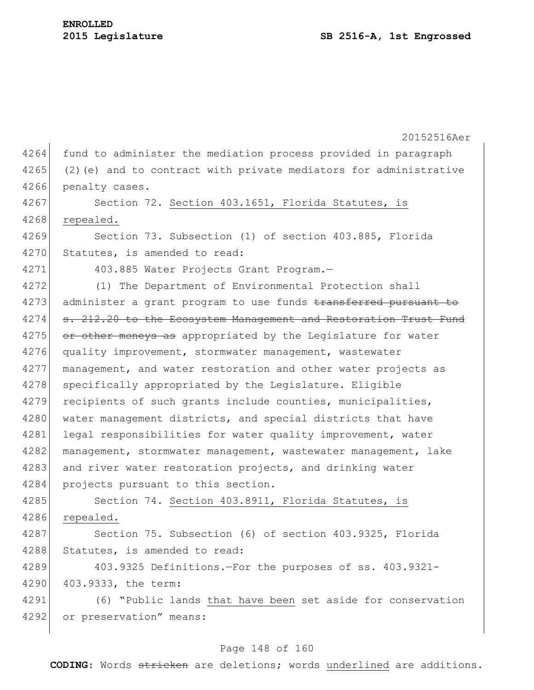4264 fund to administer the mediation process provided in paragraph 4265 (2)(e) and to contract with private mediators for administrative 4266 penalty cases.

4267 Section 72. Section 403.1651, Florida Statutes, is 4268 repealed.

4269 Section 73. Subsection (1) of section 403.885, Florida 4270 Statutes, is amended to read:

4271 403.885 Water Projects Grant Program.

4272 (1) The Department of Environmental Protection shall 4273 administer a grant program to use funds transferred pursuant to 4274 s. 212.20 to the Ecosystem Management and Restoration Trust Fund 4275 or other moneys as appropriated by the Legislature for water 4276 quality improvement, stormwater management, wastewater 4277 management, and water restoration and other water projects as 4278 specifically appropriated by the Legislature. Eligible 4279 recipients of such grants include counties, municipalities, 4280 water management districts, and special districts that have 4281 legal responsibilities for water quality improvement, water 4282 management, stormwater management, wastewater management, lake 4283 and river water restoration projects, and drinking water 4284 projects pursuant to this section.

4285 Section 74. Section 403.8911, Florida Statutes, is 4286 repealed.

4287 Section 75. Subsection (6) of section 403.9325, Florida 4288 Statutes, is amended to read:

4289 403.9325 Definitions.—For the purposes of ss. 403.9321- 4290 403.9333, the term:

4291 (6) "Public lands that have been set aside for conservation 4292 or preservation" means:

#### Page 148 of 160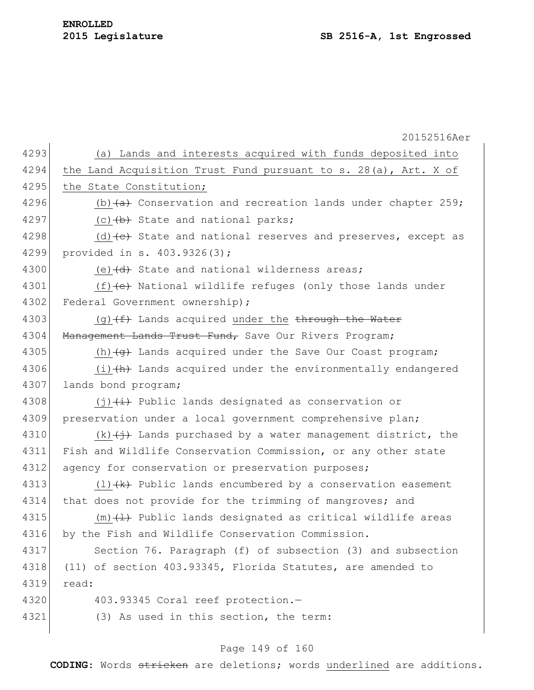20152516Aer 4293 (a) Lands and interests acquired with funds deposited into 4294 the Land Acquisition Trust Fund pursuant to s. 28(a), Art. X of 4295 the State Constitution; 4296 (b) $\leftarrow$  (b)  $\leftarrow$  Conservation and recreation lands under chapter 259; 4297 (c)  $\left\langle \theta \right\rangle$  State and national parks; 4298 (d)  $\left(\text{d}\right)$  State and national reserves and preserves, except as 4299 provided in s. 403.9326(3); 4300 (e) $\left(\frac{d}{dt}\right)$  State and national wilderness areas; 4301  $(f)$  (e) National wildlife refuges (only those lands under 4302 Federal Government ownership); 4303 (g) $(f)$  Lands acquired under the through the Water 4304 Management Lands Trust Fund, Save Our Rivers Program; 4305 (h) $\left( \frac{q}{q} \right)$  Lands acquired under the Save Our Coast program; 4306  $(i)$   $(h)$  Lands acquired under the environmentally endangered 4307 lands bond program; 4308  $\left(1\right)\left(\frac{1}{1}\right)$  Public lands designated as conservation or 4309 preservation under a local government comprehensive plan; 4310 (k) $\left(\frac{1}{2}\right)$  Lands purchased by a water management district, the 4311 Fish and Wildlife Conservation Commission, or any other state 4312 agency for conservation or preservation purposes; 4313 (1) $\{k\}$  Public lands encumbered by a conservation easement 4314 that does not provide for the trimming of mangroves; and 4315  $(m)$   $(1)$  Public lands designated as critical wildlife areas 4316 by the Fish and Wildlife Conservation Commission. 4317 Section 76. Paragraph (f) of subsection (3) and subsection 4318 (11) of section 403.93345, Florida Statutes, are amended to 4319 read: 4320 403.93345 Coral reef protection.— 4321 (3) As used in this section, the term:

# Page 149 of 160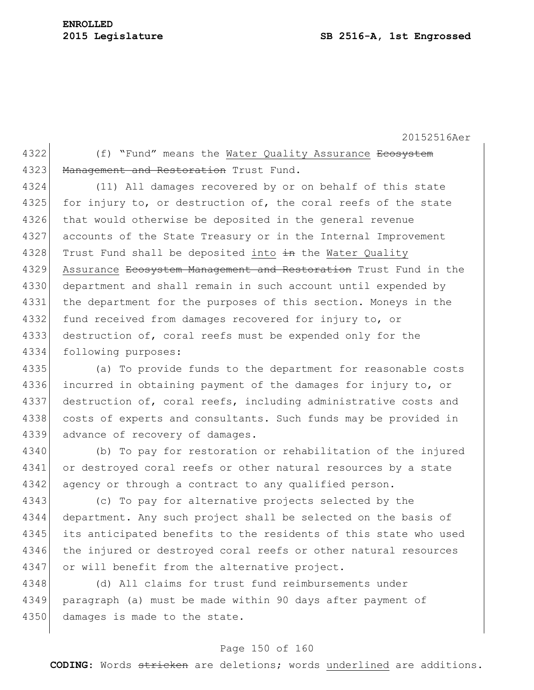4322 (f) "Fund" means the Water Quality Assurance Ecosystem 4323 Management and Restoration Trust Fund.

4324 (11) All damages recovered by or on behalf of this state 4325 for injury to, or destruction of, the coral reefs of the state 4326 that would otherwise be deposited in the general revenue 4327 accounts of the State Treasury or in the Internal Improvement 4328 Trust Fund shall be deposited into in the Water Quality 4329 Assurance <del>Ecosystem Management and Restoration</del> Trust Fund in the 4330 department and shall remain in such account until expended by 4331 the department for the purposes of this section. Moneys in the 4332 fund received from damages recovered for injury to, or 4333 destruction of, coral reefs must be expended only for the 4334 following purposes:

4335 (a) To provide funds to the department for reasonable costs 4336 incurred in obtaining payment of the damages for injury to, or 4337 destruction of, coral reefs, including administrative costs and 4338 costs of experts and consultants. Such funds may be provided in 4339 advance of recovery of damages.

4340 (b) To pay for restoration or rehabilitation of the injured 4341 or destroyed coral reefs or other natural resources by a state 4342 agency or through a contract to any qualified person.

4343 (c) To pay for alternative projects selected by the 4344 department. Any such project shall be selected on the basis of 4345 its anticipated benefits to the residents of this state who used 4346 the injured or destroyed coral reefs or other natural resources 4347 or will benefit from the alternative project.

4348 (d) All claims for trust fund reimbursements under 4349 paragraph (a) must be made within 90 days after payment of 4350 damages is made to the state.

## Page 150 of 160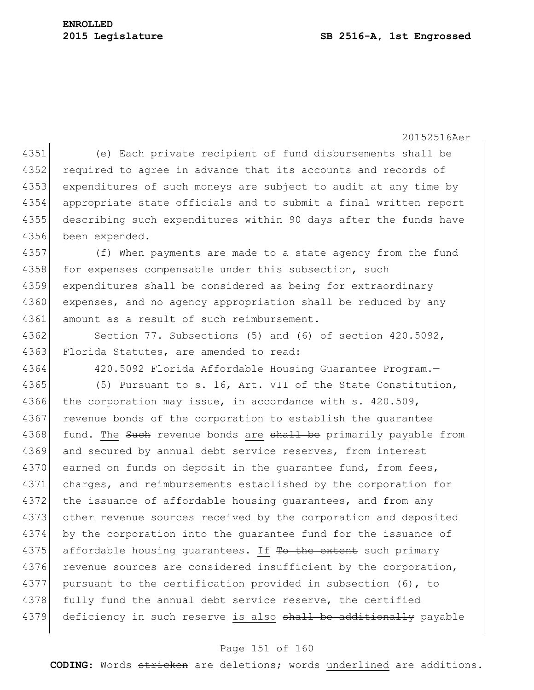(e) Each private recipient of fund disbursements shall be 4352 required to agree in advance that its accounts and records of expenditures of such moneys are subject to audit at any time by appropriate state officials and to submit a final written report describing such expenditures within 90 days after the funds have been expended.

4357 (f) When payments are made to a state agency from the fund 4358 for expenses compensable under this subsection, such 4359 expenditures shall be considered as being for extraordinary 4360 expenses, and no agency appropriation shall be reduced by any 4361 amount as a result of such reimbursement.

4362 Section 77. Subsections (5) and (6) of section 420.5092, 4363 Florida Statutes, are amended to read:

4364 420.5092 Florida Affordable Housing Guarantee Program.

4365 (5) Pursuant to s. 16, Art. VII of the State Constitution, 4366 the corporation may issue, in accordance with s. 420.509, 4367 revenue bonds of the corporation to establish the quarantee 4368 fund. The Such revenue bonds are shall be primarily payable from 4369 and secured by annual debt service reserves, from interest 4370 earned on funds on deposit in the quarantee fund, from fees, 4371 charges, and reimbursements established by the corporation for 4372 the issuance of affordable housing quarantees, and from any 4373 other revenue sources received by the corporation and deposited 4374 by the corporation into the guarantee fund for the issuance of 4375 affordable housing guarantees. If To the extent such primary 4376 revenue sources are considered insufficient by the corporation, 4377 pursuant to the certification provided in subsection (6), to 4378 fully fund the annual debt service reserve, the certified 4379 deficiency in such reserve is also shall be additionally payable

#### Page 151 of 160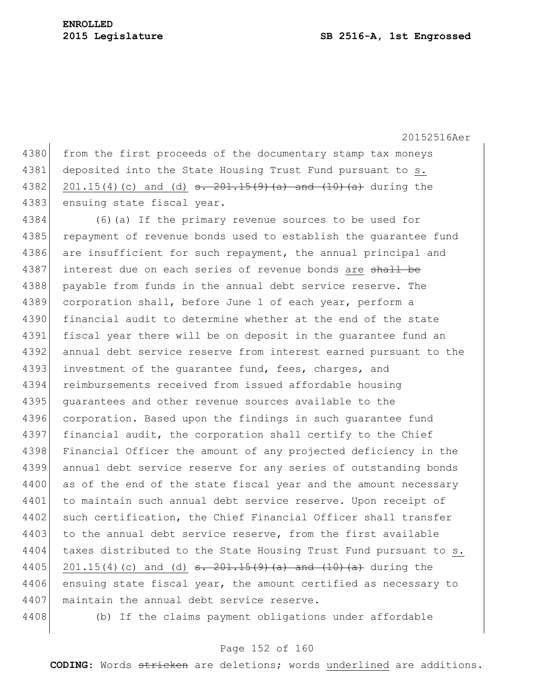4380 from the first proceeds of the documentary stamp tax moneys 4381 deposited into the State Housing Trust Fund pursuant to s. 4382 201.15(4)(c) and (d)  $s. 201.15(9)$  (a) and  $(10)$  (a) during the 4383 ensuing state fiscal year.

4384 (6)(a) If the primary revenue sources to be used for 4385 repayment of revenue bonds used to establish the quarantee fund 4386 are insufficient for such repayment, the annual principal and 4387 interest due on each series of revenue bonds are shall be 4388 payable from funds in the annual debt service reserve. The 4389 corporation shall, before June 1 of each year, perform a 4390 financial audit to determine whether at the end of the state 4391 fiscal year there will be on deposit in the quarantee fund an 4392 annual debt service reserve from interest earned pursuant to the 4393 investment of the quarantee fund, fees, charges, and 4394 reimbursements received from issued affordable housing 4395 guarantees and other revenue sources available to the 4396 corporation. Based upon the findings in such quarantee fund 4397 financial audit, the corporation shall certify to the Chief 4398 Financial Officer the amount of any projected deficiency in the 4399 annual debt service reserve for any series of outstanding bonds 4400 as of the end of the state fiscal year and the amount necessary 4401 to maintain such annual debt service reserve. Upon receipt of 4402 such certification, the Chief Financial Officer shall transfer 4403 to the annual debt service reserve, from the first available 4404 taxes distributed to the State Housing Trust Fund pursuant to s. 4405 201.15(4)(c) and (d)  $\frac{1}{2}$ . 201.15(9)(a) and (10)(a) during the 4406 ensuing state fiscal year, the amount certified as necessary to 4407 maintain the annual debt service reserve.

4408 (b) If the claims payment obligations under affordable

# Page 152 of 160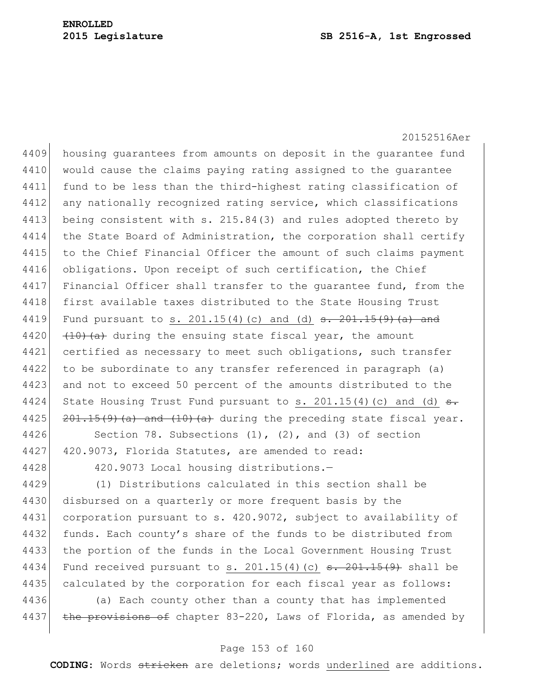20152516Aer 4409 housing quarantees from amounts on deposit in the quarantee fund 4410 would cause the claims paying rating assigned to the quarantee 4411 fund to be less than the third-highest rating classification of 4412 any nationally recognized rating service, which classifications 4413 being consistent with s. 215.84(3) and rules adopted thereto by 4414 the State Board of Administration, the corporation shall certify 4415 to the Chief Financial Officer the amount of such claims payment 4416 obligations. Upon receipt of such certification, the Chief 4417 Financial Officer shall transfer to the quarantee fund, from the 4418 first available taxes distributed to the State Housing Trust 4419 Fund pursuant to s. 201.15(4)(c) and (d) <del>s. 201.15(9)(a) and</del> 4420  $(10)(a)$  during the ensuing state fiscal year, the amount 4421 certified as necessary to meet such obligations, such transfer 4422 to be subordinate to any transfer referenced in paragraph (a) 4423 and not to exceed 50 percent of the amounts distributed to the 4424 State Housing Trust Fund pursuant to s. 201.15(4)(c) and (d)  $\frac{1}{s}$ . 4425  $\left| \frac{201.15(9)}{a} \right|$  and  $\left(10\right)$  (a) during the preceding state fiscal year. 4426 Section 78. Subsections (1), (2), and (3) of section

4427 420.9073, Florida Statutes, are amended to read:

4428 420.9073 Local housing distributions.—

4429 (1) Distributions calculated in this section shall be 4430 disbursed on a quarterly or more frequent basis by the 4431 corporation pursuant to s. 420.9072, subject to availability of 4432 funds. Each county's share of the funds to be distributed from 4433 the portion of the funds in the Local Government Housing Trust 4434 Fund received pursuant to s. 201.15(4)(c)  $\frac{1}{100}$   $\frac{1}{100}$  shall be 4435 calculated by the corporation for each fiscal year as follows:

4436 (a) Each county other than a county that has implemented 4437 the provisions of chapter 83-220, Laws of Florida, as amended by

# Page 153 of 160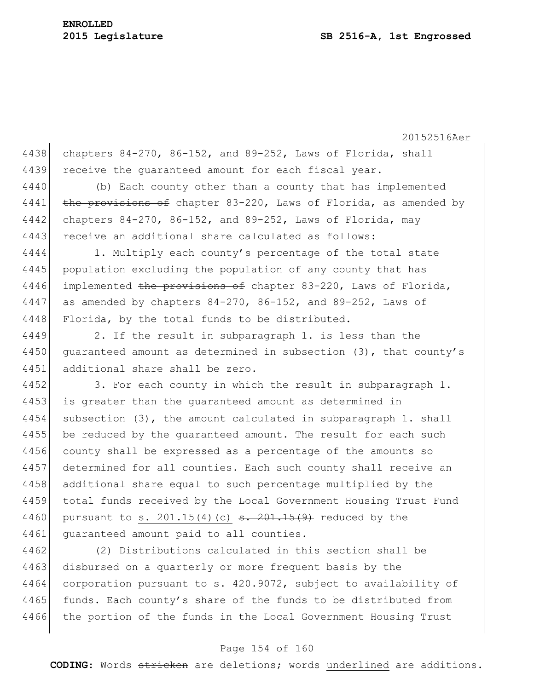20152516Aer 4438 chapters  $84-270$ ,  $86-152$ , and  $89-252$ , Laws of Florida, shall 4439 receive the quaranteed amount for each fiscal year.

4440 (b) Each county other than a county that has implemented 4441 the provisions of chapter 83-220, Laws of Florida, as amended by 4442 chapters 84-270, 86-152, and 89-252, Laws of Florida, may 4443 receive an additional share calculated as follows:

4444 1. Multiply each county's percentage of the total state 4445 population excluding the population of any county that has 4446 implemented the provisions of chapter 83-220, Laws of Florida, 4447 as amended by chapters  $84-270$ ,  $86-152$ , and  $89-252$ , Laws of 4448 Florida, by the total funds to be distributed.

4449 2. If the result in subparagraph 1. is less than the 4450 quaranteed amount as determined in subsection (3), that county's 4451 additional share shall be zero.

4452 3. For each county in which the result in subparagraph 1. 4453 is greater than the guaranteed amount as determined in 4454 subsection (3), the amount calculated in subparagraph 1. shall 4455 be reduced by the quaranteed amount. The result for each such 4456 county shall be expressed as a percentage of the amounts so 4457 determined for all counties. Each such county shall receive an 4458 additional share equal to such percentage multiplied by the 4459 total funds received by the Local Government Housing Trust Fund 4460 pursuant to s. 201.15(4)(c)  $\frac{1}{15(4)}$  = 201.15(9) reduced by the 4461 guaranteed amount paid to all counties.

4462 (2) Distributions calculated in this section shall be 4463 disbursed on a quarterly or more frequent basis by the 4464 corporation pursuant to s. 420.9072, subject to availability of 4465 funds. Each county's share of the funds to be distributed from 4466 the portion of the funds in the Local Government Housing Trust

## Page 154 of 160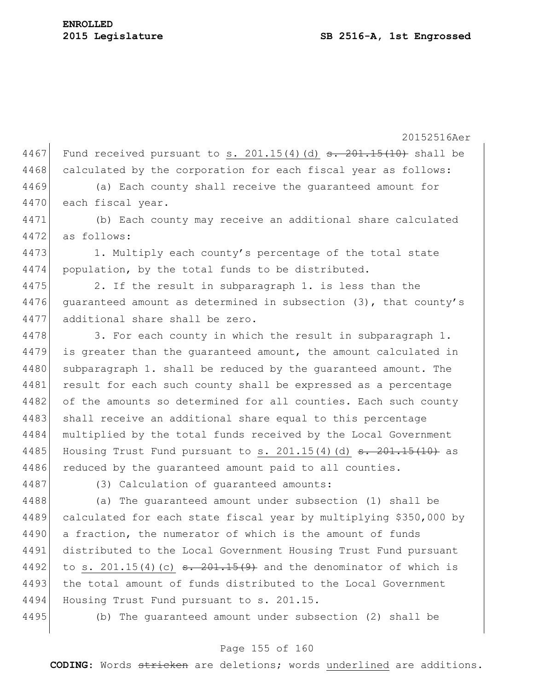4467 Fund received pursuant to s. 201.15(4)(d)  $\frac{1}{5}$ . 201.15(10) shall be 4468 calculated by the corporation for each fiscal year as follows: 4469 (a) Each county shall receive the guaranteed amount for 4470 each fiscal year. 4471 (b) Each county may receive an additional share calculated 4472 as follows: 4473 1. Multiply each county's percentage of the total state 4474 population, by the total funds to be distributed. 4475 2. If the result in subparagraph 1. is less than the 4476 guaranteed amount as determined in subsection (3), that county's 4477 additional share shall be zero. 4478 3. For each county in which the result in subparagraph 1. 4479 is greater than the quaranteed amount, the amount calculated in 4480 subparagraph 1. shall be reduced by the guaranteed amount. The 4481 result for each such county shall be expressed as a percentage 4482 of the amounts so determined for all counties. Each such county 4483 shall receive an additional share equal to this percentage 4484 multiplied by the total funds received by the Local Government 4485 Housing Trust Fund pursuant to s.  $201.15(4)(d)$   $\frac{1}{10}$   $\frac{201.15(10)}{10}$  as 4486 reduced by the quaranteed amount paid to all counties. 4487 (3) Calculation of quaranteed amounts: 4488 (a) The quaranteed amount under subsection (1) shall be 4489 calculated for each state fiscal year by multiplying \$350,000 by 4490 a fraction, the numerator of which is the amount of funds 4491 distributed to the Local Government Housing Trust Fund pursuant 4492 to s. 201.15(4)(c)  $\frac{15(4)}{15(4)}$  and the denominator of which is 4493 the total amount of funds distributed to the Local Government 4494 Housing Trust Fund pursuant to s. 201.15. 4495 (b) The guaranteed amount under subsection (2) shall be

## Page 155 of 160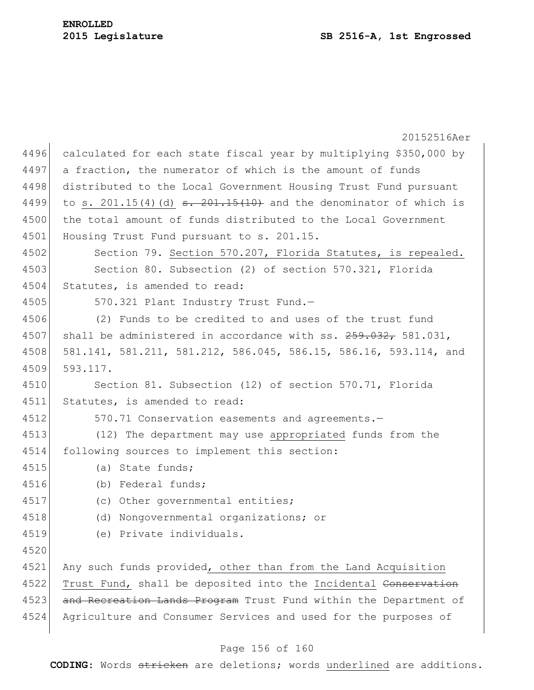20152516Aer 4496 calculated for each state fiscal year by multiplying \$350,000 by 4497 a fraction, the numerator of which is the amount of funds 4498 distributed to the Local Government Housing Trust Fund pursuant 4499 to s. 201.15(4)(d)  $\frac{1}{15(10)}$  and the denominator of which is 4500 the total amount of funds distributed to the Local Government 4501 Housing Trust Fund pursuant to s. 201.15. 4502 Section 79. Section 570.207, Florida Statutes, is repealed. 4503 Section 80. Subsection (2) of section 570.321, Florida 4504 Statutes, is amended to read: 4505 570.321 Plant Industry Trust Fund. 4506 (2) Funds to be credited to and uses of the trust fund 4507 shall be administered in accordance with ss.  $259.032$ , 581.031, 4508 581.141, 581.211, 581.212, 586.045, 586.15, 586.16, 593.114, and 4509 593.117. 4510 Section 81. Subsection (12) of section 570.71, Florida 4511 Statutes, is amended to read: 4512 570.71 Conservation easements and agreements.— 4513 (12) The department may use appropriated funds from the 4514 following sources to implement this section: 4515 (a) State funds; 4516 (b) Federal funds; 4517 (c) Other governmental entities; 4518 (d) Nongovernmental organizations; or 4519 (e) Private individuals. 4520 4521 Any such funds provided, other than from the Land Acquisition 4522 Trust Fund, shall be deposited into the Incidental Conservation 4523 and Recreation Lands Program Trust Fund within the Department of 4524 Agriculture and Consumer Services and used for the purposes of

# Page 156 of 160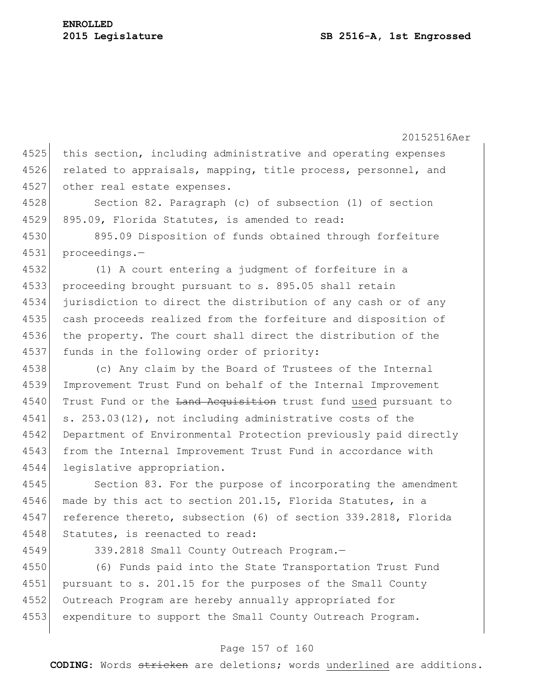20152516Aer 4525 this section, including administrative and operating expenses 4526 related to appraisals, mapping, title process, personnel, and 4527 other real estate expenses. 4528 Section 82. Paragraph (c) of subsection (1) of section 4529 895.09, Florida Statutes, is amended to read: 4530 895.09 Disposition of funds obtained through forfeiture 4531 proceedings.— 4532 (1) A court entering a judgment of forfeiture in a 4533 proceeding brought pursuant to s. 895.05 shall retain 4534 jurisdiction to direct the distribution of any cash or of any 4535 cash proceeds realized from the forfeiture and disposition of 4536 the property. The court shall direct the distribution of the 4537 funds in the following order of priority: 4538 (c) Any claim by the Board of Trustees of the Internal 4539 Improvement Trust Fund on behalf of the Internal Improvement 4540 Trust Fund or the Land Acquisition trust fund used pursuant to 4541 s. 253.03(12), not including administrative costs of the 4542 Department of Environmental Protection previously paid directly 4543 from the Internal Improvement Trust Fund in accordance with 4544 legislative appropriation. 4545 Section 83. For the purpose of incorporating the amendment 4546 made by this act to section 201.15, Florida Statutes, in a 4547 reference thereto, subsection (6) of section 339.2818, Florida 4548 Statutes, is reenacted to read: 4549 339.2818 Small County Outreach Program.-4550 (6) Funds paid into the State Transportation Trust Fund

4551 pursuant to s. 201.15 for the purposes of the Small County 4552 Outreach Program are hereby annually appropriated for 4553 expenditure to support the Small County Outreach Program.

## Page 157 of 160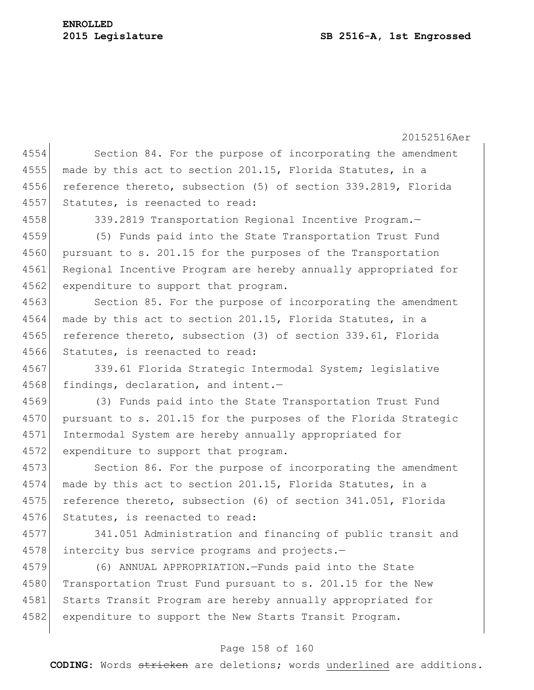#### **2015 Legislature SB 2516-A, 1st Engrossed**

# **ENROLLED**

20152516Aer 4554 Section 84. For the purpose of incorporating the amendment 4555 made by this act to section 201.15, Florida Statutes, in a 4556 reference thereto, subsection (5) of section 339.2819, Florida 4557 Statutes, is reenacted to read: 4558 339.2819 Transportation Regional Incentive Program.— 4559 (5) Funds paid into the State Transportation Trust Fund 4560 pursuant to s. 201.15 for the purposes of the Transportation 4561 Regional Incentive Program are hereby annually appropriated for 4562 expenditure to support that program. 4563 Section 85. For the purpose of incorporating the amendment  $4564$  made by this act to section 201.15, Florida Statutes, in a 4565 reference thereto, subsection (3) of section 339.61, Florida 4566 Statutes, is reenacted to read: 4567 339.61 Florida Strategic Intermodal System; legislative 4568 findings, declaration, and intent.-4569 (3) Funds paid into the State Transportation Trust Fund 4570 pursuant to s. 201.15 for the purposes of the Florida Strategic 4571 Intermodal System are hereby annually appropriated for 4572 expenditure to support that program. 4573 Section 86. For the purpose of incorporating the amendment 4574 made by this act to section 201.15, Florida Statutes, in a 4575 reference thereto, subsection (6) of section 341.051, Florida 4576 Statutes, is reenacted to read: 4577 341.051 Administration and financing of public transit and 4578 intercity bus service programs and projects.-4579 (6) ANNUAL APPROPRIATION.—Funds paid into the State 4580 Transportation Trust Fund pursuant to s. 201.15 for the New 4581 Starts Transit Program are hereby annually appropriated for 4582 expenditure to support the New Starts Transit Program.

## Page 158 of 160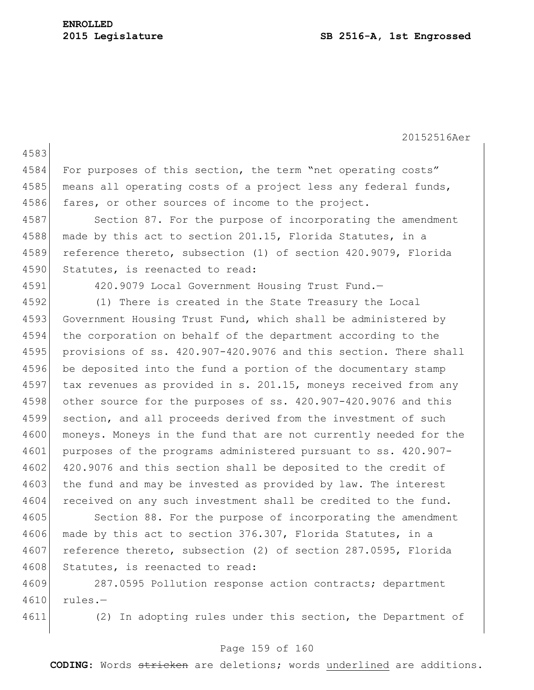4583 4584 For purposes of this section, the term "net operating costs" 4585 means all operating costs of a project less any federal funds, 4586 fares, or other sources of income to the project. 4587 Section 87. For the purpose of incorporating the amendment 4588 made by this act to section 201.15, Florida Statutes, in a 4589 reference thereto, subsection (1) of section 420.9079, Florida 4590 Statutes, is reenacted to read: 4591 420.9079 Local Government Housing Trust Fund.— 4592 (1) There is created in the State Treasury the Local 4593 Government Housing Trust Fund, which shall be administered by 4594 the corporation on behalf of the department according to the 4595 provisions of ss. 420.907-420.9076 and this section. There shall 4596 be deposited into the fund a portion of the documentary stamp 4597 tax revenues as provided in s. 201.15, moneys received from any 4598 other source for the purposes of ss. 420.907-420.9076 and this 4599 section, and all proceeds derived from the investment of such 4600 moneys. Moneys in the fund that are not currently needed for the 4601 purposes of the programs administered pursuant to ss. 420.907- 4602 420.9076 and this section shall be deposited to the credit of 4603 the fund and may be invested as provided by law. The interest 4604 received on any such investment shall be credited to the fund. 4605 Section 88. For the purpose of incorporating the amendment 4606 made by this act to section 376.307, Florida Statutes, in a 4607 reference thereto, subsection (2) of section 287.0595, Florida 4608 Statutes, is reenacted to read:

4609 287.0595 Pollution response action contracts; department 4610 rules.—

4611 (2) In adopting rules under this section, the Department of

# Page 159 of 160